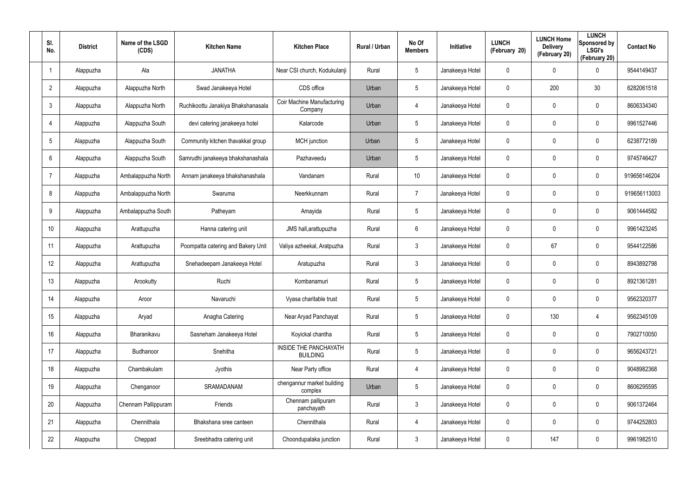| SI.<br>No.              | <b>District</b> | Name of the LSGD<br>(CDS) | <b>Kitchen Name</b>                | <b>Kitchen Place</b>                     | Rural / Urban | No Of<br><b>Members</b> | Initiative      | <b>LUNCH</b><br>(February 20) | <b>LUNCH Home</b><br><b>Delivery</b><br>(February 20) | <b>LUNCH</b><br>Sponsored by<br><b>LSGI's</b><br>(February 20) | <b>Contact No</b> |
|-------------------------|-----------------|---------------------------|------------------------------------|------------------------------------------|---------------|-------------------------|-----------------|-------------------------------|-------------------------------------------------------|----------------------------------------------------------------|-------------------|
| $\overline{\mathbf{1}}$ | Alappuzha       | Ala                       | <b>JANATHA</b>                     | Near CSI church, Kodukulanji             | Rural         | 5                       | Janakeeya Hotel | 0                             | 0                                                     | $\mathbf 0$                                                    | 9544149437        |
| $\overline{2}$          | Alappuzha       | Alappuzha North           | Swad Janakeeya Hotel               | CDS office                               | Urban         | 5                       | Janakeeya Hotel | 0                             | 200                                                   | 30                                                             | 6282061518        |
| $\mathfrak{Z}$          | Alappuzha       | Alappuzha North           | Ruchikoottu Janakiya Bhakshanasala | Coir Machine Manufacturing<br>Company    | Urban         | 4                       | Janakeeya Hotel | 0                             | 0                                                     | $\mathbf 0$                                                    | 8606334340        |
| $\overline{4}$          | Alappuzha       | Alappuzha South           | devi catering janakeeya hotel      | Kalarcode                                | Urban         | 5                       | Janakeeya Hotel | 0                             | 0                                                     | $\mathbf 0$                                                    | 9961527446        |
| $\sqrt{5}$              | Alappuzha       | Alappuzha South           | Community kitchen thavakkal group  | <b>MCH</b> junction                      | Urban         | 5                       | Janakeeya Hotel | 0                             | 0                                                     | $\mathbf 0$                                                    | 6238772189        |
| 6                       | Alappuzha       | Alappuzha South           | Samrudhi janakeeya bhakshanashala  | Pazhaveedu                               | Urban         | 5                       | Janakeeya Hotel | 0                             | 0                                                     | $\mathbf 0$                                                    | 9745746427        |
| $\overline{7}$          | Alappuzha       | Ambalappuzha North        | Annam janakeeya bhakshanashala     | Vandanam                                 | Rural         | 10                      | Janakeeya Hotel | 0                             | 0                                                     | $\mathbf 0$                                                    | 919656146204      |
| 8                       | Alappuzha       | Ambalappuzha North        | Swaruma                            | Neerkkunnam                              | Rural         | $\overline{7}$          | Janakeeya Hotel | 0                             | 0                                                     | $\mathbf 0$                                                    | 919656113003      |
| 9                       | Alappuzha       | Ambalappuzha South        | Patheyam                           | Amayida                                  | Rural         | $5\phantom{.0}$         | Janakeeya Hotel | 0                             | 0                                                     | $\mathbf 0$                                                    | 9061444582        |
| 10 <sup>°</sup>         | Alappuzha       | Arattupuzha               | Hanna catering unit                | JMS hall, arattupuzha                    | Rural         | 6                       | Janakeeya Hotel | 0                             | 0                                                     | $\mathbf 0$                                                    | 9961423245        |
| 11                      | Alappuzha       | Arattupuzha               | Poompatta catering and Bakery Unit | Valiya azheekal, Aratpuzha               | Rural         | $\mathbf{3}$            | Janakeeya Hotel | 0                             | 67                                                    | $\mathbf 0$                                                    | 9544122586        |
| 12                      | Alappuzha       | Arattupuzha               | Snehadeepam Janakeeya Hotel        | Aratupuzha                               | Rural         | $\mathbf{3}$            | Janakeeya Hotel | 0                             | 0                                                     | $\mathbf 0$                                                    | 8943892798        |
| 13                      | Alappuzha       | Arookutty                 | Ruchi                              | Kombanamuri                              | Rural         | $5\phantom{.0}$         | Janakeeya Hotel | 0                             | 0                                                     | $\mathbf 0$                                                    | 8921361281        |
| 14                      | Alappuzha       | Aroor                     | Navaruchi                          | Vyasa charitable trust                   | Rural         | 5                       | Janakeeya Hotel | 0                             | 0                                                     | $\pmb{0}$                                                      | 9562320377        |
| 15                      | Alappuzha       | Aryad                     | Anagha Catering                    | Near Aryad Panchayat                     | Rural         | $5\phantom{.0}$         | Janakeeya Hotel | $\mathbf 0$                   | 130                                                   | $\overline{4}$                                                 | 9562345109        |
| 16                      | Alappuzha       | Bharanikavu               | Sasneham Janakeeya Hotel           | Koyickal chantha                         | Rural         | $5\phantom{.0}$         | Janakeeya Hotel | $\pmb{0}$                     | 0                                                     | $\mathbf 0$                                                    | 7902710050        |
| 17                      | Alappuzha       | Budhanoor                 | Snehitha                           | INSIDE THE PANCHAYATH<br><b>BUILDING</b> | Rural         | $5\phantom{.0}$         | Janakeeya Hotel | 0                             | 0                                                     | $\mathbf 0$                                                    | 9656243721        |
| 18                      | Alappuzha       | Chambakulam               | Jyothis                            | Near Party office                        | Rural         | 4                       | Janakeeya Hotel | $\mathbf 0$                   | 0                                                     | $\mathbf 0$                                                    | 9048982368        |
| 19                      | Alappuzha       | Chenganoor                | SRAMADANAM                         | chengannur market building<br>complex    | Urban         | $5\phantom{.0}$         | Janakeeya Hotel | 0                             | 0                                                     | $\mathbf 0$                                                    | 8606295595        |
| 20                      | Alappuzha       | Chennam Pallippuram       | Friends                            | Chennam pallipuram<br>panchayath         | Rural         | $\mathbf{3}$            | Janakeeya Hotel | $\mathbf 0$                   | 0                                                     | $\mathbf 0$                                                    | 9061372464        |
| 21                      | Alappuzha       | Chennithala               | Bhakshana sree canteen             | Chennithala                              | Rural         | 4                       | Janakeeya Hotel | 0                             | 0                                                     | $\mathbf 0$                                                    | 9744252803        |
| 22                      | Alappuzha       | Cheppad                   | Sreebhadra catering unit           | Choondupalaka junction                   | Rural         | $\mathfrak{Z}$          | Janakeeya Hotel | 0                             | 147                                                   | $\mathsf{0}$                                                   | 9961982510        |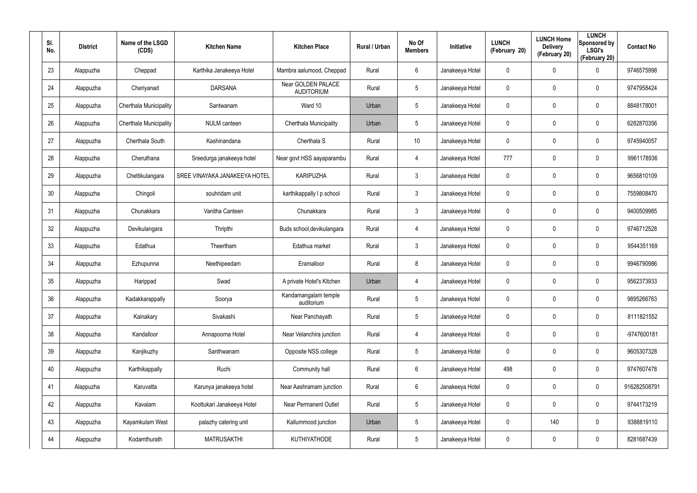| SI.<br>No. | <b>District</b> | Name of the LSGD<br>(CDS) | <b>Kitchen Name</b>           | <b>Kitchen Place</b>                    | Rural / Urban | No Of<br><b>Members</b> | <b>Initiative</b> | <b>LUNCH</b><br>(February 20) | <b>LUNCH Home</b><br><b>Delivery</b><br>(February 20) | <b>LUNCH</b><br>Sponsored by<br><b>LSGI's</b><br>(February 20) | <b>Contact No</b> |
|------------|-----------------|---------------------------|-------------------------------|-----------------------------------------|---------------|-------------------------|-------------------|-------------------------------|-------------------------------------------------------|----------------------------------------------------------------|-------------------|
| 23         | Alappuzha       | Cheppad                   | Karthika Janakeeya Hotel      | Mambra aalumood, Cheppad                | Rural         | 6                       | Janakeeya Hotel   | 0                             | 0                                                     | $\mathbf 0$                                                    | 9746575998        |
| 24         | Alappuzha       | Cheriyanad                | <b>DARSANA</b>                | Near GOLDEN PALACE<br><b>AUDITORIUM</b> | Rural         | $5\phantom{.0}$         | Janakeeya Hotel   | 0                             | 0                                                     | $\mathbf 0$                                                    | 9747958424        |
| 25         | Alappuzha       | Cherthala Municipality    | Santwanam                     | Ward 10                                 | Urban         | $5\phantom{.0}$         | Janakeeya Hotel   | 0                             | 0                                                     | $\pmb{0}$                                                      | 8848178001        |
| 26         | Alappuzha       | Cherthala Municipality    | <b>NULM</b> canteen           | Cherthala Municipality                  | Urban         | $5\phantom{.0}$         | Janakeeya Hotel   | 0                             | 0                                                     | $\pmb{0}$                                                      | 6282870356        |
| 27         | Alappuzha       | Cherthala South           | Kashinandana                  | Cherthala S                             | Rural         | 10 <sup>°</sup>         | Janakeeya Hotel   | 0                             | 0                                                     | $\pmb{0}$                                                      | 9745940057        |
| 28         | Alappuzha       | Cheruthana                | Sreedurga janakeeya hotel     | Near govt HSS aayaparambu               | Rural         | 4                       | Janakeeya Hotel   | 777                           | 0                                                     | $\mathbf 0$                                                    | 9961178936        |
| 29         | Alappuzha       | Chettikulangara           | SREE VINAYAKA JANAKEEYA HOTEL | <b>KARIPUZHA</b>                        | Rural         | $\mathbf{3}$            | Janakeeya Hotel   | 0                             | 0                                                     | $\pmb{0}$                                                      | 9656810109        |
| 30         | Alappuzha       | Chingoli                  | souhridam unit                | karthikappally I p school               | Rural         | $\mathbf{3}$            | Janakeeya Hotel   | 0                             | 0                                                     | $\mathbf 0$                                                    | 7559808470        |
| 31         | Alappuzha       | Chunakkara                | Vanitha Canteen               | Chunakkara                              | Rural         | $\mathbf{3}$            | Janakeeya Hotel   | 0                             | 0                                                     | $\mathbf 0$                                                    | 9400509985        |
| 32         | Alappuzha       | Devikulangara             | Thripthi                      | Buds school, devikulangara              | Rural         | 4                       | Janakeeya Hotel   | 0                             | 0                                                     | $\mathbf 0$                                                    | 9746712528        |
| 33         | Alappuzha       | Edathua                   | Theertham                     | Edathua market                          | Rural         | $\mathbf{3}$            | Janakeeya Hotel   | 0                             | 0                                                     | $\mathbf 0$                                                    | 9544351169        |
| 34         | Alappuzha       | Ezhupunna                 | Neethipeedam                  | Eramalloor                              | Rural         | 8                       | Janakeeya Hotel   | 0                             | 0                                                     | $\mathbf 0$                                                    | 9946790986        |
| 35         | Alappuzha       | Harippad                  | Swad                          | A private Hotel's Kitchen               | Urban         | 4                       | Janakeeya Hotel   | 0                             | 0                                                     | $\mathbf 0$                                                    | 9562373933        |
| 36         | Alappuzha       | Kadakkarappally           | Soorya                        | Kandamangalam temple<br>auditorium      | Rural         | $5\phantom{.0}$         | Janakeeya Hotel   | 0                             | 0                                                     | $\pmb{0}$                                                      | 9895266763        |
| 37         | Alappuzha       | Kainakary                 | Sivakashi                     | Near Panchayath                         | Rural         | $5\phantom{.0}$         | Janakeeya Hotel   | 0                             | 0                                                     | $\mathbf 0$                                                    | 8111821552        |
| 38         | Alappuzha       | Kandalloor                | Annapoorna Hotel              | Near Velanchira junction                | Rural         | 4                       | Janakeeya Hotel   | 0                             | 0                                                     | $\mathbf 0$                                                    | -9747600181       |
| 39         | Alappuzha       | Kanjikuzhy                | Santhwanam                    | Opposite NSS college                    | Rural         | $5\phantom{.0}$         | Janakeeya Hotel   | 0                             | 0                                                     | $\mathbf 0$                                                    | 9605307328        |
| 40         | Alappuzha       | Karthikappally            | Ruchi                         | Community hall                          | Rural         | $6\phantom{.}6$         | Janakeeya Hotel   | 498                           | 0                                                     | $\mathbf 0$                                                    | 9747607478        |
| 41         | Alappuzha       | Karuvatta                 | Karunya janakeeya hotel       | Near Aashramam junction                 | Rural         | 6                       | Janakeeya Hotel   | 0                             | 0                                                     | $\mathbf 0$                                                    | 916282508791      |
| 42         | Alappuzha       | Kavalam                   | Koottukari Janakeeya Hotel    | <b>Near Permanent Outlet</b>            | Rural         | $5\phantom{.0}$         | Janakeeya Hotel   | 0                             | 0                                                     | $\mathbf 0$                                                    | 9744173219        |
| 43         | Alappuzha       | Kayamkulam West           | palazhy catering unit         | Kallummood junction                     | Urban         | $5\phantom{.0}$         | Janakeeya Hotel   | 0                             | 140                                                   | $\mathbf 0$                                                    | 9388819110        |
| 44         | Alappuzha       | Kodamthurath              | <b>MATRUSAKTHI</b>            | <b>KUTHIYATHODE</b>                     | Rural         | $5\phantom{.0}$         | Janakeeya Hotel   | 0                             | 0                                                     | $\pmb{0}$                                                      | 8281687439        |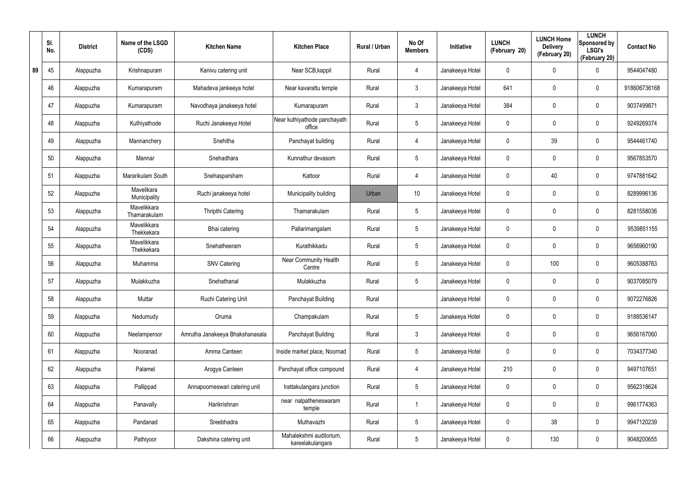|    | SI.<br>No. | <b>District</b> | Name of the LSGD<br>(CDS)   | <b>Kitchen Name</b>             | <b>Kitchen Place</b>                        | Rural / Urban | No Of<br><b>Members</b> | Initiative      | <b>LUNCH</b><br>(February 20) | <b>LUNCH Home</b><br><b>Delivery</b><br>(February 20) | <b>LUNCH</b><br>Sponsored by<br><b>LSGI's</b><br>(February 20) | <b>Contact No</b> |
|----|------------|-----------------|-----------------------------|---------------------------------|---------------------------------------------|---------------|-------------------------|-----------------|-------------------------------|-------------------------------------------------------|----------------------------------------------------------------|-------------------|
| 89 | 45         | Alappuzha       | Krishnapuram                | Kanivu catering unit            | Near SCB, kappil                            | Rural         | $\overline{4}$          | Janakeeya Hotel | 0                             | 0                                                     | $\mathbf 0$                                                    | 9544047480        |
|    | 46         | Alappuzha       | Kumarapuram                 | Mahadeva jankeeya hotel         | Near kavarattu temple                       | Rural         | $\mathbf{3}$            | Janakeeya Hotel | 641                           | 0                                                     | $\pmb{0}$                                                      | 918606736168      |
|    | 47         | Alappuzha       | Kumarapuram                 | Navodhaya janakeeya hotel       | Kumarapuram                                 | Rural         | $\mathbf{3}$            | Janakeeya Hotel | 384                           | $\mathbf 0$                                           | $\pmb{0}$                                                      | 9037499871        |
|    | 48         | Alappuzha       | Kuthiyathode                | Ruchi Janakeeya Hotel           | Near kuthiyathode panchayath<br>office      | Rural         | $5\phantom{.0}$         | Janakeeya Hotel | 0                             | 0                                                     | $\pmb{0}$                                                      | 9249269374        |
|    | 49         | Alappuzha       | Mannanchery                 | Snehitha                        | Panchayat building                          | Rural         | $\overline{4}$          | Janakeeya Hotel | 0                             | 39                                                    | $\pmb{0}$                                                      | 9544461740        |
|    | 50         | Alappuzha       | Mannar                      | Snehadhara                      | Kunnathur devasom                           | Rural         | $5\phantom{.0}$         | Janakeeya Hotel | 0                             | 0                                                     | $\mathbf 0$                                                    | 9567853570        |
|    | 51         | Alappuzha       | Mararikulam South           | Snehasparsham                   | Kattoor                                     | Rural         | $\overline{4}$          | Janakeeya Hotel | 0                             | 40                                                    | $\mathbf 0$                                                    | 9747881642        |
|    | 52         | Alappuzha       | Mavelikara<br>Municipality  | Ruchi janakeeya hotel           | Municipality building                       | Urban         | 10 <sup>°</sup>         | Janakeeya Hotel | 0                             | 0                                                     | $\mathbf 0$                                                    | 8289996136        |
|    | 53         | Alappuzha       | Mavelikkara<br>Thamarakulam | Thripthi Catering               | Thamarakulam                                | Rural         | $5\phantom{.0}$         | Janakeeya Hotel | 0                             | 0                                                     | $\mathbf 0$                                                    | 8281558036        |
|    | 54         | Alappuzha       | Mavelikkara<br>Thekkekara   | Bhai catering                   | Pallarimangalam                             | Rural         | $5\phantom{.0}$         | Janakeeya Hotel | 0                             | 0                                                     | $\mathbf 0$                                                    | 9539851155        |
|    | 55         | Alappuzha       | Mavelikkara<br>Thekkekara   | Snehatheeram                    | Kurathikkadu                                | Rural         | $5\phantom{.0}$         | Janakeeya Hotel | 0                             | 0                                                     | $\mathbf 0$                                                    | 9656960190        |
|    | 56         | Alappuzha       | Muhamma                     | <b>SNV Catering</b>             | Near Community Health<br>Centre             | Rural         | $5\phantom{.0}$         | Janakeeya Hotel | 0                             | 100                                                   | $\mathbf 0$                                                    | 9605388763        |
|    | 57         | Alappuzha       | Mulakkuzha                  | Snehathanal                     | Mulakkuzha                                  | Rural         | $5\phantom{.0}$         | Janakeeya Hotel | 0                             | 0                                                     | $\mathbf 0$                                                    | 9037085079        |
|    | 58         | Alappuzha       | Muttar                      | Ruchi Catering Unit             | Panchayat Building                          | Rural         |                         | Janakeeya Hotel | 0                             | $\mathbf 0$                                           | $\pmb{0}$                                                      | 9072276826        |
|    | 59         | Alappuzha       | Nedumudy                    | Oruma                           | Champakulam                                 | Rural         | $5\phantom{.0}$         | Janakeeya Hotel | 0                             | 0                                                     | $\mathbf 0$                                                    | 9188536147        |
|    | 60         | Alappuzha       | Neelamperoor                | Amrutha Janakeeya Bhakshanasala | Panchayat Building                          | Rural         | $\mathfrak{Z}$          | Janakeeya Hotel | $\mathbf 0$                   | $\mathbf 0$                                           | $\mathbf 0$                                                    | 9656167060        |
|    | 61         | Alappuzha       | Nooranad                    | Amma Canteen                    | Inside market place, Noornad                | Rural         | $5\phantom{.0}$         | Janakeeya Hotel | 0                             | 0                                                     | $\mathbf 0$                                                    | 7034377340        |
|    | 62         | Alappuzha       | Palamel                     | Arogya Canteen                  | Panchayat office compound                   | Rural         | 4                       | Janakeeya Hotel | 210                           | $\mathbf 0$                                           | $\mathsf{0}$                                                   | 9497107651        |
|    | 63         | Alappuzha       | Pallippad                   | Annapoorneswari catering unit   | Irattakulangara junction                    | Rural         | $5\phantom{.0}$         | Janakeeya Hotel | 0                             | 0                                                     | $\mathbf 0$                                                    | 9562318624        |
|    | 64         | Alappuzha       | Panavally                   | Harikrishnan                    | near nalpatheneswaram<br>temple             | Rural         |                         | Janakeeya Hotel | $\mathbf 0$                   | $\mathbf 0$                                           | $\mathsf{0}$                                                   | 9961774363        |
|    | 65         | Alappuzha       | Pandanad                    | Sreebhadra                      | Muthavazhi                                  | Rural         | $5\phantom{.0}$         | Janakeeya Hotel | 0                             | 38                                                    | $\mathbf 0$                                                    | 9947120239        |
|    | 66         | Alappuzha       | Pathiyoor                   | Dakshina catering unit          | Mahalekshmi auditorium,<br>kareelakulangara | Rural         | $\sqrt{5}$              | Janakeeya Hotel | 0                             | 130                                                   | $\pmb{0}$                                                      | 9048200655        |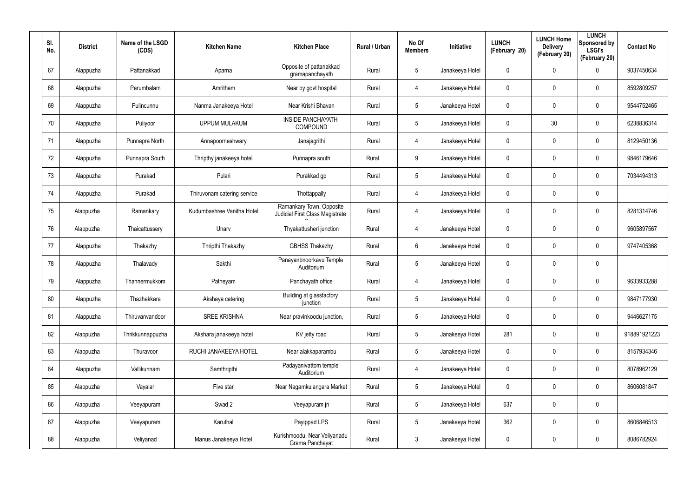| SI.<br>No. | <b>District</b> | Name of the LSGD<br>(CDS) | <b>Kitchen Name</b>         | <b>Kitchen Place</b>                                        | Rural / Urban | No Of<br><b>Members</b> | Initiative      | <b>LUNCH</b><br>(February 20) | <b>LUNCH Home</b><br><b>Delivery</b><br>(February 20) | <b>LUNCH</b><br>Sponsored by<br><b>LSGI's</b><br>(February 20) | <b>Contact No</b> |
|------------|-----------------|---------------------------|-----------------------------|-------------------------------------------------------------|---------------|-------------------------|-----------------|-------------------------------|-------------------------------------------------------|----------------------------------------------------------------|-------------------|
| 67         | Alappuzha       | Pattanakkad               | Aparna                      | Opposite of pattanakkad<br>gramapanchayath                  | Rural         | 5                       | Janakeeya Hotel | 0                             | 0                                                     | $\mathbf 0$                                                    | 9037450634        |
| 68         | Alappuzha       | Perumbalam                | Amritham                    | Near by govt hospital                                       | Rural         | 4                       | Janakeeya Hotel | 0                             | 0                                                     | $\pmb{0}$                                                      | 8592809257        |
| 69         | Alappuzha       | Pulincunnu                | Nanma Janakeeya Hotel       | Near Krishi Bhavan                                          | Rural         | 5                       | Janakeeya Hotel | 0                             | $\mathbf 0$                                           | $\pmb{0}$                                                      | 9544752465        |
| 70         | Alappuzha       | Puliyoor                  | <b>UPPUM MULAKUM</b>        | <b>INSIDE PANCHAYATH</b><br>COMPOUND                        | Rural         | 5                       | Janakeeya Hotel | 0                             | 30                                                    | $\pmb{0}$                                                      | 6238836314        |
| 71         | Alappuzha       | Punnapra North            | Annapoorneshwary            | Janajagrithi                                                | Rural         | 4                       | Janakeeya Hotel | 0                             | $\mathbf 0$                                           | $\pmb{0}$                                                      | 8129450136        |
| 72         | Alappuzha       | Punnapra South            | Thripthy janakeeya hotel    | Punnapra south                                              | Rural         | 9                       | Janakeeya Hotel | 0                             | 0                                                     | $\mathbf 0$                                                    | 9846179646        |
| 73         | Alappuzha       | Purakad                   | Pulari                      | Purakkad gp                                                 | Rural         | $5\phantom{.0}$         | Janakeeya Hotel | 0                             | 0                                                     | $\mathbf 0$                                                    | 7034494313        |
| 74         | Alappuzha       | Purakad                   | Thiruvonam catering service | Thottappally                                                | Rural         | 4                       | Janakeeya Hotel | 0                             | 0                                                     | $\mathbf 0$                                                    |                   |
| 75         | Alappuzha       | Ramankary                 | Kudumbashree Vanitha Hotel  | Ramankary Town, Opposite<br>Judicial First Class Magistrate | Rural         | 4                       | Janakeeya Hotel | 0                             | 0                                                     | $\pmb{0}$                                                      | 8281314746        |
| 76         | Alappuzha       | Thaicattussery            | Unarv                       | Thyakattusheri junction                                     | Rural         | 4                       | Janakeeya Hotel | 0                             | 0                                                     | $\mathbf 0$                                                    | 9605897567        |
| 77         | Alappuzha       | Thakazhy                  | Thripthi Thakazhy           | <b>GBHSS Thakazhy</b>                                       | Rural         | 6                       | Janakeeya Hotel | 0                             | 0                                                     | $\mathbf 0$                                                    | 9747405368        |
| 78         | Alappuzha       | Thalavady                 | Sakthi                      | Panayanbnoorkavu Temple<br>Auditorium                       | Rural         | $5\phantom{.0}$         | Janakeeya Hotel | 0                             | 0                                                     | $\mathbf 0$                                                    |                   |
| 79         | Alappuzha       | Thannermukkom             | Patheyam                    | Panchayath office                                           | Rural         | 4                       | Janakeeya Hotel | 0                             | 0                                                     | $\boldsymbol{0}$                                               | 9633933288        |
| 80         | Alappuzha       | Thazhakkara               | Akshaya catering            | Building at glassfactory<br>junction                        | Rural         | 5                       | Janakeeya Hotel | 0                             | $\mathbf 0$                                           | $\pmb{0}$                                                      | 9847177930        |
| 81         | Alappuzha       | Thiruvanvandoor           | <b>SREE KRISHNA</b>         | Near pravinkoodu junction,                                  | Rural         | $5\phantom{.0}$         | Janakeeya Hotel | $\mathbf 0$                   | $\mathbf 0$                                           | $\mathbf 0$                                                    | 9446627175        |
| 82         | Alappuzha       | Thrikkunnappuzha          | Akshara janakeeya hotel     | KV jetty road                                               | Rural         | $5\phantom{.0}$         | Janakeeya Hotel | 281                           | $\mathbf 0$                                           | $\mathbf 0$                                                    | 918891921223      |
| 83         | Alappuzha       | Thuravoor                 | RUCHI JANAKEEYA HOTEL       | Near alakkaparambu                                          | Rural         | $5\phantom{.0}$         | Janakeeya Hotel | $\mathbf 0$                   | $\mathbf 0$                                           | $\mathbf 0$                                                    | 8157934346        |
| 84         | Alappuzha       | Vallikunnam               | Samthripthi                 | Padayanivattom temple<br>Auditorium                         | Rural         | 4                       | Janakeeya Hotel | $\mathbf 0$                   | $\mathbf 0$                                           | $\mathbf 0$                                                    | 8078962129        |
| 85         | Alappuzha       | Vayalar                   | Five star                   | Near Nagamkulangara Market                                  | Rural         | $5\phantom{.0}$         | Janakeeya Hotel | $\mathbf 0$                   | 0                                                     | $\mathbf 0$                                                    | 8606081847        |
| 86         | Alappuzha       | Veeyapuram                | Swad 2                      | Veeyapuram jn                                               | Rural         | $5\phantom{.0}$         | Janakeeya Hotel | 637                           | $\mathbf 0$                                           | $\pmb{0}$                                                      |                   |
| 87         | Alappuzha       | Veeyapuram                | Karuthal                    | Payippad LPS                                                | Rural         | 5                       | Janakeeya Hotel | 362                           | 0                                                     | $\mathbf 0$                                                    | 8606846513        |
| 88         | Alappuzha       | Veliyanad                 | Manus Janakeeya Hotel       | Kurishmoodu, Near Veliyanadu<br>Grama Panchayat             | Rural         | $\mathfrak{Z}$          | Janakeeya Hotel | 0                             | 0                                                     | $\pmb{0}$                                                      | 8086782924        |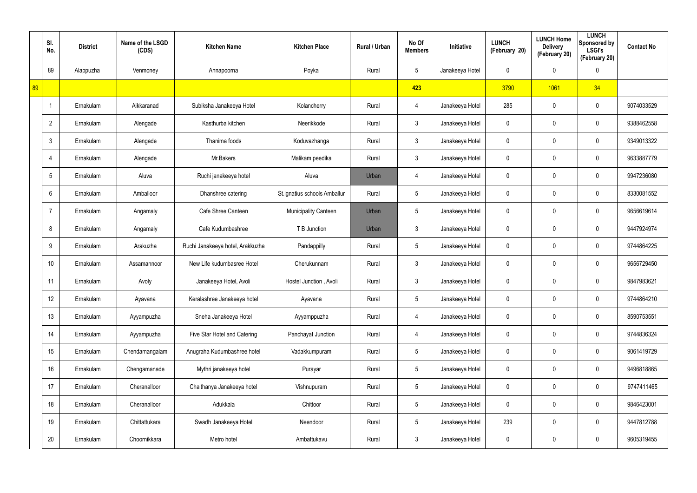|    | SI.<br>No.      | <b>District</b> | Name of the LSGD<br>(CDS) | <b>Kitchen Name</b>              | <b>Kitchen Place</b>         | Rural / Urban | No Of<br><b>Members</b> | Initiative      | <b>LUNCH</b><br>(February 20) | <b>LUNCH Home</b><br><b>Delivery</b><br>(February 20) | <b>LUNCH</b><br>Sponsored by<br><b>LSGI's</b><br>(February 20) | <b>Contact No</b> |
|----|-----------------|-----------------|---------------------------|----------------------------------|------------------------------|---------------|-------------------------|-----------------|-------------------------------|-------------------------------------------------------|----------------------------------------------------------------|-------------------|
|    | 89              | Alappuzha       | Venmoney                  | Annapoorna                       | Poyka                        | Rural         | 5                       | Janakeeya Hotel | 0                             | 0                                                     | $\mathbf 0$                                                    |                   |
| 89 |                 |                 |                           |                                  |                              |               | 423                     |                 | 3790                          | 1061                                                  | 34                                                             |                   |
|    |                 | Ernakulam       | Aikkaranad                | Subiksha Janakeeya Hotel         | Kolancherry                  | Rural         | 4                       | Janakeeya Hotel | 285                           | 0                                                     | $\mathbf 0$                                                    | 9074033529        |
|    | $\overline{2}$  | Ernakulam       | Alengade                  | Kasthurba kitchen                | Neerikkode                   | Rural         | 3                       | Janakeeya Hotel | 0                             | 0                                                     | $\mathbf 0$                                                    | 9388462558        |
|    | 3               | Ernakulam       | Alengade                  | Thanima foods                    | Koduvazhanga                 | Rural         | 3                       | Janakeeya Hotel | 0                             | 0                                                     | $\mathbf 0$                                                    | 9349013322        |
|    | 4               | Ernakulam       | Alengade                  | Mr.Bakers                        | Malikam peedika              | Rural         | 3                       | Janakeeya Hotel | 0                             | 0                                                     | $\mathbf 0$                                                    | 9633887779        |
|    | $5\phantom{.0}$ | Ernakulam       | Aluva                     | Ruchi janakeeya hotel            | Aluva                        | Urban         | $\overline{4}$          | Janakeeya Hotel | 0                             | 0                                                     | $\mathbf 0$                                                    | 9947236080        |
|    | 6               | Ernakulam       | Amballoor                 | Dhanshree catering               | St.ignatius schools Amballur | Rural         | 5                       | Janakeeya Hotel | 0                             | 0                                                     | $\mathbf 0$                                                    | 8330081552        |
|    | 7               | Ernakulam       | Angamaly                  | Cafe Shree Canteen               | <b>Municipality Canteen</b>  | Urban         | 5                       | Janakeeya Hotel | 0                             | 0                                                     | $\mathbf 0$                                                    | 9656619614        |
|    | 8               | Ernakulam       | Angamaly                  | Cafe Kudumbashree                | T B Junction                 | Urban         | 3                       | Janakeeya Hotel | 0                             | 0                                                     | $\mathbf 0$                                                    | 9447924974        |
|    | 9               | Ernakulam       | Arakuzha                  | Ruchi Janakeeya hotel, Arakkuzha | Pandappilly                  | Rural         | $5\overline{)}$         | Janakeeya Hotel | 0                             | 0                                                     | $\mathbf 0$                                                    | 9744864225        |
|    | 10              | Ernakulam       | Assamannoor               | New Life kudumbasree Hotel       | Cherukunnam                  | Rural         | 3                       | Janakeeya Hotel | 0                             | 0                                                     | $\mathbf 0$                                                    | 9656729450        |
|    | 11              | Ernakulam       | Avoly                     | Janakeeya Hotel, Avoli           | Hostel Junction, Avoli       | Rural         | $\mathbf{3}$            | Janakeeya Hotel | 0                             | 0                                                     | $\mathbf 0$                                                    | 9847983621        |
|    | 12              | Ernakulam       | Ayavana                   | Keralashree Janakeeya hotel      | Ayavana                      | Rural         | 5                       | Janakeeya Hotel | 0                             | $\mathbf 0$                                           | $\pmb{0}$                                                      | 9744864210        |
|    | 13              | Ernakulam       | Ayyampuzha                | Sneha Janakeeya Hotel            | Ayyamppuzha                  | Rural         | $\overline{4}$          | Janakeeya Hotel | 0                             | $\mathbf 0$                                           | $\mathbf 0$                                                    | 8590753551        |
|    | 14              | Ernakulam       | Ayyampuzha                | Five Star Hotel and Catering     | Panchayat Junction           | Rural         | $\overline{4}$          | Janakeeya Hotel | $\mathbf 0$                   | $\mathbf 0$                                           | $\mathsf{0}$                                                   | 9744836324        |
|    | 15              | Ernakulam       | Chendamangalam            | Anugraha Kudumbashree hotel      | Vadakkumpuram                | Rural         | $5\phantom{.0}$         | Janakeeya Hotel | 0                             | $\mathbf 0$                                           | $\mathbf 0$                                                    | 9061419729        |
|    | 16              | Ernakulam       | Chengamanade              | Mythri janakeeya hotel           | Purayar                      | Rural         | $5\phantom{.0}$         | Janakeeya Hotel | $\mathbf 0$                   | $\mathbf 0$                                           | $\mathbf 0$                                                    | 9496818865        |
|    | 17              | Ernakulam       | Cheranalloor              | Chaithanya Janakeeya hotel       | Vishnupuram                  | Rural         | $5\phantom{.0}$         | Janakeeya Hotel | 0                             | 0                                                     | $\mathbf 0$                                                    | 9747411465        |
|    | 18              | Ernakulam       | Cheranalloor              | Adukkala                         | Chittoor                     | Rural         | $5\phantom{.0}$         | Janakeeya Hotel | $\mathbf 0$                   | $\mathbf 0$                                           | $\mathsf{0}$                                                   | 9846423001        |
|    | 19              | Ernakulam       | Chittattukara             | Swadh Janakeeya Hotel            | Neendoor                     | Rural         | 5                       | Janakeeya Hotel | 239                           | 0                                                     | $\mathbf 0$                                                    | 9447812788        |
|    | 20              | Ernakulam       | Choornikkara              | Metro hotel                      | Ambattukavu                  | Rural         | $\mathfrak{Z}$          | Janakeeya Hotel | 0                             | 0                                                     | $\pmb{0}$                                                      | 9605319455        |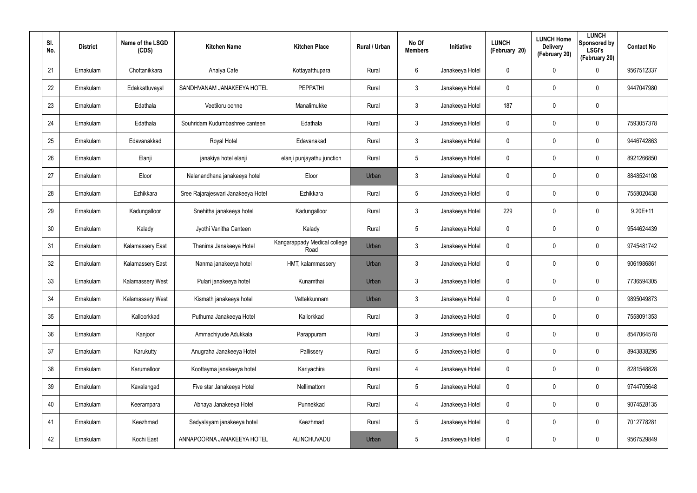| SI.<br>No. | <b>District</b> | Name of the LSGD<br>(CDS) | <b>Kitchen Name</b>                | <b>Kitchen Place</b>                 | Rural / Urban | No Of<br><b>Members</b> | Initiative      | <b>LUNCH</b><br>(February 20) | <b>LUNCH Home</b><br><b>Delivery</b><br>(February 20) | <b>LUNCH</b><br>Sponsored by<br><b>LSGI's</b><br>(February 20) | <b>Contact No</b> |
|------------|-----------------|---------------------------|------------------------------------|--------------------------------------|---------------|-------------------------|-----------------|-------------------------------|-------------------------------------------------------|----------------------------------------------------------------|-------------------|
| 21         | Ernakulam       | Chottanikkara             | Ahalya Cafe                        | Kottayatthupara                      | Rural         | 6                       | Janakeeya Hotel | 0                             | 0                                                     | $\mathbf 0$                                                    | 9567512337        |
| 22         | Ernakulam       | Edakkattuvayal            | SANDHVANAM JANAKEEYA HOTEL         | <b>PEPPATHI</b>                      | Rural         | $\mathbf{3}$            | Janakeeya Hotel | 0                             | 0                                                     | $\mathbf 0$                                                    | 9447047980        |
| 23         | Ernakulam       | Edathala                  | Veetiloru oonne                    | Manalimukke                          | Rural         | $\mathbf{3}$            | Janakeeya Hotel | 187                           | 0                                                     | $\pmb{0}$                                                      |                   |
| 24         | Ernakulam       | Edathala                  | Souhridam Kudumbashree canteen     | Edathala                             | Rural         | $\mathbf{3}$            | Janakeeya Hotel | 0                             | 0                                                     | $\mathbf 0$                                                    | 7593057378        |
| 25         | Ernakulam       | Edavanakkad               | Royal Hotel                        | Edavanakad                           | Rural         | $\mathbf{3}$            | Janakeeya Hotel | 0                             | 0                                                     | $\mathbf 0$                                                    | 9446742863        |
| 26         | Ernakulam       | Elanji                    | janakiya hotel elanji              | elanji punjayathu junction           | Rural         | 5                       | Janakeeya Hotel | 0                             | 0                                                     | $\mathbf 0$                                                    | 8921266850        |
| 27         | Ernakulam       | Eloor                     | Nalanandhana janakeeya hotel       | Eloor                                | Urban         | $\mathbf{3}$            | Janakeeya Hotel | $\mathbf 0$                   | 0                                                     | $\mathbf 0$                                                    | 8848524108        |
| 28         | Ernakulam       | Ezhikkara                 | Sree Rajarajeswari Janakeeya Hotel | Ezhikkara                            | Rural         | $5\phantom{.0}$         | Janakeeya Hotel | 0                             | 0                                                     | $\mathbf 0$                                                    | 7558020438        |
| 29         | Ernakulam       | Kadungalloor              | Snehitha janakeeya hotel           | Kadungalloor                         | Rural         | $\mathbf{3}$            | Janakeeya Hotel | 229                           | $\mathbf 0$                                           | $\mathbf 0$                                                    | $9.20E+11$        |
| 30         | Ernakulam       | Kalady                    | Jyothi Vanitha Canteen             | Kalady                               | Rural         | $5\overline{)}$         | Janakeeya Hotel | 0                             | 0                                                     | $\mathbf 0$                                                    | 9544624439        |
| 31         | Ernakulam       | Kalamassery East          | Thanima Janakeeya Hotel            | Kangarappady Medical college<br>Road | Urban         | $\mathbf{3}$            | Janakeeya Hotel | 0                             | 0                                                     | $\mathbf 0$                                                    | 9745481742        |
| 32         | Ernakulam       | Kalamassery East          | Nanma janakeeya hotel              | HMT, kalammassery                    | Urban         | $\mathbf{3}$            | Janakeeya Hotel | 0                             | 0                                                     | $\mathbf 0$                                                    | 9061986861        |
| 33         | Ernakulam       | Kalamassery West          | Pulari janakeeya hotel             | Kunamthai                            | Urban         | $\mathbf{3}$            | Janakeeya Hotel | 0                             | $\mathbf 0$                                           | $\mathbf 0$                                                    | 7736594305        |
| 34         | Ernakulam       | Kalamassery West          | Kismath janakeeya hotel            | Vattekkunnam                         | Urban         | $\mathfrak{Z}$          | Janakeeya Hotel | 0                             | $\mathbf 0$                                           | $\pmb{0}$                                                      | 9895049873        |
| 35         | Ernakulam       | Kalloorkkad               | Puthuma Janakeeya Hotel            | Kallorkkad                           | Rural         | $\mathbf{3}$            | Janakeeya Hotel | 0                             | $\mathbf 0$                                           | $\pmb{0}$                                                      | 7558091353        |
| 36         | Ernakulam       | Kanjoor                   | Ammachiyude Adukkala               | Parappuram                           | Rural         | $\mathbf{3}$            | Janakeeya Hotel | 0                             | $\mathbf 0$                                           | $\pmb{0}$                                                      | 8547064578        |
| 37         | Ernakulam       | Karukutty                 | Anugraha Janakeeya Hotel           | Pallissery                           | Rural         | $5\phantom{.0}$         | Janakeeya Hotel | 0                             | $\mathbf 0$                                           | $\mathbf 0$                                                    | 8943838295        |
| 38         | Ernakulam       | Karumalloor               | Koottayma janakeeya hotel          | Kariyachira                          | Rural         | $\overline{4}$          | Janakeeya Hotel | 0                             | $\mathbf 0$                                           | $\pmb{0}$                                                      | 8281548828        |
| 39         | Ernakulam       | Kavalangad                | Five star Janakeeya Hotel          | Nellimattom                          | Rural         | 5                       | Janakeeya Hotel | 0                             | $\mathbf 0$                                           | $\mathbf 0$                                                    | 9744705648        |
| 40         | Ernakulam       | Keerampara                | Abhaya Janakeeya Hotel             | Punnekkad                            | Rural         | $\overline{4}$          | Janakeeya Hotel | 0                             | $\mathbf 0$                                           | $\pmb{0}$                                                      | 9074528135        |
| 41         | Ernakulam       | Keezhmad                  | Sadyalayam janakeeya hotel         | Keezhmad                             | Rural         | 5                       | Janakeeya Hotel | 0                             | 0                                                     | $\mathbf 0$                                                    | 7012778281        |
| 42         | Ernakulam       | Kochi East                | ANNAPOORNA JANAKEEYA HOTEL         | ALINCHUVADU                          | Urban         | 5                       | Janakeeya Hotel | 0                             | 0                                                     | $\pmb{0}$                                                      | 9567529849        |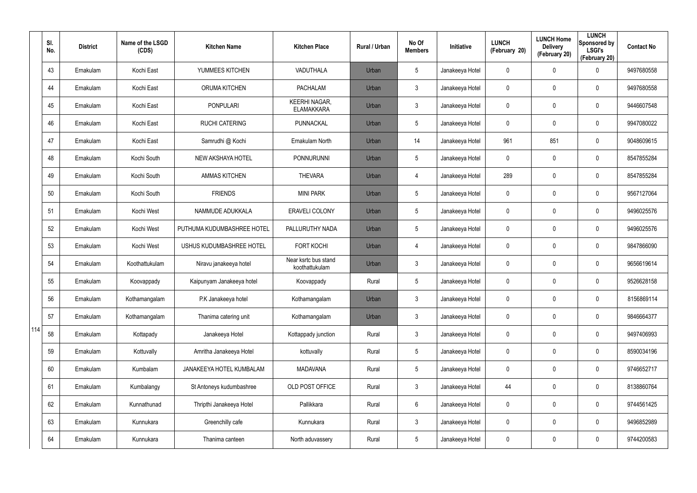|     | SI.<br>No. | <b>District</b> | Name of the LSGD<br>(CDS) | <b>Kitchen Name</b>        | <b>Kitchen Place</b>                      | Rural / Urban | No Of<br><b>Members</b> | Initiative      | <b>LUNCH</b><br>(February 20) | <b>LUNCH Home</b><br><b>Delivery</b><br>(February 20) | <b>LUNCH</b><br>Sponsored by<br><b>LSGI's</b><br>(February 20) | <b>Contact No</b> |
|-----|------------|-----------------|---------------------------|----------------------------|-------------------------------------------|---------------|-------------------------|-----------------|-------------------------------|-------------------------------------------------------|----------------------------------------------------------------|-------------------|
|     | 43         | Ernakulam       | Kochi East                | YUMMEES KITCHEN            | VADUTHALA                                 | Urban         | 5                       | Janakeeya Hotel | 0                             | 0                                                     | $\mathbf 0$                                                    | 9497680558        |
|     | 44         | Ernakulam       | Kochi East                | <b>ORUMA KITCHEN</b>       | <b>PACHALAM</b>                           | Urban         | 3                       | Janakeeya Hotel | 0                             | $\mathbf 0$                                           | $\mathbf 0$                                                    | 9497680558        |
|     | 45         | Ernakulam       | Kochi East                | <b>PONPULARI</b>           | <b>KEERHI NAGAR,</b><br><b>ELAMAKKARA</b> | Urban         | 3                       | Janakeeya Hotel | 0                             | $\mathbf 0$                                           | $\mathbf 0$                                                    | 9446607548        |
|     | 46         | Ernakulam       | Kochi East                | <b>RUCHI CATERING</b>      | PUNNACKAL                                 | Urban         | 5                       | Janakeeya Hotel | 0                             | $\mathbf 0$                                           | $\mathbf 0$                                                    | 9947080022        |
|     | 47         | Ernakulam       | Kochi East                | Samrudhi @ Kochi           | Ernakulam North                           | Urban         | 14                      | Janakeeya Hotel | 961                           | 851                                                   | $\mathbf 0$                                                    | 9048609615        |
|     | 48         | Ernakulam       | Kochi South               | NEW AKSHAYA HOTEL          | <b>PONNURUNNI</b>                         | Urban         | $5\phantom{.0}$         | Janakeeya Hotel | 0                             | 0                                                     | $\mathbf 0$                                                    | 8547855284        |
|     | 49         | Ernakulam       | Kochi South               | <b>AMMAS KITCHEN</b>       | <b>THEVARA</b>                            | Urban         | 4                       | Janakeeya Hotel | 289                           | 0                                                     | $\mathbf 0$                                                    | 8547855284        |
|     | 50         | Ernakulam       | Kochi South               | <b>FRIENDS</b>             | <b>MINI PARK</b>                          | Urban         | 5                       | Janakeeya Hotel | 0                             | 0                                                     | $\mathbf 0$                                                    | 9567127064        |
|     | 51         | Ernakulam       | Kochi West                | NAMMUDE ADUKKALA           | ERAVELI COLONY                            | Urban         | $5\overline{)}$         | Janakeeya Hotel | 0                             | 0                                                     | $\mathbf 0$                                                    | 9496025576        |
|     | 52         | Ernakulam       | Kochi West                | PUTHUMA KUDUMBASHREE HOTEL | PALLURUTHY NADA                           | Urban         | $5\overline{)}$         | Janakeeya Hotel | 0                             | 0                                                     | $\mathbf 0$                                                    | 9496025576        |
|     | 53         | Ernakulam       | Kochi West                | USHUS KUDUMBASHREE HOTEL   | <b>FORT KOCHI</b>                         | Urban         | 4                       | Janakeeya Hotel | 0                             | 0                                                     | $\mathbf 0$                                                    | 9847866090        |
|     | 54         | Ernakulam       | Koothattukulam            | Niravu janakeeya hotel     | Near ksrtc bus stand<br>koothattukulam    | Urban         | 3                       | Janakeeya Hotel | 0                             | 0                                                     | $\mathbf 0$                                                    | 9656619614        |
|     | 55         | Ernakulam       | Koovappady                | Kaipunyam Janakeeya hotel  | Koovappady                                | Rural         | $5\overline{)}$         | Janakeeya Hotel | 0                             | 0                                                     | $\mathbf 0$                                                    | 9526628158        |
|     | 56         | Ernakulam       | Kothamangalam             | P.K Janakeeya hotel        | Kothamangalam                             | Urban         | 3                       | Janakeeya Hotel | 0                             | $\mathbf 0$                                           | $\pmb{0}$                                                      | 8156869114        |
|     | 57         | Ernakulam       | Kothamangalam             | Thanima catering unit      | Kothamangalam                             | Urban         | $\mathfrak{Z}$          | Janakeeya Hotel | 0                             | 0                                                     | $\mathbf 0$                                                    | 9846664377        |
| 114 | 58         | Ernakulam       | Kottapady                 | Janakeeya Hotel            | Kottappady junction                       | Rural         | $\mathbf{3}$            | Janakeeya Hotel | 0                             | $\mathbf 0$                                           | $\mathbf 0$                                                    | 9497406993        |
|     | 59         | Ernakulam       | Kottuvally                | Amritha Janakeeya Hotel    | kottuvally                                | Rural         | $\sqrt{5}$              | Janakeeya Hotel | 0                             | 0                                                     | $\mathbf 0$                                                    | 8590034196        |
|     | 60         | Ernakulam       | Kumbalam                  | JANAKEEYA HOTEL KUMBALAM   | <b>MADAVANA</b>                           | Rural         | $5\phantom{.0}$         | Janakeeya Hotel | 0                             | 0                                                     | $\mathbf 0$                                                    | 9746652717        |
|     | 61         | Ernakulam       | Kumbalangy                | St Antoneys kudumbashree   | OLD POST OFFICE                           | Rural         | $\mathfrak{Z}$          | Janakeeya Hotel | 44                            | 0                                                     | $\pmb{0}$                                                      | 8138860764        |
|     | 62         | Ernakulam       | Kunnathunad               | Thripthi Janakeeya Hotel   | Pallikkara                                | Rural         | $6\overline{6}$         | Janakeeya Hotel | 0                             | 0                                                     | $\mathsf{0}$                                                   | 9744561425        |
|     | 63         | Ernakulam       | Kunnukara                 | Greenchilly cafe           | Kunnukara                                 | Rural         | $\mathfrak{Z}$          | Janakeeya Hotel | 0                             | 0                                                     | $\pmb{0}$                                                      | 9496852989        |
|     | 64         | Ernakulam       | Kunnukara                 | Thanima canteen            | North aduvassery                          | Rural         | $\sqrt{5}$              | Janakeeya Hotel | 0                             | 0                                                     | $\pmb{0}$                                                      | 9744200583        |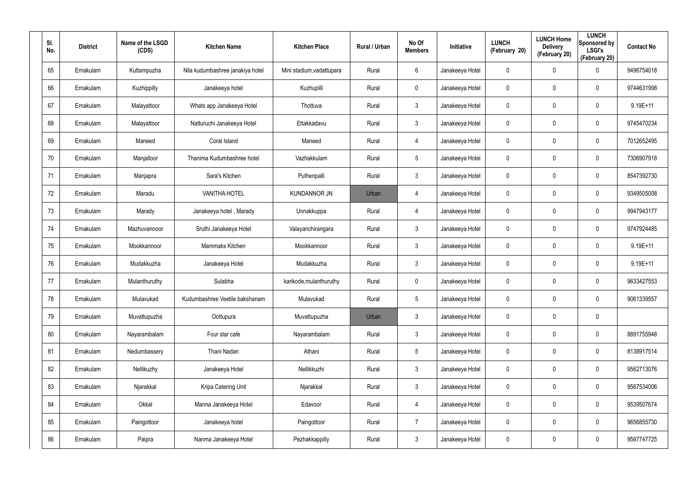| SI.<br>No. | <b>District</b> | Name of the LSGD<br>(CDS) | <b>Kitchen Name</b>              | <b>Kitchen Place</b>      | Rural / Urban | No Of<br><b>Members</b> | <b>Initiative</b> | <b>LUNCH</b><br>(February 20) | <b>LUNCH Home</b><br><b>Delivery</b><br>(February 20) | <b>LUNCH</b><br>Sponsored by<br><b>LSGI's</b><br>(February 20) | <b>Contact No</b> |
|------------|-----------------|---------------------------|----------------------------------|---------------------------|---------------|-------------------------|-------------------|-------------------------------|-------------------------------------------------------|----------------------------------------------------------------|-------------------|
| 65         | Ernakulam       | Kuttampuzha               | Nila kudumbashree janakiya hotel | Mini stadium, vadattupara | Rural         | 6                       | Janakeeya Hotel   | 0                             | 0                                                     | $\mathbf 0$                                                    | 9496754018        |
| 66         | Ernakulam       | Kuzhippilly               | Janakeeya hotel                  | Kuzhupilli                | Rural         | $\mathbf 0$             | Janakeeya Hotel   | 0                             | 0                                                     | $\mathbf 0$                                                    | 9744631998        |
| 67         | Ernakulam       | Malayattoor               | Whats app Janakeeya Hotel        | Thottuva                  | Rural         | $\mathbf{3}$            | Janakeeya Hotel   | 0                             | 0                                                     | $\mathbf 0$                                                    | $9.19E + 11$      |
| 68         | Ernakulam       | Malayattoor               | Natturuchi Janakeeya Hotel       | Ettakkadavu               | Rural         | $\mathbf{3}$            | Janakeeya Hotel   | 0                             | 0                                                     | $\mathbf 0$                                                    | 9745470234        |
| 69         | Ernakulam       | Maneed                    | Coral Island                     | Maneed                    | Rural         | $\overline{4}$          | Janakeeya Hotel   | 0                             | 0                                                     | $\pmb{0}$                                                      | 7012652495        |
| 70         | Ernakulam       | Manjalloor                | Thanima Kudumbashree hotel       | Vazhakkulam               | Rural         | $5\phantom{.0}$         | Janakeeya Hotel   | 0                             | 0                                                     | $\pmb{0}$                                                      | 7306907918        |
| 71         | Ernakulam       | Manjapra                  | Sara's Kitchen                   | Puthenpalli               | Rural         | $\mathbf{3}$            | Janakeeya Hotel   | 0                             | 0                                                     | $\mathbf 0$                                                    | 8547392730        |
| 72         | Ernakulam       | Maradu                    | <b>VANITHA HOTEL</b>             | <b>KUNDANNOR JN</b>       | Urban         | 4                       | Janakeeya Hotel   | 0                             | 0                                                     | $\mathbf 0$                                                    | 9349505008        |
| 73         | Ernakulam       | Marady                    | Janakeeya hotel, Marady          | Unnakkuppa                | Rural         | $\overline{4}$          | Janakeeya Hotel   | 0                             | 0                                                     | $\mathbf 0$                                                    | 9947943177        |
| 74         | Ernakulam       | Mazhuvannoor              | Sruthi Janakeeya Hotel           | Valayanchirangara         | Rural         | $\mathbf{3}$            | Janakeeya Hotel   | 0                             | 0                                                     | $\mathbf 0$                                                    | 9747924485        |
| 75         | Ernakulam       | Mookkannoor               | Mammaks Kitchen                  | Mookkannoor               | Rural         | $\mathbf{3}$            | Janakeeya Hotel   | 0                             | $\mathbf 0$                                           | $\mathbf 0$                                                    | $9.19E + 11$      |
| 76         | Ernakulam       | Mudakkuzha                | Janakeeya Hotel                  | Mudakkuzha                | Rural         | $\mathbf{3}$            | Janakeeya Hotel   | 0                             | 0                                                     | $\mathbf 0$                                                    | $9.19E + 11$      |
| 77         | Ernakulam       | Mulanthuruthy             | Sulabha                          | karikode, mulanthuruthy   | Rural         | $\mathbf 0$             | Janakeeya Hotel   | 0                             | $\mathbf 0$                                           | $\mathbf 0$                                                    | 9633427553        |
| 78         | Ernakulam       | Mulavukad                 | Kudumbashree Veetile bakshanam   | Mulavukad                 | Rural         | $5\phantom{.0}$         | Janakeeya Hotel   | 0                             | $\mathbf 0$                                           | $\pmb{0}$                                                      | 9061339557        |
| 79         | Ernakulam       | Muvattupuzha              | Oottupura                        | Muvattupuzha              | Urban         | $\mathbf{3}$            | Janakeeya Hotel   | 0                             | 0                                                     | $\pmb{0}$                                                      |                   |
| 80         | Ernakulam       | Nayarambalam              | Four star cafe                   | Nayarambalam              | Rural         | $\mathbf{3}$            | Janakeeya Hotel   | 0                             | 0                                                     | $\mathbf 0$                                                    | 8891755948        |
| 81         | Ernakulam       | Nedumbassery              | Thani Nadan                      | Athani                    | Rural         | $5\phantom{.0}$         | Janakeeya Hotel   | 0                             | 0                                                     | $\mathbf 0$                                                    | 8138917514        |
| 82         | Ernakulam       | Nellikuzhy                | Janakeeya Hotel                  | Nellikkuzhi               | Rural         | $\mathbf{3}$            | Janakeeya Hotel   | 0                             | 0                                                     | $\mathbf 0$                                                    | 9562713076        |
| 83         | Ernakulam       | Njarakkal                 | Kripa Catering Unit              | Njarakkal                 | Rural         | $\mathbf{3}$            | Janakeeya Hotel   | 0                             | 0                                                     | $\mathbf 0$                                                    | 9567534006        |
| 84         | Ernakulam       | Okkal                     | Manna Janakeeya Hotel            | Edavoor                   | Rural         | $\overline{4}$          | Janakeeya Hotel   | 0                             | 0                                                     | $\mathbf 0$                                                    | 9539507674        |
| 85         | Ernakulam       | Paingottoor               | Janakeeya hotel                  | Paingottoor               | Rural         | $\overline{7}$          | Janakeeya Hotel   | 0                             | 0                                                     | $\mathbf 0$                                                    | 9656855730        |
| 86         | Ernakulam       | Paipra                    | Nanma Janakeeya Hotel            | Pezhakkappilly            | Rural         | $\mathfrak{Z}$          | Janakeeya Hotel   | 0                             | 0                                                     | $\mathbf 0$                                                    | 9567747725        |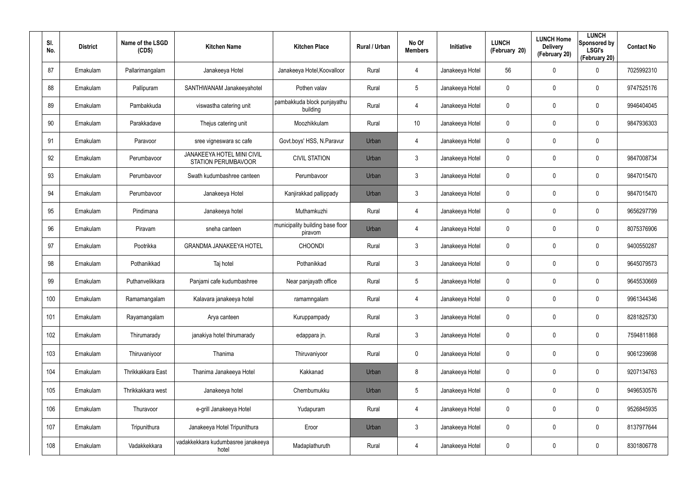| SI.<br>No. | <b>District</b> | Name of the LSGD<br>(CDS) | <b>Kitchen Name</b>                                      | <b>Kitchen Place</b>                        | Rural / Urban | No Of<br><b>Members</b> | Initiative      | <b>LUNCH</b><br>(February 20) | <b>LUNCH Home</b><br><b>Delivery</b><br>(February 20) | <b>LUNCH</b><br>Sponsored by<br><b>LSGI's</b><br>(February 20) | <b>Contact No</b> |
|------------|-----------------|---------------------------|----------------------------------------------------------|---------------------------------------------|---------------|-------------------------|-----------------|-------------------------------|-------------------------------------------------------|----------------------------------------------------------------|-------------------|
| 87         | Ernakulam       | Pallarimangalam           | Janakeeya Hotel                                          | Janakeeya Hotel, Koovalloor                 | Rural         | 4                       | Janakeeya Hotel | 56                            | $\mathbf 0$                                           | $\mathbf 0$                                                    | 7025992310        |
| 88         | Ernakulam       | Pallipuram                | SANTHWANAM Janakeeyahotel                                | Pothen valav                                | Rural         | 5                       | Janakeeya Hotel | 0                             | 0                                                     | $\boldsymbol{0}$                                               | 9747525176        |
| 89         | Ernakulam       | Pambakkuda                | viswastha catering unit                                  | pambakkuda block punjayathu<br>building     | Rural         | 4                       | Janakeeya Hotel | 0                             | $\mathbf 0$                                           | $\mathbf 0$                                                    | 9946404045        |
| 90         | Ernakulam       | Parakkadave               | Thejus catering unit                                     | Moozhikkulam                                | Rural         | 10                      | Janakeeya Hotel | 0                             | 0                                                     | $\mathbf 0$                                                    | 9847936303        |
| 91         | Ernakulam       | Paravoor                  | sree vigneswara sc cafe                                  | Govt.boys' HSS, N.Paravur                   | Urban         | 4                       | Janakeeya Hotel | 0                             | $\mathbf 0$                                           | $\boldsymbol{0}$                                               |                   |
| 92         | Ernakulam       | Perumbavoor               | JANAKEEYA HOTEL MINI CIVIL<br><b>STATION PERUMBAVOOR</b> | <b>CIVIL STATION</b>                        | Urban         | 3                       | Janakeeya Hotel | 0                             | 0                                                     | $\mathbf 0$                                                    | 9847008734        |
| 93         | Ernakulam       | Perumbavoor               | Swath kudumbashree canteen                               | Perumbavoor                                 | Urban         | $\mathbf{3}$            | Janakeeya Hotel | $\mathbf 0$                   | $\mathbf 0$                                           | $\mathbf 0$                                                    | 9847015470        |
| 94         | Ernakulam       | Perumbayoor               | Janakeeya Hotel                                          | Kanjirakkad pallippady                      | Urban         | $\mathbf{3}$            | Janakeeya Hotel | 0                             | $\mathbf 0$                                           | $\mathbf 0$                                                    | 9847015470        |
| 95         | Ernakulam       | Pindimana                 | Janakeeya hotel                                          | Muthamkuzhi                                 | Rural         | $\overline{4}$          | Janakeeya Hotel | 0                             | $\mathbf 0$                                           | $\mathbf 0$                                                    | 9656297799        |
| 96         | Ernakulam       | Piravam                   | sneha canteen                                            | municipality building base floor<br>piravom | Urban         | 4                       | Janakeeya Hotel | 0                             | $\mathbf 0$                                           | $\mathbf 0$                                                    | 8075376906        |
| 97         | Ernakulam       | Pootrikka                 | <b>GRANDMA JANAKEEYA HOTEL</b>                           | <b>CHOONDI</b>                              | Rural         | $\mathbf{3}$            | Janakeeya Hotel | 0                             | $\mathbf 0$                                           | $\mathbf 0$                                                    | 9400550287        |
| 98         | Ernakulam       | Pothanikkad               | Taj hotel                                                | Pothanikkad                                 | Rural         | $\mathbf{3}$            | Janakeeya Hotel | 0                             | $\mathbf 0$                                           | $\mathbf 0$                                                    | 9645079573        |
| 99         | Ernakulam       | Puthanvelikkara           | Panjami cafe kudumbashree                                | Near panjayath office                       | Rural         | $5\overline{)}$         | Janakeeya Hotel | 0                             | $\mathbf 0$                                           | $\mathbf 0$                                                    | 9645530669        |
| 100        | Ernakulam       | Ramamangalam              | Kalavara janakeeya hotel                                 | ramamngalam                                 | Rural         | 4                       | Janakeeya Hotel | 0                             | $\mathbf 0$                                           | $\pmb{0}$                                                      | 9961344346        |
| 101        | Ernakulam       | Rayamangalam              | Arya canteen                                             | Kuruppampady                                | Rural         | $\mathbf{3}$            | Janakeeya Hotel | 0                             | 0                                                     | $\pmb{0}$                                                      | 8281825730        |
| 102        | Ernakulam       | Thirumarady               | janakiya hotel thirumarady                               | edappara jn.                                | Rural         | $\mathfrak{Z}$          | Janakeeya Hotel | 0                             | $\mathbf 0$                                           | $\pmb{0}$                                                      | 7594811868        |
| 103        | Ernakulam       | Thiruvaniyoor             | Thanima                                                  | Thiruvaniyoor                               | Rural         | $\mathbf 0$             | Janakeeya Hotel | 0                             | $\mathbf 0$                                           | $\mathbf 0$                                                    | 9061239698        |
| 104        | Ernakulam       | Thrikkakkara East         | Thanima Janakeeya Hotel                                  | Kakkanad                                    | Urban         | 8                       | Janakeeya Hotel | 0                             | 0                                                     | $\pmb{0}$                                                      | 9207134763        |
| 105        | Ernakulam       | Thrikkakkara west         | Janakeeya hotel                                          | Chembumukku                                 | Urban         | 5                       | Janakeeya Hotel | $\mathbf 0$                   | $\mathbf 0$                                           | $\pmb{0}$                                                      | 9496530576        |
| 106        | Ernakulam       | Thuravoor                 | e-grill Janakeeya Hotel                                  | Yudapuram                                   | Rural         | 4                       | Janakeeya Hotel | 0                             | 0                                                     | $\pmb{0}$                                                      | 9526845935        |
| 107        | Ernakulam       | Tripunithura              | Janakeeya Hotel Tripunithura                             | Eroor                                       | Urban         | $\mathbf{3}$            | Janakeeya Hotel | 0                             | $\mathbf 0$                                           | $\pmb{0}$                                                      | 8137977644        |
| 108        | Ernakulam       | Vadakkekkara              | vadakkekkara kudumbasree janakeeya<br>hotel              | Madaplathuruth                              | Rural         | 4                       | Janakeeya Hotel | 0                             | $\mathbf 0$                                           | $\pmb{0}$                                                      | 8301806778        |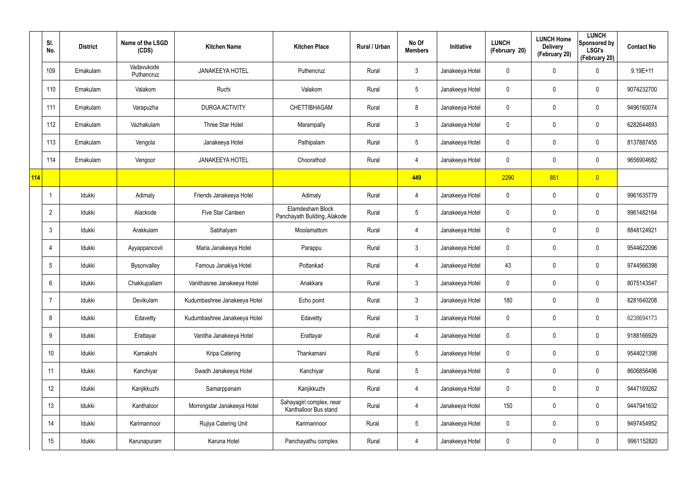|     | SI.<br>No.      | <b>District</b> | Name of the LSGD<br>(CDS) | <b>Kitchen Name</b>          | <b>Kitchen Place</b>                              | Rural / Urban | No Of<br><b>Members</b> | Initiative      | <b>LUNCH</b><br>(February 20) | <b>LUNCH Home</b><br><b>Delivery</b><br>(February 20) | <b>LUNCH</b><br>Sponsored by<br><b>LSGI's</b><br>(February 20) | <b>Contact No</b> |
|-----|-----------------|-----------------|---------------------------|------------------------------|---------------------------------------------------|---------------|-------------------------|-----------------|-------------------------------|-------------------------------------------------------|----------------------------------------------------------------|-------------------|
|     | 109             | Ernakulam       | Vadavukode<br>Puthancruz  | <b>JANAKEEYA HOTEL</b>       | Puthencruz                                        | Rural         | $\mathbf{3}$            | Janakeeya Hotel | $\mathbf 0$                   | 0                                                     | $\mathbf 0$                                                    | $9.19E + 11$      |
|     | 110             | Ernakulam       | Valakom                   | Ruchi                        | Valakom                                           | Rural         | $5\phantom{.0}$         | Janakeeya Hotel | 0                             | 0                                                     | $\pmb{0}$                                                      | 9074232700        |
|     | 111             | Ernakulam       | Varapuzha                 | DURGA ACTIVITY               | CHETTIBHAGAM                                      | Rural         | 8                       | Janakeeya Hotel | $\mathbf 0$                   | 0                                                     | $\pmb{0}$                                                      | 9496160074        |
|     | 112             | Ernakulam       | Vazhakulam                | Three Star Hotel             | Marampally                                        | Rural         | $\mathbf{3}$            | Janakeeya Hotel | 0                             | 0                                                     | $\mathbf 0$                                                    | 6282644893        |
|     | 113             | Ernakulam       | Vengola                   | Janakeeya Hotel              | Pathipalam                                        | Rural         | $5\overline{)}$         | Janakeeya Hotel | $\mathbf 0$                   | 0                                                     | $\pmb{0}$                                                      | 8137887455        |
|     | 114             | Ernakulam       | Vengoor                   | <b>JANAKEEYA HOTEL</b>       | Choorathod                                        | Rural         | 4                       | Janakeeya Hotel | 0                             | 0                                                     | $\mathbf 0$                                                    | 9656904682        |
| 114 |                 |                 |                           |                              |                                                   |               | 449                     |                 | 2290                          | 851                                                   | $\overline{0}$                                                 |                   |
|     |                 | Idukki          | Adimaly                   | Friends Janakeeya Hotel      | Adimaly                                           | Rural         | 4                       | Janakeeya Hotel | 0                             | 0                                                     | $\pmb{0}$                                                      | 9961635779        |
|     | $\overline{2}$  | Idukki          | Alackode                  | Five Star Canteen            | Elamdesham Block<br>Panchayath Building, Alakode  | Rural         | $5\phantom{.0}$         | Janakeeya Hotel | $\mathbf 0$                   | 0                                                     | $\pmb{0}$                                                      | 9961482164        |
|     | $\mathbf{3}$    | Idukki          | Arakkulam                 | Sabhalyam                    | Moolamattom                                       | Rural         | 4                       | Janakeeya Hotel | 0                             | 0                                                     | $\pmb{0}$                                                      | 8848124921        |
|     | 4               | ldukki          | Ayyappancovil             | Maria Janakeeya Hotel        | Parappu                                           | Rural         | $\mathbf{3}$            | Janakeeya Hotel | 0                             | 0                                                     | $\mathbf 0$                                                    | 9544622096        |
|     | $5\phantom{.0}$ | Idukki          | Bysonvalley               | Famous Janakiya Hotel        | Pottankad                                         | Rural         | 4                       | Janakeeya Hotel | 43                            | 0                                                     | $\mathbf 0$                                                    | 9744566398        |
|     | 6               | Idukki          | Chakkupallam              | Vanithasree Janakeeya Hotel  | Anakkara                                          | Rural         | $\mathbf{3}$            | Janakeeya Hotel | 0                             | 0                                                     | $\mathbf 0$                                                    | 8075143547        |
|     | $\overline{7}$  | Idukki          | Devikulam                 | Kudumbashree Janakeeya Hotel | Echo point                                        | Rural         | $\mathbf{3}$            | Janakeeya Hotel | 180                           | 0                                                     | $\pmb{0}$                                                      | 8281640208        |
|     | 8               | Idukki          | Edavetty                  | Kudumbashree Janakeeya Hotel | Edavetty                                          | Rural         | $\mathfrak{Z}$          | Janakeeya Hotel | 0                             | 0                                                     | $\mathbf 0$                                                    | 6238694173        |
|     | 9               | ldukki          | Erattayar                 | Vanitha Janakeeya Hotel      | Erattayar                                         | Rural         | $\overline{4}$          | Janakeeya Hotel | 0                             | 0                                                     | $\mathsf{0}$                                                   | 9188166929        |
|     | 10 <sup>°</sup> | Idukki          | Kamakshi                  | Kripa Catering               | Thankamani                                        | Rural         | $5\phantom{.0}$         | Janakeeya Hotel | 0                             | 0                                                     | $\mathbf 0$                                                    | 9544021398        |
|     | 11              | ldukki          | Kanchiyar                 | Swadh Janakeeya Hotel        | Kanchiyar                                         | Rural         | $5\phantom{.0}$         | Janakeeya Hotel | $\mathbf 0$                   | 0                                                     | $\mathsf{0}$                                                   | 8606856496        |
|     | 12              | Idukki          | Kanjikkuzhi               | Samarppanam                  | Kanjikkuzhi                                       | Rural         | $\overline{4}$          | Janakeeya Hotel | $\mathbf 0$                   | 0                                                     | $\mathbf 0$                                                    | 9447169262        |
|     | 13              | Idukki          | Kanthaloor                | Morningstar Janakeeya Hotel  | Sahayagiri complex, near<br>Kanthalloor Bus stand | Rural         | $\overline{4}$          | Janakeeya Hotel | 150                           | 0                                                     | $\mathbf 0$                                                    | 9447941632        |
|     | 14              | ldukki          | Karimannoor               | Rujiya Catering Unit         | Karimannoor                                       | Rural         | $5\phantom{.0}$         | Janakeeya Hotel | $\mathbf 0$                   | 0                                                     | $\mathbf 0$                                                    | 9497454952        |
|     | 15              | ldukki          | Karunapuram               | Karuna Hotel                 | Panchayathu complex                               | Rural         | 4                       | Janakeeya Hotel | 0                             | 0                                                     | $\mathsf{0}$                                                   | 9961152820        |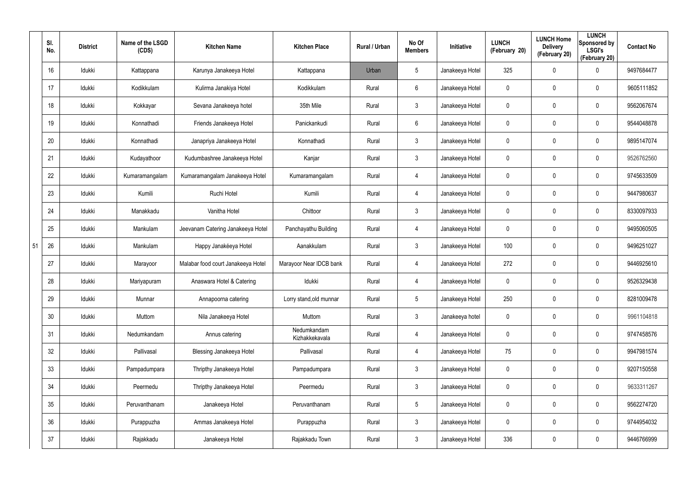|    | SI.<br>No. | <b>District</b> | Name of the LSGD<br>(CDS) | <b>Kitchen Name</b>                | <b>Kitchen Place</b>          | Rural / Urban | No Of<br><b>Members</b> | Initiative      | <b>LUNCH</b><br>(February 20) | <b>LUNCH Home</b><br><b>Delivery</b><br>(February 20) | <b>LUNCH</b><br>Sponsored by<br><b>LSGI's</b><br>(February 20) | <b>Contact No</b> |
|----|------------|-----------------|---------------------------|------------------------------------|-------------------------------|---------------|-------------------------|-----------------|-------------------------------|-------------------------------------------------------|----------------------------------------------------------------|-------------------|
|    | 16         | Idukki          | Kattappana                | Karunya Janakeeya Hotel            | Kattappana                    | Urban         | $5\phantom{.0}$         | Janakeeya Hotel | 325                           | 0                                                     | $\mathbf 0$                                                    | 9497684477        |
|    | 17         | Idukki          | Kodikkulam                | Kulirma Janakiya Hotel             | Kodikkulam                    | Rural         | 6                       | Janakeeya Hotel | 0                             | 0                                                     | $\mathbf 0$                                                    | 9605111852        |
|    | 18         | Idukki          | Kokkayar                  | Sevana Janakeeya hotel             | 35th Mile                     | Rural         | $\mathfrak{Z}$          | Janakeeya Hotel | 0                             | $\mathbf 0$                                           | $\pmb{0}$                                                      | 9562067674        |
|    | 19         | Idukki          | Konnathadi                | Friends Janakeeya Hotel            | Panickankudi                  | Rural         | 6                       | Janakeeya Hotel | 0                             | 0                                                     | $\mathbf 0$                                                    | 9544048878        |
|    | 20         | Idukki          | Konnathadi                | Janapriya Janakeeya Hotel          | Konnathadi                    | Rural         | $\mathfrak{Z}$          | Janakeeya Hotel | 0                             | $\mathbf 0$                                           | $\pmb{0}$                                                      | 9895147074        |
|    | 21         | Idukki          | Kudayathoor               | Kudumbashree Janakeeya Hotel       | Kanjar                        | Rural         | $\mathbf{3}$            | Janakeeya Hotel | 0                             | 0                                                     | $\pmb{0}$                                                      | 9526762560        |
|    | 22         | Idukki          | Kumaramangalam            | Kumaramangalam Janakeeya Hotel     | Kumaramangalam                | Rural         | 4                       | Janakeeya Hotel | 0                             | $\mathbf 0$                                           | $\pmb{0}$                                                      | 9745633509        |
|    | 23         | Idukki          | Kumili                    | Ruchi Hotel                        | Kumili                        | Rural         | 4                       | Janakeeya Hotel | 0                             | 0                                                     | $\pmb{0}$                                                      | 9447980637        |
|    | 24         | Idukki          | Manakkadu                 | Vanitha Hotel                      | Chittoor                      | Rural         | $\mathbf{3}$            | Janakeeya Hotel | 0                             | 0                                                     | $\pmb{0}$                                                      | 8330097933        |
|    | 25         | Idukki          | Mankulam                  | Jeevanam Catering Janakeeya Hotel  | Panchayathu Building          | Rural         | 4                       | Janakeeya Hotel | 0                             | 0                                                     | $\pmb{0}$                                                      | 9495060505        |
| 51 | 26         | Idukki          | Mankulam                  | Happy Janakéeya Hotel              | Aanakkulam                    | Rural         | $\mathbf{3}$            | Janakeeya Hotel | 100                           | $\mathbf 0$                                           | $\pmb{0}$                                                      | 9496251027        |
|    | 27         | Idukki          | Marayoor                  | Malabar food court Janakeeya Hotel | Marayoor Near IDCB bank       | Rural         | 4                       | Janakeeya Hotel | 272                           | 0                                                     | $\mathbf 0$                                                    | 9446925610        |
|    | 28         | Idukki          | Mariyapuram               | Anaswara Hotel & Catering          | Idukki                        | Rural         | 4                       | Janakeeya Hotel | 0                             | 0                                                     | $\mathbf 0$                                                    | 9526329438        |
|    | 29         | Idukki          | Munnar                    | Annapoorna catering                | Lorry stand, old munnar       | Rural         | $5\phantom{.0}$         | Janakeeya Hotel | 250                           | $\mathbf 0$                                           | $\pmb{0}$                                                      | 8281009478        |
|    | 30         | Idukki          | Muttom                    | Nila Janakeeya Hotel               | Muttom                        | Rural         | $\mathbf{3}$            | Janakeeya hotel | $\mathbf 0$                   | $\mathbf 0$                                           | $\mathbf 0$                                                    | 9961104818        |
|    | 31         | Idukki          | Nedumkandam               | Annus catering                     | Nedumkandam<br>Kizhakkekavala | Rural         | 4                       | Janakeeya Hotel | $\mathbf 0$                   | $\mathbf 0$                                           | $\mathbf 0$                                                    | 9747458576        |
|    | 32         | Idukki          | Pallivasal                | Blessing Janakeeya Hotel           | Pallivasal                    | Rural         | 4                       | Janakeeya Hotel | 75                            | $\mathbf 0$                                           | $\mathbf 0$                                                    | 9947981574        |
|    | 33         | Idukki          | Pampadumpara              | Thripthy Janakeeya Hotel           | Pampadumpara                  | Rural         | $\mathfrak{Z}$          | Janakeeya Hotel | $\mathbf 0$                   | $\mathbf 0$                                           | $\mathbf 0$                                                    | 9207150558        |
|    | 34         | Idukki          | Peermedu                  | Thripthy Janakeeya Hotel           | Peermedu                      | Rural         | $\mathfrak{Z}$          | Janakeeya Hotel | 0                             | 0                                                     | $\mathbf 0$                                                    | 9633311267        |
|    | 35         | Idukki          | Peruvanthanam             | Janakeeya Hotel                    | Peruvanthanam                 | Rural         | $5\phantom{.0}$         | Janakeeya Hotel | $\mathbf 0$                   | $\mathbf 0$                                           | $\mathbf 0$                                                    | 9562274720        |
|    | 36         | Idukki          | Purappuzha                | Ammas Janakeeya Hotel              | Purappuzha                    | Rural         | $\mathfrak{Z}$          | Janakeeya Hotel | 0                             | 0                                                     | $\mathbf 0$                                                    | 9744954032        |
|    | 37         | Idukki          | Rajakkadu                 | Janakeeya Hotel                    | Rajakkadu Town                | Rural         | $\mathfrak{Z}$          | Janakeeya Hotel | 336                           | 0                                                     | $\mathsf{0}$                                                   | 9446766999        |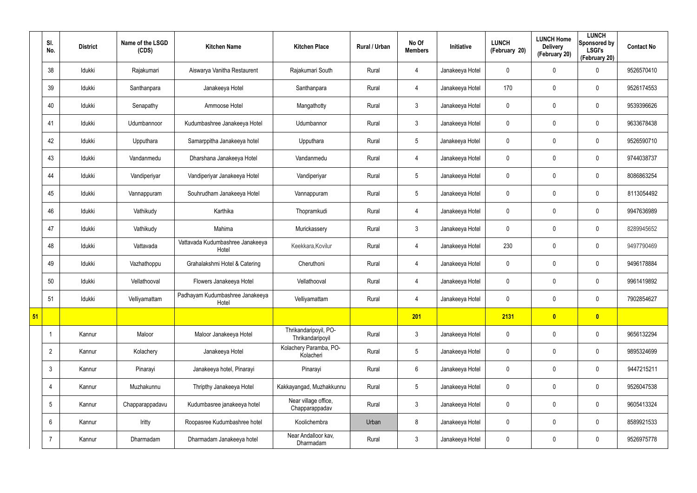|    | SI.<br>No.      | <b>District</b> | Name of the LSGD<br>(CDS) | <b>Kitchen Name</b>                       | <b>Kitchen Place</b>                      | <b>Rural / Urban</b> | No Of<br><b>Members</b> | Initiative      | <b>LUNCH</b><br>(February 20) | <b>LUNCH Home</b><br><b>Delivery</b><br>(February 20) | <b>LUNCH</b><br>Sponsored by<br><b>LSGI's</b><br>(February 20) | <b>Contact No</b> |
|----|-----------------|-----------------|---------------------------|-------------------------------------------|-------------------------------------------|----------------------|-------------------------|-----------------|-------------------------------|-------------------------------------------------------|----------------------------------------------------------------|-------------------|
|    | 38              | Idukki          | Rajakumari                | Aiswarya Vanitha Restaurent               | Rajakumari South                          | Rural                | $\overline{4}$          | Janakeeya Hotel | $\mathbf 0$                   | 0                                                     | $\mathbf 0$                                                    | 9526570410        |
|    | 39              | Idukki          | Santhanpara               | Janakeeya Hotel                           | Santhanpara                               | Rural                | $\overline{4}$          | Janakeeya Hotel | 170                           | 0                                                     | $\mathbf 0$                                                    | 9526174553        |
|    | 40              | Idukki          | Senapathy                 | Ammoose Hotel                             | Mangathotty                               | Rural                | 3                       | Janakeeya Hotel | $\mathbf 0$                   | 0                                                     | $\mathbf 0$                                                    | 9539396626        |
|    | 41              | ldukki          | Udumbannoor               | Kudumbashree Janakeeya Hotel              | Udumbannor                                | Rural                | $\mathbf{3}$            | Janakeeya Hotel | 0                             | $\mathbf 0$                                           | $\mathbf 0$                                                    | 9633678438        |
|    | 42              | Idukki          | Upputhara                 | Samarppitha Janakeeya hotel               | Upputhara                                 | Rural                | $5\overline{)}$         | Janakeeya Hotel | $\mathbf 0$                   | 0                                                     | $\mathbf 0$                                                    | 9526590710        |
|    | 43              | ldukki          | Vandanmedu                | Dharshana Janakeeya Hotel                 | Vandanmedu                                | Rural                | 4                       | Janakeeya Hotel | 0                             | 0                                                     | $\mathbf 0$                                                    | 9744038737        |
|    | 44              | Idukki          | Vandiperiyar              | Vandiperiyar Janakeeya Hotel              | Vandiperiyar                              | Rural                | $5\overline{)}$         | Janakeeya Hotel | $\mathbf 0$                   | 0                                                     | $\mathbf 0$                                                    | 8086863254        |
|    | 45              | Idukki          | Vannappuram               | Souhrudham Janakeeya Hotel                | Vannappuram                               | Rural                | $5\overline{)}$         | Janakeeya Hotel | 0                             | $\mathbf 0$                                           | $\mathbf 0$                                                    | 8113054492        |
|    | 46              | Idukki          | Vathikudy                 | Karthika                                  | Thopramkudi                               | Rural                | $\overline{4}$          | Janakeeya Hotel | $\mathbf 0$                   | 0                                                     | $\mathbf 0$                                                    | 9947636989        |
|    | 47              | Idukki          | Vathikudy                 | Mahima                                    | Murickassery                              | Rural                | 3                       | Janakeeya Hotel | 0                             | 0                                                     | $\mathbf 0$                                                    | 8289945652        |
|    | 48              | Idukki          | Vattavada                 | Vattavada Kudumbashree Janakeeya<br>Hotel | Keekkara, Kovilur                         | Rural                | $\overline{4}$          | Janakeeya Hotel | 230                           | 0                                                     | $\mathbf 0$                                                    | 9497790469        |
|    | 49              | ldukki          | Vazhathoppu               | Grahalakshmi Hotel & Catering             | Cheruthoni                                | Rural                | 4                       | Janakeeya Hotel | $\mathbf 0$                   | 0                                                     | $\mathbf 0$                                                    | 9496178884        |
|    | 50              | Idukki          | Vellathooval              | Flowers Janakeeya Hotel                   | Vellathooval                              | Rural                | 4                       | Janakeeya Hotel | 0                             | 0                                                     | $\mathbf 0$                                                    | 9961419892        |
|    | 51              | Idukki          | Velliyamattam             | Padhayam Kudumbashree Janakeeya<br>Hotel  | Velliyamattam                             | Rural                | 4                       | Janakeeya Hotel | 0                             | 0                                                     | $\pmb{0}$                                                      | 7902854627        |
| 51 |                 |                 |                           |                                           |                                           |                      | 201                     |                 | 2131                          | $\bullet$                                             | $\bullet$                                                      |                   |
|    |                 | Kannur          | Maloor                    | Maloor Janakeeya Hotel                    | Thrikandaripoyil, PO-<br>Thrikandaripoyil | Rural                | 3 <sup>1</sup>          | Janakeeya Hotel | $\pmb{0}$                     | 0                                                     | $\pmb{0}$                                                      | 9656132294        |
|    | $\overline{2}$  | Kannur          | Kolachery                 | Janakeeya Hotel                           | Kolachery Paramba, PO-<br>Kolacheri       | Rural                | $5\phantom{.0}$         | Janakeeya Hotel | $\pmb{0}$                     | $\mathbf 0$                                           | $\mathbf 0$                                                    | 9895324699        |
|    | $\mathbf{3}$    | Kannur          | Pinarayi                  | Janakeeya hotel, Pinarayi                 | Pinarayi                                  | Rural                | $6\overline{6}$         | Janakeeya Hotel | 0                             | 0                                                     | $\mathbf 0$                                                    | 9447215211        |
|    | 4               | Kannur          | Muzhakunnu                | Thripthy Janakeeya Hotel                  | Kakkayangad, Muzhakkunnu                  | Rural                | $5\phantom{.0}$         | Janakeeya Hotel | 0                             | 0                                                     | $\mathbf 0$                                                    | 9526047538        |
|    | $5\overline{)}$ | Kannur          | Chapparappadavu           | Kudumbasree janakeeya hotel               | Near village office,<br>Chapparappadav    | Rural                | 3 <sup>1</sup>          | Janakeeya Hotel | 0                             | 0                                                     | $\mathbf 0$                                                    | 9605413324        |
|    | 6               | Kannur          | Iritty                    | Roopasree Kudumbashree hotel              | Koolichembra                              | Urban                | 8                       | Janakeeya Hotel | 0                             | 0                                                     | $\mathbf 0$                                                    | 8589921533        |
|    | -7              | Kannur          | Dharmadam                 | Dharmadam Janakeeya hotel                 | Near Andalloor kav,<br>Dharmadam          | Rural                | $\mathbf{3}$            | Janakeeya Hotel | 0                             | 0                                                     | $\pmb{0}$                                                      | 9526975778        |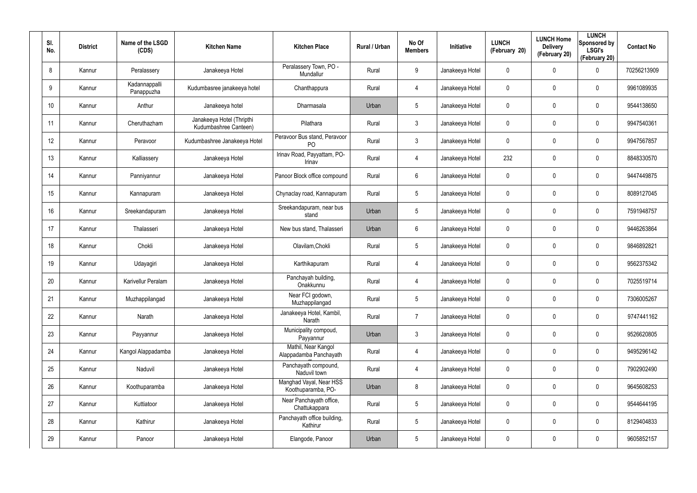| SI.<br>No.      | <b>District</b> | Name of the LSGD<br>(CDS)   | <b>Kitchen Name</b>                                | <b>Kitchen Place</b>                           | Rural / Urban | No Of<br><b>Members</b> | <b>Initiative</b> | <b>LUNCH</b><br>(February 20) | <b>LUNCH Home</b><br><b>Delivery</b><br>(February 20) | <b>LUNCH</b><br>Sponsored by<br><b>LSGI's</b><br>(February 20) | <b>Contact No</b> |
|-----------------|-----------------|-----------------------------|----------------------------------------------------|------------------------------------------------|---------------|-------------------------|-------------------|-------------------------------|-------------------------------------------------------|----------------------------------------------------------------|-------------------|
| 8               | Kannur          | Peralassery                 | Janakeeya Hotel                                    | Peralassery Town, PO -<br>Mundallur            | Rural         | 9                       | Janakeeya Hotel   | 0                             | 0                                                     | $\mathbf 0$                                                    | 70256213909       |
| 9               | Kannur          | Kadannappalli<br>Panappuzha | Kudumbasree janakeeya hotel                        | Chanthappura                                   | Rural         | 4                       | Janakeeya Hotel   | 0                             | 0                                                     | $\mathbf 0$                                                    | 9961089935        |
| 10 <sup>°</sup> | Kannur          | Anthur                      | Janakeeya hotel                                    | Dharmasala                                     | Urban         | 5                       | Janakeeya Hotel   | 0                             | 0                                                     | $\mathbf 0$                                                    | 9544138650        |
| 11              | Kannur          | Cheruthazham                | Janakeeya Hotel (Thripthi<br>Kudumbashree Canteen) | Pilathara                                      | Rural         | 3                       | Janakeeya Hotel   | 0                             | 0                                                     | $\mathbf 0$                                                    | 9947540361        |
| 12 <sup>°</sup> | Kannur          | Peravoor                    | Kudumbashree Janakeeya Hotel                       | Peravoor Bus stand, Peravoor<br>P <sub>O</sub> | Rural         | 3                       | Janakeeya Hotel   | 0                             | 0                                                     | $\mathbf 0$                                                    | 9947567857        |
| 13              | Kannur          | Kalliassery                 | Janakeeya Hotel                                    | Irinav Road, Payyattam, PO-<br>Irinav          | Rural         | 4                       | Janakeeya Hotel   | 232                           | 0                                                     | $\mathbf 0$                                                    | 8848330570        |
| 14              | Kannur          | Panniyannur                 | Janakeeya Hotel                                    | Panoor Block office compound                   | Rural         | 6                       | Janakeeya Hotel   | 0                             | 0                                                     | $\mathbf 0$                                                    | 9447449875        |
| 15              | Kannur          | Kannapuram                  | Janakeeya Hotel                                    | Chynaclay road, Kannapuram                     | Rural         | $5\overline{)}$         | Janakeeya Hotel   | 0                             | 0                                                     | $\mathbf 0$                                                    | 8089127045        |
| 16              | Kannur          | Sreekandapuram              | Janakeeya Hotel                                    | Sreekandapuram, near bus<br>stand              | Urban         | $\sqrt{5}$              | Janakeeya Hotel   | 0                             | 0                                                     | $\mathbf 0$                                                    | 7591948757        |
| 17              | Kannur          | Thalasseri                  | Janakeeya Hotel                                    | New bus stand, Thalasseri                      | Urban         | 6                       | Janakeeya Hotel   | 0                             | 0                                                     | $\mathbf 0$                                                    | 9446263864        |
| 18              | Kannur          | Chokli                      | Janakeeya Hotel                                    | Olavilam, Chokli                               | Rural         | $5\phantom{.0}$         | Janakeeya Hotel   | 0                             | 0                                                     | $\mathbf 0$                                                    | 9846892821        |
| 19              | Kannur          | Udayagiri                   | Janakeeya Hotel                                    | Karthikapuram                                  | Rural         | 4                       | Janakeeya Hotel   | 0                             | 0                                                     | $\mathbf 0$                                                    | 9562375342        |
| 20              | Kannur          | Karivellur Peralam          | Janakeeya Hotel                                    | Panchayah building,<br>Onakkunnu               | Rural         | 4                       | Janakeeya Hotel   | 0                             | 0                                                     | $\mathbf 0$                                                    | 7025519714        |
| 21              | Kannur          | Muzhappilangad              | Janakeeya Hotel                                    | Near FCI godown,<br>Muzhappilangad             | Rural         | 5                       | Janakeeya Hotel   | 0                             | 0                                                     | $\pmb{0}$                                                      | 7306005267        |
| 22              | Kannur          | Narath                      | Janakeeya Hotel                                    | Janakeeya Hotel, Kambil,<br>Narath             | Rural         | $\overline{7}$          | Janakeeya Hotel   | $\pmb{0}$                     | 0                                                     | $\mathbf 0$                                                    | 9747441162        |
| 23              | Kannur          | Payyannur                   | Janakeeya Hotel                                    | Municipality compoud,<br>Payyannur             | Urban         | $\mathbf{3}$            | Janakeeya Hotel   | $\pmb{0}$                     | 0                                                     | $\mathbf 0$                                                    | 9526620805        |
| 24              | Kannur          | Kangol Alappadamba          | Janakeeya Hotel                                    | Mathil, Near Kangol<br>Alappadamba Panchayath  | Rural         | 4                       | Janakeeya Hotel   | $\pmb{0}$                     | 0                                                     | $\mathbf 0$                                                    | 9495296142        |
| 25              | Kannur          | Naduvil                     | Janakeeya Hotel                                    | Panchayath compound,<br>Naduvil town           | Rural         | 4                       | Janakeeya Hotel   | $\mathbf 0$                   | 0                                                     | $\mathbf 0$                                                    | 7902902490        |
| 26              | Kannur          | Koothuparamba               | Janakeeya Hotel                                    | Manghad Vayal, Near HSS<br>Koothuparamba, PO-  | Urban         | 8                       | Janakeeya Hotel   | 0                             | 0                                                     | $\mathbf 0$                                                    | 9645608253        |
| 27              | Kannur          | Kuttiatoor                  | Janakeeya Hotel                                    | Near Panchayath office,<br>Chattukappara       | Rural         | $5\phantom{.0}$         | Janakeeya Hotel   | $\pmb{0}$                     | 0                                                     | $\mathsf{0}$                                                   | 9544644195        |
| 28              | Kannur          | Kathirur                    | Janakeeya Hotel                                    | Panchayath office building,<br>Kathirur        | Rural         | $5\phantom{.0}$         | Janakeeya Hotel   | 0                             | 0                                                     | $\mathsf{0}$                                                   | 8129404833        |
| 29              | Kannur          | Panoor                      | Janakeeya Hotel                                    | Elangode, Panoor                               | Urban         | $5\phantom{.0}$         | Janakeeya Hotel   | 0                             | 0                                                     | $\pmb{0}$                                                      | 9605852157        |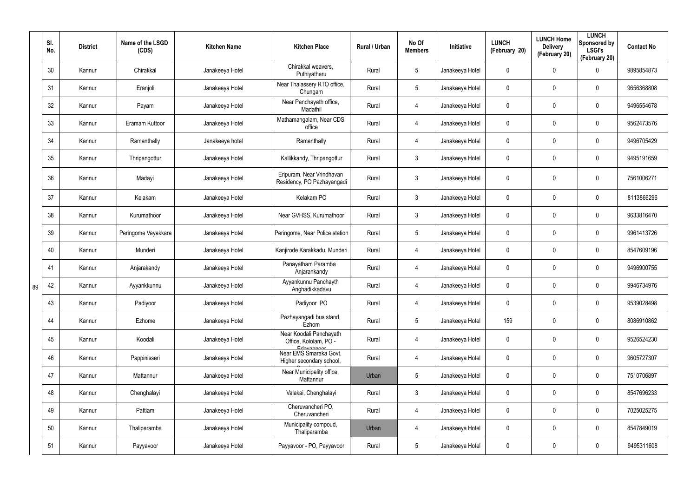|    | SI.<br>No. | <b>District</b> | Name of the LSGD<br>(CDS) | <b>Kitchen Name</b> | <b>Kitchen Place</b>                                            | <b>Rural / Urban</b> | No Of<br><b>Members</b> | Initiative      | <b>LUNCH</b><br>(February 20) | <b>LUNCH Home</b><br><b>Delivery</b><br>(February 20) | <b>LUNCH</b><br>Sponsored by<br><b>LSGI's</b><br>(February 20) | <b>Contact No</b> |
|----|------------|-----------------|---------------------------|---------------------|-----------------------------------------------------------------|----------------------|-------------------------|-----------------|-------------------------------|-------------------------------------------------------|----------------------------------------------------------------|-------------------|
|    | 30         | Kannur          | Chirakkal                 | Janakeeya Hotel     | Chirakkal weavers,<br>Puthiyatheru                              | Rural                | $5\phantom{.0}$         | Janakeeya Hotel | 0                             | 0                                                     | $\mathbf 0$                                                    | 9895854873        |
|    | 31         | Kannur          | Eranjoli                  | Janakeeya Hotel     | Near Thalassery RTO office,<br>Chungam                          | Rural                | $5\overline{)}$         | Janakeeya Hotel | 0                             | 0                                                     | $\mathbf 0$                                                    | 9656368808        |
|    | 32         | Kannur          | Payam                     | Janakeeya Hotel     | Near Panchayath office,<br>Madathil                             | Rural                | $\overline{4}$          | Janakeeya Hotel | 0                             | 0                                                     | $\mathbf 0$                                                    | 9496554678        |
|    | 33         | Kannur          | Eramam Kuttoor            | Janakeeya Hotel     | Mathamangalam, Near CDS<br>office                               | Rural                | 4                       | Janakeeya Hotel | 0                             | 0                                                     | $\mathbf 0$                                                    | 9562473576        |
|    | 34         | Kannur          | Ramanthally               | Janakeeya hotel     | Ramanthally                                                     | Rural                | $\overline{4}$          | Janakeeya Hotel | 0                             | 0                                                     | $\mathbf 0$                                                    | 9496705429        |
|    | 35         | Kannur          | Thripangottur             | Janakeeya Hotel     | Kallikkandy, Thripangottur                                      | Rural                | $\mathbf{3}$            | Janakeeya Hotel | 0                             | 0                                                     | $\mathbf 0$                                                    | 9495191659        |
|    | 36         | Kannur          | Madayi                    | Janakeeya Hotel     | Eripuram, Near Vrindhavan<br>Residency, PO Pazhayangadi         | Rural                | $\mathbf{3}$            | Janakeeya Hotel | 0                             | 0                                                     | $\pmb{0}$                                                      | 7561006271        |
|    | 37         | Kannur          | Kelakam                   | Janakeeya Hotel     | Kelakam PO                                                      | Rural                | $\mathbf{3}$            | Janakeeya Hotel | $\mathbf 0$                   | 0                                                     | $\pmb{0}$                                                      | 8113866296        |
|    | 38         | Kannur          | Kurumathoor               | Janakeeya Hotel     | Near GVHSS, Kurumathoor                                         | Rural                | $\mathbf{3}$            | Janakeeya Hotel | 0                             | 0                                                     | $\mathbf 0$                                                    | 9633816470        |
|    | 39         | Kannur          | Peringome Vayakkara       | Janakeeya Hotel     | Peringome, Near Police station                                  | Rural                | $5\phantom{.0}$         | Janakeeya Hotel | 0                             | 0                                                     | $\pmb{0}$                                                      | 9961413726        |
|    | 40         | Kannur          | Munderi                   | Janakeeya Hotel     | Kanjirode Karakkadu, Munderi                                    | Rural                | 4                       | Janakeeya Hotel | 0                             | 0                                                     | $\mathbf 0$                                                    | 8547609196        |
|    | 41         | Kannur          | Anjarakandy               | Janakeeya Hotel     | Panayatham Paramba,<br>Anjarankandy                             | Rural                | 4                       | Janakeeya Hotel | 0                             | 0                                                     | $\pmb{0}$                                                      | 9496900755        |
| 89 | 42         | Kannur          | Ayyankkunnu               | Janakeeya Hotel     | Ayyankunnu Panchayth<br>Anghadikkadavu                          | Rural                | 4                       | Janakeeya Hotel | 0                             | 0                                                     | $\mathbf 0$                                                    | 9946734976        |
|    | 43         | Kannur          | Padiyoor                  | Janakeeya Hotel     | Padiyoor PO                                                     | Rural                | $\overline{4}$          | Janakeeya Hotel | $\mathbf 0$                   | 0                                                     | $\pmb{0}$                                                      | 9539028498        |
|    | 44         | Kannur          | Ezhome                    | Janakeeya Hotel     | Pazhayangadi bus stand,<br>Ezhom                                | Rural                | $5\phantom{.0}$         | Janakeeya Hotel | 159                           | 0                                                     | $\pmb{0}$                                                      | 8086910862        |
|    | 45         | Kannur          | Koodali                   | Janakeeya Hotel     | Near Koodali Panchayath<br>Office, Kololam, PO -                | Rural                | 4                       | Janakeeya Hotel | 0                             | 0                                                     | $\mathbf 0$                                                    | 9526524230        |
|    | 46         | Kannur          | Pappinisseri              | Janakeeya Hotel     | Edayannon<br>Near EMS Smaraka Govt.<br>Higher secondary school, | Rural                | $\overline{4}$          | Janakeeya Hotel | $\pmb{0}$                     | $\mathbf 0$                                           | $\mathbf 0$                                                    | 9605727307        |
|    | 47         | Kannur          | Mattannur                 | Janakeeya Hotel     | Near Municipality office,<br>Mattannur                          | Urban                | $5\,$                   | Janakeeya Hotel | $\pmb{0}$                     | $\mathbf 0$                                           | $\pmb{0}$                                                      | 7510706897        |
|    | 48         | Kannur          | Chenghalayi               | Janakeeya Hotel     | Valakai, Chenghalayi                                            | Rural                | $\mathbf{3}$            | Janakeeya Hotel | $\pmb{0}$                     | $\mathbf 0$                                           | $\mathbf 0$                                                    | 8547696233        |
|    | 49         | Kannur          | Pattiam                   | Janakeeya Hotel     | Cheruvancheri PO,<br>Cheruvancheri                              | Rural                | $\overline{4}$          | Janakeeya Hotel | $\pmb{0}$                     | $\mathbf 0$                                           | $\pmb{0}$                                                      | 7025025275        |
|    | 50         | Kannur          | Thaliparamba              | Janakeeya Hotel     | Municipality compoud,<br>Thaliparamba                           | Urban                | 4                       | Janakeeya Hotel | 0                             | $\mathbf 0$                                           | $\mathbf 0$                                                    | 8547849019        |
|    | 51         | Kannur          | Payyavoor                 | Janakeeya Hotel     | Payyavoor - PO, Payyavoor                                       | Rural                | $5\phantom{.0}$         | Janakeeya Hotel | 0                             | 0                                                     | $\pmb{0}$                                                      | 9495311608        |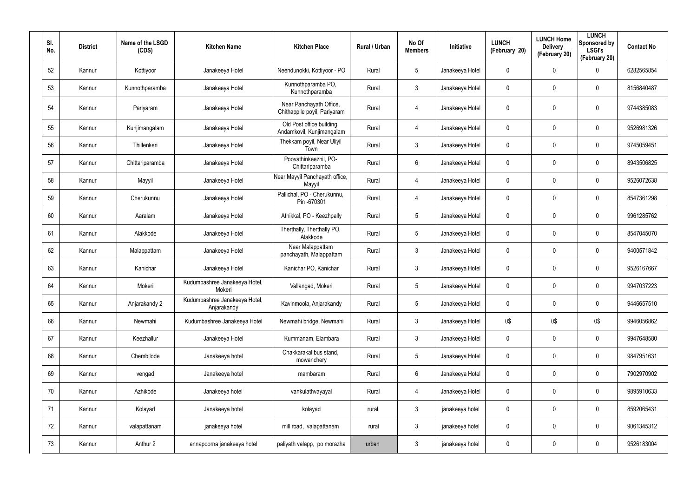| SI.<br>No. | <b>District</b> | Name of the LSGD<br>(CDS) | <b>Kitchen Name</b>                          | <b>Kitchen Place</b>                                    | Rural / Urban | No Of<br><b>Members</b> | Initiative      | <b>LUNCH</b><br>(February 20) | <b>LUNCH Home</b><br><b>Delivery</b><br>(February 20) | <b>LUNCH</b><br>Sponsored by<br><b>LSGI's</b><br>(February 20) | <b>Contact No</b> |
|------------|-----------------|---------------------------|----------------------------------------------|---------------------------------------------------------|---------------|-------------------------|-----------------|-------------------------------|-------------------------------------------------------|----------------------------------------------------------------|-------------------|
| 52         | Kannur          | Kottiyoor                 | Janakeeya Hotel                              | Neendunokki, Kottiyoor - PO                             | Rural         | 5                       | Janakeeya Hotel | 0                             | 0                                                     | $\mathbf 0$                                                    | 6282565854        |
| 53         | Kannur          | Kunnothparamba            | Janakeeya Hotel                              | Kunnothparamba PO,<br>Kunnothparamba                    | Rural         | 3                       | Janakeeya Hotel | 0                             | 0                                                     | $\mathbf 0$                                                    | 8156840487        |
| 54         | Kannur          | Pariyaram                 | Janakeeya Hotel                              | Near Panchayath Office,<br>Chithappile poyil, Pariyaram | Rural         | 4                       | Janakeeya Hotel | 0                             | $\mathbf 0$                                           | $\pmb{0}$                                                      | 9744385083        |
| 55         | Kannur          | Kunjimangalam             | Janakeeya Hotel                              | Old Post office building,<br>Andamkovil, Kunjimangalam  | Rural         | 4                       | Janakeeya Hotel | 0                             | $\mathbf 0$                                           | $\pmb{0}$                                                      | 9526981326        |
| 56         | Kannur          | Thillenkeri               | Janakeeya Hotel                              | Thekkam poyil, Near Uliyil<br>Town                      | Rural         | $\mathfrak{Z}$          | Janakeeya Hotel | 0                             | 0                                                     | $\pmb{0}$                                                      | 9745059451        |
| 57         | Kannur          | Chittariparamba           | Janakeeya Hotel                              | Poovathinkeezhil, PO-<br>Chittariparamba                | Rural         | 6                       | Janakeeya Hotel | 0                             | $\mathbf 0$                                           | $\pmb{0}$                                                      | 8943506825        |
| 58         | Kannur          | Mayyil                    | Janakeeya Hotel                              | Near Mayyil Panchayath office,<br>Mayyil                | Rural         | 4                       | Janakeeya Hotel | 0                             | 0                                                     | $\pmb{0}$                                                      | 9526072638        |
| 59         | Kannur          | Cherukunnu                | Janakeeya Hotel                              | Pallichal, PO - Cherukunnu,<br>Pin -670301              | Rural         | 4                       | Janakeeya Hotel | 0                             | 0                                                     | $\pmb{0}$                                                      | 8547361298        |
| 60         | Kannur          | Aaralam                   | Janakeeya Hotel                              | Athikkal, PO - Keezhpally                               | Rural         | 5                       | Janakeeya Hotel | 0                             | 0                                                     | $\pmb{0}$                                                      | 9961285762        |
| 61         | Kannur          | Alakkode                  | Janakeeya Hotel                              | Therthally, Therthally PO,<br>Alakkode                  | Rural         | 5                       | Janakeeya Hotel | 0                             | $\mathbf 0$                                           | $\pmb{0}$                                                      | 8547045070        |
| 62         | Kannur          | Malappattam               | Janakeeya Hotel                              | Near Malappattam<br>panchayath, Malappattam             | Rural         | $\mathfrak{Z}$          | Janakeeya Hotel | 0                             | 0                                                     | $\pmb{0}$                                                      | 9400571842        |
| 63         | Kannur          | Kanichar                  | Janakeeya Hotel                              | Kanichar PO, Kanichar                                   | Rural         | $\mathfrak{Z}$          | Janakeeya Hotel | 0                             | 0                                                     | $\pmb{0}$                                                      | 9526167667        |
| 64         | Kannur          | Mokeri                    | Kudumbashree Janakeeya Hotel,<br>Mokeri      | Vallangad, Mokeri                                       | Rural         | 5                       | Janakeeya Hotel | 0                             | 0                                                     | $\pmb{0}$                                                      | 9947037223        |
| 65         | Kannur          | Anjarakandy 2             | Kudumbashree Janakeeya Hotel,<br>Anjarakandy | Kavinmoola, Anjarakandy                                 | Rural         | $\overline{5}$          | Janakeeya Hotel | 0                             | $\mathbf 0$                                           | $\pmb{0}$                                                      | 9446657510        |
| 66         | Kannur          | Newmahi                   | Kudumbashree Janakeeya Hotel                 | Newmahi bridge, Newmahi                                 | Rural         | $\mathbf{3}$            | Janakeeya Hotel | 0\$                           | 0\$                                                   | 0\$                                                            | 9946056862        |
| 67         | Kannur          | Keezhallur                | Janakeeya Hotel                              | Kummanam, Elambara                                      | Rural         | $\mathfrak{Z}$          | Janakeeya Hotel | 0                             | $\mathbf 0$                                           | $\pmb{0}$                                                      | 9947648580        |
| 68         | Kannur          | Chembilode                | Janakeeya hotel                              | Chakkarakal bus stand,<br>mowanchery                    | Rural         | $5\phantom{.0}$         | Janakeeya Hotel | 0                             | $\mathbf 0$                                           | $\pmb{0}$                                                      | 9847951631        |
| 69         | Kannur          | vengad                    | Janakeeya hotel                              | mambaram                                                | Rural         | 6                       | Janakeeya Hotel | 0                             | 0                                                     | $\pmb{0}$                                                      | 7902970902        |
| 70         | Kannur          | Azhikode                  | Janakeeya hotel                              | vankulathvayayal                                        | Rural         | 4                       | Janakeeya Hotel | 0                             | $\mathbf 0$                                           | $\pmb{0}$                                                      | 9895910633        |
| 71         | Kannur          | Kolayad                   | Janakeeya hotel                              | kolayad                                                 | rural         | $\mathfrak{Z}$          | janakeeya hotel | 0                             | 0                                                     | $\pmb{0}$                                                      | 8592065431        |
| 72         | Kannur          | valapattanam              | janakeeya hotel                              | mill road, valapattanam                                 | rural         | $\mathfrak{Z}$          | janakeeya hotel | 0                             | $\mathbf 0$                                           | $\pmb{0}$                                                      | 9061345312        |
| 73         | Kannur          | Anthur 2                  | annapoorna janakeeya hotel                   | paliyath valapp, po morazha                             | urban         | $\mathfrak{Z}$          | janakeeya hotel | 0                             | 0                                                     | $\pmb{0}$                                                      | 9526183004        |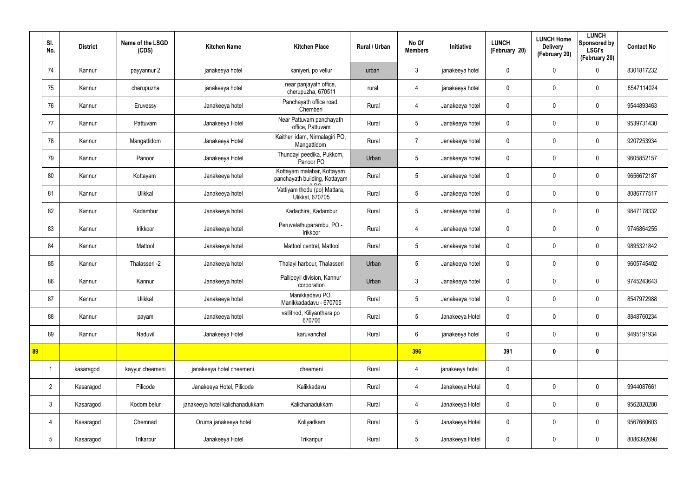|    | SI.<br>No.      | <b>District</b> | Name of the LSGD<br>(CDS) | <b>Kitchen Name</b>             | <b>Kitchen Place</b>                                        | Rural / Urban | No Of<br><b>Members</b> | Initiative      | <b>LUNCH</b><br>(February 20) | <b>LUNCH Home</b><br><b>Delivery</b><br>(February 20) | <b>LUNCH</b><br>Sponsored by<br><b>LSGI's</b><br>(February 20) | <b>Contact No</b> |
|----|-----------------|-----------------|---------------------------|---------------------------------|-------------------------------------------------------------|---------------|-------------------------|-----------------|-------------------------------|-------------------------------------------------------|----------------------------------------------------------------|-------------------|
|    | 74              | Kannur          | payyannur 2               | janakeeya hotel                 | kaniyeri, po vellur                                         | urban         | $\mathbf{3}$            | janakeeya hotel | $\mathbf 0$                   | $\mathbf 0$                                           | 0                                                              | 8301817232        |
|    | 75              | Kannur          | cherupuzha                | janakeeya hotel                 | near panjayath office,<br>cherupuzha, 670511                | rural         | $\overline{4}$          | janakeeya hotel | $\mathbf 0$                   | 0                                                     | $\boldsymbol{0}$                                               | 8547114024        |
|    | 76              | Kannur          | Eruvessy                  | Janakeeya hotel                 | Panchayath office road,<br>Chemberi                         | Rural         | $\overline{4}$          | Janakeeya hotel | $\mathbf 0$                   | $\mathbf 0$                                           | 0                                                              | 9544893463        |
|    | 77              | Kannur          | Pattuvam                  | Janakeeya Hotel                 | Near Pattuvam panchayath<br>office, Pattuvam                | Rural         | $5\overline{)}$         | Janakeeya hotel | $\mathbf 0$                   | 0                                                     | $\mathbf 0$                                                    | 9539731430        |
|    | 78              | Kannur          | Mangattidom               | Janakeeya Hotel                 | Kaitheri idam, Nirmalagiri PO,<br>Mangattidom               | Rural         | $\overline{7}$          | Janakeeya hotel | $\mathbf 0$                   | $\mathbf 0$                                           | $\mathbf 0$                                                    | 9207253934        |
|    | 79              | Kannur          | Panoor                    | Janakeeya Hotel                 | Thundayi peedika, Pukkom,<br>Panoor PO                      | Urban         | 5                       | Janakeeya hotel | $\mathbf 0$                   | 0                                                     | $\mathbf 0$                                                    | 9605852157        |
|    | 80              | Kannur          | Kottayam                  | Janakeeya hotel                 | Kottayam malabar, Kottayam<br>panchayath building, Kottayam | Rural         | $5\phantom{.0}$         | Janakeeya hotel | $\mathbf 0$                   | $\mathbf 0$                                           | $\mathbf 0$                                                    | 9656672187        |
|    | 81              | Kannur          | Ulikkal                   | Janakeeya hotel                 | Vattiyam thodu (po) Mattara,<br>Ulikkal, 670705             | Rural         | $5\overline{)}$         | Janakeeya hotel | $\mathbf 0$                   | 0                                                     | $\mathbf 0$                                                    | 8086777517        |
|    | 82              | Kannur          | Kadambur                  | Janakeeya hotel                 | Kadachira, Kadambur                                         | Rural         | $5\phantom{.0}$         | Janakeeya hotel | $\mathbf 0$                   | $\mathbf 0$                                           | $\boldsymbol{0}$                                               | 9847178332        |
|    | 83              | Kannur          | Irikkoor                  | Janakeeya hotel                 | Peruvalathuparambu, PO -<br>Irikkoor                        | Rural         | $\overline{4}$          | Janakeeya hotel | $\mathbf 0$                   | 0                                                     | $\boldsymbol{0}$                                               | 9746864255        |
|    | 84              | Kannur          | Mattool                   | Janakeeya hotel                 | Mattool central, Mattool                                    | Rural         | $5\overline{)}$         | Janakeeya hotel | $\mathbf 0$                   | $\mathbf 0$                                           | $\boldsymbol{0}$                                               | 9895321842        |
|    | 85              | Kannur          | Thalasseri -2             | Janakeeya hotel                 | Thalayi harbour, Thalasseri                                 | Urban         | $5\overline{)}$         | Janakeeya hotel | $\mathbf 0$                   | 0                                                     | $\boldsymbol{0}$                                               | 9605745402        |
|    | 86              | Kannur          | Kannur                    | Janakeeya hotel                 | Pallipoyil division, Kannur<br>corporation                  | Urban         | $\mathbf{3}$            | Janakeeya hotel | $\mathbf 0$                   | $\mathbf 0$                                           | $\boldsymbol{0}$                                               | 9745243643        |
|    | 87              | Kannur          | Ulikkal                   | Janakeeya hotel                 | Manikkadavu PO,<br>Manikkadadavu - 670705                   | Rural         | $5\phantom{.0}$         | Janakeeya hotel | $\pmb{0}$                     | 0                                                     | $\pmb{0}$                                                      | 8547972988        |
|    | 88              | Kannur          | payam                     | Janakeeya hotel                 | vallithod, Kiliyanthara po<br>670706                        | Rural         | $5\phantom{.0}$         | Janakeeya Hotel | $\pmb{0}$                     | 0                                                     | $\mathbf 0$                                                    | 8848760234        |
|    | 89              | Kannur          | Naduvil                   | Janakeeya Hotel                 | karuvanchal                                                 | Rural         | $6\overline{6}$         | janakeeya hotel | $\mathbf 0$                   | 0                                                     | $\mathbf 0$                                                    | 9495191934        |
| 89 |                 |                 |                           |                                 |                                                             |               | 396                     |                 | 391                           | $\boldsymbol{0}$                                      | $\mathbf 0$                                                    |                   |
|    |                 | kasaragod       | kayyur cheemeni           | janakeeya hotel cheemeni        | cheemeni                                                    | Rural         | $\overline{4}$          | janakeeya hotel | $\mathbf 0$                   |                                                       |                                                                |                   |
|    | $\overline{2}$  | Kasaragod       | Pilicode                  | Janakeeya Hotel, Pilicode       | Kalikkadavu                                                 | Rural         | $\overline{4}$          | Janakeeya Hotel | $\mathbf 0$                   | 0                                                     | $\mathbf 0$                                                    | 9944087661        |
|    | $\mathbf{3}$    | Kasaragod       | Kodom belur               | janakeeya hotel kalichanadukkam | Kalichanadukkam                                             | Rural         | $\overline{4}$          | Janakeeya Hotel | $\mathbf 0$                   | 0                                                     | $\pmb{0}$                                                      | 9562820280        |
|    | 4               | Kasaragod       | Chemnad                   | Oruma janakeeya hotel           | Koliyadkam                                                  | Rural         | 5 <sup>5</sup>          | Janakeeya Hotel | $\mathbf 0$                   | 0                                                     | $\mathbf 0$                                                    | 9567660603        |
|    | $5\phantom{.0}$ | Kasaragod       | Trikarpur                 | Janakeeya Hotel                 | Trikaripur                                                  | Rural         | $5\phantom{.0}$         | Janakeeya Hotel | $\pmb{0}$                     | 0                                                     | $\boldsymbol{0}$                                               | 8086392698        |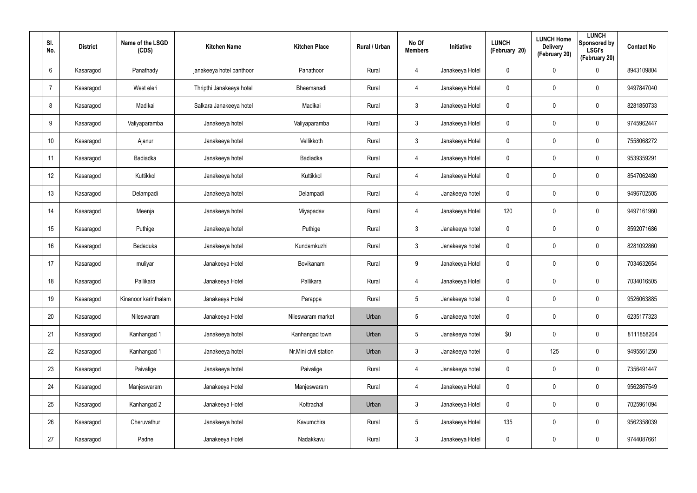| SI.<br>No.      | <b>District</b> | Name of the LSGD<br>(CDS) | <b>Kitchen Name</b>      | <b>Kitchen Place</b>  | Rural / Urban | No Of<br><b>Members</b> | Initiative      | <b>LUNCH</b><br>(February 20) | <b>LUNCH Home</b><br><b>Delivery</b><br>(February 20) | <b>LUNCH</b><br>Sponsored by<br><b>LSGI's</b><br>(February 20) | <b>Contact No</b> |
|-----------------|-----------------|---------------------------|--------------------------|-----------------------|---------------|-------------------------|-----------------|-------------------------------|-------------------------------------------------------|----------------------------------------------------------------|-------------------|
| 6               | Kasaragod       | Panathady                 | janakeeya hotel panthoor | Panathoor             | Rural         | $\overline{4}$          | Janakeeya Hotel | $\mathbf 0$                   | $\mathbf 0$                                           | $\mathbf 0$                                                    | 8943109804        |
| -7              | Kasaragod       | West eleri                | Thripthi Janakeeya hotel | Bheemanadi            | Rural         | $\overline{4}$          | Janakeeya Hotel | $\mathbf 0$                   | $\mathbf 0$                                           | $\mathbf 0$                                                    | 9497847040        |
| 8               | Kasaragod       | Madikai                   | Salkara Janakeeya hotel  | Madikai               | Rural         | $\mathbf{3}$            | Janakeeya Hotel | $\mathbf 0$                   | $\mathbf 0$                                           | $\boldsymbol{0}$                                               | 8281850733        |
| 9               | Kasaragod       | Valiyaparamba             | Janakeeya hotel          | Valiyaparamba         | Rural         | $\mathbf{3}$            | Janakeeya Hotel | $\mathbf 0$                   | 0                                                     | $\mathbf 0$                                                    | 9745962447        |
| 10 <sup>°</sup> | Kasaragod       | Ajanur                    | Janakeeya hotel          | Vellikkoth            | Rural         | $\mathbf{3}$            | Janakeeya Hotel | $\pmb{0}$                     | $\pmb{0}$                                             | $\pmb{0}$                                                      | 7558068272        |
| 11              | Kasaragod       | Badiadka                  | Janakeeya hotel          | Badiadka              | Rural         | $\overline{4}$          | Janakeeya Hotel | $\mathbf 0$                   | 0                                                     | $\mathbf 0$                                                    | 9539359291        |
| 12              | Kasaragod       | Kuttikkol                 | Janakeeya hotel          | Kuttikkol             | Rural         | $\overline{4}$          | Janakeeya Hotel | $\pmb{0}$                     | $\pmb{0}$                                             | $\pmb{0}$                                                      | 8547062480        |
| 13              | Kasaragod       | Delampadi                 | Janakeeya hotel          | Delampadi             | Rural         | 4                       | Janakeeya hotel | $\mathbf 0$                   | 0                                                     | $\mathbf 0$                                                    | 9496702505        |
| 14              | Kasaragod       | Meenja                    | Janakeeya hotel          | Miyapadav             | Rural         | $\overline{4}$          | Janakeeya Hotel | 120                           | 0                                                     | $\pmb{0}$                                                      | 9497161960        |
| 15              | Kasaragod       | Puthige                   | Janakeeya hotel          | Puthige               | Rural         | $\mathbf{3}$            | Janakeeya hotel | $\mathbf 0$                   | $\mathbf 0$                                           | $\mathbf 0$                                                    | 8592071686        |
| 16              | Kasaragod       | Bedaduka                  | Janakeeya hotel          | Kundamkuzhi           | Rural         | $\mathbf{3}$            | Janakeeya hotel | $\mathbf 0$                   | $\mathbf 0$                                           | $\mathbf 0$                                                    | 8281092860        |
| 17              | Kasaragod       | muliyar                   | Janakeeya Hotel          | Bovikanam             | Rural         | 9                       | Janakeeya Hotel | $\mathbf 0$                   | $\mathbf 0$                                           | $\mathbf 0$                                                    | 7034632654        |
| 18              | Kasaragod       | Pallikara                 | Janakeeya Hotel          | Pallikara             | Rural         | $\overline{4}$          | Janakeeya Hotel | $\boldsymbol{0}$              | 0                                                     | $\boldsymbol{0}$                                               | 7034016505        |
| 19              | Kasaragod       | Kinanoor karinthalam      | Janakeeya Hotel          | Parappa               | Rural         | $5\phantom{.0}$         | Janakeeya hotel | $\pmb{0}$                     | $\pmb{0}$                                             | $\pmb{0}$                                                      | 9526063885        |
| 20              | Kasaragod       | Nileswaram                | Janakeeya Hotel          | Nileswaram market     | Urban         | $5\overline{)}$         | Janakeeya hotel | $\pmb{0}$                     | $\pmb{0}$                                             | $\mathbf 0$                                                    | 6235177323        |
| 21              | Kasaragod       | Kanhangad 1               | Janakeeya hotel          | Kanhangad town        | Urban         | $5\overline{)}$         | Janakeeya hotel | \$0                           | $\pmb{0}$                                             | $\mathbf 0$                                                    | 8111858204        |
| 22              | Kasaragod       | Kanhangad 1               | Janakeeya hotel          | Nr.Mini civil station | Urban         | $\mathbf{3}$            | Janakeeya hotel | $\pmb{0}$                     | 125                                                   | $\mathbf 0$                                                    | 9495561250        |
| 23              | Kasaragod       | Paivalige                 | Janakeeya hotel          | Paivalige             | Rural         | $\overline{4}$          | Janakeeya hotel | $\pmb{0}$                     | $\pmb{0}$                                             | $\mathbf 0$                                                    | 7356491447        |
| 24              | Kasaragod       | Manjeswaram               | Janakeeya Hotel          | Manjeswaram           | Rural         | $\overline{4}$          | Janakeeya Hotel | $\pmb{0}$                     | $\pmb{0}$                                             | $\mathbf 0$                                                    | 9562867549        |
| 25              | Kasaragod       | Kanhangad 2               | Janakeeya Hotel          | Kottrachal            | Urban         | $\mathbf{3}$            | Janakeeya Hotel | $\pmb{0}$                     | $\pmb{0}$                                             | $\mathbf 0$                                                    | 7025961094        |
| 26              | Kasaragod       | Cheruvathur               | Janakeeya hotel          | Kavumchira            | Rural         | $5\overline{)}$         | Janakeeya Hotel | 135                           | $\pmb{0}$                                             | $\mathbf 0$                                                    | 9562358039        |
| 27              | Kasaragod       | Padne                     | Janakeeya Hotel          | Nadakkavu             | Rural         | $\mathbf{3}$            | Janakeeya Hotel | $\pmb{0}$                     | 0                                                     | $\mathbf 0$                                                    | 9744087661        |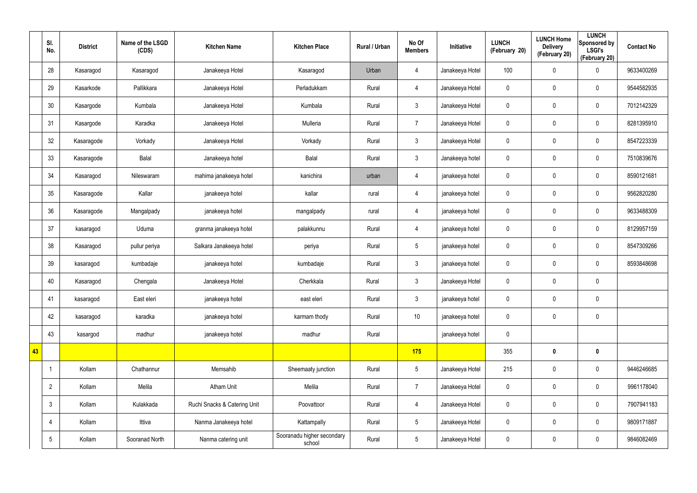|    | SI.<br>No.      | <b>District</b> | Name of the LSGD<br>(CDS) | <b>Kitchen Name</b>          | <b>Kitchen Place</b>                 | Rural / Urban | No Of<br><b>Members</b> | Initiative      | <b>LUNCH</b><br>(February 20) | <b>LUNCH Home</b><br><b>Delivery</b><br>(February 20) | <b>LUNCH</b><br>Sponsored by<br><b>LSGI's</b><br>(February 20) | <b>Contact No</b> |
|----|-----------------|-----------------|---------------------------|------------------------------|--------------------------------------|---------------|-------------------------|-----------------|-------------------------------|-------------------------------------------------------|----------------------------------------------------------------|-------------------|
|    | 28              | Kasaragod       | Kasaragod                 | Janakeeya Hotel              | Kasaragod                            | Urban         | 4                       | Janakeeya Hotel | 100                           | 0                                                     | $\pmb{0}$                                                      | 9633400269        |
|    | 29              | Kasarkode       | Pallikkara                | Janakeeya Hotel              | Perladukkam                          | Rural         | $\overline{4}$          | Janakeeya Hotel | $\mathbf 0$                   | 0                                                     | $\mathbf 0$                                                    | 9544582935        |
|    | 30              | Kasargode       | Kumbala                   | Janakeeya Hotel              | Kumbala                              | Rural         | 3                       | Janakeeya Hotel | $\pmb{0}$                     | 0                                                     | $\pmb{0}$                                                      | 7012142329        |
|    | 31              | Kasargode       | Karadka                   | Janakeeya Hotel              | Mulleria                             | Rural         | $\overline{7}$          | Janakeeya Hotel | $\mathbf 0$                   | 0                                                     | $\mathbf 0$                                                    | 8281395910        |
|    | 32              | Kasaragode      | Vorkady                   | Janakeeya Hotel              | Vorkady                              | Rural         | 3                       | Janakeeya Hotel | $\pmb{0}$                     | 0                                                     | $\pmb{0}$                                                      | 8547223339        |
|    | 33              | Kasaragode      | Balal                     | Janakeeya hotel              | Balal                                | Rural         | 3                       | Janakeeya hotel | $\mathbf 0$                   | 0                                                     | $\mathbf 0$                                                    | 7510839676        |
|    | 34              | Kasaragod       | Nileswaram                | mahima janakeeya hotel       | kanichira                            | urban         | $\overline{4}$          | janakeeya hotel | $\pmb{0}$                     | 0                                                     | $\mathbf 0$                                                    | 8590121681        |
|    | 35              | Kasaragode      | Kallar                    | janakeeya hotel              | kallar                               | rural         | 4                       | janakeeya hotel | $\mathbf 0$                   | 0                                                     | $\mathbf 0$                                                    | 9562820280        |
|    | 36              | Kasaragode      | Mangalpady                | janakeeya hotel              | mangalpady                           | rural         | 4                       | janakeeya hotel | $\mathbf 0$                   | 0                                                     | $\mathbf 0$                                                    | 9633488309        |
|    | 37              | kasaragod       | Uduma                     | granma janakeeya hotel       | palakkunnu                           | Rural         | 4                       | janakeeya hotel | $\mathbf 0$                   | 0                                                     | $\mathbf 0$                                                    | 8129957159        |
|    | 38              | Kasaragod       | pullur periya             | Salkara Janakeeya hotel      | periya                               | Rural         | $5\overline{)}$         | janakeeya hotel | $\pmb{0}$                     | 0                                                     | $\mathbf 0$                                                    | 8547309266        |
|    | 39              | kasaragod       | kumbadaje                 | janakeeya hotel              | kumbadaje                            | Rural         | 3                       | janakeeya hotel | $\pmb{0}$                     | 0                                                     | $\mathbf 0$                                                    | 8593848698        |
|    | 40              | Kasaragod       | Chengala                  | Janakeeya Hotel              | Cherkkala                            | Rural         | 3 <sup>2</sup>          | Janakeeya Hotel | $\pmb{0}$                     | 0                                                     | $\pmb{0}$                                                      |                   |
|    | 41              | kasaragod       | East eleri                | janakeeya hotel              | east eleri                           | Rural         | 3                       | janakeeya hotel | $\pmb{0}$                     | 0                                                     | $\pmb{0}$                                                      |                   |
|    | 42              | kasaragod       | karadka                   | janakeeya hotel              | karmam thody                         | Rural         | 10                      | janakeeya hotel | $\mathbf 0$                   | $\mathbf 0$                                           | $\mathbf 0$                                                    |                   |
|    | 43              | kasargod        | madhur                    | janakeeya hotel              | madhur                               | Rural         |                         | janakeeya hotel | $\mathbf 0$                   |                                                       |                                                                |                   |
| 43 |                 |                 |                           |                              |                                      |               | 175                     |                 | 355                           | $\boldsymbol{0}$                                      | $\mathbf 0$                                                    |                   |
|    | -1              | Kollam          | Chathannur                | Memsahib                     | Sheemaaty junction                   | Rural         | $5\overline{)}$         | Janakeeya Hotel | 215                           | 0                                                     | $\mathbf 0$                                                    | 9446246685        |
|    | $\overline{2}$  | Kollam          | Melila                    | Atham Unit                   | Melila                               | Rural         | $\overline{7}$          | Janakeeya Hotel | $\mathbf 0$                   | 0                                                     | $\mathbf 0$                                                    | 9961178040        |
|    | $\mathbf{3}$    | Kollam          | Kulakkada                 | Ruchi Snacks & Catering Unit | Poovattoor                           | Rural         | $\overline{4}$          | Janakeeya Hotel | $\mathbf 0$                   | $\pmb{0}$                                             | $\pmb{0}$                                                      | 7907941183        |
|    | 4               | Kollam          | Ittiva                    | Nanma Janakeeya hotel        | Kattampally                          | Rural         | $5\overline{)}$         | Janakeeya Hotel | $\pmb{0}$                     | 0                                                     | $\mathbf 0$                                                    | 9809171887        |
|    | $5\phantom{.0}$ | Kollam          | Sooranad North            | Nanma catering unit          | Sooranadu higher secondary<br>school | Rural         | $5\phantom{.0}$         | Janakeeya Hotel | $\pmb{0}$                     | $\pmb{0}$                                             | $\pmb{0}$                                                      | 9846082469        |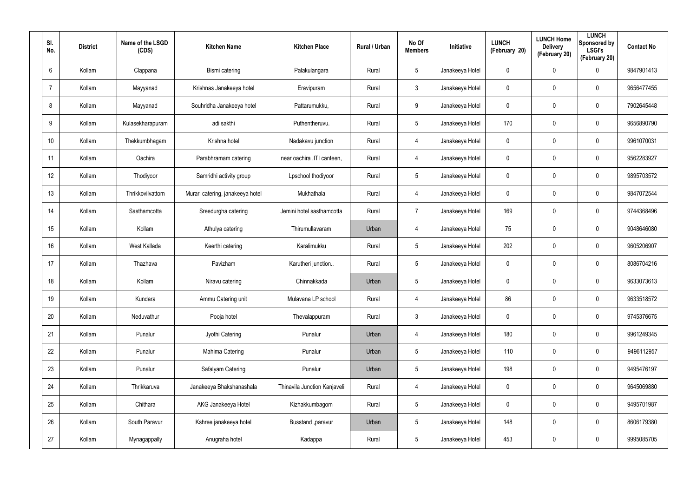| SI.<br>No.     | <b>District</b> | Name of the LSGD<br>(CDS) | <b>Kitchen Name</b>              | <b>Kitchen Place</b>         | Rural / Urban | No Of<br><b>Members</b> | <b>Initiative</b> | <b>LUNCH</b><br>(February 20) | <b>LUNCH Home</b><br><b>Delivery</b><br>(February 20) | <b>LUNCH</b><br>Sponsored by<br><b>LSGI's</b><br>(February 20) | <b>Contact No</b> |
|----------------|-----------------|---------------------------|----------------------------------|------------------------------|---------------|-------------------------|-------------------|-------------------------------|-------------------------------------------------------|----------------------------------------------------------------|-------------------|
| 6              | Kollam          | Clappana                  | Bismi catering                   | Palakulangara                | Rural         | $5\phantom{.0}$         | Janakeeya Hotel   | 0                             | 0                                                     | $\mathbf 0$                                                    | 9847901413        |
| $\overline{7}$ | Kollam          | Mayyanad                  | Krishnas Janakeeya hotel         | Eravipuram                   | Rural         | $\mathbf{3}$            | Janakeeya Hotel   | 0                             | 0                                                     | $\mathbf 0$                                                    | 9656477455        |
| 8              | Kollam          | Mayyanad                  | Souhridha Janakeeya hotel        | Pattarumukku,                | Rural         | 9                       | Janakeeya Hotel   | 0                             | 0                                                     | $\pmb{0}$                                                      | 7902645448        |
| 9              | Kollam          | Kulasekharapuram          | adi sakthi                       | Puthentheruvu.               | Rural         | $5\phantom{.0}$         | Janakeeya Hotel   | 170                           | 0                                                     | $\mathbf 0$                                                    | 9656890790        |
| 10             | Kollam          | Thekkumbhagam             | Krishna hotel                    | Nadakavu junction            | Rural         | $\overline{4}$          | Janakeeya Hotel   | 0                             | 0                                                     | $\mathbf 0$                                                    | 9961070031        |
| 11             | Kollam          | Oachira                   | Parabhramam catering             | near oachira , ITI canteen,  | Rural         | 4                       | Janakeeya Hotel   | 0                             | 0                                                     | $\mathbf 0$                                                    | 9562283927        |
| 12             | Kollam          | Thodiyoor                 | Samridhi activity group          | Lpschool thodiyoor           | Rural         | $5\phantom{.0}$         | Janakeeya Hotel   | 0                             | 0                                                     | $\pmb{0}$                                                      | 9895703572        |
| 13             | Kollam          | Thrikkovilvattom          | Murari catering, janakeeya hotel | Mukhathala                   | Rural         | 4                       | Janakeeya Hotel   | 0                             | 0                                                     | $\mathbf 0$                                                    | 9847072544        |
| 14             | Kollam          | Sasthamcotta              | Sreedurgha catering              | Jemini hotel sasthamcotta    | Rural         | $\overline{7}$          | Janakeeya Hotel   | 169                           | 0                                                     | $\mathbf 0$                                                    | 9744368496        |
| 15             | Kollam          | Kollam                    | Athulya catering                 | Thirumullavaram              | Urban         | 4                       | Janakeeya Hotel   | 75                            | 0                                                     | $\mathbf 0$                                                    | 9048646080        |
| 16             | Kollam          | West Kallada              | Keerthi catering                 | Karalimukku                  | Rural         | $5\phantom{.0}$         | Janakeeya Hotel   | 202                           | 0                                                     | $\mathbf 0$                                                    | 9605206907        |
| 17             | Kollam          | Thazhava                  | Pavizham                         | Karutheri junction           | Rural         | $5\overline{)}$         | Janakeeya Hotel   | 0                             | 0                                                     | $\mathbf 0$                                                    | 8086704216        |
| 18             | Kollam          | Kollam                    | Niravu catering                  | Chinnakkada                  | Urban         | $5\overline{)}$         | Janakeeya Hotel   | 0                             | $\mathbf 0$                                           | $\mathbf 0$                                                    | 9633073613        |
| 19             | Kollam          | Kundara                   | Ammu Catering unit               | Mulavana LP school           | Rural         | 4                       | Janakeeya Hotel   | 86                            | $\mathbf 0$                                           | $\pmb{0}$                                                      | 9633518572        |
| 20             | Kollam          | Neduvathur                | Pooja hotel                      | Thevalappuram                | Rural         | $\mathbf{3}$            | Janakeeya Hotel   | 0                             | 0                                                     | $\mathbf 0$                                                    | 9745376675        |
| 21             | Kollam          | Punalur                   | Jyothi Catering                  | Punalur                      | Urban         | 4                       | Janakeeya Hotel   | 180                           | $\mathbf 0$                                           | $\mathbf 0$                                                    | 9961249345        |
| 22             | Kollam          | Punalur                   | Mahima Catering                  | Punalur                      | Urban         | $5\phantom{.0}$         | Janakeeya Hotel   | 110                           | $\mathbf 0$                                           | $\mathbf 0$                                                    | 9496112957        |
| 23             | Kollam          | Punalur                   | Safalyam Catering                | Punalur                      | Urban         | $5\phantom{.0}$         | Janakeeya Hotel   | 198                           | 0                                                     | $\mathbf 0$                                                    | 9495476197        |
| 24             | Kollam          | Thrikkaruva               | Janakeeya Bhakshanashala         | Thinavila Junction Kanjaveli | Rural         | $\overline{4}$          | Janakeeya Hotel   | 0                             | 0                                                     | $\mathbf 0$                                                    | 9645069880        |
| 25             | Kollam          | Chithara                  | AKG Janakeeya Hotel              | Kizhakkumbagom               | Rural         | $5\phantom{.0}$         | Janakeeya Hotel   | 0                             | 0                                                     | $\mathbf 0$                                                    | 9495701987        |
| 26             | Kollam          | South Paravur             | Kshree janakeeya hotel           | Busstand , paravur           | Urban         | $5\phantom{.0}$         | Janakeeya Hotel   | 148                           | 0                                                     | $\mathbf 0$                                                    | 8606179380        |
| 27             | Kollam          | Mynagappally              | Anugraha hotel                   | Kadappa                      | Rural         | $5\phantom{.0}$         | Janakeeya Hotel   | 453                           | 0                                                     | $\mathsf{0}$                                                   | 9995085705        |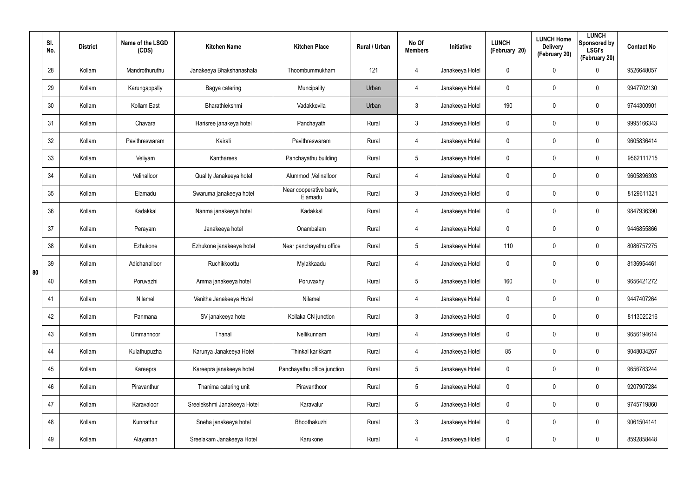|    | SI.<br>No. | <b>District</b> | Name of the LSGD<br>(CDS) | <b>Kitchen Name</b>         | <b>Kitchen Place</b>              | Rural / Urban | No Of<br><b>Members</b> | Initiative      | <b>LUNCH</b><br>(February 20) | <b>LUNCH Home</b><br><b>Delivery</b><br>(February 20) | <b>LUNCH</b><br>Sponsored by<br><b>LSGI's</b><br>(February 20) | <b>Contact No</b> |
|----|------------|-----------------|---------------------------|-----------------------------|-----------------------------------|---------------|-------------------------|-----------------|-------------------------------|-------------------------------------------------------|----------------------------------------------------------------|-------------------|
|    | 28         | Kollam          | Mandrothuruthu            | Janakeeya Bhakshanashala    | Thoombummukham                    | 121           | 4                       | Janakeeya Hotel | 0                             | 0                                                     | $\mathbf 0$                                                    | 9526648057        |
|    | 29         | Kollam          | Karungappally             | Bagya catering              | Muncipality                       | Urban         | 4                       | Janakeeya Hotel | 0                             | 0                                                     | $\pmb{0}$                                                      | 9947702130        |
|    | 30         | Kollam          | Kollam East               | Bharathlekshmi              | Vadakkevila                       | Urban         | $\mathfrak{Z}$          | Janakeeya Hotel | 190                           | $\mathbf 0$                                           | $\pmb{0}$                                                      | 9744300901        |
|    | 31         | Kollam          | Chavara                   | Harisree janakeya hotel     | Panchayath                        | Rural         | $\mathbf{3}$            | Janakeeya Hotel | 0                             | 0                                                     | $\pmb{0}$                                                      | 9995166343        |
|    | 32         | Kollam          | Pavithreswaram            | Kairali                     | Pavithreswaram                    | Rural         | 4                       | Janakeeya Hotel | 0                             | $\mathbf 0$                                           | $\pmb{0}$                                                      | 9605836414        |
|    | 33         | Kollam          | Veliyam                   | Kantharees                  | Panchayathu building              | Rural         | $5\phantom{.0}$         | Janakeeya Hotel | 0                             | 0                                                     | $\pmb{0}$                                                      | 9562111715        |
|    | 34         | Kollam          | Velinalloor               | Quality Janakeeya hotel     | Alummod, Velinalloor              | Rural         | 4                       | Janakeeya Hotel | 0                             | $\mathbf 0$                                           | $\pmb{0}$                                                      | 9605896303        |
|    | 35         | Kollam          | Elamadu                   | Swaruma janakeeya hotel     | Near cooperative bank,<br>Elamadu | Rural         | $\mathbf{3}$            | Janakeeya Hotel | 0                             | 0                                                     | $\pmb{0}$                                                      | 8129611321        |
|    | 36         | Kollam          | Kadakkal                  | Nanma janakeeya hotel       | Kadakkal                          | Rural         | 4                       | Janakeeya Hotel | 0                             | 0                                                     | $\pmb{0}$                                                      | 9847936390        |
|    | 37         | Kollam          | Perayam                   | Janakeeya hotel             | Onambalam                         | Rural         | 4                       | Janakeeya Hotel | 0                             | 0                                                     | $\pmb{0}$                                                      | 9446855866        |
|    | 38         | Kollam          | Ezhukone                  | Ezhukone janakeeya hotel    | Near panchayathu office           | Rural         | $5\phantom{.0}$         | Janakeeya Hotel | 110                           | $\mathbf 0$                                           | $\pmb{0}$                                                      | 8086757275        |
| 80 | 39         | Kollam          | Adichanalloor             | Ruchikkoottu                | Mylakkaadu                        | Rural         | 4                       | Janakeeya Hotel | 0                             | 0                                                     | $\pmb{0}$                                                      | 8136954461        |
|    | 40         | Kollam          | Poruvazhi                 | Amma janakeeya hotel        | Poruvaxhy                         | Rural         | $5\phantom{.0}$         | Janakeeya Hotel | 160                           | 0                                                     | $\mathbf 0$                                                    | 9656421272        |
|    | 41         | Kollam          | Nilamel                   | Vanitha Janakeeya Hotel     | Nilamel                           | Rural         | 4                       | Janakeeya Hotel | 0                             | $\mathbf 0$                                           | $\pmb{0}$                                                      | 9447407264        |
|    | 42         | Kollam          | Panmana                   | SV janakeeya hotel          | Kollaka CN junction               | Rural         | $\mathbf{3}$            | Janakeeya Hotel | $\mathbf 0$                   | $\mathbf 0$                                           | $\mathbf 0$                                                    | 8113020216        |
|    | 43         | Kollam          | Ummannoor                 | Thanal                      | Nellikunnam                       | Rural         | 4                       | Janakeeya Hotel | $\mathbf 0$                   | $\mathbf 0$                                           | $\mathbf 0$                                                    | 9656194614        |
|    | 44         | Kollam          | Kulathupuzha              | Karunya Janakeeya Hotel     | Thinkal karikkam                  | Rural         | 4                       | Janakeeya Hotel | 85                            | $\mathbf 0$                                           | $\mathbf 0$                                                    | 9048034267        |
|    | 45         | Kollam          | Kareepra                  | Kareepra janakeeya hotel    | Panchayathu office junction       | Rural         | $5\phantom{.0}$         | Janakeeya Hotel | $\mathbf 0$                   | $\mathbf 0$                                           | $\mathbf 0$                                                    | 9656783244        |
|    | 46         | Kollam          | Piravanthur               | Thanima catering unit       | Piravanthoor                      | Rural         | $5\phantom{.0}$         | Janakeeya Hotel | 0                             | 0                                                     | $\mathbf 0$                                                    | 9207907284        |
|    | 47         | Kollam          | Karavaloor                | Sreelekshmi Janakeeya Hotel | Karavalur                         | Rural         | $5\phantom{.0}$         | Janakeeya Hotel | $\mathbf 0$                   | $\mathbf 0$                                           | $\mathbf 0$                                                    | 9745719860        |
|    | 48         | Kollam          | Kunnathur                 | Sneha janakeeya hotel       | Bhoothakuzhi                      | Rural         | $\mathfrak{Z}$          | Janakeeya Hotel | 0                             | 0                                                     | $\mathbf 0$                                                    | 9061504141        |
|    | 49         | Kollam          | Alayaman                  | Sreelakam Janakeeya Hotel   | Karukone                          | Rural         | 4                       | Janakeeya Hotel | 0                             | 0                                                     | $\mathsf{0}$                                                   | 8592858448        |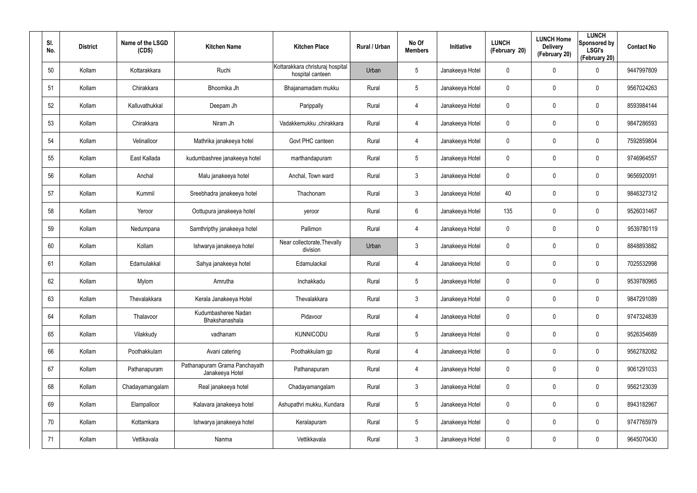| SI.<br>No. | <b>District</b> | Name of the LSGD<br>(CDS) | <b>Kitchen Name</b>                              | <b>Kitchen Place</b>                                 | Rural / Urban | No Of<br><b>Members</b> | Initiative      | <b>LUNCH</b><br>(February 20) | <b>LUNCH Home</b><br><b>Delivery</b><br>(February 20) | <b>LUNCH</b><br>Sponsored by<br><b>LSGI's</b><br>(February 20) | <b>Contact No</b> |
|------------|-----------------|---------------------------|--------------------------------------------------|------------------------------------------------------|---------------|-------------------------|-----------------|-------------------------------|-------------------------------------------------------|----------------------------------------------------------------|-------------------|
| 50         | Kollam          | Kottarakkara              | Ruchi                                            | Kottarakkara christuraj hospital<br>hospital canteen | Urban         | 5                       | Janakeeya Hotel | 0                             | 0                                                     | $\mathbf 0$                                                    | 9447997809        |
| 51         | Kollam          | Chirakkara                | Bhoomika Jh                                      | Bhajanamadam mukku                                   | Rural         | 5                       | Janakeeya Hotel | 0                             | 0                                                     | $\boldsymbol{0}$                                               | 9567024263        |
| 52         | Kollam          | Kalluvathukkal            | Deepam Jh                                        | Parippally                                           | Rural         | 4                       | Janakeeya Hotel | 0                             | 0                                                     | $\pmb{0}$                                                      | 8593984144        |
| 53         | Kollam          | Chirakkara                | Niram Jh                                         | Vadakkemukku ,chirakkara                             | Rural         | 4                       | Janakeeya Hotel | 0                             | 0                                                     | $\pmb{0}$                                                      | 9847286593        |
| 54         | Kollam          | Velinalloor               | Mathrika janakeeya hotel                         | Govt PHC canteen                                     | Rural         | 4                       | Janakeeya Hotel | 0                             | 0                                                     | $\pmb{0}$                                                      | 7592859804        |
| 55         | Kollam          | East Kallada              | kudumbashree janakeeya hotel                     | marthandapuram                                       | Rural         | 5                       | Janakeeya Hotel | 0                             | 0                                                     | $\mathbf 0$                                                    | 9746964557        |
| 56         | Kollam          | Anchal                    | Malu janakeeya hotel                             | Anchal, Town ward                                    | Rural         | $\mathbf{3}$            | Janakeeya Hotel | 0                             | 0                                                     | $\boldsymbol{0}$                                               | 9656920091        |
| 57         | Kollam          | Kummil                    | Sreebhadra janakeeya hotel                       | Thachonam                                            | Rural         | $\mathbf{3}$            | Janakeeya Hotel | 40                            | 0                                                     | $\mathbf 0$                                                    | 9846327312        |
| 58         | Kollam          | Yeroor                    | Oottupura janakeeya hotel                        | yeroor                                               | Rural         | 6                       | Janakeeya Hotel | 135                           | 0                                                     | $\mathbf 0$                                                    | 9526031467        |
| 59         | Kollam          | Nedumpana                 | Samthripthy janakeeya hotel                      | Pallimon                                             | Rural         | 4                       | Janakeeya Hotel | 0                             | 0                                                     | $\mathbf 0$                                                    | 9539780119        |
| 60         | Kollam          | Kollam                    | Ishwarya janakeeya hotel                         | Near collectorate, Thevally<br>division              | Urban         | $\mathbf{3}$            | Janakeeya Hotel | 0                             | 0                                                     | $\boldsymbol{0}$                                               | 8848893882        |
| 61         | Kollam          | Edamulakkal               | Sahya janakeeya hotel                            | Edamulackal                                          | Rural         | 4                       | Janakeeya Hotel | 0                             | 0                                                     | $\mathbf 0$                                                    | 7025532998        |
| 62         | Kollam          | Mylom                     | Amrutha                                          | Inchakkadu                                           | Rural         | $5\phantom{.0}$         | Janakeeya Hotel | 0                             | 0                                                     | $\mathbf 0$                                                    | 9539780965        |
| 63         | Kollam          | Thevalakkara              | Kerala Janakeeya Hotel                           | Thevalakkara                                         | Rural         | $\mathbf{3}$            | Janakeeya Hotel | 0                             | 0                                                     | $\pmb{0}$                                                      | 9847291089        |
| 64         | Kollam          | Thalavoor                 | Kudumbasheree Nadan<br>Bhakshanashala            | Pidavoor                                             | Rural         | 4                       | Janakeeya Hotel | $\mathbf 0$                   | 0                                                     | $\mathbf 0$                                                    | 9747324839        |
| 65         | Kollam          | Vilakkudy                 | vadhanam                                         | <b>KUNNICODU</b>                                     | Rural         | $5\phantom{.0}$         | Janakeeya Hotel | $\pmb{0}$                     | 0                                                     | $\mathbf 0$                                                    | 9526354689        |
| 66         | Kollam          | Poothakkulam              | Avani catering                                   | Poothakkulam gp                                      | Rural         | 4                       | Janakeeya Hotel | $\mathbf 0$                   | 0                                                     | $\mathbf 0$                                                    | 9562782082        |
| 67         | Kollam          | Pathanapuram              | Pathanapuram Grama Panchayath<br>Janakeeya Hotel | Pathanapuram                                         | Rural         | 4                       | Janakeeya Hotel | $\mathbf 0$                   | 0                                                     | $\mathbf 0$                                                    | 9061291033        |
| 68         | Kollam          | Chadayamangalam           | Real janakeeya hotel                             | Chadayamangalam                                      | Rural         | $\mathbf{3}$            | Janakeeya Hotel | 0                             | 0                                                     | $\mathbf 0$                                                    | 9562123039        |
| 69         | Kollam          | Elampalloor               | Kalavara janakeeya hotel                         | Ashupathri mukku, Kundara                            | Rural         | $5\phantom{.0}$         | Janakeeya Hotel | $\mathbf 0$                   | 0                                                     | $\mathbf 0$                                                    | 8943182967        |
| 70         | Kollam          | Kottamkara                | Ishwarya janakeeya hotel                         | Keralapuram                                          | Rural         | $5\phantom{.0}$         | Janakeeya Hotel | 0                             | 0                                                     | $\mathbf 0$                                                    | 9747765979        |
| 71         | Kollam          | Vettikavala               | Nanma                                            | Vettikkavala                                         | Rural         | $\mathfrak{Z}$          | Janakeeya Hotel | 0                             | 0                                                     | $\mathsf{0}$                                                   | 9645070430        |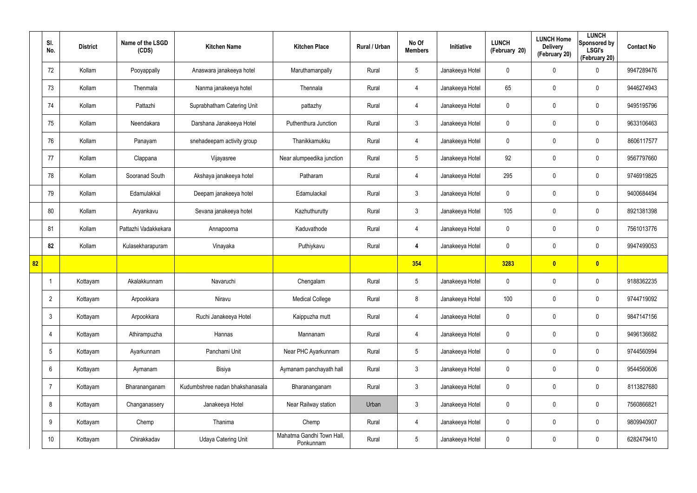|                 | SI.<br>No.      | <b>District</b> | Name of the LSGD<br>(CDS) | <b>Kitchen Name</b>             | <b>Kitchen Place</b>                   | <b>Rural / Urban</b> | No Of<br><b>Members</b> | Initiative      | <b>LUNCH</b><br>(February 20) | <b>LUNCH Home</b><br><b>Delivery</b><br>(February 20) | <b>LUNCH</b><br>Sponsored by<br><b>LSGI's</b><br>(February 20) | <b>Contact No</b> |
|-----------------|-----------------|-----------------|---------------------------|---------------------------------|----------------------------------------|----------------------|-------------------------|-----------------|-------------------------------|-------------------------------------------------------|----------------------------------------------------------------|-------------------|
|                 | 72              | Kollam          | Pooyappally               | Anaswara janakeeya hotel        | Maruthamanpally                        | Rural                | $5\phantom{.0}$         | Janakeeya Hotel | $\mathbf 0$                   | 0                                                     | $\mathbf 0$                                                    | 9947289476        |
|                 | 73              | Kollam          | Thenmala                  | Nanma janakeeya hotel           | Thennala                               | Rural                | 4                       | Janakeeya Hotel | 65                            | 0                                                     | $\mathbf 0$                                                    | 9446274943        |
|                 | 74              | Kollam          | Pattazhi                  | Suprabhatham Catering Unit      | pattazhy                               | Rural                | $\overline{4}$          | Janakeeya Hotel | $\mathbf 0$                   | 0                                                     | $\mathbf 0$                                                    | 9495195796        |
|                 | 75              | Kollam          | Neendakara                | Darshana Janakeeya Hotel        | Puthenthura Junction                   | Rural                | $\mathbf{3}$            | Janakeeya Hotel | 0                             | 0                                                     | $\mathbf 0$                                                    | 9633106463        |
|                 | 76              | Kollam          | Panayam                   | snehadeepam activity group      | Thanikkamukku                          | Rural                | $\overline{4}$          | Janakeeya Hotel | 0                             | 0                                                     | $\mathbf 0$                                                    | 8606117577        |
|                 | 77              | Kollam          | Clappana                  | Vijayasree                      | Near alumpeedika junction              | Rural                | $5\overline{)}$         | Janakeeya Hotel | 92                            | 0                                                     | $\mathbf 0$                                                    | 9567797660        |
|                 | 78              | Kollam          | Sooranad South            | Akshaya janakeeya hotel         | Patharam                               | Rural                | $\overline{4}$          | Janakeeya Hotel | 295                           | 0                                                     | $\mathbf 0$                                                    | 9746919825        |
|                 | 79              | Kollam          | Edamulakkal               | Deepam janakeeya hotel          | Edamulackal                            | Rural                | 3                       | Janakeeya Hotel | 0                             | 0                                                     | $\mathbf 0$                                                    | 9400684494        |
|                 | 80              | Kollam          | Aryankavu                 | Sevana janakeeya hotel          | Kazhuthurutty                          | Rural                | $\mathbf{3}$            | Janakeeya Hotel | 105                           | 0                                                     | $\mathbf 0$                                                    | 8921381398        |
|                 | 81              | Kollam          | Pattazhi Vadakkekara      | Annapoorna                      | Kaduvathode                            | Rural                | $\overline{4}$          | Janakeeya Hotel | 0                             | 0                                                     | $\mathbf 0$                                                    | 7561013776        |
|                 | 82              | Kollam          | Kulasekharapuram          | Vinayaka                        | Puthiykavu                             | Rural                | 4                       | Janakeeya Hotel | 0                             | 0                                                     | $\mathbf 0$                                                    | 9947499053        |
| $\overline{82}$ |                 |                 |                           |                                 |                                        |                      | 354                     |                 | 3283                          | $\overline{\mathbf{0}}$                               | $\bullet$                                                      |                   |
|                 |                 | Kottayam        | Akalakkunnam              | Navaruchi                       | Chengalam                              | Rural                | $5\phantom{.0}$         | Janakeeya Hotel | 0                             | 0                                                     | $\boldsymbol{0}$                                               | 9188362235        |
|                 | $\overline{2}$  | Kottayam        | Arpookkara                | Niravu                          | <b>Medical College</b>                 | Rural                | 8                       | Janakeeya Hotel | 100                           | 0                                                     | $\pmb{0}$                                                      | 9744719092        |
|                 | $\mathbf{3}$    | Kottayam        | Arpookkara                | Ruchi Janakeeya Hotel           | Kaippuzha mutt                         | Rural                | $\overline{4}$          | Janakeeya Hotel | $\pmb{0}$                     | $\mathbf 0$                                           | $\mathbf 0$                                                    | 9847147156        |
|                 | 4               | Kottayam        | Athirampuzha              | Hannas                          | Mannanam                               | Rural                | $\overline{4}$          | Janakeeya Hotel | $\pmb{0}$                     | 0                                                     | $\mathbf 0$                                                    | 9496136682        |
|                 | $5\overline{)}$ | Kottayam        | Ayarkunnam                | Panchami Unit                   | Near PHC Ayarkunnam                    | Rural                | $5\phantom{.0}$         | Janakeeya Hotel | $\pmb{0}$                     | $\mathbf 0$                                           | $\pmb{0}$                                                      | 9744560994        |
|                 | 6               | Kottayam        | Aymanam                   | Bisiya                          | Aymanam panchayath hall                | Rural                | 3 <sup>1</sup>          | Janakeeya Hotel | 0                             | 0                                                     | $\mathbf 0$                                                    | 9544560606        |
|                 | $\overline{7}$  | Kottayam        | Bharananganam             | Kudumbshree nadan bhakshanasala | Bharananganam                          | Rural                | 3 <sup>1</sup>          | Janakeeya Hotel | $\pmb{0}$                     | 0                                                     | $\mathbf 0$                                                    | 8113827680        |
|                 | 8               | Kottayam        | Changanassery             | Janakeeya Hotel                 | Near Railway station                   | Urban                | 3 <sup>1</sup>          | Janakeeya Hotel | 0                             | 0                                                     | $\pmb{0}$                                                      | 7560866821        |
|                 | 9               | Kottayam        | Chemp                     | Thanima                         | Chemp                                  | Rural                | $\overline{4}$          | Janakeeya Hotel | 0                             | 0                                                     | $\mathbf 0$                                                    | 9809940907        |
|                 | 10              | Kottayam        | Chirakkadav               | Udaya Catering Unit             | Mahatma Gandhi Town Hall,<br>Ponkunnam | Rural                | $5\phantom{.0}$         | Janakeeya Hotel | 0                             | 0                                                     | $\pmb{0}$                                                      | 6282479410        |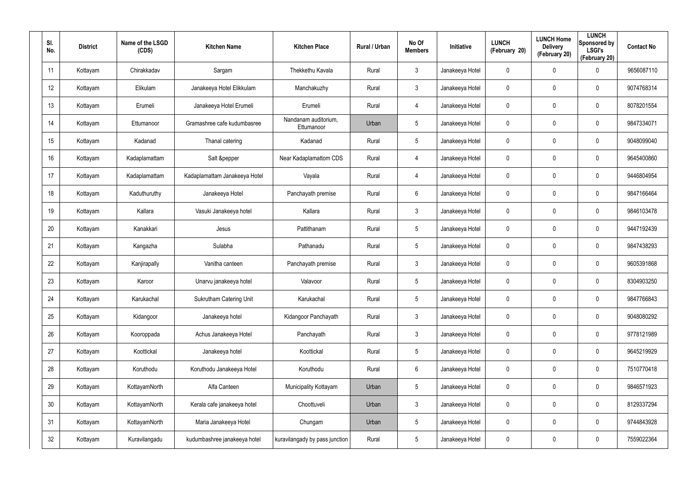| SI.<br>No. | <b>District</b> | Name of the LSGD<br>(CDS) | <b>Kitchen Name</b>           | <b>Kitchen Place</b>               | Rural / Urban | No Of<br><b>Members</b> | Initiative      | <b>LUNCH</b><br>(February 20) | <b>LUNCH Home</b><br><b>Delivery</b><br>(February 20) | <b>LUNCH</b><br>Sponsored by<br><b>LSGI's</b><br>(February 20) | <b>Contact No</b> |
|------------|-----------------|---------------------------|-------------------------------|------------------------------------|---------------|-------------------------|-----------------|-------------------------------|-------------------------------------------------------|----------------------------------------------------------------|-------------------|
| 11         | Kottayam        | Chirakkadav               | Sargam                        | Thekkethu Kavala                   | Rural         | $\mathbf{3}$            | Janakeeya Hotel | 0                             | $\mathbf 0$                                           | 0                                                              | 9656087110        |
| 12         | Kottayam        | Elikulam                  | Janakeeya Hotel Elikkulam     | Manchakuzhy                        | Rural         | $\mathbf{3}$            | Janakeeya Hotel | 0                             | 0                                                     | $\mathbf 0$                                                    | 9074768314        |
| 13         | Kottayam        | Erumeli                   | Janakeeya Hotel Erumeli       | Erumeli                            | Rural         | $\overline{4}$          | Janakeeya Hotel | 0                             | 0                                                     | $\mathbf 0$                                                    | 8078201554        |
| 14         | Kottayam        | Ettumanoor                | Gramashree cafe kudumbasree   | Nandanam auditorium,<br>Ettumanoor | Urban         | 5                       | Janakeeya Hotel | 0                             | 0                                                     | $\boldsymbol{0}$                                               | 9847334071        |
| 15         | Kottayam        | Kadanad                   | Thanal catering               | Kadanad                            | Rural         | 5                       | Janakeeya Hotel | 0                             | $\mathbf 0$                                           | $\boldsymbol{0}$                                               | 9048099040        |
| 16         | Kottayam        | Kadaplamattam             | Salt &pepper                  | Near Kadaplamattom CDS             | Rural         | 4                       | Janakeeya Hotel | 0                             | 0                                                     | $\mathbf 0$                                                    | 9645400860        |
| 17         | Kottayam        | Kadaplamattam             | Kadaplamattam Janakeeya Hotel | Vayala                             | Rural         | $\overline{4}$          | Janakeeya Hotel | $\mathbf 0$                   | $\mathbf 0$                                           | $\mathbf 0$                                                    | 9446804954        |
| 18         | Kottayam        | Kaduthuruthy              | Janakeeya Hotel               | Panchayath premise                 | Rural         | 6                       | Janakeeya Hotel | 0                             | $\mathbf 0$                                           | $\mathbf 0$                                                    | 9847166464        |
| 19         | Kottayam        | Kallara                   | Vasuki Janakeeya hotel        | Kallara                            | Rural         | $\mathbf{3}$            | Janakeeya Hotel | $\mathbf 0$                   | $\mathbf 0$                                           | $\mathbf 0$                                                    | 9846103478        |
| 20         | Kottayam        | Kanakkari                 | Jesus                         | Pattithanam                        | Rural         | $5\overline{)}$         | Janakeeya Hotel | 0                             | $\mathbf 0$                                           | $\mathbf 0$                                                    | 9447192439        |
| 21         | Kottayam        | Kangazha                  | Sulabha                       | Pathanadu                          | Rural         | $5\overline{)}$         | Janakeeya Hotel | 0                             | $\mathbf 0$                                           | $\mathbf 0$                                                    | 9847438293        |
| 22         | Kottayam        | Kanjirapally              | Vanitha canteen               | Panchayath premise                 | Rural         | 3                       | Janakeeya Hotel | 0                             | $\mathbf 0$                                           | $\mathbf 0$                                                    | 9605391868        |
| 23         | Kottayam        | Karoor                    | Unarvu janakeeya hotel        | Valavoor                           | Rural         | $5\overline{)}$         | Janakeeya Hotel | 0                             | $\mathbf 0$                                           | $\mathbf 0$                                                    | 8304903250        |
| 24         | Kottayam        | Karukachal                | Sukrutham Catering Unit       | Karukachal                         | Rural         | 5                       | Janakeeya Hotel | 0                             | $\mathbf 0$                                           | $\pmb{0}$                                                      | 9847766843        |
| 25         | Kottayam        | Kidangoor                 | Janakeeya hotel               | Kidangoor Panchayath               | Rural         | $\mathbf{3}$            | Janakeeya Hotel | 0                             | $\mathbf 0$                                           | $\pmb{0}$                                                      | 9048080292        |
| 26         | Kottayam        | Kooroppada                | Achus Janakeeya Hotel         | Panchayath                         | Rural         | $\mathbf{3}$            | Janakeeya Hotel | 0                             | $\mathbf 0$                                           | $\pmb{0}$                                                      | 9778121989        |
| 27         | Kottayam        | Koottickal                | Janakeeya hotel               | Koottickal                         | Rural         | $5\overline{)}$         | Janakeeya Hotel | 0                             | $\mathbf 0$                                           | $\pmb{0}$                                                      | 9645219929        |
| 28         | Kottayam        | Koruthodu                 | Koruthodu Janakeeya Hotel     | Koruthodu                          | Rural         | $6\overline{6}$         | Janakeeya Hotel | 0                             | $\mathbf 0$                                           | $\pmb{0}$                                                      | 7510770418        |
| 29         | Kottayam        | KottayamNorth             | Alfa Canteen                  | Municipality Kottayam              | Urban         | $5\phantom{.0}$         | Janakeeya Hotel | 0                             | $\mathbf 0$                                           | $\mathbf 0$                                                    | 9846571923        |
| 30         | Kottayam        | KottayamNorth             | Kerala cafe janakeeya hotel   | Choottuveli                        | Urban         | $\mathbf{3}$            | Janakeeya Hotel | 0                             | $\mathbf 0$                                           | $\pmb{0}$                                                      | 8129337294        |
| 31         | Kottayam        | KottayamNorth             | Maria Janakeeya Hotel         | Chungam                            | Urban         | $5\phantom{.0}$         | Janakeeya Hotel | 0                             | $\mathbf 0$                                           | $\mathbf 0$                                                    | 9744843928        |
| 32         | Kottayam        | Kuravilangadu             | kudumbashree janakeeya hotel  | kuravilangady by pass junction     | Rural         | $5\phantom{.0}$         | Janakeeya Hotel | 0                             | $\mathbf 0$                                           | $\pmb{0}$                                                      | 7559022364        |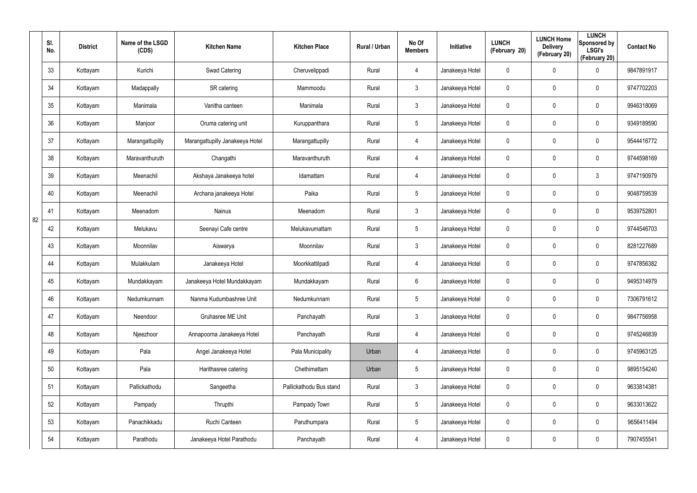|    | SI.<br>No. | <b>District</b> | Name of the LSGD<br>(CDS) | <b>Kitchen Name</b>             | <b>Kitchen Place</b>    | Rural / Urban | No Of<br><b>Members</b> | Initiative      | <b>LUNCH</b><br>(February 20) | <b>LUNCH Home</b><br><b>Delivery</b><br>(February 20) | <b>LUNCH</b><br>Sponsored by<br><b>LSGI's</b><br>(February 20) | <b>Contact No</b> |
|----|------------|-----------------|---------------------------|---------------------------------|-------------------------|---------------|-------------------------|-----------------|-------------------------------|-------------------------------------------------------|----------------------------------------------------------------|-------------------|
|    | 33         | Kottayam        | Kurichi                   | <b>Swad Catering</b>            | Cheruvelippadi          | Rural         | 4                       | Janakeeya Hotel | 0                             | 0                                                     | $\mathbf 0$                                                    | 9847891917        |
|    | 34         | Kottayam        | Madappally                | SR catering                     | Mammoodu                | Rural         | $\mathbf{3}$            | Janakeeya Hotel | 0                             | 0                                                     | $\mathbf 0$                                                    | 9747702203        |
|    | 35         | Kottayam        | Manimala                  | Vanitha canteen                 | Manimala                | Rural         | 3 <sup>1</sup>          | Janakeeya Hotel | 0                             | 0                                                     | $\mathbf 0$                                                    | 9946318069        |
|    | 36         | Kottayam        | Manjoor                   | Oruma catering unit             | Kuruppanthara           | Rural         | $5\phantom{.0}$         | Janakeeya Hotel | 0                             | 0                                                     | $\mathbf 0$                                                    | 9349189590        |
|    | 37         | Kottayam        | Marangattupilly           | Marangattupilly Janakeeya Hotel | Marangattupilly         | Rural         | $\overline{4}$          | Janakeeya Hotel | 0                             | 0                                                     | $\mathbf 0$                                                    | 9544416772        |
|    | 38         | Kottayam        | Maravanthuruth            | Changathi                       | Maravanthuruth          | Rural         | $\overline{4}$          | Janakeeya Hotel | 0                             | 0                                                     | $\mathbf 0$                                                    | 9744598169        |
|    | 39         | Kottayam        | Meenachil                 | Akshaya Janakeeya hotel         | Idamattam               | Rural         | $\overline{4}$          | Janakeeya Hotel | 0                             | 0                                                     | $\mathbf{3}$                                                   | 9747190979        |
|    | 40         | Kottayam        | Meenachil                 | Archana janakeeya Hotel         | Paika                   | Rural         | $5\overline{)}$         | Janakeeya Hotel | 0                             | 0                                                     | $\mathbf 0$                                                    | 9048759539        |
| 82 | 41         | Kottayam        | Meenadom                  | <b>Nainus</b>                   | Meenadom                | Rural         | $\mathbf{3}$            | Janakeeya Hotel | 0                             | 0                                                     | $\mathbf 0$                                                    | 9539752801        |
|    | 42         | Kottayam        | Melukavu                  | Seenayi Cafe centre             | Melukavumattam          | Rural         | $5\overline{)}$         | Janakeeya Hotel | 0                             | 0                                                     | $\mathbf 0$                                                    | 9744546703        |
|    | 43         | Kottayam        | Moonnilav                 | Aiswarya                        | Moonnilav               | Rural         | $\mathbf{3}$            | Janakeeya Hotel | 0                             | 0                                                     | $\mathbf 0$                                                    | 8281227689        |
|    | 44         | Kottayam        | Mulakkulam                | Janakeeya Hotel                 | Moorkkattilpadi         | Rural         | 4                       | Janakeeya Hotel | 0                             | 0                                                     | $\mathbf 0$                                                    | 9747856382        |
|    | 45         | Kottayam        | Mundakkayam               | Janakeeya Hotel Mundakkayam     | Mundakkayam             | Rural         | 6                       | Janakeeya Hotel | 0                             | 0                                                     | $\boldsymbol{0}$                                               | 9495314979        |
|    | 46         | Kottayam        | Nedumkunnam               | Nanma Kudumbashree Unit         | Nedumkunnam             | Rural         | $\sqrt{5}$              | Janakeeya Hotel | 0                             | $\pmb{0}$                                             | $\pmb{0}$                                                      | 7306791612        |
|    | 47         | Kottayam        | Neendoor                  | Gruhasree ME Unit               | Panchayath              | Rural         | 3 <sup>1</sup>          | Janakeeya Hotel | 0                             | $\mathbf 0$                                           | $\mathbf 0$                                                    | 9847756958        |
|    | 48         | Kottayam        | Njeezhoor                 | Annapoorna Janakeeya Hotel      | Panchayath              | Rural         | $\overline{4}$          | Janakeeya Hotel | 0                             | $\mathbf 0$                                           | $\mathbf 0$                                                    | 9745246839        |
|    | 49         | Kottayam        | Pala                      | Angel Janakeeya Hotel           | Pala Municipality       | Urban         | 4                       | Janakeeya Hotel | 0                             | $\mathbf 0$                                           | $\mathbf 0$                                                    | 9745963125        |
|    | 50         | Kottayam        | Pala                      | Harithasree catering            | Chethimattam            | Urban         | $5\phantom{.0}$         | Janakeeya Hotel | 0                             | 0                                                     | $\mathbf 0$                                                    | 9895154240        |
|    | 51         | Kottayam        | Pallickathodu             | Sangeetha                       | Pallickathodu Bus stand | Rural         | $\mathbf{3}$            | Janakeeya Hotel | 0                             | $\mathbf 0$                                           | $\mathbf 0$                                                    | 9633814381        |
|    | 52         | Kottayam        | Pampady                   | Thrupthi                        | Pampady Town            | Rural         | $5\phantom{.0}$         | Janakeeya Hotel | 0                             | $\mathbf 0$                                           | $\mathbf 0$                                                    | 9633013622        |
|    | 53         | Kottayam        | Panachikkadu              | Ruchi Canteen                   | Paruthumpara            | Rural         | $5\phantom{.0}$         | Janakeeya Hotel | 0                             | $\mathbf 0$                                           | $\mathbf 0$                                                    | 9656411494        |
|    | 54         | Kottayam        | Parathodu                 | Janakeeya Hotel Parathodu       | Panchayath              | Rural         | 4                       | Janakeeya Hotel | 0                             | $\pmb{0}$                                             | $\bf{0}$                                                       | 7907455541        |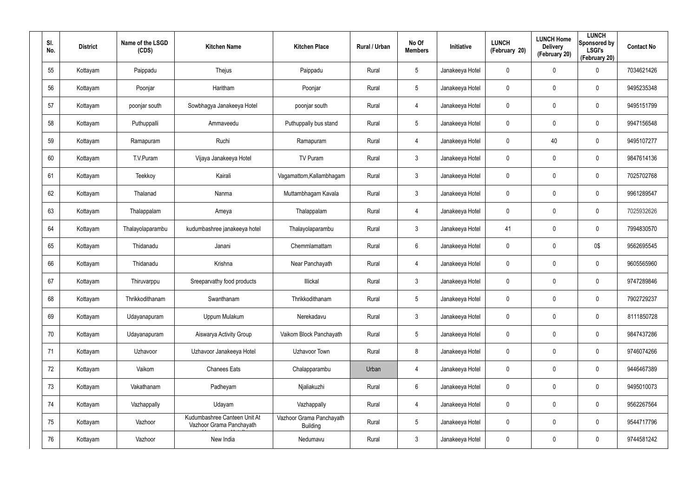| SI.<br>No. | <b>District</b> | Name of the LSGD<br>(CDS) | <b>Kitchen Name</b>                                      | <b>Kitchen Place</b>                        | Rural / Urban | No Of<br><b>Members</b> | Initiative      | <b>LUNCH</b><br>(February 20) | <b>LUNCH Home</b><br><b>Delivery</b><br>(February 20) | <b>LUNCH</b><br>Sponsored by<br><b>LSGI's</b><br>(February 20) | <b>Contact No</b> |
|------------|-----------------|---------------------------|----------------------------------------------------------|---------------------------------------------|---------------|-------------------------|-----------------|-------------------------------|-------------------------------------------------------|----------------------------------------------------------------|-------------------|
| 55         | Kottayam        | Paippadu                  | Thejus                                                   | Paippadu                                    | Rural         | 5                       | Janakeeya Hotel | $\mathbf 0$                   | $\mathbf 0$                                           | $\mathbf 0$                                                    | 7034621426        |
| 56         | Kottayam        | Poonjar                   | Haritham                                                 | Poonjar                                     | Rural         | $5\phantom{.0}$         | Janakeeya Hotel | 0                             | 0                                                     | $\mathbf 0$                                                    | 9495235348        |
| 57         | Kottayam        | poonjar south             | Sowbhagya Janakeeya Hotel                                | poonjar south                               | Rural         | $\overline{4}$          | Janakeeya Hotel | $\mathbf 0$                   | $\mathbf 0$                                           | $\pmb{0}$                                                      | 9495151799        |
| 58         | Kottayam        | Puthuppalli               | Ammaveedu                                                | Puthuppally bus stand                       | Rural         | $5\phantom{.0}$         | Janakeeya Hotel | 0                             | 0                                                     | $\mathbf 0$                                                    | 9947156548        |
| 59         | Kottayam        | Ramapuram                 | Ruchi                                                    | Ramapuram                                   | Rural         | $\overline{4}$          | Janakeeya Hotel | $\mathbf 0$                   | 40                                                    | $\pmb{0}$                                                      | 9495107277        |
| 60         | Kottayam        | T.V.Puram                 | Vijaya Janakeeya Hotel                                   | TV Puram                                    | Rural         | $\mathbf{3}$            | Janakeeya Hotel | 0                             | 0                                                     | $\mathbf 0$                                                    | 9847614136        |
| 61         | Kottayam        | Teekkoy                   | Kairali                                                  | Vagamattom, Kallambhagam                    | Rural         | $\mathbf{3}$            | Janakeeya Hotel | $\mathbf 0$                   | $\mathbf 0$                                           | $\mathbf 0$                                                    | 7025702768        |
| 62         | Kottayam        | Thalanad                  | Nanma                                                    | Muttambhagam Kavala                         | Rural         | $\mathbf{3}$            | Janakeeya Hotel | 0                             | 0                                                     | $\mathbf 0$                                                    | 9961289547        |
| 63         | Kottayam        | Thalappalam               | Ameya                                                    | Thalappalam                                 | Rural         | $\overline{4}$          | Janakeeya Hotel | 0                             | $\mathbf 0$                                           | $\boldsymbol{0}$                                               | 7025932626        |
| 64         | Kottayam        | Thalayolaparambu          | kudumbashree janakeeya hotel                             | Thalayolaparambu                            | Rural         | $\mathbf{3}$            | Janakeeya Hotel | 41                            | $\mathbf 0$                                           | $\mathbf 0$                                                    | 7994830570        |
| 65         | Kottayam        | Thidanadu                 | Janani                                                   | Chemmlamattam                               | Rural         | 6                       | Janakeeya Hotel | 0                             | $\mathbf 0$                                           | 0\$                                                            | 9562695545        |
| 66         | Kottayam        | Thidanadu                 | Krishna                                                  | Near Panchayath                             | Rural         | $\overline{4}$          | Janakeeya Hotel | 0                             | $\mathbf 0$                                           | $\mathbf 0$                                                    | 9605565960        |
| 67         | Kottayam        | Thiruvarppu               | Sreeparvathy food products                               | Illickal                                    | Rural         | $\mathbf{3}$            | Janakeeya Hotel | 0                             | $\mathbf 0$                                           | $\mathbf 0$                                                    | 9747289846        |
| 68         | Kottayam        | Thrikkodithanam           | Swanthanam                                               | Thrikkodithanam                             | Rural         | 5                       | Janakeeya Hotel | 0                             | $\mathbf 0$                                           | $\pmb{0}$                                                      | 7902729237        |
| 69         | Kottayam        | Udayanapuram              | Uppum Mulakum                                            | Nerekadavu                                  | Rural         | 3 <sup>1</sup>          | Janakeeya Hotel | 0                             | $\mathbf 0$                                           | $\mathbf 0$                                                    | 8111850728        |
| 70         | Kottayam        | Udayanapuram              | Aiswarya Activity Group                                  | Vaikom Block Panchayath                     | Rural         | $5\phantom{.0}$         | Janakeeya Hotel | 0                             | $\mathbf 0$                                           | $\pmb{0}$                                                      | 9847437286        |
| 71         | Kottayam        | Uzhavoor                  | Uzhavoor Janakeeya Hotel                                 | Uzhavoor Town                               | Rural         | 8                       | Janakeeya Hotel | 0                             | $\mathbf 0$                                           | $\mathbf 0$                                                    | 9746074266        |
| 72         | Kottayam        | Vaikom                    | <b>Chanees Eats</b>                                      | Chalapparambu                               | Urban         | $\overline{4}$          | Janakeeya Hotel | $\mathbf 0$                   | $\mathbf 0$                                           | $\mathsf{0}$                                                   | 9446467389        |
| 73         | Kottayam        | Vakathanam                | Padheyam                                                 | Njaliakuzhi                                 | Rural         | $6\phantom{.}6$         | Janakeeya Hotel | 0                             | 0                                                     | $\mathbf 0$                                                    | 9495010073        |
| 74         | Kottayam        | Vazhappally               | Udayam                                                   | Vazhappally                                 | Rural         | $\overline{4}$          | Janakeeya Hotel | $\mathbf 0$                   | $\mathbf 0$                                           | $\mathsf{0}$                                                   | 9562267564        |
| 75         | Kottayam        | Vazhoor                   | Kudumbashree Canteen Unit At<br>Vazhoor Grama Panchayath | Vazhoor Grama Panchayath<br><b>Building</b> | Rural         | $5\phantom{.0}$         | Janakeeya Hotel | 0                             | 0                                                     | $\mathsf{0}$                                                   | 9544717796        |
| 76         | Kottayam        | Vazhoor                   | New India                                                | Nedumavu                                    | Rural         | $\mathfrak{Z}$          | Janakeeya Hotel | 0                             | 0                                                     | $\pmb{0}$                                                      | 9744581242        |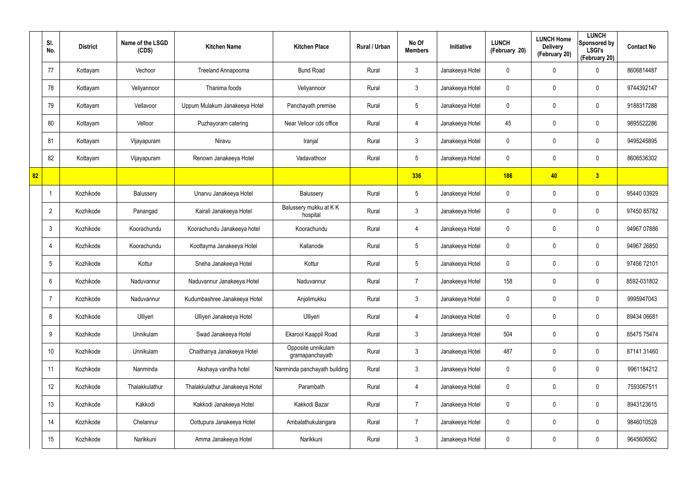|    | SI.<br>No.      | <b>District</b> | Name of the LSGD<br>(CDS) | <b>Kitchen Name</b>            | <b>Kitchen Place</b>                  | Rural / Urban | No Of<br><b>Members</b> | Initiative      | <b>LUNCH</b><br>(February 20) | <b>LUNCH Home</b><br><b>Delivery</b><br>(February 20) | <b>LUNCH</b><br>Sponsored by<br><b>LSGI's</b><br>(February 20) | <b>Contact No</b> |
|----|-----------------|-----------------|---------------------------|--------------------------------|---------------------------------------|---------------|-------------------------|-----------------|-------------------------------|-------------------------------------------------------|----------------------------------------------------------------|-------------------|
|    | 77              | Kottayam        | Vechoor                   | Treeland Annapoorna            | <b>Bund Road</b>                      | Rural         | $\mathbf{3}$            | Janakeeya Hotel | 0                             | 0                                                     | $\mathbf 0$                                                    | 8606814487        |
|    | 78              | Kottayam        | Veliyannoor               | Thanima foods                  | Veliyannoor                           | Rural         | $\mathbf{3}$            | Janakeeya Hotel | 0                             | 0                                                     | $\pmb{0}$                                                      | 9744392147        |
|    | 79              | Kottayam        | Vellavoor                 | Uppum Mulakum Janakeeya Hotel  | Panchayath premise                    | Rural         | $5\phantom{.0}$         | Janakeeya Hotel | 0                             | $\mathbf 0$                                           | $\pmb{0}$                                                      | 9188317288        |
|    | 80              | Kottayam        | Velloor                   | Puzhayoram catering            | Near Velloor cds office               | Rural         | $\overline{4}$          | Janakeeya Hotel | 45                            | 0                                                     | $\mathbf 0$                                                    | 9895522286        |
|    | 81              | Kottayam        | Vijayapuram               | Niravu                         | Iranjal                               | Rural         | $\mathbf{3}$            | Janakeeya Hotel | 0                             | 0                                                     | $\mathbf 0$                                                    | 9495245895        |
|    | 82              | Kottayam        | Vijayapuram               | Renown Janakeeya Hotel         | Vadavathoor                           | Rural         | $5\phantom{.0}$         | Janakeeya Hotel | 0                             | 0                                                     | $\mathbf 0$                                                    | 8606536302        |
| 82 |                 |                 |                           |                                |                                       |               | 336                     |                 | <b>186</b>                    | 40                                                    | 3                                                              |                   |
|    |                 | Kozhikode       | Balussery                 | Unarvu Janakeeya Hotel         | Balussery                             | Rural         | $5\phantom{.0}$         | Janakeeya Hotel | 0                             | 0                                                     | $\mathbf 0$                                                    | 95440 03929       |
|    | $\overline{2}$  | Kozhikode       | Panangad                  | Kairali Janakeeya Hotel        | Balussery mukku at KK<br>hospital     | Rural         | $\mathbf{3}$            | Janakeeya Hotel | 0                             | 0                                                     | $\pmb{0}$                                                      | 97450 85782       |
|    | $\mathbf{3}$    | Kozhikode       | Koorachundu               | Koorachundu Janakeeya hotel    | Koorachundu                           | Rural         | 4                       | Janakeeya Hotel | 0                             | 0                                                     | $\mathbf 0$                                                    | 94967 07886       |
|    | $\overline{4}$  | Kozhikode       | Koorachundu               | Koottayma Janakeeya Hotel      | Kallanode                             | Rural         | $5\phantom{.0}$         | Janakeeya Hotel | 0                             | 0                                                     | $\pmb{0}$                                                      | 94967 26850       |
|    | $5\phantom{.0}$ | Kozhikode       | Kottur                    | Sneha Janakeeya Hotel          | Kottur                                | Rural         | $5\overline{)}$         | Janakeeya Hotel | 0                             | 0                                                     | $\mathbf 0$                                                    | 97456 72101       |
|    | $6^{\circ}$     | Kozhikode       | Naduvannur                | Naduvannur Janakeeya Hotel     | Naduvannur                            | Rural         | $\overline{7}$          | Janakeeya Hotel | 158                           | 0                                                     | $\mathbf 0$                                                    | 8592-031802       |
|    | $\overline{7}$  | Kozhikode       | Naduvannur                | Kudumbashree Janakeeya Hotel   | Anjolimukku                           | Rural         | $\mathbf{3}$            | Janakeeya Hotel | 0                             | 0                                                     | $\mathbf 0$                                                    | 9995947043        |
|    | 8               | Kozhikode       | Ulliyeri                  | Ulliyeri Janakeeya Hotel       | Ulliyeri                              | Rural         | $\overline{4}$          | Janakeeya Hotel | 0                             | 0                                                     | $\mathbf 0$                                                    | 89434 06681       |
|    | 9               | Kozhikode       | Unnikulam                 | Swad Janakeeya Hotel           | Ekarool Kaappil Road                  | Rural         | $\mathbf{3}$            | Janakeeya Hotel | 504                           | 0                                                     | $\mathbf 0$                                                    | 85475 75474       |
|    | 10 <sup>°</sup> | Kozhikode       | Unnikulam                 | Chaithanya Janakeeya Hotel     | Opposite unnikulam<br>gramapanchayath | Rural         | $\mathbf{3}$            | Janakeeya Hotel | 487                           | 0                                                     | $\mathbf 0$                                                    | 87141 31460       |
|    | 11              | Kozhikode       | Nanminda                  | Akshaya vanitha hotel          | Nanminda panchayath building          | Rural         | $\mathbf{3}$            | Janakeeya Hotel | 0                             | 0                                                     | $\pmb{0}$                                                      | 9961184212        |
|    | 12              | Kozhikode       | Thalakkulathur            | Thalakkulathur Janakeeya Hotel | Parambath                             | Rural         | $\overline{4}$          | Janakeeya Hotel | 0                             | 0                                                     | $\pmb{0}$                                                      | 7593067511        |
|    | 13              | Kozhikode       | Kakkodi                   | Kakkodi Janakeeya Hotel        | Kakkodi Bazar                         | Rural         | $\overline{7}$          | Janakeeya Hotel | 0                             | 0                                                     | $\pmb{0}$                                                      | 8943123615        |
|    | 14              | Kozhikode       | Chelannur                 | Oottupura Janakeeya Hotel      | Ambalathukulangara                    | Rural         | $\overline{7}$          | Janakeeya Hotel | 0                             | 0                                                     | $\pmb{0}$                                                      | 9846010528        |
|    | 15              | Kozhikode       | Narikkuni                 | Amma Janakeeya Hotel           | Narikkuni                             | Rural         | $\mathfrak{Z}$          | Janakeeya Hotel | 0                             | 0                                                     | $\boldsymbol{0}$                                               | 9645606562        |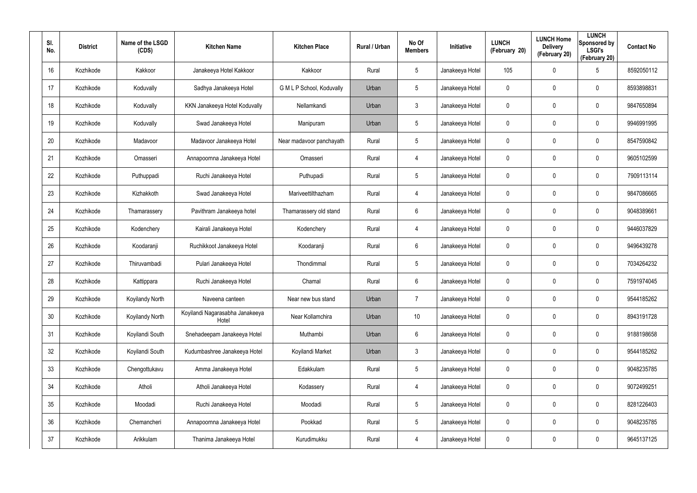| SI.<br>No. | <b>District</b> | Name of the LSGD<br>(CDS) | <b>Kitchen Name</b>                      | <b>Kitchen Place</b>      | <b>Rural / Urban</b> | No Of<br><b>Members</b> | Initiative      | <b>LUNCH</b><br>(February 20) | <b>LUNCH Home</b><br><b>Delivery</b><br>(February 20) | <b>LUNCH</b><br>Sponsored by<br><b>LSGI's</b><br>(February 20) | <b>Contact No</b> |
|------------|-----------------|---------------------------|------------------------------------------|---------------------------|----------------------|-------------------------|-----------------|-------------------------------|-------------------------------------------------------|----------------------------------------------------------------|-------------------|
| 16         | Kozhikode       | Kakkoor                   | Janakeeya Hotel Kakkoor                  | Kakkoor                   | Rural                | $5\phantom{.0}$         | Janakeeya Hotel | 105                           | 0                                                     | $5\phantom{.0}$                                                | 8592050112        |
| 17         | Kozhikode       | Koduvally                 | Sadhya Janakeeya Hotel                   | G M L P School, Koduvally | Urban                | $5\phantom{.0}$         | Janakeeya Hotel | 0                             | 0                                                     | $\mathbf 0$                                                    | 8593898831        |
| 18         | Kozhikode       | Koduvally                 | KKN Janakeeya Hotel Koduvally            | Nellamkandi               | Urban                | $\mathfrak{Z}$          | Janakeeya Hotel | 0                             | 0                                                     | $\mathbf 0$                                                    | 9847650894        |
| 19         | Kozhikode       | Koduvally                 | Swad Janakeeya Hotel                     | Manipuram                 | Urban                | $5\phantom{.0}$         | Janakeeya Hotel | 0                             | 0                                                     | $\mathbf 0$                                                    | 9946991995        |
| 20         | Kozhikode       | Madavoor                  | Madavoor Janakeeya Hotel                 | Near madavoor panchayath  | Rural                | $5\overline{)}$         | Janakeeya Hotel | 0                             | 0                                                     | $\mathbf 0$                                                    | 8547590842        |
| 21         | Kozhikode       | Omasseri                  | Annapoornna Janakeeya Hotel              | Omasseri                  | Rural                | $\overline{4}$          | Janakeeya Hotel | 0                             | 0                                                     | $\mathbf 0$                                                    | 9605102599        |
| 22         | Kozhikode       | Puthuppadi                | Ruchi Janakeeya Hotel                    | Puthupadi                 | Rural                | $5\overline{)}$         | Janakeeya Hotel | 0                             | 0                                                     | 0                                                              | 7909113114        |
| 23         | Kozhikode       | Kizhakkoth                | Swad Janakeeya Hotel                     | Mariveettilthazham        | Rural                | $\overline{4}$          | Janakeeya Hotel | 0                             | 0                                                     | 0                                                              | 9847086665        |
| 24         | Kozhikode       | Thamarassery              | Pavithram Janakeeya hotel                | Thamarassery old stand    | Rural                | 6                       | Janakeeya Hotel | 0                             | 0                                                     | 0                                                              | 9048389661        |
| 25         | Kozhikode       | Kodenchery                | Kairali Janakeeya Hotel                  | Kodenchery                | Rural                | $\overline{4}$          | Janakeeya Hotel | 0                             | 0                                                     | 0                                                              | 9446037829        |
| 26         | Kozhikode       | Koodaranji                | Ruchikkoot Janakeeya Hotel               | Koodaranji                | Rural                | 6                       | Janakeeya Hotel | 0                             | 0                                                     | 0                                                              | 9496439278        |
| 27         | Kozhikode       | Thiruvambadi              | Pulari Janakeeya Hotel                   | Thondimmal                | Rural                | $5\overline{)}$         | Janakeeya Hotel | 0                             | 0                                                     | 0                                                              | 7034264232        |
| 28         | Kozhikode       | Kattippara                | Ruchi Janakeeya Hotel                    | Chamal                    | Rural                | 6                       | Janakeeya Hotel | 0                             | $\boldsymbol{0}$                                      | 0                                                              | 7591974045        |
| 29         | Kozhikode       | Koyilandy North           | Naveena canteen                          | Near new bus stand        | Urban                | $\overline{7}$          | Janakeeya Hotel | 0                             | $\pmb{0}$                                             | 0                                                              | 9544185262        |
| 30         | Kozhikode       | Koyilandy North           | Koyilandi Nagarasabha Janakeeya<br>Hotel | Near Kollamchira          | Urban                | 10                      | Janakeeya Hotel | 0                             | $\boldsymbol{0}$                                      | $\pmb{0}$                                                      | 8943191728        |
| 31         | Kozhikode       | Koyilandi South           | Snehadeepam Janakeeya Hotel              | Muthambi                  | Urban                | $6\overline{6}$         | Janakeeya Hotel | $\mathbf 0$                   | $\pmb{0}$                                             | $\pmb{0}$                                                      | 9188198658        |
| 32         | Kozhikode       | Koyilandi South           | Kudumbashree Janakeeya Hotel             | Koyilandi Market          | Urban                | $\mathbf{3}$            | Janakeeya Hotel | 0                             | $\boldsymbol{0}$                                      | $\pmb{0}$                                                      | 9544185262        |
| 33         | Kozhikode       | Chengottukavu             | Amma Janakeeya Hotel                     | Edakkulam                 | Rural                | $5\phantom{.0}$         | Janakeeya Hotel | 0                             | $\pmb{0}$                                             | 0                                                              | 9048235785        |
| 34         | Kozhikode       | Atholi                    | Atholi Janakeeya Hotel                   | Kodassery                 | Rural                | $\overline{4}$          | Janakeeya Hotel | 0                             | $\pmb{0}$                                             | 0                                                              | 9072499251        |
| 35         | Kozhikode       | Moodadi                   | Ruchi Janakeeya Hotel                    | Moodadi                   | Rural                | $5\phantom{.0}$         | Janakeeya Hotel | 0                             | $\pmb{0}$                                             | 0                                                              | 8281226403        |
| 36         | Kozhikode       | Chemancheri               | Annapoornna Janakeeya Hotel              | Pookkad                   | Rural                | $5\phantom{.0}$         | Janakeeya Hotel | 0                             | $\pmb{0}$                                             | 0                                                              | 9048235785        |
| 37         | Kozhikode       | Arikkulam                 | Thanima Janakeeya Hotel                  | Kurudimukku               | Rural                | 4                       | Janakeeya Hotel | 0                             | $\boldsymbol{0}$                                      | 0                                                              | 9645137125        |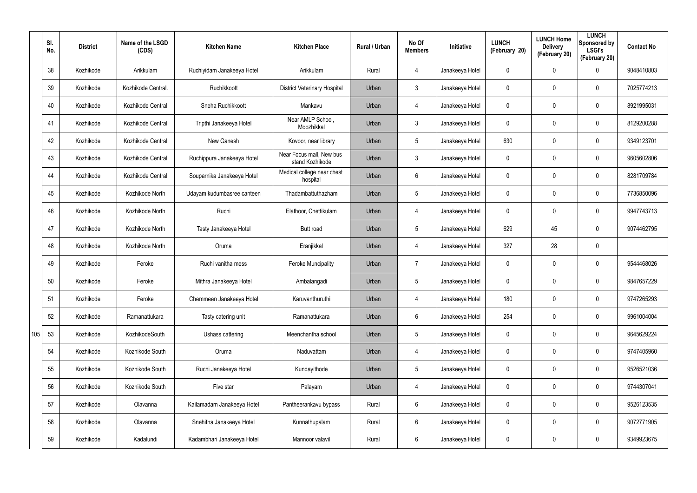|     | SI.<br>No. | <b>District</b> | Name of the LSGD<br>(CDS) | <b>Kitchen Name</b>        | <b>Kitchen Place</b>                        | Rural / Urban | No Of<br><b>Members</b> | Initiative      | <b>LUNCH</b><br>(February 20) | <b>LUNCH Home</b><br><b>Delivery</b><br>(February 20) | <b>LUNCH</b><br>Sponsored by<br><b>LSGI's</b><br>(February 20) | <b>Contact No</b> |
|-----|------------|-----------------|---------------------------|----------------------------|---------------------------------------------|---------------|-------------------------|-----------------|-------------------------------|-------------------------------------------------------|----------------------------------------------------------------|-------------------|
|     | 38         | Kozhikode       | Arikkulam                 | Ruchiyidam Janakeeya Hotel | Arikkulam                                   | Rural         | 4                       | Janakeeya Hotel | 0                             | 0                                                     | $\mathbf 0$                                                    | 9048410803        |
|     | 39         | Kozhikode       | Kozhikode Central.        | Ruchikkoott                | <b>District Veterinary Hospital</b>         | Urban         | 3                       | Janakeeya Hotel | 0                             | 0                                                     | $\mathbf 0$                                                    | 7025774213        |
|     | 40         | Kozhikode       | Kozhikode Central         | Sneha Ruchikkoott          | Mankavu                                     | Urban         | 4                       | Janakeeya Hotel | 0                             | $\mathbf 0$                                           | $\mathbf 0$                                                    | 8921995031        |
|     | 41         | Kozhikode       | Kozhikode Central         | Tripthi Janakeeya Hotel    | Near AMLP School,<br>Moozhikkal             | Urban         | 3                       | Janakeeya Hotel | 0                             | 0                                                     | $\mathbf 0$                                                    | 8129200288        |
|     | 42         | Kozhikode       | Kozhikode Central         | New Ganesh                 | Kovoor, near library                        | Urban         | $5\overline{)}$         | Janakeeya Hotel | 630                           | 0                                                     | $\mathbf 0$                                                    | 9349123701        |
|     | 43         | Kozhikode       | Kozhikode Central         | Ruchippura Janakeeya Hotel | Near Focus mall, New bus<br>stand Kozhikode | Urban         | 3                       | Janakeeya Hotel | 0                             | 0                                                     | $\mathbf 0$                                                    | 9605602806        |
|     | 44         | Kozhikode       | Kozhikode Central         | Souparnika Janakeeya Hotel | Medical college near chest<br>hospital      | Urban         | 6                       | Janakeeya Hotel | 0                             | 0                                                     | $\mathbf 0$                                                    | 8281709784        |
|     | 45         | Kozhikode       | Kozhikode North           | Udayam kudumbasree canteen | Thadambattuthazham                          | Urban         | 5                       | Janakeeya Hotel | 0                             | 0                                                     | $\mathbf 0$                                                    | 7736850096        |
|     | 46         | Kozhikode       | Kozhikode North           | Ruchi                      | Elathoor, Chettikulam                       | Urban         | 4                       | Janakeeya Hotel | 0                             | 0                                                     | $\mathbf 0$                                                    | 9947743713        |
|     | 47         | Kozhikode       | Kozhikode North           | Tasty Janakeeya Hotel      | Butt road                                   | Urban         | 5                       | Janakeeya Hotel | 629                           | 45                                                    | $\mathbf 0$                                                    | 9074462795        |
|     | 48         | Kozhikode       | Kozhikode North           | Oruma                      | Eranjikkal                                  | Urban         | 4                       | Janakeeya Hotel | 327                           | 28                                                    | $\mathbf 0$                                                    |                   |
|     | 49         | Kozhikode       | Feroke                    | Ruchi vanitha mess         | <b>Feroke Muncipality</b>                   | Urban         | $\overline{7}$          | Janakeeya Hotel | 0                             | 0                                                     | $\mathbf 0$                                                    | 9544468026        |
|     | 50         | Kozhikode       | Feroke                    | Mithra Janakeeya Hotel     | Ambalangadi                                 | Urban         | 5                       | Janakeeya Hotel | 0                             | 0                                                     | $\mathbf 0$                                                    | 9847657229        |
|     | 51         | Kozhikode       | Feroke                    | Chemmeen Janakeeya Hotel   | Karuvanthuruthi                             | Urban         | 4                       | Janakeeya Hotel | 180                           | $\mathbf 0$                                           | $\pmb{0}$                                                      | 9747265293        |
|     | 52         | Kozhikode       | Ramanattukara             | Tasty catering unit        | Ramanattukara                               | Urban         | 6                       | Janakeeya Hotel | 254                           | $\mathbf 0$                                           | $\mathbf 0$                                                    | 9961004004        |
| 105 | 53         | Kozhikode       | KozhikodeSouth            | Ushass cattering           | Meenchantha school                          | Urban         | $5\phantom{.0}$         | Janakeeya Hotel | 0                             | $\mathbf 0$                                           | $\mathbf 0$                                                    | 9645629224        |
|     | 54         | Kozhikode       | Kozhikode South           | Oruma                      | Naduvattam                                  | Urban         | 4                       | Janakeeya Hotel | 0                             | 0                                                     | $\mathbf 0$                                                    | 9747405960        |
|     | 55         | Kozhikode       | Kozhikode South           | Ruchi Janakeeya Hotel      | Kundayithode                                | Urban         | $5\phantom{.0}$         | Janakeeya Hotel | 0                             | 0                                                     | $\mathbf 0$                                                    | 9526521036        |
|     | 56         | Kozhikode       | Kozhikode South           | Five star                  | Palayam                                     | Urban         | 4                       | Janakeeya Hotel | 0                             | 0                                                     | $\mathbf 0$                                                    | 9744307041        |
|     | 57         | Kozhikode       | Olavanna                  | Kailamadam Janakeeya Hotel | Pantheerankavu bypass                       | Rural         | $6\overline{6}$         | Janakeeya Hotel | 0                             | 0                                                     | $\mathsf{0}$                                                   | 9526123535        |
|     | 58         | Kozhikode       | Olavanna                  | Snehitha Janakeeya Hotel   | Kunnathupalam                               | Rural         | $6\overline{6}$         | Janakeeya Hotel | 0                             | 0                                                     | $\pmb{0}$                                                      | 9072771905        |
|     | 59         | Kozhikode       | Kadalundi                 | Kadambhari Janakeeya Hotel | Mannoor valavil                             | Rural         | $6\,$                   | Janakeeya Hotel | 0                             | 0                                                     | $\pmb{0}$                                                      | 9349923675        |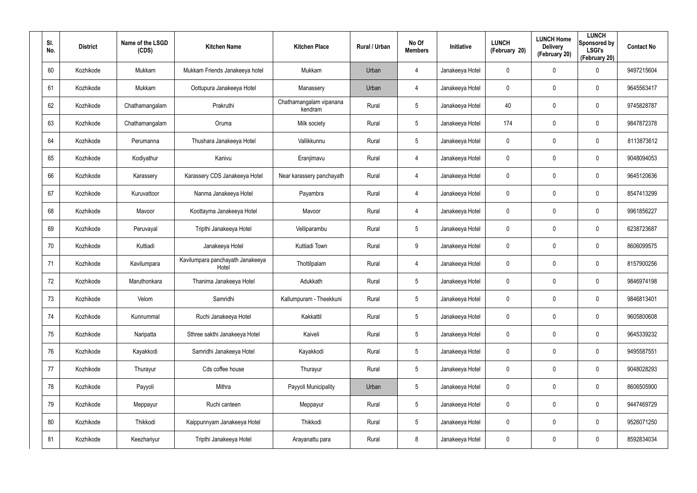| SI.<br>No. | <b>District</b> | Name of the LSGD<br>(CDS) | <b>Kitchen Name</b>                       | <b>Kitchen Place</b>               | Rural / Urban | No Of<br><b>Members</b> | <b>Initiative</b> | <b>LUNCH</b><br>(February 20) | <b>LUNCH Home</b><br><b>Delivery</b><br>(February 20) | <b>LUNCH</b><br>Sponsored by<br><b>LSGI's</b><br>(February 20) | <b>Contact No</b> |
|------------|-----------------|---------------------------|-------------------------------------------|------------------------------------|---------------|-------------------------|-------------------|-------------------------------|-------------------------------------------------------|----------------------------------------------------------------|-------------------|
| 60         | Kozhikode       | Mukkam                    | Mukkam Friends Janakeeya hotel            | Mukkam                             | Urban         | 4                       | Janakeeya Hotel   | 0                             | $\mathbf 0$                                           | $\mathbf 0$                                                    | 9497215604        |
| 61         | Kozhikode       | Mukkam                    | Oottupura Janakeeya Hotel                 | Manassery                          | Urban         | 4                       | Janakeeya Hotel   | 0                             | 0                                                     | $\mathbf 0$                                                    | 9645563417        |
| 62         | Kozhikode       | Chathamangalam            | Prakruthi                                 | Chathamangalam vipanana<br>kendram | Rural         | $5\phantom{.0}$         | Janakeeya Hotel   | 40                            | 0                                                     | $\mathbf 0$                                                    | 9745828787        |
| 63         | Kozhikode       | Chathamangalam            | Oruma                                     | Milk society                       | Rural         | $5\phantom{.0}$         | Janakeeya Hotel   | 174                           | 0                                                     | $\mathbf 0$                                                    | 9847872378        |
| 64         | Kozhikode       | Perumanna                 | Thushara Janakeeya Hotel                  | Vallikkunnu                        | Rural         | $5\phantom{.0}$         | Janakeeya Hotel   | 0                             | 0                                                     | $\boldsymbol{0}$                                               | 8113873612        |
| 65         | Kozhikode       | Kodiyathur                | Kanivu                                    | Eranjimavu                         | Rural         | 4                       | Janakeeya Hotel   | 0                             | 0                                                     | $\mathbf 0$                                                    | 9048094053        |
| 66         | Kozhikode       | Karassery                 | Karassery CDS Janakeeya Hotel             | Near karassery panchayath          | Rural         | 4                       | Janakeeya Hotel   | 0                             | 0                                                     | $\mathbf 0$                                                    | 9645120636        |
| 67         | Kozhikode       | Kuruvattoor               | Nanma Janakeeya Hotel                     | Payambra                           | Rural         | 4                       | Janakeeya Hotel   | 0                             | 0                                                     | $\mathbf 0$                                                    | 8547413299        |
| 68         | Kozhikode       | Mavoor                    | Koottayma Janakeeya Hotel                 | Mavoor                             | Rural         | 4                       | Janakeeya Hotel   | 0                             | 0                                                     | $\mathbf 0$                                                    | 9961856227        |
| 69         | Kozhikode       | Peruvayal                 | Tripthi Janakeeya Hotel                   | Velliparambu                       | Rural         | $5\overline{)}$         | Janakeeya Hotel   | 0                             | 0                                                     | $\mathbf 0$                                                    | 6238723687        |
| 70         | Kozhikode       | Kuttiadi                  | Janakeeya Hotel                           | Kuttiadi Town                      | Rural         | 9                       | Janakeeya Hotel   | 0                             | 0                                                     | $\mathbf 0$                                                    | 8606099575        |
| 71         | Kozhikode       | Kavilumpara               | Kavilumpara panchayath Janakeeya<br>Hotel | Thottilpalam                       | Rural         | 4                       | Janakeeya Hotel   | 0                             | 0                                                     | $\mathbf 0$                                                    | 8157900256        |
| 72         | Kozhikode       | Maruthonkara              | Thanima Janakeeya Hotel                   | Adukkath                           | Rural         | $5\overline{)}$         | Janakeeya Hotel   | 0                             | 0                                                     | $\mathbf 0$                                                    | 9846974198        |
| 73         | Kozhikode       | Velom                     | Samridhi                                  | Kallumpuram - Theekkuni            | Rural         | $5\phantom{.0}$         | Janakeeya Hotel   | 0                             | 0                                                     | $\pmb{0}$                                                      | 9846813401        |
| 74         | Kozhikode       | Kunnummal                 | Ruchi Janakeeya Hotel                     | Kakkattil                          | Rural         | $5\phantom{.0}$         | Janakeeya Hotel   | 0                             | 0                                                     | $\mathbf 0$                                                    | 9605800608        |
| 75         | Kozhikode       | Naripatta                 | Sthree sakthi Janakeeya Hotel             | Kaiveli                            | Rural         | $5\phantom{.0}$         | Janakeeya Hotel   | 0                             | 0                                                     | $\mathbf 0$                                                    | 9645339232        |
| 76         | Kozhikode       | Kayakkodi                 | Samridhi Janakeeya Hotel                  | Kayakkodi                          | Rural         | $5\phantom{.0}$         | Janakeeya Hotel   | 0                             | 0                                                     | $\mathbf 0$                                                    | 9495587551        |
| 77         | Kozhikode       | Thurayur                  | Cds coffee house                          | Thurayur                           | Rural         | $5\phantom{.0}$         | Janakeeya Hotel   | 0                             | 0                                                     | $\mathbf 0$                                                    | 9048028293        |
| 78         | Kozhikode       | Payyoli                   | Mithra                                    | Payyoli Municipality               | Urban         | $5\phantom{.0}$         | Janakeeya Hotel   | 0                             | 0                                                     | $\mathbf 0$                                                    | 8606505900        |
| 79         | Kozhikode       | Meppayur                  | Ruchi canteen                             | Meppayur                           | Rural         | $5\phantom{.0}$         | Janakeeya Hotel   | 0                             | 0                                                     | $\mathbf 0$                                                    | 9447469729        |
| 80         | Kozhikode       | Thikkodi                  | Kaippunnyam Janakeeya Hotel               | Thikkodi                           | Rural         | $5\phantom{.0}$         | Janakeeya Hotel   | 0                             | 0                                                     | $\mathbf 0$                                                    | 9526071250        |
| 81         | Kozhikode       | Keezhariyur               | Tripthi Janakeeya Hotel                   | Arayanattu para                    | Rural         | 8                       | Janakeeya Hotel   | 0                             | 0                                                     | $\mathsf{0}$                                                   | 8592834034        |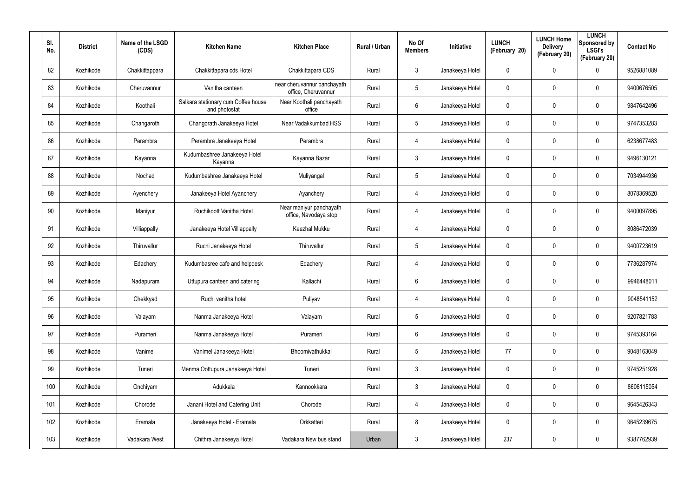| SI.<br>No. | <b>District</b> | Name of the LSGD<br>(CDS) | <b>Kitchen Name</b>                                  | <b>Kitchen Place</b>                               | Rural / Urban | No Of<br><b>Members</b> | <b>Initiative</b> | <b>LUNCH</b><br>(February 20) | <b>LUNCH Home</b><br><b>Delivery</b><br>(February 20) | <b>LUNCH</b><br>Sponsored by<br><b>LSGI's</b><br>(February 20) | <b>Contact No</b> |
|------------|-----------------|---------------------------|------------------------------------------------------|----------------------------------------------------|---------------|-------------------------|-------------------|-------------------------------|-------------------------------------------------------|----------------------------------------------------------------|-------------------|
| 82         | Kozhikode       | Chakkittappara            | Chakkittapara cds Hotel                              | Chakkittapara CDS                                  | Rural         | $\mathbf{3}$            | Janakeeya Hotel   | 0                             | 0                                                     | $\mathbf 0$                                                    | 9526881089        |
| 83         | Kozhikode       | Cheruvannur               | Vanitha canteen                                      | near cheruvannur panchayath<br>office, Cheruvannur | Rural         | $5\overline{)}$         | Janakeeya Hotel   | 0                             | 0                                                     | $\mathbf 0$                                                    | 9400676505        |
| 84         | Kozhikode       | Koothali                  | Salkara stationary cum Coffee house<br>and photostat | Near Koothali panchayath<br>office                 | Rural         | 6                       | Janakeeya Hotel   | 0                             | 0                                                     | $\mathbf 0$                                                    | 9847642496        |
| 85         | Kozhikode       | Changaroth                | Changorath Janakeeya Hotel                           | Near Vadakkumbad HSS                               | Rural         | $5\phantom{.0}$         | Janakeeya Hotel   | 0                             | 0                                                     | $\mathbf 0$                                                    | 9747353283        |
| 86         | Kozhikode       | Perambra                  | Perambra Janakeeya Hotel                             | Perambra                                           | Rural         | 4                       | Janakeeya Hotel   | 0                             | 0                                                     | $\mathbf 0$                                                    | 6238677483        |
| 87         | Kozhikode       | Kayanna                   | Kudumbashree Janakeeya Hotel<br>Kayanna              | Kayanna Bazar                                      | Rural         | $\mathbf{3}$            | Janakeeya Hotel   | 0                             | 0                                                     | $\mathbf 0$                                                    | 9496130121        |
| 88         | Kozhikode       | Nochad                    | Kudumbashree Janakeeya Hotel                         | Muliyangal                                         | Rural         | $5\phantom{.0}$         | Janakeeya Hotel   | 0                             | 0                                                     | $\mathbf 0$                                                    | 7034944936        |
| 89         | Kozhikode       | Ayenchery                 | Janakeeya Hotel Ayanchery                            | Ayanchery                                          | Rural         | 4                       | Janakeeya Hotel   | 0                             | 0                                                     | $\mathbf 0$                                                    | 8078369520        |
| 90         | Kozhikode       | Maniyur                   | Ruchikoott Vanitha Hotel                             | Near maniyur panchayath<br>office, Navodaya stop   | Rural         | 4                       | Janakeeya Hotel   | 0                             | 0                                                     | $\mathbf 0$                                                    | 9400097895        |
| 91         | Kozhikode       | Villiappally              | Janakeeya Hotel Villiappally                         | Keezhal Mukku                                      | Rural         | 4                       | Janakeeya Hotel   | 0                             | 0                                                     | $\mathbf 0$                                                    | 8086472039        |
| 92         | Kozhikode       | Thiruvallur               | Ruchi Janakeeya Hotel                                | Thiruvallur                                        | Rural         | $5\phantom{.0}$         | Janakeeya Hotel   | 0                             | 0                                                     | $\mathbf 0$                                                    | 9400723619        |
| 93         | Kozhikode       | Edachery                  | Kudumbasree cafe and helpdesk                        | Edachery                                           | Rural         | 4                       | Janakeeya Hotel   | 0                             | 0                                                     | $\mathbf 0$                                                    | 7736287974        |
| 94         | Kozhikode       | Nadapuram                 | Uttupura canteen and catering                        | Kallachi                                           | Rural         | 6                       | Janakeeya Hotel   | 0                             | $\mathbf 0$                                           | $\mathbf 0$                                                    | 9946448011        |
| 95         | Kozhikode       | Chekkyad                  | Ruchi vanitha hotel                                  | Puliyav                                            | Rural         | 4                       | Janakeeya Hotel   | 0                             | 0                                                     | $\pmb{0}$                                                      | 9048541152        |
| 96         | Kozhikode       | Valayam                   | Nanma Janakeeya Hotel                                | Valayam                                            | Rural         | $5\phantom{.0}$         | Janakeeya Hotel   | 0                             | 0                                                     | $\mathbf 0$                                                    | 9207821783        |
| 97         | Kozhikode       | Purameri                  | Nanma Janakeeya Hotel                                | Purameri                                           | Rural         | $6\phantom{.}6$         | Janakeeya Hotel   | 0                             | 0                                                     | $\mathbf 0$                                                    | 9745393164        |
| 98         | Kozhikode       | Vanimel                   | Vanimel Janakeeya Hotel                              | Bhoomivathukkal                                    | Rural         | $5\phantom{.0}$         | Janakeeya Hotel   | 77                            | 0                                                     | $\mathbf 0$                                                    | 9048163049        |
| 99         | Kozhikode       | Tuneri                    | Menma Oottupura Janakeeya Hotel                      | Tuneri                                             | Rural         | $\mathbf{3}$            | Janakeeya Hotel   | 0                             | 0                                                     | $\mathbf 0$                                                    | 9745251928        |
| 100        | Kozhikode       | Onchiyam                  | Adukkala                                             | Kannookkara                                        | Rural         | $\mathbf{3}$            | Janakeeya Hotel   | 0                             | 0                                                     | $\mathbf 0$                                                    | 8606115054        |
| 101        | Kozhikode       | Chorode                   | Janani Hotel and Catering Unit                       | Chorode                                            | Rural         | 4                       | Janakeeya Hotel   | 0                             | 0                                                     | $\mathbf 0$                                                    | 9645426343        |
| 102        | Kozhikode       | Eramala                   | Janakeeya Hotel - Eramala                            | Orkkatteri                                         | Rural         | 8                       | Janakeeya Hotel   | 0                             | 0                                                     | $\mathbf 0$                                                    | 9645239675        |
| 103        | Kozhikode       | Vadakara West             | Chithra Janakeeya Hotel                              | Vadakara New bus stand                             | Urban         | $\mathfrak{Z}$          | Janakeeya Hotel   | 237                           | 0                                                     | $\pmb{0}$                                                      | 9387762939        |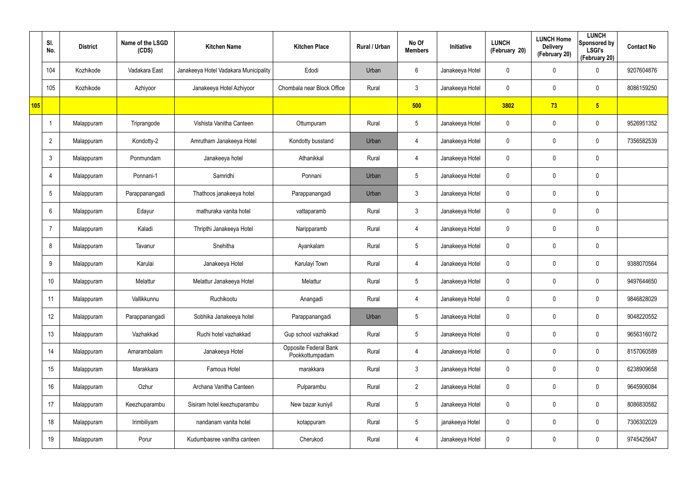|     | SI.<br>No.      | <b>District</b> | Name of the LSGD<br>(CDS) | <b>Kitchen Name</b>                   | <b>Kitchen Place</b>                     | <b>Rural / Urban</b> | No Of<br><b>Members</b> | Initiative      | <b>LUNCH</b><br>(February 20) | <b>LUNCH Home</b><br><b>Delivery</b><br>(February 20) | <b>LUNCH</b><br>Sponsored by<br><b>LSGI's</b><br>(February 20) | <b>Contact No</b> |
|-----|-----------------|-----------------|---------------------------|---------------------------------------|------------------------------------------|----------------------|-------------------------|-----------------|-------------------------------|-------------------------------------------------------|----------------------------------------------------------------|-------------------|
|     | 104             | Kozhikode       | Vadakara East             | Janakeeya Hotel Vadakara Municipality | Edodi                                    | Urban                | 6                       | Janakeeya Hotel | 0                             | 0                                                     | $\mathbf 0$                                                    | 9207604876        |
|     | 105             | Kozhikode       | Azhiyoor                  | Janakeeya Hotel Azhiyoor              | Chombala near Block Office               | Rural                | $\mathbf{3}$            | Janakeeya Hotel | 0                             | 0                                                     | $\mathbf 0$                                                    | 8086159250        |
| 105 |                 |                 |                           |                                       |                                          |                      | 500                     |                 | 3802                          | 73                                                    | $5\overline{)}$                                                |                   |
|     |                 | Malappuram      | Triprangode               | Vishista Vanitha Canteen              | Ottumpuram                               | Rural                | $5\overline{)}$         | Janakeeya Hotel | 0                             | 0                                                     | $\mathbf 0$                                                    | 9526951352        |
|     | $\overline{2}$  | Malappuram      | Kondotty-2                | Amrutham Janakeeya Hotel              | Kondotty busstand                        | Urban                | $\overline{4}$          | Janakeeya Hotel | 0                             | 0                                                     | $\mathbf 0$                                                    | 7356582539        |
|     | $\mathbf{3}$    | Malappuram      | Ponmundam                 | Janakeeya hotel                       | Athanikkal                               | Rural                | 4                       | Janakeeya Hotel | 0                             | 0                                                     | $\mathbf 0$                                                    |                   |
|     | 4               | Malappuram      | Ponnani-1                 | Samridhi                              | Ponnani                                  | Urban                | $5\overline{)}$         | Janakeeya Hotel | 0                             | 0                                                     | $\pmb{0}$                                                      |                   |
|     | $5\overline{)}$ | Malappuram      | Parappanangadi            | Thathoos janakeeya hotel              | Parappanangadi                           | Urban                | $\mathbf{3}$            | Janakeeya Hotel | 0                             | 0                                                     | $\mathbf 0$                                                    |                   |
|     | 6               | Malappuram      | Edayur                    | mathuraka vanita hotel                | vattaparamb                              | Rural                | $\mathbf{3}$            | Janakeeya Hotel | 0                             | 0                                                     | $\mathbf 0$                                                    |                   |
|     | -7              | Malappuram      | Kaladi                    | Thripthi Janakeeya Hotel              | Naripparamb                              | Rural                | 4                       | Janakeeya Hotel | 0                             | 0                                                     | $\mathbf 0$                                                    |                   |
|     | 8               | Malappuram      | Tavanur                   | Snehitha                              | Ayankalam                                | Rural                | $5\phantom{.0}$         | Janakeeya Hotel | 0                             | 0                                                     | $\pmb{0}$                                                      |                   |
|     | 9               | Malappuram      | Karulai                   | Janakeeya Hotel                       | Karulayi Town                            | Rural                | 4                       | Janakeeya Hotel | 0                             | 0                                                     | $\mathbf 0$                                                    | 9388070564        |
|     | 10              | Malappuram      | Melattur                  | Melattur Janakeeya Hotel              | Melattur                                 | Rural                | $5\phantom{.0}$         | Janakeeya Hotel | 0                             | 0                                                     | $\mathbf 0$                                                    | 9497644650        |
|     | 11              | Malappuram      | Vallikkunnu               | Ruchikootu                            | Anangadi                                 | Rural                | 4                       | Janakeeya Hotel | 0                             | 0                                                     | $\pmb{0}$                                                      | 9846828029        |
|     | 12              | Malappuram      | Parappanangadi            | Sobhika Janakeeya hotel               | Parappanangadi                           | Urban                | $5\phantom{.0}$         | Janakeeya Hotel | $\pmb{0}$                     | $\mathbf 0$                                           | $\mathbf 0$                                                    | 9048220552        |
|     | 13              | Malappuram      | Vazhakkad                 | Ruchi hotel vazhakkad                 | Gup school vazhakkad                     | Rural                | $5\overline{)}$         | Janakeeya Hotel | $\pmb{0}$                     | 0                                                     | $\mathbf 0$                                                    | 9656316072        |
|     | 14              | Malappuram      | Amarambalam               | Janakeeya Hotel                       | Opposite Federal Bank<br>Pookkottumpadam | Rural                | $\overline{4}$          | Janakeeya Hotel | $\pmb{0}$                     | $\mathbf 0$                                           | $\mathbf 0$                                                    | 8157060589        |
|     | 15              | Malappuram      | Marakkara                 | Famous Hotel                          | marakkara                                | Rural                | 3 <sup>1</sup>          | Janakeeya Hotel | 0                             | 0                                                     | $\mathbf 0$                                                    | 6238909658        |
|     | 16              | Malappuram      | Ozhur                     | Archana Vanitha Canteen               | Pulparambu                               | Rural                | $2^{\circ}$             | Janakeeya Hotel | 0                             | 0                                                     | $\mathbf 0$                                                    | 9645906084        |
|     | 17              | Malappuram      | Keezhuparambu             | Sisiram hotel keezhuparambu           | New bazar kuniyil                        | Rural                | $5\phantom{.0}$         | Janakeeya Hotel | 0                             | 0                                                     | $\mathbf 0$                                                    | 8086830582        |
|     | 18              | Malappuram      | Irimbiliyam               | nandanam vanita hotel                 | kotappuram                               | Rural                | $5\phantom{.0}$         | janakeeya Hotel | 0                             | 0                                                     | $\mathbf 0$                                                    | 7306302029        |
|     | 19              | Malappuram      | Porur                     | Kudumbasree vanitha canteen           | Cherukod                                 | Rural                | 4                       | Janakeeya Hotel | 0                             | 0                                                     | $\pmb{0}$                                                      | 9745425647        |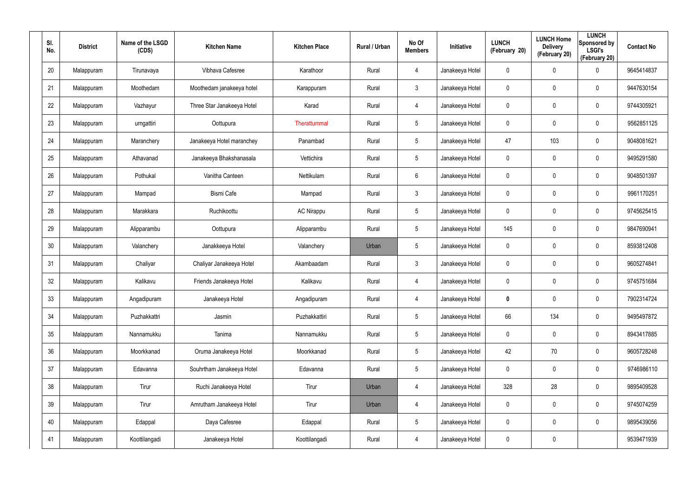| SI.<br>No. | <b>District</b> | Name of the LSGD<br>(CDS) | <b>Kitchen Name</b>        | <b>Kitchen Place</b> | Rural / Urban | No Of<br><b>Members</b> | Initiative      | <b>LUNCH</b><br>(February 20) | <b>LUNCH Home</b><br><b>Delivery</b><br>(February 20) | <b>LUNCH</b><br>Sponsored by<br><b>LSGI's</b><br>(February 20) | <b>Contact No</b> |
|------------|-----------------|---------------------------|----------------------------|----------------------|---------------|-------------------------|-----------------|-------------------------------|-------------------------------------------------------|----------------------------------------------------------------|-------------------|
| 20         | Malappuram      | Tirunavaya                | Vibhava Cafesree           | Karathoor            | Rural         | 4                       | Janakeeya Hotel | 0                             | $\mathbf 0$                                           | $\boldsymbol{0}$                                               | 9645414837        |
| 21         | Malappuram      | Moothedam                 | Moothedam janakeeya hotel  | Karappuram           | Rural         | $\mathbf{3}$            | Janakeeya Hotel | 0                             | 0                                                     | $\boldsymbol{0}$                                               | 9447630154        |
| 22         | Malappuram      | Vazhayur                  | Three Star Janakeeya Hotel | Karad                | Rural         | $\overline{4}$          | Janakeeya Hotel | 0                             | 0                                                     | $\boldsymbol{0}$                                               | 9744305921        |
| 23         | Malappuram      | urngattiri                | Oottupura                  | Therattummal         | Rural         | 5                       | Janakeeya Hotel | 0                             | 0                                                     | $\boldsymbol{0}$                                               | 9562851125        |
| 24         | Malappuram      | Maranchery                | Janakeeya Hotel maranchey  | Panambad             | Rural         | 5                       | Janakeeya Hotel | 47                            | 103                                                   | $\boldsymbol{0}$                                               | 9048081621        |
| 25         | Malappuram      | Athavanad                 | Janakeeya Bhakshanasala    | Vettichira           | Rural         | 5                       | Janakeeya Hotel | 0                             | 0                                                     | $\mathbf 0$                                                    | 9495291580        |
| 26         | Malappuram      | Pothukal                  | Vanitha Canteen            | Nettikulam           | Rural         | 6                       | Janakeeya Hotel | 0                             | $\mathbf 0$                                           | $\mathbf 0$                                                    | 9048501397        |
| 27         | Malappuram      | Mampad                    | <b>Bismi Cafe</b>          | Mampad               | Rural         | $\mathbf{3}$            | Janakeeya Hotel | 0                             | $\mathbf 0$                                           | $\mathbf 0$                                                    | 9961170251        |
| 28         | Malappuram      | Marakkara                 | Ruchikoottu                | <b>AC Nirappu</b>    | Rural         | $5\overline{)}$         | Janakeeya Hotel | 0                             | $\mathbf 0$                                           | $\mathbf 0$                                                    | 9745625415        |
| 29         | Malappuram      | Alipparambu               | Oottupura                  | Alipparambu          | Rural         | $5\overline{)}$         | Janakeeya Hotel | 145                           | $\mathbf 0$                                           | $\mathbf 0$                                                    | 9847690941        |
| 30         | Malappuram      | Valanchery                | Janakkeeya Hotel           | Valanchery           | Urban         | $5\overline{)}$         | Janakeeya Hotel | 0                             | $\mathbf 0$                                           | $\mathbf 0$                                                    | 8593812408        |
| 31         | Malappuram      | Chaliyar                  | Chaliyar Janakeeya Hotel   | Akambaadam           | Rural         | $\mathbf{3}$            | Janakeeya Hotel | 0                             | $\mathbf 0$                                           | $\mathbf 0$                                                    | 9605274841        |
| 32         | Malappuram      | Kalikavu                  | Friends Janakeeya Hotel    | Kalikavu             | Rural         | 4                       | Janakeeya Hotel | 0                             | $\mathbf 0$                                           | $\mathbf 0$                                                    | 9745751684        |
| 33         | Malappuram      | Angadipuram               | Janakeeya Hotel            | Angadipuram          | Rural         | $\overline{4}$          | Janakeeya Hotel | 0                             | $\mathbf 0$                                           | $\pmb{0}$                                                      | 7902314724        |
| 34         | Malappuram      | Puzhakkattri              | Jasmin                     | Puzhakkattiri        | Rural         | $5\overline{)}$         | Janakeeya Hotel | 66                            | 134                                                   | $\mathbf 0$                                                    | 9495497872        |
| 35         | Malappuram      | Nannamukku                | Tanima                     | Nannamukku           | Rural         | $5\phantom{.0}$         | Janakeeya Hotel | $\mathbf 0$                   | $\mathbf 0$                                           | $\pmb{0}$                                                      | 8943417885        |
| 36         | Malappuram      | Moorkkanad                | Oruma Janakeeya Hotel      | Moorkkanad           | Rural         | $5\overline{)}$         | Janakeeya Hotel | 42                            | 70                                                    | $\pmb{0}$                                                      | 9605728248        |
| 37         | Malappuram      | Edavanna                  | Souhrtham Janakeeya Hotel  | Edavanna             | Rural         | $5\phantom{.0}$         | Janakeeya Hotel | 0                             | $\mathbf 0$                                           | $\pmb{0}$                                                      | 9746986110        |
| 38         | Malappuram      | Tirur                     | Ruchi Janakeeya Hotel      | Tirur                | Urban         | $\overline{4}$          | Janakeeya Hotel | 328                           | 28                                                    | $\pmb{0}$                                                      | 9895409528        |
| 39         | Malappuram      | Tirur                     | Amrutham Janakeeya Hotel   | Tirur                | Urban         | $\overline{4}$          | Janakeeya Hotel | $\mathbf 0$                   | $\mathbf 0$                                           | $\pmb{0}$                                                      | 9745074259        |
| 40         | Malappuram      | Edappal                   | Daya Cafesree              | Edappal              | Rural         | $5\phantom{.0}$         | Janakeeya Hotel | 0                             | $\mathbf 0$                                           | $\pmb{0}$                                                      | 9895439056        |
| 41         | Malappuram      | Koottilangadi             | Janakeeya Hotel            | Koottilangadi        | Rural         | 4                       | Janakeeya Hotel | 0                             | $\mathbf 0$                                           |                                                                | 9539471939        |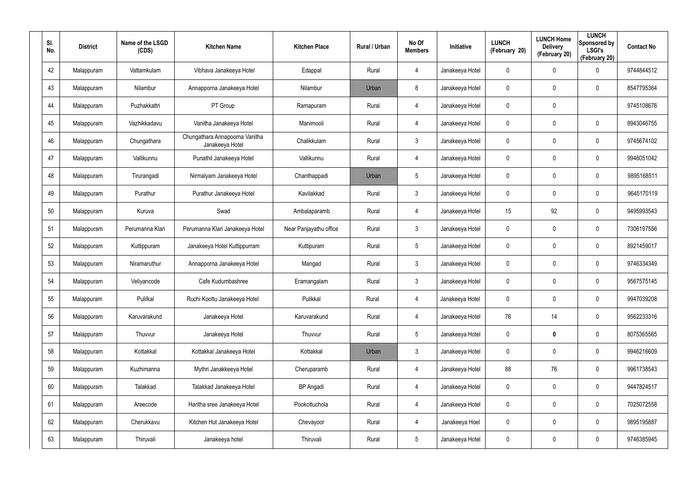| SI.<br>No. | <b>District</b> | Name of the LSGD<br>(CDS) | <b>Kitchen Name</b>                               | <b>Kitchen Place</b>   | Rural / Urban | No Of<br><b>Members</b> | Initiative      | <b>LUNCH</b><br>(February 20) | <b>LUNCH Home</b><br><b>Delivery</b><br>(February 20) | <b>LUNCH</b><br>Sponsored by<br><b>LSGI's</b><br>(February 20) | <b>Contact No</b> |
|------------|-----------------|---------------------------|---------------------------------------------------|------------------------|---------------|-------------------------|-----------------|-------------------------------|-------------------------------------------------------|----------------------------------------------------------------|-------------------|
| 42         | Malappuram      | Vattamkulam               | Vibhava Janakeeya Hotel                           | Edappal                | Rural         | 4                       | Janakeeya Hotel | 0                             | $\mathbf 0$                                           | $\mathbf 0$                                                    | 9744844512        |
| 43         | Malappuram      | Nilambur                  | Annapporna Janakeeya Hotel                        | Nilambur               | Urban         | 8                       | Janakeeya Hotel | 0                             | 0                                                     | $\mathbf 0$                                                    | 8547795364        |
| 44         | Malappuram      | Puzhakkattri              | PT Group                                          | Ramapuram              | Rural         | $\overline{4}$          | Janakeeya Hotel | 0                             | $\mathbf 0$                                           |                                                                | 9745108676        |
| 45         | Malappuram      | Vazhikkadavu              | Vanitha Janakeeya Hotel                           | Manimooli              | Rural         | $\overline{4}$          | Janakeeya Hotel | 0                             | 0                                                     | $\mathbf 0$                                                    | 8943046755        |
| 46         | Malappuram      | Chungathara               | Chungathara Annapoorna Vanitha<br>Janakeeya Hotel | Chalikkulam            | Rural         | $\mathbf{3}$            | Janakeeya Hotel | 0                             | 0                                                     | $\mathbf 0$                                                    | 9745674102        |
| 47         | Malappuram      | Vallikunnu                | Punathil Janakeeya Hotel                          | Vallikunnu             | Rural         | $\overline{4}$          | Janakeeya Hotel | 0                             | 0                                                     | $\mathbf 0$                                                    | 9946051042        |
| 48         | Malappuram      | Tirurangadi               | Nirmalyam Janakeeya Hotel                         | Chanthappadi           | Urban         | 5                       | Janakeeya Hotel | $\mathbf 0$                   | $\mathbf 0$                                           | $\mathbf 0$                                                    | 9895168511        |
| 49         | Malappuram      | Purathur                  | Purathur Janakeeya Hotel                          | Kavilakkad             | Rural         | $\mathbf{3}$            | Janakeeya Hotel | 0                             | 0                                                     | $\mathbf 0$                                                    | 9645170119        |
| 50         | Malappuram      | Kuruva                    | Swad                                              | Ambalaparamb           | Rural         | $\overline{4}$          | Janakeeya Hotel | 15                            | 92                                                    | $\mathbf 0$                                                    | 9495993543        |
| 51         | Malappuram      | Perumanna Klari           | Perumanna Klari Janakeeya Hotel                   | Near Panjayathu office | Rural         | $\mathbf{3}$            | Janakeeya Hotel | 0                             | 0                                                     | $\mathbf 0$                                                    | 7306197556        |
| 52         | Malappuram      | Kuttippuram               | Janakeeya Hotel Kuttippurram                      | Kuttipuram             | Rural         | $5\phantom{.0}$         | Janakeeya Hotel | $\mathbf 0$                   | $\mathbf 0$                                           | $\mathbf 0$                                                    | 8921459017        |
| 53         | Malappuram      | Niramaruthur              | Annapporna Janakeeya Hotel                        | Mangad                 | Rural         | $\mathbf{3}$            | Janakeeya Hotel | 0                             | 0                                                     | $\mathbf 0$                                                    | 9746334349        |
| 54         | Malappuram      | Veliyancode               | Cafe Kudumbashree                                 | Eramangalam            | Rural         | $\mathbf{3}$            | Janakeeya Hotel | $\mathbf 0$                   | $\mathbf 0$                                           | $\mathbf 0$                                                    | 9567575145        |
| 55         | Malappuram      | Pulilkal                  | Ruchi Koottu Janakeeya Hotel                      | Pulikkal               | Rural         | 4                       | Janakeeya Hotel | 0                             | $\mathbf 0$                                           | $\pmb{0}$                                                      | 9947039208        |
| 56         | Malappuram      | Karuvarakund              | Janakeeya Hotel                                   | Karuvarakund           | Rural         | 4                       | Janakeeya Hotel | 76                            | 14                                                    | $\pmb{0}$                                                      | 9562233316        |
| 57         | Malappuram      | Thuvvur                   | Janakeeya Hotel                                   | Thuvvur                | Rural         | 5                       | Janakeeya Hotel | $\mathbf 0$                   | $\boldsymbol{0}$                                      | $\mathbf 0$                                                    | 8075365565        |
| 58         | Malappuram      | Kottakkal                 | Kottakkal Janakeeya Hotel                         | Kottakkal              | Urban         | $\mathbf{3}$            | Janakeeya Hotel | 0                             | $\mathbf 0$                                           | $\mathbf 0$                                                    | 9946216609        |
| 59         | Malappuram      | Kuzhimanna                | Mythri Janakkeeya Hotel                           | Cheruparamb            | Rural         | $\overline{4}$          | Janakeeya Hotel | 88                            | 76                                                    | $\pmb{0}$                                                      | 9961738543        |
| 60         | Malappuram      | Talakkad                  | Talakkad Janakeeya Hotel                          | <b>BP</b> Angadi       | Rural         | $\overline{4}$          | Janakeeya Hotel | 0                             | $\mathbf 0$                                           | $\mathbf 0$                                                    | 9447824517        |
| 61         | Malappuram      | Areecode                  | Haritha sree Janakeeya Hotel                      | Pookottuchola          | Rural         | $\overline{4}$          | Janakeeya Hotel | 0                             | $\mathbf 0$                                           | $\pmb{0}$                                                      | 7025072558        |
| 62         | Malappuram      | Cherukkavu                | Kitchen Hut Janakeeya Hotel                       | Chevayoor              | Rural         | $\overline{4}$          | Janakeeya Hoel  | 0                             | $\mathbf 0$                                           | $\pmb{0}$                                                      | 9895195887        |
| 63         | Malappuram      | Thiruvali                 | Janakeeya hotel                                   | Thiruvali              | Rural         | $5\phantom{.0}$         | Janakeeya Hotel | 0                             | $\mathbf 0$                                           | $\pmb{0}$                                                      | 9746385945        |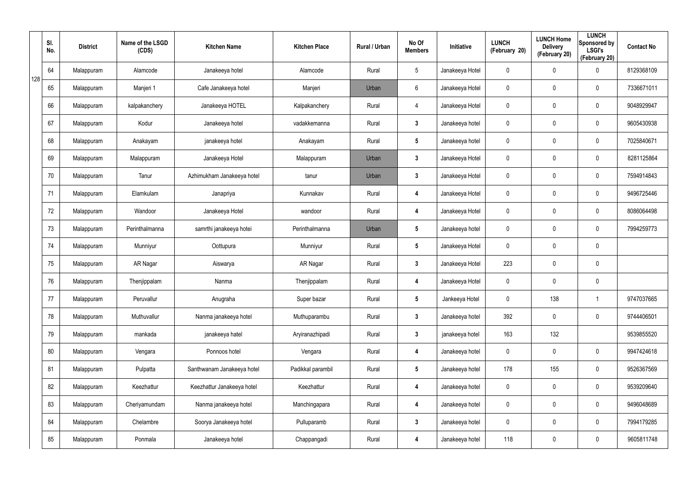|     | SI.<br>No. | <b>District</b> | Name of the LSGD<br>(CDS) | <b>Kitchen Name</b>        | <b>Kitchen Place</b> | Rural / Urban | No Of<br><b>Members</b> | Initiative      | <b>LUNCH</b><br>(February 20) | <b>LUNCH Home</b><br><b>Delivery</b><br>(February 20) | <b>LUNCH</b><br>Sponsored by<br><b>LSGI's</b><br>(February 20) | <b>Contact No</b> |
|-----|------------|-----------------|---------------------------|----------------------------|----------------------|---------------|-------------------------|-----------------|-------------------------------|-------------------------------------------------------|----------------------------------------------------------------|-------------------|
| 128 | 64         | Malappuram      | Alamcode                  | Janakeeya hotel            | Alamcode             | Rural         | $5\phantom{.0}$         | Janakeeya Hotel | $\boldsymbol{0}$              | 0                                                     | $\boldsymbol{0}$                                               | 8129368109        |
|     | 65         | Malappuram      | Manjeri 1                 | Cafe Janakeeya hotel       | Manjeri              | Urban         | 6                       | Janakeeya Hotel | 0                             | 0                                                     | $\boldsymbol{0}$                                               | 7336671011        |
|     | 66         | Malappuram      | kalpakanchery             | Janakeeya HOTEL            | Kalpakanchery        | Rural         | 4                       | Janakeeya Hotel | 0                             | 0                                                     | $\mathbf 0$                                                    | 9048929947        |
|     | 67         | Malappuram      | Kodur                     | Janakeeya hotel            | vadakkemanna         | Rural         | $\mathbf{3}$            | Janakeeya hotel | 0                             | 0                                                     | $\mathbf 0$                                                    | 9605430938        |
|     | 68         | Malappuram      | Anakayam                  | janakeeya hotel            | Anakayam             | Rural         | $5\phantom{.0}$         | Janakeeya hotel | $\mathbf 0$                   | 0                                                     | $\mathbf 0$                                                    | 7025840671        |
|     | 69         | Malappuram      | Malappuram                | Janakeeya Hotel            | Malappuram           | Urban         | $\mathbf{3}$            | Janakeeya Hotel | 0                             | 0                                                     | $\mathbf 0$                                                    | 8281125864        |
|     | 70         | Malappuram      | Tanur                     | Azhimukham Janakeeya hotel | tanur                | Urban         | $3\phantom{a}$          | Janakeeya Hotel | 0                             | 0                                                     | $\mathbf 0$                                                    | 7594914843        |
|     | 71         | Malappuram      | Elamkulam                 | Janapriya                  | Kunnakav             | Rural         | 4                       | Janakeeya Hotel | 0                             | 0                                                     | $\mathbf 0$                                                    | 9496725446        |
|     | 72         | Malappuram      | Wandoor                   | Janakeeya Hotel            | wandoor              | Rural         | 4                       | Janakeeya Hotel | 0                             | 0                                                     | $\mathbf 0$                                                    | 8086064498        |
|     | 73         | Malappuram      | Perinthalmanna            | samrthi janakeeya hotei    | Perinthalmanna       | Urban         | $5\phantom{.0}$         | Janakeeya hotel | 0                             | 0                                                     | $\mathbf 0$                                                    | 7994259773        |
|     | 74         | Malappuram      | Munniyur                  | Oottupura                  | Munniyur             | Rural         | $5\phantom{.0}$         | Janakeeya Hotel | 0                             | 0                                                     | $\mathbf 0$                                                    |                   |
|     | 75         | Malappuram      | AR Nagar                  | Aiswarya                   | AR Nagar             | Rural         | $\mathbf{3}$            | Janakeeya Hotel | 223                           | 0                                                     | $\mathbf 0$                                                    |                   |
|     | 76         | Malappuram      | Thenjippalam              | Nanma                      | Thenjippalam         | Rural         | 4                       | Janakeeya Hotel | 0                             | $\mathbf 0$                                           | $\mathbf 0$                                                    |                   |
|     | 77         | Malappuram      | Peruvallur                | Anugraha                   | Super bazar          | Rural         | $5\phantom{.0}$         | Jankeeya Hotel  | 0                             | 138                                                   | -1                                                             | 9747037665        |
|     | 78         | Malappuram      | Muthuvallur               | Nanma janakeeya hotel      | Muthuparambu         | Rural         | $\mathbf{3}$            | Janakeeya hotel | 392                           | $\mathbf 0$                                           | $\mathbf 0$                                                    | 9744406501        |
|     | 79         | Malappuram      | mankada                   | janakeeya hatel            | Aryiranazhipadi      | Rural         | $3\phantom{a}$          | janakeeya hotel | 163                           | 132                                                   |                                                                | 9539855520        |
|     | 80         | Malappuram      | Vengara                   | Ponnoos hotel              | Vengara              | Rural         | 4                       | Janakeeya hotel | $\mathbf 0$                   | $\mathbf 0$                                           | $\mathbf 0$                                                    | 9947424618        |
|     | 81         | Malappuram      | Pulpatta                  | Santhwanam Janakeeya hotel | Padikkal parambil    | Rural         | $5\phantom{.0}$         | Janakeeya hotel | 178                           | 155                                                   | $\pmb{0}$                                                      | 9526367569        |
|     | 82         | Malappuram      | Keezhattur                | Keezhattur Janakeeya hotel | Keezhattur           | Rural         | 4                       | Janakeeya hotel | 0                             | 0                                                     | $\pmb{0}$                                                      | 9539209640        |
|     | 83         | Malappuram      | Cheriyamundam             | Nanma janakeeya hotel      | Manchingapara        | Rural         | 4                       | Janakeeya hotel | $\mathbf 0$                   | $\mathbf 0$                                           | $\pmb{0}$                                                      | 9496048689        |
|     | 84         | Malappuram      | Chelambre                 | Soorya Janakeeya hotel     | Pulluparamb          | Rural         | $\mathbf{3}$            | Janakeeya hotel | 0                             | 0                                                     | $\mathbf 0$                                                    | 7994179285        |
|     | 85         | Malappuram      | Ponmala                   | Janakeeya hotel            | Chappangadi          | Rural         | 4                       | Janakeeya hotel | 118                           | $\mathbf 0$                                           | $\pmb{0}$                                                      | 9605811748        |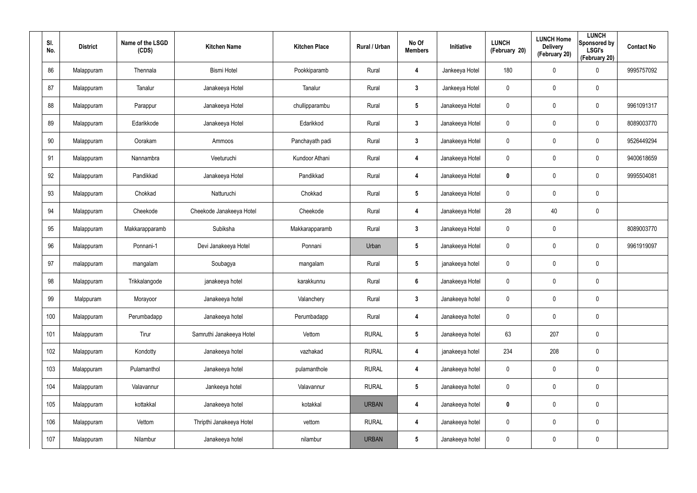| SI.<br>No. | <b>District</b> | Name of the LSGD<br>(CDS) | <b>Kitchen Name</b>      | <b>Kitchen Place</b> | Rural / Urban | No Of<br><b>Members</b> | Initiative      | <b>LUNCH</b><br>(February 20) | <b>LUNCH Home</b><br><b>Delivery</b><br>(February 20) | <b>LUNCH</b><br>Sponsored by<br><b>LSGI's</b><br>(February 20) | <b>Contact No</b> |
|------------|-----------------|---------------------------|--------------------------|----------------------|---------------|-------------------------|-----------------|-------------------------------|-------------------------------------------------------|----------------------------------------------------------------|-------------------|
| 86         | Malappuram      | Thennala                  | <b>Bismi Hotel</b>       | Pookkiparamb         | Rural         | 4                       | Jankeeya Hotel  | 180                           | $\mathbf 0$                                           | $\boldsymbol{0}$                                               | 9995757092        |
| 87         | Malappuram      | Tanalur                   | Janakeeya Hotel          | Tanalur              | Rural         | $\mathbf{3}$            | Jankeeya Hotel  | 0                             | $\mathbf 0$                                           | $\pmb{0}$                                                      |                   |
| 88         | Malappuram      | Parappur                  | Janakeeya Hotel          | chullipparambu       | Rural         | $5\phantom{.0}$         | Janakeeya Hotel | $\mathbf 0$                   | $\mathbf 0$                                           | $\pmb{0}$                                                      | 9961091317        |
| 89         | Malappuram      | Edarikkode                | Janakeeya Hotel          | Edarikkod            | Rural         | $\mathbf{3}$            | Janakeeya Hotel | 0                             | 0                                                     | $\mathbf 0$                                                    | 8089003770        |
| 90         | Malappuram      | Oorakam                   | Ammoos                   | Panchayath padi      | Rural         | $\mathbf{3}$            | Janakeeya Hotel | $\mathbf 0$                   | $\mathbf 0$                                           | $\pmb{0}$                                                      | 9526449294        |
| 91         | Malappuram      | Nannambra                 | Veeturuchi               | Kundoor Athani       | Rural         | 4                       | Janakeeya Hotel | 0                             | 0                                                     | $\mathbf 0$                                                    | 9400618659        |
| 92         | Malappuram      | Pandikkad                 | Janakeeya Hotel          | Pandikkad            | Rural         | 4                       | Janakeeya Hotel | 0                             | $\mathbf 0$                                           | $\mathbf 0$                                                    | 9995504081        |
| 93         | Malappuram      | Chokkad                   | Natturuchi               | Chokkad              | Rural         | $5\phantom{.0}$         | Janakeeya Hotel | 0                             | 0                                                     | $\mathbf 0$                                                    |                   |
| 94         | Malappuram      | Cheekode                  | Cheekode Janakeeya Hotel | Cheekode             | Rural         | 4                       | Janakeeya Hotel | 28                            | 40                                                    | $\pmb{0}$                                                      |                   |
| 95         | Malappuram      | Makkarapparamb            | Subiksha                 | Makkarapparamb       | Rural         | $\mathbf{3}$            | Janakeeya Hotel | 0                             | $\mathbf 0$                                           |                                                                | 8089003770        |
| 96         | Malappuram      | Ponnani-1                 | Devi Janakeeya Hotel     | Ponnani              | Urban         | $5\phantom{.0}$         | Janakeeya Hotel | $\mathbf 0$                   | $\mathbf 0$                                           | $\pmb{0}$                                                      | 9961919097        |
| 97         | malappuram      | mangalam                  | Soubagya                 | mangalam             | Rural         | $5\phantom{.0}$         | janakeeya hotel | $\mathbf 0$                   | 0                                                     | $\mathbf 0$                                                    |                   |
| 98         | Malappuram      | Trikkalangode             | janakeeya hotel          | karakkunnu           | Rural         | $6\phantom{1}$          | Janakeeya Hotel | $\mathbf 0$                   | 0                                                     | $\pmb{0}$                                                      |                   |
| 99         | Malppuram       | Morayoor                  | Janakeeya hotel          | Valanchery           | Rural         | $\mathbf{3}$            | Janakeeya hotel | $\pmb{0}$                     | $\pmb{0}$                                             | $\pmb{0}$                                                      |                   |
| 100        | Malappuram      | Perumbadapp               | Janakeeya hotel          | Perumbadapp          | Rural         | 4                       | Janakeeya hotel | $\mathbf 0$                   | $\mathbf 0$                                           | $\mathbf 0$                                                    |                   |
| 101        | Malappuram      | Tirur                     | Samruthi Janakeeya Hotel | Vettom               | <b>RURAL</b>  | $5\phantom{.0}$         | Janakeeya hotel | 63                            | 207                                                   | $\pmb{0}$                                                      |                   |
| 102        | Malappuram      | Kondotty                  | Janakeeya hotel          | vazhakad             | <b>RURAL</b>  | 4                       | janakeeya hotel | 234                           | 208                                                   | $\mathbf 0$                                                    |                   |
| 103        | Malappuram      | Pulamanthol               | Janakeeya hotel          | pulamanthole         | <b>RURAL</b>  | 4                       | Janakeeya hotel | $\mathsf{0}$                  | 0                                                     | $\pmb{0}$                                                      |                   |
| 104        | Malappuram      | Valavannur                | Jankeeya hotel           | Valavannur           | <b>RURAL</b>  | $5\phantom{.0}$         | Janakeeya hotel | $\mathbf 0$                   | $\mathbf 0$                                           | $\mathbf 0$                                                    |                   |
| 105        | Malappuram      | kottakkal                 | Janakeeya hotel          | kotakkal             | <b>URBAN</b>  | 4                       | Janakeeya hotel | 0                             | 0                                                     | $\pmb{0}$                                                      |                   |
| 106        | Malappuram      | Vettom                    | Thripthi Janakeeya Hotel | vettom               | <b>RURAL</b>  | 4                       | Janakeeya hotel | $\mathbf 0$                   | $\mathbf 0$                                           | $\mathbf 0$                                                    |                   |
| 107        | Malappuram      | Nilambur                  | Janakeeya hotel          | nilambur             | <b>URBAN</b>  | $5\phantom{.0}$         | Janakeeya hotel | $\mathbf 0$                   | 0                                                     | $\pmb{0}$                                                      |                   |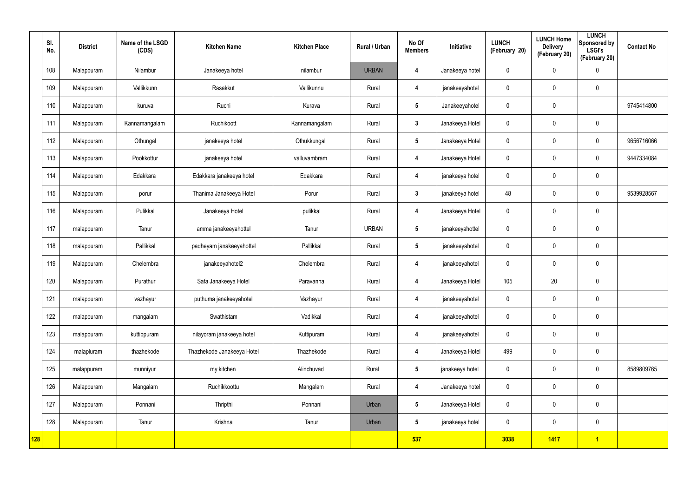|     | SI.<br>No. | <b>District</b> | Name of the LSGD<br>(CDS) | <b>Kitchen Name</b>        | <b>Kitchen Place</b> | Rural / Urban | No Of<br><b>Members</b> | Initiative      | <b>LUNCH</b><br>(February 20) | <b>LUNCH Home</b><br><b>Delivery</b><br>(February 20) | <b>LUNCH</b><br>Sponsored by<br><b>LSGI's</b><br>(February 20) | <b>Contact No</b> |
|-----|------------|-----------------|---------------------------|----------------------------|----------------------|---------------|-------------------------|-----------------|-------------------------------|-------------------------------------------------------|----------------------------------------------------------------|-------------------|
|     | 108        | Malappuram      | Nilambur                  | Janakeeya hotel            | nilambur             | <b>URBAN</b>  | 4                       | Janakeeya hotel | $\mathbf 0$                   | 0                                                     | $\pmb{0}$                                                      |                   |
|     | 109        | Malappuram      | Vallikkunn                | Rasakkut                   | Vallikunnu           | Rural         | 4                       | janakeeyahotel  | $\mathbf 0$                   | 0                                                     | $\mathbf 0$                                                    |                   |
|     | 110        | Malappuram      | kuruva                    | Ruchi                      | Kurava               | Rural         | $5\phantom{.0}$         | Janakeeyahotel  | $\pmb{0}$                     | 0                                                     |                                                                | 9745414800        |
|     | 111        | Malappuram      | Kannamangalam             | Ruchikoott                 | Kannamangalam        | Rural         | $\mathbf{3}$            | Janakeeya Hotel | $\mathbf 0$                   | $\boldsymbol{0}$                                      | $\mathbf 0$                                                    |                   |
|     | 112        | Malappuram      | Othungal                  | janakeeya hotel            | Othukkungal          | Rural         | $5\phantom{.0}$         | Janakeeya Hotel | $\pmb{0}$                     | 0                                                     | $\mathbf 0$                                                    | 9656716066        |
|     | 113        | Malappuram      | Pookkottur                | janakeeya hotel            | valluvambram         | Rural         | 4                       | Janakeeya Hotel | $\mathbf 0$                   | $\boldsymbol{0}$                                      | $\mathbf 0$                                                    | 9447334084        |
|     | 114        | Malappuram      | Edakkara                  | Edakkara janakeeya hotel   | Edakkara             | Rural         | 4                       | janakeeya hotel | $\mathbf 0$                   | 0                                                     | $\mathbf 0$                                                    |                   |
|     | 115        | Malappuram      | porur                     | Thanima Janakeeya Hotel    | Porur                | Rural         | $3\phantom{a}$          | janakeeya hotel | 48                            | $\boldsymbol{0}$                                      | $\mathbf 0$                                                    | 9539928567        |
|     | 116        | Malappuram      | Pulikkal                  | Janakeeya Hotel            | pulikkal             | Rural         | 4                       | Janakeeya Hotel | $\mathbf 0$                   | 0                                                     | $\mathbf 0$                                                    |                   |
|     | 117        | malappuram      | Tanur                     | amma janakeeyahottel       | Tanur                | <b>URBAN</b>  | $5\overline{)}$         | janakeeyahottel | $\mathbf 0$                   | $\boldsymbol{0}$                                      | $\mathbf 0$                                                    |                   |
|     | 118        | malappuram      | Pallikkal                 | padheyam janakeeyahottel   | Pallikkal            | Rural         | $5\phantom{.0}$         | janakeeyahotel  | $\mathbf 0$                   | 0                                                     | $\mathbf 0$                                                    |                   |
|     | 119        | Malappuram      | Chelembra                 | janakeeyahotel2            | Chelembra            | Rural         | 4                       | janakeeyahotel  | $\mathbf 0$                   | 0                                                     | $\mathbf 0$                                                    |                   |
|     | 120        | Malappuram      | Purathur                  | Safa Janakeeya Hotel       | Paravanna            | Rural         | $\overline{\mathbf{4}}$ | Janakeeya Hotel | 105                           | 20                                                    | $\mathbf 0$                                                    |                   |
|     | 121        | malappuram      | vazhayur                  | puthuma janakeeyahotel     | Vazhayur             | Rural         | $\overline{\mathbf{4}}$ | janakeeyahotel  | $\pmb{0}$                     | $\pmb{0}$                                             | $\pmb{0}$                                                      |                   |
|     | 122        | malappuram      | mangalam                  | Swathistam                 | Vadikkal             | Rural         | $\overline{\mathbf{4}}$ | janakeeyahotel  | $\mathbf 0$                   | 0                                                     | $\mathbf 0$                                                    |                   |
|     | 123        | malappuram      | kuttippuram               | nilayoram janakeeya hotel  | Kuttipuram           | Rural         | $\overline{\mathbf{4}}$ | janakeeyahotel  | $\mathbf 0$                   | 0                                                     | $\mathbf 0$                                                    |                   |
|     | 124        | malapluram      | thazhekode                | Thazhekode Janakeeya Hotel | Thazhekode           | Rural         | $\overline{\mathbf{4}}$ | Janakeeya Hotel | 499                           | 0                                                     | $\mathbf 0$                                                    |                   |
|     | 125        | malappuram      | munniyur                  | my kitchen                 | Alinchuvad           | Rural         | $5\overline{)}$         | janakeeya hotel | $\mathbf 0$                   | $\pmb{0}$                                             | $\mathbf 0$                                                    | 8589809765        |
|     | 126        | Malappuram      | Mangalam                  | Ruchikkoottu               | Mangalam             | Rural         | $\overline{\mathbf{4}}$ | Janakeeya hotel | $\pmb{0}$                     | $\pmb{0}$                                             | $\mathbf 0$                                                    |                   |
|     | 127        | Malappuram      | Ponnani                   | Thripthi                   | Ponnani              | Urban         | $5\phantom{.0}$         | Janakeeya Hotel | $\mathbf 0$                   | $\pmb{0}$                                             | $\mathbf 0$                                                    |                   |
|     | 128        | Malappuram      | Tanur                     | Krishna                    | Tanur                | Urban         | $5\phantom{.0}$         | janakeeya hotel | $\mathbf 0$                   | 0                                                     | $\mathbf 0$                                                    |                   |
| 128 |            |                 |                           |                            |                      |               | 537                     |                 | 3038                          | 1417                                                  | $\overline{1}$                                                 |                   |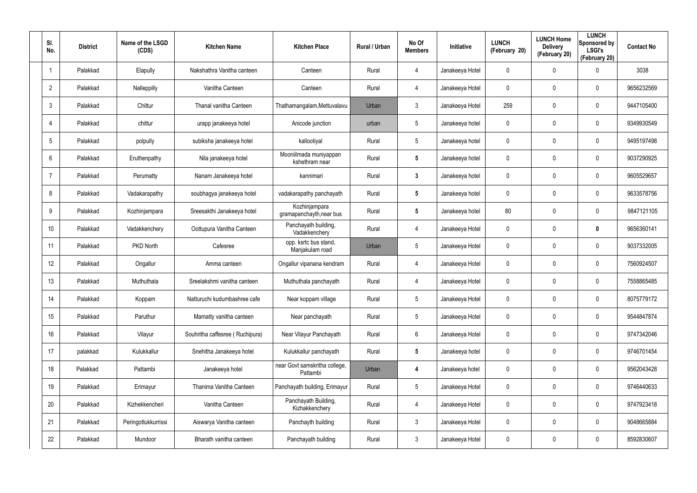| SI.<br>No.      | <b>District</b> | Name of the LSGD<br>(CDS) | <b>Kitchen Name</b>             | <b>Kitchen Place</b>                      | Rural / Urban | No Of<br><b>Members</b> | <b>Initiative</b> | <b>LUNCH</b><br>(February 20) | <b>LUNCH Home</b><br><b>Delivery</b><br>(February 20) | <b>LUNCH</b><br>Sponsored by<br><b>LSGI's</b><br>(February 20) | <b>Contact No</b> |
|-----------------|-----------------|---------------------------|---------------------------------|-------------------------------------------|---------------|-------------------------|-------------------|-------------------------------|-------------------------------------------------------|----------------------------------------------------------------|-------------------|
| 1               | Palakkad        | Elapully                  | Nakshathra Vanitha canteen      | Canteen                                   | Rural         | 4                       | Janakeeya Hotel   | 0                             | 0                                                     | $\mathbf 0$                                                    | 3038              |
| $\overline{2}$  | Palakkad        | Nalleppilly               | Vanitha Canteen                 | Canteen                                   | Rural         | 4                       | Janakeeya Hotel   | 0                             | 0                                                     | $\mathbf 0$                                                    | 9656232569        |
| $\mathbf{3}$    | Palakkad        | Chittur                   | Thanal vanitha Canteen          | Thathamangalam, Mettuvalavu               | Urban         | 3                       | Janakeeya Hotel   | 259                           | 0                                                     | $\mathbf 0$                                                    | 9447105400        |
| $\overline{4}$  | Palakkad        | chittur                   | urapp janakeeya hotel           | Anicode junction                          | urban         | 5                       | Janakeeya hotel   | 0                             | 0                                                     | $\mathbf 0$                                                    | 9349930549        |
| 5               | Palakkad        | polpully                  | subiksha janakeeya hotel        | kallootiyal                               | Rural         | 5                       | Janakeeya hotel   | 0                             | $\mathbf 0$                                           | $\mathbf 0$                                                    | 9495197498        |
| 6               | Palakkad        | Eruthenpathy              | Nila janakeeya hotel            | Mooniilmada muniyappan<br>kshethram near  | Rural         | 5                       | Janakeeya hotel   | 0                             | 0                                                     | $\mathbf 0$                                                    | 9037290925        |
| $\overline{7}$  | Palakkad        | Perumatty                 | Nanam Janakeeya hotel           | kannimari                                 | Rural         | $\mathbf{3}$            | Janakeeya hotel   | 0                             | 0                                                     | $\mathbf 0$                                                    | 9605529657        |
| 8               | Palakkad        | Vadakarapathy             | soubhagya janakeeya hotel       | vadakarapathy panchayath                  | Rural         | 5                       | Janakeeya hotel   | 0                             | 0                                                     | $\mathbf 0$                                                    | 9633578756        |
| 9               | Palakkad        | Kozhinjampara             | Sreesakthi Janakeeya hotel      | Kozhinjampara<br>gramapanchayth, near bus | Rural         | $\overline{\mathbf{5}}$ | Janakeeya hotel   | 80                            | 0                                                     | $\mathbf 0$                                                    | 9847121105        |
| 10 <sup>°</sup> | Palakkad        | Vadakkenchery             | Oottupura Vanitha Canteen       | Panchayath building,<br>Vadakkenchery     | Rural         | 4                       | Janakeeya Hotel   | 0                             | 0                                                     | $\mathbf 0$                                                    | 9656360141        |
| 11              | Palakkad        | PKD North                 | Cafesree                        | opp. ksrtc bus stand,<br>Manjakulam road  | Urban         | $5\phantom{.0}$         | Janakeeya Hotel   | 0                             | 0                                                     | $\mathbf 0$                                                    | 9037332005        |
| 12              | Palakkad        | Ongallur                  | Amma canteen                    | Ongallur vipanana kendram                 | Rural         | 4                       | Janakeeya Hotel   | 0                             | 0                                                     | $\mathbf 0$                                                    | 7560924507        |
| 13              | Palakkad        | Muthuthala                | Sreelakshmi vanitha canteen     | Muthuthala panchayath                     | Rural         | 4                       | Janakeeya Hotel   | 0                             | 0                                                     | $\mathbf 0$                                                    | 7558865485        |
| 14              | Palakkad        | Koppam                    | Natturuchi kudumbashree cafe    | Near koppam village                       | Rural         | 5                       | Janakeeya Hotel   | 0                             | 0                                                     | $\mathbf 0$                                                    | 8075779172        |
| 15              | Palakkad        | Paruthur                  | Mamatty vanitha canteen         | Near panchayath                           | Rural         | $5\phantom{.0}$         | Janakeeya Hotel   | 0                             | 0                                                     | $\mathbf 0$                                                    | 9544847874        |
| 16              | Palakkad        | Vilayur                   | Souhritha caffesree (Ruchipura) | Near Vilayur Panchayath                   | Rural         | $6\phantom{.}6$         | Janakeeya Hotel   | $\mathbf 0$                   | 0                                                     | $\mathbf 0$                                                    | 9747342046        |
| 17              | palakkad        | Kulukkallur               | Snehitha Janakeeya hotel        | Kulukkallur panchayath                    | Rural         | $5\phantom{.0}$         | Janakeeya hotel   | 0                             | 0                                                     | $\mathbf 0$                                                    | 9746701454        |
| 18              | Palakkad        | Pattambi                  | Janakeeya hotel                 | near Govt samskritha college,<br>Pattambi | Urban         | 4                       | Janakeeya hotel   | 0                             | 0                                                     | $\pmb{0}$                                                      | 9562043428        |
| 19              | Palakkad        | Erimayur                  | Thanima Vanitha Canteen         | Panchayath building, Erimayur             | Rural         | $5\phantom{.0}$         | Janakeeya Hotel   | 0                             | 0                                                     | $\mathbf 0$                                                    | 9746440633        |
| 20              | Palakkad        | Kizhekkencheri            | Vanitha Canteen                 | Panchayath Building,<br>Kizhakkenchery    | Rural         | 4                       | Janakeeya Hotel   | 0                             | 0                                                     | $\pmb{0}$                                                      | 9747923418        |
| 21              | Palakkad        | Peringottukkurrissi       | Aiswarya Vanitha canteen        | Panchayth building                        | Rural         | $\mathbf{3}$            | Janakeeya Hotel   | 0                             | 0                                                     | $\mathbf 0$                                                    | 9048665884        |
| 22              | Palakkad        | Mundoor                   | Bharath vanitha canteen         | Panchayath building                       | Rural         | $\mathfrak{Z}$          | Janakeeya Hotel   | 0                             | 0                                                     | $\pmb{0}$                                                      | 8592830607        |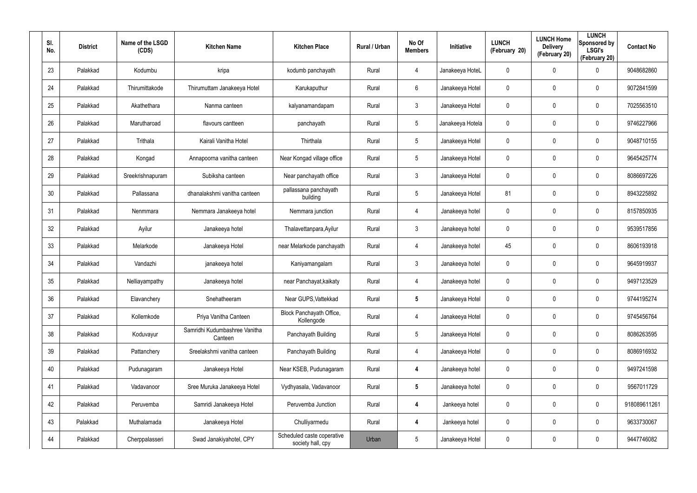| SI.<br>No. | <b>District</b> | Name of the LSGD<br>(CDS) | <b>Kitchen Name</b>                      | <b>Kitchen Place</b>                            | Rural / Urban | No Of<br><b>Members</b> | Initiative       | <b>LUNCH</b><br>(February 20) | <b>LUNCH Home</b><br><b>Delivery</b><br>(February 20) | <b>LUNCH</b><br>Sponsored by<br><b>LSGI's</b><br>(February 20) | <b>Contact No</b> |
|------------|-----------------|---------------------------|------------------------------------------|-------------------------------------------------|---------------|-------------------------|------------------|-------------------------------|-------------------------------------------------------|----------------------------------------------------------------|-------------------|
| 23         | Palakkad        | Kodumbu                   | kripa                                    | kodumb panchayath                               | Rural         | 4                       | Janakeeya HoteL  | 0                             | $\mathbf 0$                                           | $\mathbf 0$                                                    | 9048682860        |
| 24         | Palakkad        | Thirumittakode            | Thirumuttam Janakeeya Hotel              | Karukaputhur                                    | Rural         | 6                       | Janakeeya Hotel  | 0                             | 0                                                     | $\mathbf 0$                                                    | 9072841599        |
| 25         | Palakkad        | Akathethara               | Nanma canteen                            | kalyanamandapam                                 | Rural         | $\mathbf{3}$            | Janakeeya Hotel  | 0                             | 0                                                     | $\mathbf 0$                                                    | 7025563510        |
| 26         | Palakkad        | Marutharoad               | flavours cantteen                        | panchayath                                      | Rural         | $5\overline{)}$         | Janakeeya Hotela | 0                             | 0                                                     | $\mathbf 0$                                                    | 9746227966        |
| 27         | Palakkad        | Trithala                  | Kairali Vanitha Hotel                    | Thirthala                                       | Rural         | $5\phantom{.0}$         | Janakeeya Hotel  | 0                             | 0                                                     | $\mathbf 0$                                                    | 9048710155        |
| 28         | Palakkad        | Kongad                    | Annapoorna vanitha canteen               | Near Kongad village office                      | Rural         | $5\overline{)}$         | Janakeeya Hotel  | 0                             | 0                                                     | $\mathbf 0$                                                    | 9645425774        |
| 29         | Palakkad        | Sreekrishnapuram          | Subiksha canteen                         | Near panchayath office                          | Rural         | $\mathbf{3}$            | Janakeeya Hotel  | 0                             | 0                                                     | $\mathbf 0$                                                    | 8086697226        |
| 30         | Palakkad        | Pallassana                | dhanalakshmi vanitha canteen             | pallassana panchayath<br>building               | Rural         | $5\overline{)}$         | Janakeeya Hotel  | 81                            | 0                                                     | $\mathbf 0$                                                    | 8943225892        |
| 31         | Palakkad        | Nenmmara                  | Nemmara Janakeeya hotel                  | Nemmara junction                                | Rural         | 4                       | Janakeeya hotel  | 0                             | 0                                                     | $\mathbf 0$                                                    | 8157850935        |
| 32         | Palakkad        | Ayilur                    | Janakeeya hotel                          | Thalavettanpara, Ayilur                         | Rural         | 3                       | Janakeeya hotel  | 0                             | 0                                                     | $\mathbf 0$                                                    | 9539517856        |
| 33         | Palakkad        | Melarkode                 | Janakeeya Hotel                          | near Melarkode panchayath                       | Rural         | 4                       | Janakeeya hotel  | 45                            | 0                                                     | $\mathbf 0$                                                    | 8606193918        |
| 34         | Palakkad        | Vandazhi                  | janakeeya hotel                          | Kaniyamangalam                                  | Rural         | 3                       | Janakeeya hotel  | 0                             | 0                                                     | $\mathbf 0$                                                    | 9645919937        |
| 35         | Palakkad        | Nelliayampathy            | Janakeeya hotel                          | near Panchayat, kaikaty                         | Rural         | 4                       | Janakeeya hotel  | 0                             | 0                                                     | $\mathbf 0$                                                    | 9497123529        |
| 36         | Palakkad        | Elavanchery               | Snehatheeram                             | Near GUPS, Vattekkad                            | Rural         | $5\phantom{.0}$         | Janakeeya Hotel  | 0                             | 0                                                     | $\mathbf 0$                                                    | 9744195274        |
| 37         | Palakkad        | Kollemkode                | Priya Vanitha Canteen                    | Block Panchayath Office,<br>Kollengode          | Rural         | 4                       | Janakeeya Hotel  | 0                             | 0                                                     | $\mathbf 0$                                                    | 9745456764        |
| 38         | Palakkad        | Koduvayur                 | Samridhi Kudumbashree Vanitha<br>Canteen | Panchayath Building                             | Rural         | $5\phantom{.0}$         | Janakeeya Hotel  | 0                             | 0                                                     | $\pmb{0}$                                                      | 8086263595        |
| 39         | Palakkad        | Pattanchery               | Sreelakshmi vanitha canteen              | Panchayath Building                             | Rural         | 4                       | Janakeeya Hotel  | 0                             | 0                                                     | $\mathbf 0$                                                    | 8086916932        |
| 40         | Palakkad        | Pudunagaram               | Janakeeya Hotel                          | Near KSEB, Pudunagaram                          | Rural         | $\overline{\mathbf{4}}$ | Janakeeya hotel  | 0                             | 0                                                     | $\pmb{0}$                                                      | 9497241598        |
| 41         | Palakkad        | Vadavanoor                | Sree Muruka Janakeeya Hotel              | Vydhyasala, Vadavanoor                          | Rural         | $5\phantom{.0}$         | Janakeeya hotel  | 0                             | 0                                                     | $\pmb{0}$                                                      | 9567011729        |
| 42         | Palakkad        | Peruvemba                 | Samridi Janakeeya Hotel                  | Peruvemba Junction                              | Rural         | $\overline{\mathbf{4}}$ | Jankeeya hotel   | 0                             | 0                                                     | $\mathsf{0}$                                                   | 918089611261      |
| 43         | Palakkad        | Muthalamada               | Janakeeya Hotel                          | Chulliyarmedu                                   | Rural         | 4                       | Jankeeya hotel   | 0                             | 0                                                     | $\pmb{0}$                                                      | 9633730067        |
| 44         | Palakkad        | Cherppalasseri            | Swad Janakiyahotel, CPY                  | Scheduled caste coperative<br>society hall, cpy | Urban         | $5\phantom{.0}$         | Janakeeya Hotel  | 0                             | 0                                                     | $\pmb{0}$                                                      | 9447746082        |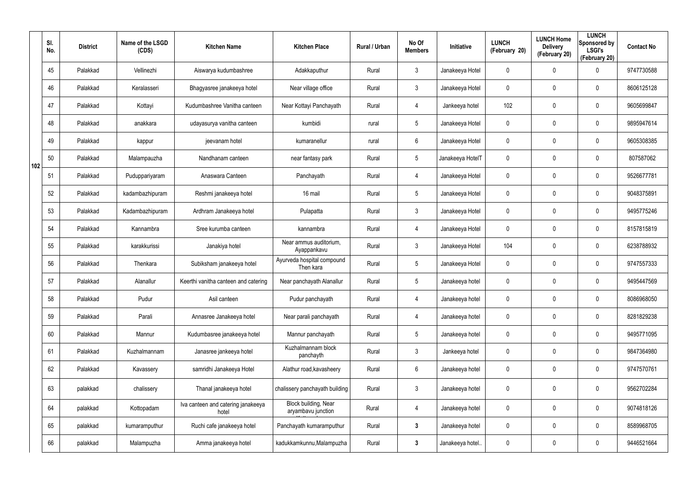|     | SI.<br>No. | <b>District</b> | Name of the LSGD<br>(CDS) | <b>Kitchen Name</b>                         | <b>Kitchen Place</b>                       | Rural / Urban | No Of<br><b>Members</b> | Initiative       | <b>LUNCH</b><br>(February 20) | <b>LUNCH Home</b><br><b>Delivery</b><br>(February 20) | <b>LUNCH</b><br>Sponsored by<br><b>LSGI's</b><br>(February 20) | <b>Contact No</b> |
|-----|------------|-----------------|---------------------------|---------------------------------------------|--------------------------------------------|---------------|-------------------------|------------------|-------------------------------|-------------------------------------------------------|----------------------------------------------------------------|-------------------|
|     | 45         | Palakkad        | Vellinezhi                | Aiswarya kudumbashree                       | Adakkaputhur                               | Rural         | $\mathbf{3}$            | Janakeeya Hotel  | 0                             | 0                                                     | $\mathbf 0$                                                    | 9747730588        |
|     | 46         | Palakkad        | Keralasseri               | Bhagyasree janakeeya hotel                  | Near village office                        | Rural         | $\mathbf{3}$            | Janakeeya Hotel  | 0                             | 0                                                     | $\mathbf 0$                                                    | 8606125128        |
|     | 47         | Palakkad        | Kottayi                   | Kudumbashree Vanitha canteen                | Near Kottayi Panchayath                    | Rural         | $\overline{4}$          | Jankeeya hotel   | 102                           | $\mathbf 0$                                           | $\mathbf 0$                                                    | 9605699847        |
|     | 48         | Palakkad        | anakkara                  | udayasurya vanitha canteen                  | kumbidi                                    | rural         | $5\phantom{.0}$         | Janakeeya Hotel  | 0                             | 0                                                     | $\mathbf 0$                                                    | 9895947614        |
|     | 49         | Palakkad        | kappur                    | jeevanam hotel                              | kumaranellur                               | rural         | 6                       | Janakeeya Hotel  | 0                             | $\mathbf 0$                                           | $\mathbf 0$                                                    | 9605308385        |
| 102 | 50         | Palakkad        | Malampauzha               | Nandhanam canteen                           | near fantasy park                          | Rural         | $5\overline{)}$         | Janakeeya HotelT | 0                             | 0                                                     | $\mathbf 0$                                                    | 807587062         |
|     | 51         | Palakkad        | Puduppariyaram            | Anaswara Canteen                            | Panchayath                                 | Rural         | $\overline{4}$          | Janakeeya Hotel  | 0                             | 0                                                     | $\mathbf 0$                                                    | 9526677781        |
|     | 52         | Palakkad        | kadambazhipuram           | Reshmi janakeeya hotel                      | 16 mail                                    | Rural         | $5\phantom{.0}$         | Janakeeya Hotel  | 0                             | 0                                                     | $\mathbf 0$                                                    | 9048375891        |
|     | 53         | Palakkad        | Kadambazhipuram           | Ardhram Janakeeya hotel                     | Pulapatta                                  | Rural         | $\mathbf{3}$            | Janakeeya Hotel  | 0                             | $\mathbf 0$                                           | $\mathbf 0$                                                    | 9495775246        |
|     | 54         | Palakkad        | Kannambra                 | Sree kurumba canteen                        | kannambra                                  | Rural         | $\overline{4}$          | Janakeeya Hotel  | 0                             | 0                                                     | $\mathbf 0$                                                    | 8157815819        |
|     | 55         | Palakkad        | karakkurissi              | Janakiya hotel                              | Near ammus auditorium,<br>Ayappankavu      | Rural         | $\mathbf{3}$            | Janakeeya Hotel  | 104                           | 0                                                     | $\mathbf 0$                                                    | 6238788932        |
|     | 56         | Palakkad        | Thenkara                  | Subiksham janakeeya hotel                   | Ayurveda hospital compound<br>Then kara    | Rural         | $5\phantom{.0}$         | Janakeeya Hotel  | 0                             | 0                                                     | $\mathbf 0$                                                    | 9747557333        |
|     | 57         | Palakkad        | Alanallur                 | Keerthi vanitha canteen and catering        | Near panchayath Alanallur                  | Rural         | $5\phantom{.0}$         | Janakeeya hotel  | 0                             | 0                                                     | $\mathbf 0$                                                    | 9495447569        |
|     | 58         | Palakkad        | Pudur                     | Asil canteen                                | Pudur panchayath                           | Rural         | 4                       | Janakeeya hotel  | 0                             | $\mathbf 0$                                           | $\pmb{0}$                                                      | 8086968050        |
|     | 59         | Palakkad        | Parali                    | Annasree Janakeeya hotel                    | Near parali panchayath                     | Rural         | $\overline{4}$          | Janakeeya hotel  | 0                             | $\mathbf 0$                                           | $\mathbf 0$                                                    | 8281829238        |
|     | 60         | Palakkad        | Mannur                    | Kudumbasree janakeeya hotel                 | Mannur panchayath                          | Rural         | $5\phantom{.0}$         | Janakeeya hotel  | 0                             | $\mathbf 0$                                           | $\mathbf 0$                                                    | 9495771095        |
|     | 61         | Palakkad        | Kuzhalmannam              | Janasree jankeeya hotel                     | Kuzhalmannam block<br>panchayth            | Rural         | $\mathbf{3}$            | Jankeeya hotel   | 0                             | $\mathbf 0$                                           | $\mathbf 0$                                                    | 9847364980        |
|     | 62         | Palakkad        | Kavassery                 | samridhi Janakeeya Hotel                    | Alathur road, kavasheery                   | Rural         | $6\phantom{.}6$         | Janakeeya hotel  | 0                             | 0                                                     | $\mathbf 0$                                                    | 9747570761        |
|     | 63         | palakkad        | chalissery                | Thanal janakeeya hotel                      | chalissery panchayath building             | Rural         | $\mathfrak{Z}$          | Janakeeya hotel  | 0                             | 0                                                     | $\pmb{0}$                                                      | 9562702284        |
|     | 64         | palakkad        | Kottopadam                | Iva canteen and catering janakeeya<br>hotel | Block building, Near<br>aryambavu junction | Rural         | 4                       | Janakeeya hotel  | 0                             | 0                                                     | $\mathbf 0$                                                    | 9074818126        |
|     | 65         | palakkad        | kumaramputhur             | Ruchi cafe janakeeya hotel                  | Panchayath kumaramputhur                   | Rural         | $\mathbf{3}$            | Janakeeya hotel  | 0                             | $\mathbf 0$                                           | $\mathbf 0$                                                    | 8589968705        |
|     | 66         | palakkad        | Malampuzha                | Amma janakeeya hotel                        | kadukkamkunnu, Malampuzha                  | Rural         | $\mathbf{3}$            | Janakeeya hotel  | 0                             | 0                                                     | $\bf{0}$                                                       | 9446521664        |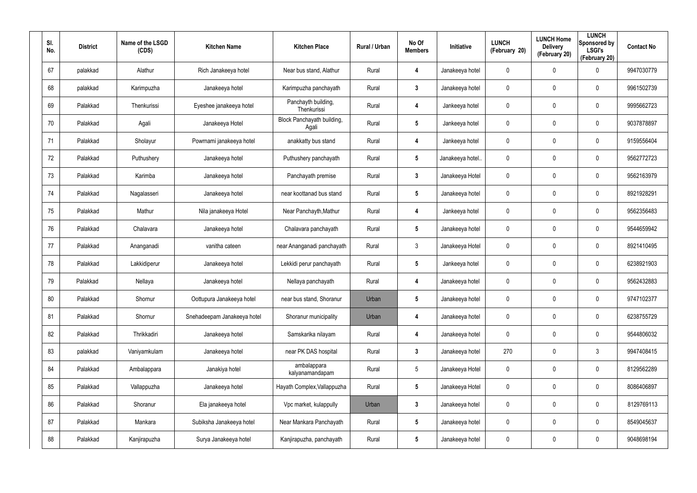| SI.<br>No. | <b>District</b> | Name of the LSGD<br>(CDS) | <b>Kitchen Name</b>         | <b>Kitchen Place</b>                | Rural / Urban | No Of<br><b>Members</b> | Initiative       | <b>LUNCH</b><br>(February 20) | <b>LUNCH Home</b><br><b>Delivery</b><br>(February 20) | <b>LUNCH</b><br>Sponsored by<br><b>LSGI's</b><br>(February 20) | <b>Contact No</b> |
|------------|-----------------|---------------------------|-----------------------------|-------------------------------------|---------------|-------------------------|------------------|-------------------------------|-------------------------------------------------------|----------------------------------------------------------------|-------------------|
| 67         | palakkad        | Alathur                   | Rich Janakeeya hotel        | Near bus stand, Alathur             | Rural         | 4                       | Janakeeya hotel  | 0                             | 0                                                     | $\boldsymbol{0}$                                               | 9947030779        |
| 68         | palakkad        | Karimpuzha                | Janakeeya hotel             | Karimpuzha panchayath               | Rural         | 3                       | Janakeeya hotel  | 0                             | 0                                                     | $\mathbf 0$                                                    | 9961502739        |
| 69         | Palakkad        | Thenkurissi               | Eyeshee janakeeya hotel     | Panchayth building,<br>Thenkurissi  | Rural         | 4                       | Jankeeya hotel   | 0                             | 0                                                     | $\pmb{0}$                                                      | 9995662723        |
| 70         | Palakkad        | Agali                     | Janakeeya Hotel             | Block Panchayath building,<br>Agali | Rural         | 5                       | Jankeeya hotel   | 0                             | 0                                                     | $\mathbf 0$                                                    | 9037878897        |
| 71         | Palakkad        | Sholayur                  | Powrnami janakeeya hotel    | anakkatty bus stand                 | Rural         | 4                       | Jankeeya hotel   | 0                             | 0                                                     | $\mathbf 0$                                                    | 9159556404        |
| 72         | Palakkad        | Puthushery                | Janakeeya hotel             | Puthushery panchayath               | Rural         | $5\phantom{.0}$         | Janakeeya hotel. | 0                             | 0                                                     | $\mathbf 0$                                                    | 9562772723        |
| 73         | Palakkad        | Karimba                   | Janakeeya hotel             | Panchayath premise                  | Rural         | $3\phantom{a}$          | Janakeeya Hotel  | 0                             | 0                                                     | $\mathbf 0$                                                    | 9562163979        |
| 74         | Palakkad        | Nagalasseri               | Janakeeya hotel             | near koottanad bus stand            | Rural         | 5                       | Janakeeya hotel  | 0                             | 0                                                     | $\mathbf 0$                                                    | 8921928291        |
| 75         | Palakkad        | Mathur                    | Nila janakeeya Hotel        | Near Panchayth, Mathur              | Rural         | 4                       | Jankeeya hotel   | 0                             | 0                                                     | $\mathbf 0$                                                    | 9562356483        |
| 76         | Palakkad        | Chalavara                 | Janakeeya hotel             | Chalavara panchayath                | Rural         | $\overline{\mathbf{5}}$ | Janakeeya hotel  | 0                             | 0                                                     | $\mathbf 0$                                                    | 9544659942        |
| 77         | Palakkad        | Ananganadi                | vanitha cateen              | near Ananganadi panchayath          | Rural         | $\mathbf{3}$            | Janakeeya Hotel  | 0                             | 0                                                     | $\mathbf 0$                                                    | 8921410495        |
| 78         | Palakkad        | Lakkidiperur              | Janakeeya hotel             | Lekkidi perur panchayath            | Rural         | 5                       | Jankeeya hotel   | 0                             | 0                                                     | $\mathbf 0$                                                    | 6238921903        |
| 79         | Palakkad        | Nellaya                   | Janakeeya hotel             | Nellaya panchayath                  | Rural         | 4                       | Janakeeya hotel  | 0                             | 0                                                     | $\mathbf 0$                                                    | 9562432883        |
| 80         | Palakkad        | Shornur                   | Oottupura Janakeeya hotel   | near bus stand, Shoranur            | Urban         | $\overline{\mathbf{5}}$ | Janakeeya hotel  | 0                             | 0                                                     | $\pmb{0}$                                                      | 9747102377        |
| 81         | Palakkad        | Shornur                   | Snehadeepam Janakeeya hotel | Shoranur municipality               | Urban         | 4                       | Janakeeya hotel  | $\pmb{0}$                     | 0                                                     | $\mathbf 0$                                                    | 6238755729        |
| 82         | Palakkad        | Thrikkadiri               | Janakeeya hotel             | Samskarika nilayam                  | Rural         | 4                       | Janakeeya hotel  | $\mathbf 0$                   | 0                                                     | $\mathbf 0$                                                    | 9544806032        |
| 83         | palakkad        | Vaniyamkulam              | Janakeeya hotel             | near PK DAS hospital                | Rural         | $\mathbf{3}$            | Janakeeya hotel  | 270                           | 0                                                     | $3\phantom{.0}$                                                | 9947408415        |
| 84         | Palakkad        | Ambalappara               | Janakiya hotel              | ambalappara<br>kalyanamandapam      | Rural         | $5\phantom{.0}$         | Janakeeya Hotel  | $\mathbf 0$                   | 0                                                     | $\mathbf 0$                                                    | 8129562289        |
| 85         | Palakkad        | Vallappuzha               | Janakeeya hotel             | Hayath Complex, Vallappuzha         | Rural         | $5\phantom{.0}$         | Janakeeya Hotel  | 0                             | 0                                                     | $\mathbf 0$                                                    | 8086406897        |
| 86         | Palakkad        | Shoranur                  | Ela janakeeya hotel         | Vpc market, kulappully              | Urban         | $\mathbf{3}$            | Janakeeya hotel  | 0                             | 0                                                     | $\mathbf 0$                                                    | 8129769113        |
| 87         | Palakkad        | Mankara                   | Subiksha Janakeeya hotel    | Near Mankara Panchayath             | Rural         | $5\phantom{.0}$         | Janakeeya hotel  | 0                             | 0                                                     | $\mathbf 0$                                                    | 8549045637        |
| 88         | Palakkad        | Kanjirapuzha              | Surya Janakeeya hotel       | Kanjirapuzha, panchayath            | Rural         | $5\phantom{.0}$         | Janakeeya hotel  | 0                             | 0                                                     | $\pmb{0}$                                                      | 9048698194        |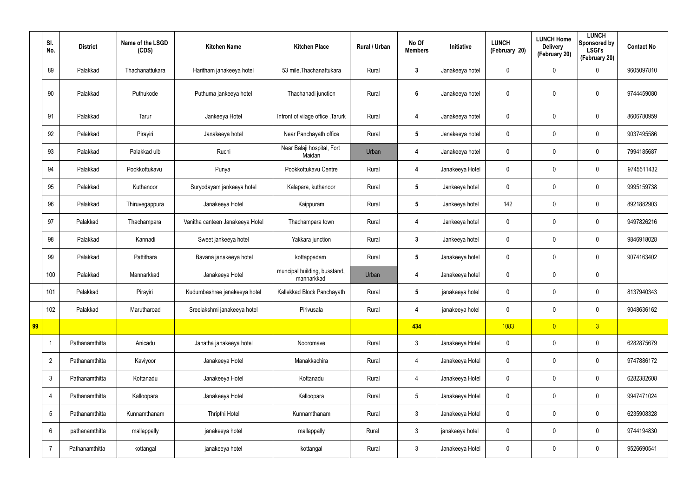|    | SI.<br>No.     | <b>District</b> | Name of the LSGD<br>(CDS) | <b>Kitchen Name</b>             | <b>Kitchen Place</b>                       | Rural / Urban | No Of<br><b>Members</b> | Initiative      | <b>LUNCH</b><br>(February 20) | <b>LUNCH Home</b><br><b>Delivery</b><br>(February 20) | <b>LUNCH</b><br>Sponsored by<br><b>LSGI's</b><br>(February 20) | <b>Contact No</b> |
|----|----------------|-----------------|---------------------------|---------------------------------|--------------------------------------------|---------------|-------------------------|-----------------|-------------------------------|-------------------------------------------------------|----------------------------------------------------------------|-------------------|
|    | 89             | Palakkad        | Thachanattukara           | Haritham janakeeya hotel        | 53 mile, Thachanattukara                   | Rural         | $3\phantom{a}$          | Janakeeya hotel | $\overline{0}$                | $\mathbf 0$                                           | $\mathbf 0$                                                    | 9605097810        |
|    | 90             | Palakkad        | Puthukode                 | Puthuma jankeeya hotel          | Thachanadi junction                        | Rural         | $6\phantom{1}$          | Janakeeya hotel | $\mathbf 0$                   | 0                                                     | $\pmb{0}$                                                      | 9744459080        |
|    | 91             | Palakkad        | Tarur                     | Jankeeya Hotel                  | Infront of vilage office, Tarurk           | Rural         | 4                       | Janakeeya hotel | $\mathbf 0$                   | $\mathbf 0$                                           | $\mathbf 0$                                                    | 8606780959        |
|    | 92             | Palakkad        | Pirayiri                  | Janakeeya hotel                 | Near Panchayath office                     | Rural         | $5\phantom{.0}$         | Janakeeya hotel | $\pmb{0}$                     | 0                                                     | $\overline{0}$                                                 | 9037495586        |
|    | 93             | Palakkad        | Palakkad ulb              | Ruchi                           | Near Balaji hospital, Fort<br>Maidan       | Urban         | 4                       | Janakeeya hotel | $\mathbf 0$                   | 0                                                     | $\mathbf 0$                                                    | 7994185687        |
|    | 94             | Palakkad        | Pookkottukavu             | Punya                           | Pookkottukavu Centre                       | Rural         | 4                       | Janakeeya Hotel | $\pmb{0}$                     | 0                                                     | $\overline{0}$                                                 | 9745511432        |
|    | 95             | Palakkad        | Kuthanoor                 | Suryodayam jankeeya hotel       | Kalapara, kuthanoor                        | Rural         | $5\phantom{.0}$         | Jankeeya hotel  | $\mathbf 0$                   | 0                                                     | $\mathbf 0$                                                    | 9995159738        |
|    | 96             | Palakkad        | Thiruvegappura            | Janakeeya Hotel                 | Kaippuram                                  | Rural         | $5\phantom{.0}$         | Jankeeya hotel  | 142                           | 0                                                     | $\overline{0}$                                                 | 8921882903        |
|    | 97             | Palakkad        | Thachampara               | Vanitha canteen Janakeeya Hotel | Thachampara town                           | Rural         | 4                       | Jankeeya hotel  | $\mathbf 0$                   | $\mathbf 0$                                           | $\mathbf 0$                                                    | 9497826216        |
|    | 98             | Palakkad        | Kannadi                   | Sweet jankeeya hotel            | Yakkara junction                           | Rural         | $3\phantom{a}$          | Jankeeya hotel  | $\mathbf 0$                   | $\mathbf 0$                                           | $\overline{0}$                                                 | 9846918028        |
|    | 99             | Palakkad        | Pattithara                | Bavana janakeeya hotel          | kottappadam                                | Rural         | $5\phantom{.0}$         | Janakeeya hotel | $\pmb{0}$                     | 0                                                     | $\mathbf 0$                                                    | 9074163402        |
|    | 100            | Palakkad        | Mannarkkad                | Janakeeya Hotel                 | muncipal building, busstand,<br>mannarkkad | Urban         | 4                       | Janakeeya hotel | $\pmb{0}$                     | 0                                                     | $\mathbf 0$                                                    |                   |
|    | 101            | Palakkad        | Pirayiri                  | Kudumbashree janakeeya hotel    | Kallekkad Block Panchayath                 | Rural         | 5                       | janakeeya hotel | $\mathbf 0$                   | $\mathbf 0$                                           | $\boldsymbol{0}$                                               | 8137940343        |
|    | 102            | Palakkad        | Marutharoad               | Sreelakshmi janakeeya hotel     | Pirivusala                                 | Rural         | 4                       | janakeeya hotel | $\pmb{0}$                     | 0                                                     | $\mathbf 0$                                                    | 9048636162        |
| 99 |                |                 |                           |                                 |                                            |               | 434                     |                 | 1083                          | $\overline{0}$                                        | $\overline{3}$                                                 |                   |
|    | -1             | Pathanamthitta  | Anicadu                   | Janatha janakeeya hotel         | Nooromave                                  | Rural         | $\mathbf{3}$            | Janakeeya Hotel | $\pmb{0}$                     | 0                                                     | $\mathbf 0$                                                    | 6282875679        |
|    | $\overline{2}$ | Pathanamthitta  | Kaviyoor                  | Janakeeya Hotel                 | Manakkachira                               | Rural         | 4                       | Janakeeya Hotel | $\pmb{0}$                     | 0                                                     | $\mathbf 0$                                                    | 9747886172        |
|    | $\mathfrak{Z}$ | Pathanamthitta  | Kottanadu                 | Janakeeya Hotel                 | Kottanadu                                  | Rural         | 4                       | Janakeeya Hotel | $\pmb{0}$                     | 0                                                     | $\boldsymbol{0}$                                               | 6282382608        |
|    | $\overline{4}$ | Pathanamthitta  | Kalloopara                | Janakeeya Hotel                 | Kalloopara                                 | Rural         | $5\phantom{.0}$         | Janakeeya Hotel | $\mathbf 0$                   | 0                                                     | $\mathbf 0$                                                    | 9947471024        |
|    | $\sqrt{5}$     | Pathanamthitta  | Kunnamthanam              | <b>Thripthi Hotel</b>           | Kunnamthanam                               | Rural         | $\mathbf{3}$            | Janakeeya Hotel | $\mathbf 0$                   | 0                                                     | $\mathbf 0$                                                    | 6235908328        |
|    | 6              | pathanamthitta  | mallappally               | janakeeya hotel                 | mallappally                                | Rural         | $\mathbf{3}$            | janakeeya hotel | $\mathbf 0$                   | 0                                                     | $\mathbf 0$                                                    | 9744194830        |
|    | -7             | Pathanamthitta  | kottangal                 | janakeeya hotel                 | kottangal                                  | Rural         | $\mathbf{3}$            | Janakeeya Hotel | $\pmb{0}$                     | 0                                                     | $\overline{0}$                                                 | 9526690541        |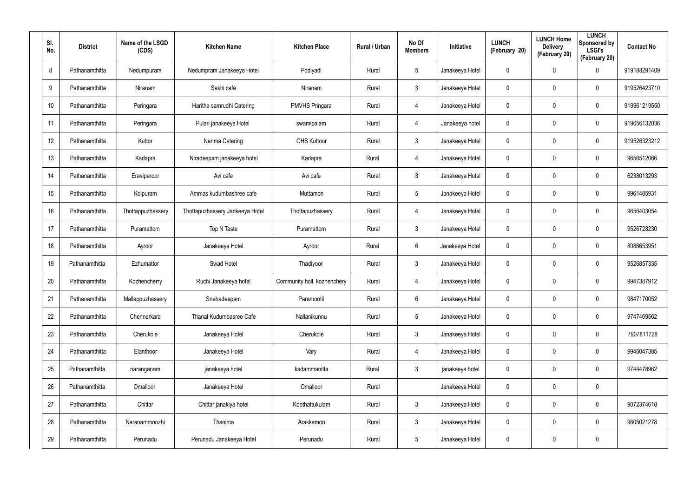| SI.<br>No. | <b>District</b> | Name of the LSGD<br>(CDS) | <b>Kitchen Name</b>             | <b>Kitchen Place</b>        | Rural / Urban | No Of<br><b>Members</b> | Initiative      | <b>LUNCH</b><br>(February 20) | <b>LUNCH Home</b><br><b>Delivery</b><br>(February 20) | <b>LUNCH</b><br>Sponsored by<br><b>LSGI's</b><br>(February 20) | <b>Contact No</b> |
|------------|-----------------|---------------------------|---------------------------------|-----------------------------|---------------|-------------------------|-----------------|-------------------------------|-------------------------------------------------------|----------------------------------------------------------------|-------------------|
| 8          | Pathanamthitta  | Nedumpuram                | Nedumpram Janakeeya Hotel       | Podiyadi                    | Rural         | 5                       | Janakeeya Hotel | 0                             | 0                                                     | $\boldsymbol{0}$                                               | 919188291409      |
| 9          | Pathanamthitta  | Niranam                   | Sakhi cafe                      | Niranam                     | Rural         | $\mathbf{3}$            | Janakeeya Hotel | 0                             | 0                                                     | $\pmb{0}$                                                      | 919526423710      |
| 10         | Pathanamthitta  | Peringara                 | Haritha samrudhi Catering       | <b>PMVHS Pringara</b>       | Rural         | 4                       | Janakeeya Hotel | 0                             | 0                                                     | $\mathbf 0$                                                    | 919961219550      |
| 11         | Pathanamthitta  | Peringara                 | Pulari janakeeya Hotel          | swamipalam                  | Rural         | $\overline{4}$          | Janakeeya hotel | 0                             | 0                                                     | $\mathbf 0$                                                    | 919656132036      |
| 12         | Pathanamthitta  | Kuttor                    | Nanma Catering                  | <b>GHS Kuttoor</b>          | Rural         | $\mathbf{3}$            | Janakeeya Hotel | 0                             | 0                                                     | $\mathbf 0$                                                    | 919526323212      |
| 13         | Pathanamthitta  | Kadapra                   | Niradeepam janakeeya hotel      | Kadapra                     | Rural         | 4                       | Janakeeya Hotel | 0                             | 0                                                     | $\mathbf 0$                                                    | 9656512066        |
| 14         | Pathanamthitta  | Eraviperoor               | Avi cafe                        | Avi cafe                    | Rural         | $\mathbf{3}$            | Janakeeya Hotel | 0                             | 0                                                     | $\boldsymbol{0}$                                               | 6238013293        |
| 15         | Pathanamthitta  | Koipuram                  | Ammas kudumbashree cafe         | Muttamon                    | Rural         | $5\phantom{.0}$         | Janakeeya Hotel | 0                             | 0                                                     | $\mathbf 0$                                                    | 9961485931        |
| 16         | Pathanamthitta  | Thottappuzhassery         | Thottapuzhassery Jankeeya Hotel | Thottapuzhassery            | Rural         | 4                       | Janakeeya Hotel | 0                             | 0                                                     | $\pmb{0}$                                                      | 9656403054        |
| 17         | Pathanamthitta  | Puramattom                | Top N Taste                     | Puramattom                  | Rural         | $\mathbf{3}$            | Janakeeya Hotel | 0                             | 0                                                     | $\mathbf 0$                                                    | 9526728230        |
| 18         | Pathanamthitta  | Ayroor                    | Janakeeya Hotel                 | Ayroor                      | Rural         | 6                       | Janakeeya Hotel | 0                             | 0                                                     | $\pmb{0}$                                                      | 8086653951        |
| 19         | Pathanamthitta  | Ezhumattor                | Swad Hotel                      | Thadiyoor                   | Rural         | $\mathbf{3}$            | Janakeeya Hotel | 0                             | 0                                                     | $\boldsymbol{0}$                                               | 9526857335        |
| 20         | Pathanamthitta  | Kozhencherry              | Ruchi Janakeeya hotel           | Community hall, kozhenchery | Rural         | 4                       | Janakeeya Hotel | 0                             | 0                                                     | $\boldsymbol{0}$                                               | 9947387912        |
| 21         | Pathanamthitta  | Mallappuzhassery          | Snehadeepam                     | Paramootil                  | Rural         | 6                       | Janakeeya Hotel | 0                             | 0                                                     | $\pmb{0}$                                                      | 9847170052        |
| 22         | Pathanamthitta  | Chennerkara               | Thanal Kudumbasree Cafe         | Nallanikunnu                | Rural         | $5\phantom{.0}$         | Janakeeya Hotel | 0                             | 0                                                     | $\mathbf 0$                                                    | 9747469562        |
| 23         | Pathanamthitta  | Cherukole                 | Janakeeya Hotel                 | Cherukole                   | Rural         | 3 <sup>1</sup>          | Janakeeya Hotel | 0                             | 0                                                     | $\mathbf 0$                                                    | 7907811728        |
| 24         | Pathanamthitta  | Elanthoor                 | Janakeeya Hotel                 | Vary                        | Rural         | $\overline{4}$          | Janakeeya Hotel | 0                             | 0                                                     | $\mathbf 0$                                                    | 9946047385        |
| 25         | Pathanamthitta  | naranganam                | janakeeya hotel                 | kadammanitta                | Rural         | $\mathbf{3}$            | janakeeya hotel | 0                             | 0                                                     | $\pmb{0}$                                                      | 9744478962        |
| 26         | Pathanamthitta  | Omalloor                  | Janakeeya Hotel                 | Omalloor                    | Rural         |                         | Janakeeya Hotel | 0                             | 0                                                     | $\pmb{0}$                                                      |                   |
| 27         | Pathanamthitta  | Chittar                   | Chittar janakiya hotel          | Koothattukulam              | Rural         | 3 <sup>1</sup>          | Janakeeya Hotel | 0                             | 0                                                     | $\pmb{0}$                                                      | 9072374618        |
| 28         | Pathanamthitta  | Naranammoozhi             | Thanima                         | Arakkamon                   | Rural         | $\mathbf{3}$            | Janakeeya Hotel | 0                             | 0                                                     | $\mathbf 0$                                                    | 9605021278        |
| 29         | Pathanamthitta  | Perunadu                  | Perunadu Janakeeya Hotel        | Perunadu                    | Rural         | $5\phantom{.0}$         | Janakeeya Hotel | 0                             | 0                                                     | $\pmb{0}$                                                      |                   |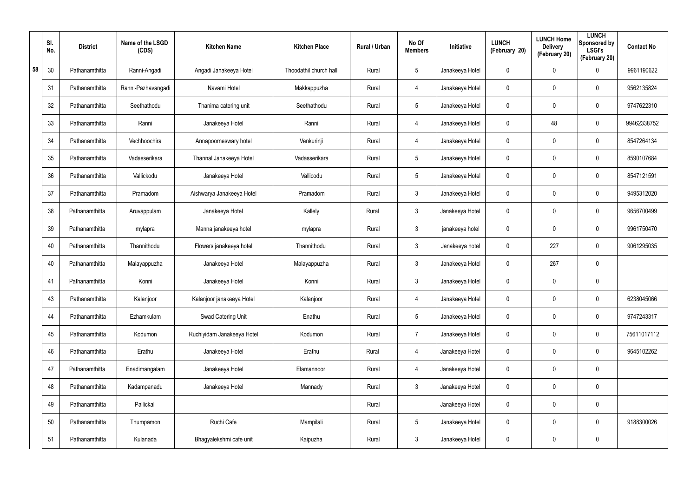|    | SI.<br>No. | <b>District</b> | Name of the LSGD<br>(CDS) | <b>Kitchen Name</b>        | <b>Kitchen Place</b>   | Rural / Urban | No Of<br><b>Members</b> | Initiative      | <b>LUNCH</b><br>(February 20) | <b>LUNCH Home</b><br><b>Delivery</b><br>(February 20) | <b>LUNCH</b><br>Sponsored by<br><b>LSGI's</b><br>(February 20) | <b>Contact No</b> |
|----|------------|-----------------|---------------------------|----------------------------|------------------------|---------------|-------------------------|-----------------|-------------------------------|-------------------------------------------------------|----------------------------------------------------------------|-------------------|
| 58 | 30         | Pathanamthitta  | Ranni-Angadi              | Angadi Janakeeya Hotel     | Thoodathil church hall | Rural         | $5\phantom{.0}$         | Janakeeya Hotel | 0                             | 0                                                     | $\mathbf 0$                                                    | 9961190622        |
|    | 31         | Pathanamthitta  | Ranni-Pazhavangadi        | Navami Hotel               | Makkappuzha            | Rural         | 4                       | Janakeeya Hotel | 0                             | 0                                                     | $\mathbf 0$                                                    | 9562135824        |
|    | 32         | Pathanamthitta  | Seethathodu               | Thanima catering unit      | Seethathodu            | Rural         | $5\phantom{.0}$         | Janakeeya Hotel | 0                             | 0                                                     | $\mathbf 0$                                                    | 9747622310        |
|    | 33         | Pathanamthitta  | Ranni                     | Janakeeya Hotel            | Ranni                  | Rural         | 4                       | Janakeeya Hotel | 0                             | 48                                                    | $\mathbf 0$                                                    | 99462338752       |
|    | 34         | Pathanamthitta  | Vechhoochira              | Annapoorneswary hotel      | Venkurinji             | Rural         | 4                       | Janakeeya Hotel | 0                             | 0                                                     | $\mathbf 0$                                                    | 8547264134        |
|    | 35         | Pathanamthitta  | Vadasserikara             | Thannal Janakeeya Hotel    | Vadasserikara          | Rural         | $5\phantom{.0}$         | Janakeeya Hotel | 0                             | 0                                                     | $\mathbf 0$                                                    | 8590107684        |
|    | 36         | Pathanamthitta  | Vallickodu                | Janakeeya Hotel            | Vallicodu              | Rural         | $5\phantom{.0}$         | Janakeeya Hotel | 0                             | 0                                                     | $\mathbf 0$                                                    | 8547121591        |
|    | 37         | Pathanamthitta  | Pramadom                  | Aishwarya Janakeeya Hotel  | Pramadom               | Rural         | $\mathbf{3}$            | Janakeeya Hotel | 0                             | 0                                                     | $\mathbf 0$                                                    | 9495312020        |
|    | 38         | Pathanamthitta  | Aruvappulam               | Janakeeya Hotel            | Kallely                | Rural         | $\mathbf{3}$            | Janakeeya Hotel | 0                             | 0                                                     | $\mathbf 0$                                                    | 9656700499        |
|    | 39         | Pathanamthitta  | mylapra                   | Manna janakeeya hotel      | mylapra                | Rural         | $\mathbf{3}$            | janakeeya hotel | 0                             | 0                                                     | $\mathbf 0$                                                    | 9961750470        |
|    | 40         | Pathanamthitta  | Thannithodu               | Flowers janakeeya hotel    | Thannithodu            | Rural         | $\mathbf{3}$            | Janakeeya hotel | 0                             | 227                                                   | $\mathbf 0$                                                    | 9061295035        |
|    | 40         | Pathanamthitta  | Malayappuzha              | Janakeeya Hotel            | Malayappuzha           | Rural         | $\mathbf{3}$            | Janakeeya Hotel | 0                             | 267                                                   | $\mathbf 0$                                                    |                   |
|    | 41         | Pathanamthitta  | Konni                     | Janakeeya Hotel            | Konni                  | Rural         | $\mathfrak{Z}$          | Janakeeya Hotel | 0                             | 0                                                     | $\boldsymbol{0}$                                               |                   |
|    | 43         | Pathanamthitta  | Kalanjoor                 | Kalanjoor janakeeya Hotel  | Kalanjoor              | Rural         | 4                       | Janakeeya Hotel | 0                             | 0                                                     | $\mathbf 0$                                                    | 6238045066        |
|    | 44         | Pathanamthitta  | Ezhamkulam                | Swad Catering Unit         | Enathu                 | Rural         | $5\phantom{.0}$         | Janakeeya Hotel | $\mathbf 0$                   | $\mathbf 0$                                           | $\mathbf 0$                                                    | 9747243317        |
|    | 45         | Pathanamthitta  | Kodumon                   | Ruchiyidam Janakeeya Hotel | Kodumon                | Rural         | $\overline{7}$          | Janakeeya Hotel | $\mathbf 0$                   | $\mathbf 0$                                           | $\mathbf 0$                                                    | 75611017112       |
|    | 46         | Pathanamthitta  | Erathu                    | Janakeeya Hotel            | Erathu                 | Rural         | 4                       | Janakeeya Hotel | 0                             | $\mathbf 0$                                           | $\mathbf 0$                                                    | 9645102262        |
|    | 47         | Pathanamthitta  | Enadimangalam             | Janakeeya Hotel            | Elamannoor             | Rural         | 4                       | Janakeeya Hotel | $\mathbf 0$                   | 0                                                     | $\pmb{0}$                                                      |                   |
|    | 48         | Pathanamthitta  | Kadampanadu               | Janakeeya Hotel            | Mannady                | Rural         | $\mathfrak{Z}$          | Janakeeya Hotel | 0                             | $\mathbf 0$                                           | $\mathbf 0$                                                    |                   |
|    | 49         | Pathanamthitta  | Pallickal                 |                            |                        | Rural         |                         | Janakeeya Hotel | $\mathbf 0$                   | 0                                                     | $\pmb{0}$                                                      |                   |
|    | 50         | Pathanamthitta  | Thumpamon                 | Ruchi Cafe                 | Mampilali              | Rural         | $5\phantom{.0}$         | Janakeeya Hotel | 0                             | $\mathbf 0$                                           | $\mathbf 0$                                                    | 9188300026        |
|    | 51         | Pathanamthitta  | Kulanada                  | Bhagyalekshmi cafe unit    | Kaipuzha               | Rural         | $\mathfrak{Z}$          | Janakeeya Hotel | 0                             | $\pmb{0}$                                             | $\pmb{0}$                                                      |                   |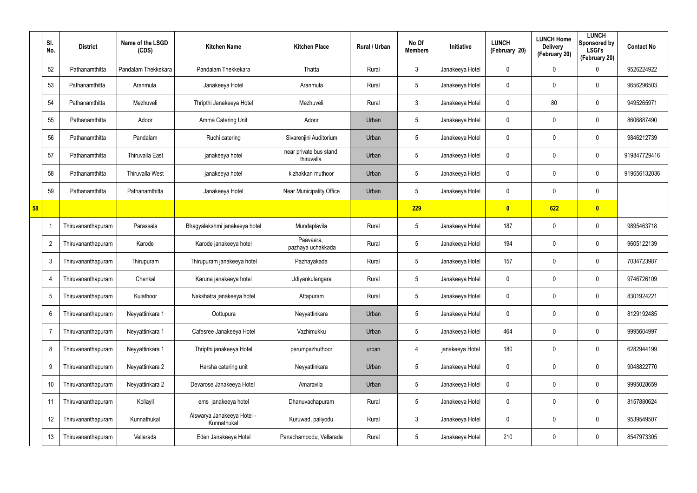|    | SI.<br>No.     | <b>District</b>    | Name of the LSGD<br>(CDS) | <b>Kitchen Name</b>                       | <b>Kitchen Place</b>                 | Rural / Urban | No Of<br><b>Members</b> | Initiative      | <b>LUNCH</b><br>(February 20) | <b>LUNCH Home</b><br><b>Delivery</b><br>(February 20) | <b>LUNCH</b><br>Sponsored by<br><b>LSGI's</b><br>(February 20) | <b>Contact No</b> |
|----|----------------|--------------------|---------------------------|-------------------------------------------|--------------------------------------|---------------|-------------------------|-----------------|-------------------------------|-------------------------------------------------------|----------------------------------------------------------------|-------------------|
|    | 52             | Pathanamthitta     | Pandalam Thekkekara       | Pandalam Thekkekara                       | Thatta                               | Rural         | $\mathfrak{Z}$          | Janakeeya Hotel | $\mathbf 0$                   | 0                                                     | 0                                                              | 9526224922        |
|    | 53             | Pathanamthitta     | Aranmula                  | Janakeeya Hotel                           | Aranmula                             | Rural         | $5\overline{)}$         | Janakeeya Hotel | 0                             | 0                                                     | $\boldsymbol{0}$                                               | 9656296503        |
|    | 54             | Pathanamthitta     | Mezhuveli                 | Thripthi Janakeeya Hotel                  | Mezhuveli                            | Rural         | $\mathbf{3}$            | Janakeeya Hotel | 0                             | 80                                                    | $\mathbf 0$                                                    | 9495265971        |
|    | 55             | Pathanamthitta     | Adoor                     | Amma Catering Unit                        | Adoor                                | Urban         | $5\overline{)}$         | Janakeeya Hotel | 0                             | 0                                                     | $\boldsymbol{0}$                                               | 8606887490        |
|    | 56             | Pathanamthitta     | Pandalam                  | Ruchi catering                            | Sivarenjini Auditorium               | Urban         | $5\phantom{.0}$         | Janakeeya Hotel | 0                             | 0                                                     | $\mathbf 0$                                                    | 9846212739        |
|    | 57             | Pathanamthitta     | <b>Thiruvalla East</b>    | janakeeya hotel                           | near private bus stand<br>thiruvalla | Urban         | $5\phantom{.0}$         | Janakeeya Hotel | 0                             | 0                                                     | $\boldsymbol{0}$                                               | 919847729416      |
|    | 58             | Pathanamthitta     | <b>Thiruvalla West</b>    | janakeeya hotel                           | kizhakkan muthoor                    | Urban         | $5\phantom{.0}$         | Janakeeya Hotel | 0                             | 0                                                     | $\mathbf 0$                                                    | 919656132036      |
|    | 59             | Pathanamthitta     | Pathanamthitta            | Janakeeya Hotel                           | Near Municipality Office             | Urban         | $5\phantom{.0}$         | Janakeeya Hotel | 0                             | $\mathbf 0$                                           | $\pmb{0}$                                                      |                   |
| 58 |                |                    |                           |                                           |                                      |               | 229                     |                 | $\mathbf{0}$                  | 622                                                   | $\bullet$                                                      |                   |
|    |                | Thiruvananthapuram | Parassala                 | Bhagyalekshmi janakeeya hotel             | Mundaplavila                         | Rural         | $5\phantom{.0}$         | Janakeeya Hotel | 187                           | $\mathbf 0$                                           | $\mathbf 0$                                                    | 9895463718        |
|    | $\overline{2}$ | Thiruvananthapuram | Karode                    | Karode janakeeya hotel                    | Paavaara,<br>pazhaya uchakkada       | Rural         | $5\phantom{.0}$         | Janakeeya Hotel | 194                           | $\boldsymbol{0}$                                      | $\boldsymbol{0}$                                               | 9605122139        |
|    | 3              | Thiruvananthapuram | Thirupuram                | Thirupuram janakeeya hotel                | Pazhayakada                          | Rural         | $5\phantom{.0}$         | Janakeeya Hotel | 157                           | $\boldsymbol{0}$                                      | $\mathbf 0$                                                    | 7034723987        |
|    | $\overline{4}$ | Thiruvananthapuram | Chenkal                   | Karuna janakeeya hotel                    | Udiyankulangara                      | Rural         | $5\phantom{.0}$         | Janakeeya Hotel | 0                             | $\boldsymbol{0}$                                      | $\boldsymbol{0}$                                               | 9746726109        |
|    | 5              | Thiruvananthapuram | Kulathoor                 | Nakshatra janakeeya hotel                 | Attapuram                            | Rural         | $5\phantom{.0}$         | Janakeeya Hotel | 0                             | $\boldsymbol{0}$                                      | $\mathbf 0$                                                    | 8301924221        |
|    | 6              | Thiruvananthapuram | Neyyattinkara 1           | Oottupura                                 | Neyyattinkara                        | Urban         | $5\phantom{.0}$         | Janakeeya Hotel | 0                             | 0                                                     | $\pmb{0}$                                                      | 8129192485        |
|    | $\overline{7}$ | Thiruvananthapuram | Neyyattinkara 1           | Cafesree Janakeeya Hotel                  | Vazhimukku                           | Urban         | $5\phantom{.0}$         | Janakeeya Hotel | 464                           | $\boldsymbol{0}$                                      | $\pmb{0}$                                                      | 9995604997        |
|    | 8              | Thiruvananthapuram | Neyyattinkara 1           | Thripthi janakeeya Hotel                  | perumpazhuthoor                      | urban         | 4                       | janakeeya Hotel | 180                           | 0                                                     | $\pmb{0}$                                                      | 6282944199        |
|    | 9              | Thiruvananthapuram | Neyyattinkara 2           | Harsha catering unit                      | Neyyattinkara                        | Urban         | $5\phantom{.0}$         | Janakeeya Hotel | 0                             | $\boldsymbol{0}$                                      | $\pmb{0}$                                                      | 9048822770        |
|    | 10             | Thiruvananthapuram | Neyyattinkara 2           | Devarose Janakeeya Hotel                  | Amaravila                            | Urban         | $5\phantom{.0}$         | Janakeeya Hotel | 0                             | 0                                                     | $\pmb{0}$                                                      | 9995028659        |
|    | 11             | Thiruvananthapuram | Kollayil                  | ems janakeeya hotel                       | Dhanuvachapuram                      | Rural         | $5\phantom{.0}$         | Janakeeya Hotel | 0                             | $\boldsymbol{0}$                                      | $\pmb{0}$                                                      | 8157880624        |
|    | 12             | Thiruvananthapuram | Kunnathukal               | Aiswarya Janakeeya Hotel -<br>Kunnathukal | Kuruwad, paliyodu                    | Rural         | $\mathfrak{Z}$          | Janakeeya Hotel | 0                             | $\boldsymbol{0}$                                      | $\pmb{0}$                                                      | 9539549507        |
|    | 13             | Thiruvananthapuram | Vellarada                 | Eden Janakeeya Hotel                      | Panachamoodu, Vellarada              | Rural         | $\sqrt{5}$              | Janakeeya Hotel | 210                           | $\pmb{0}$                                             | $\pmb{0}$                                                      | 8547973305        |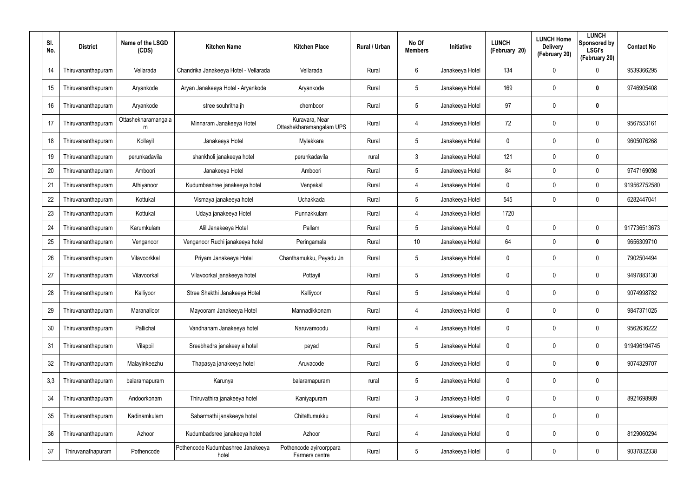| SI.<br>No. | <b>District</b>    | Name of the LSGD<br>(CDS) | <b>Kitchen Name</b>                        | <b>Kitchen Place</b>                       | Rural / Urban | No Of<br><b>Members</b> | Initiative      | <b>LUNCH</b><br>(February 20) | <b>LUNCH Home</b><br><b>Delivery</b><br>(February 20) | <b>LUNCH</b><br><b>Sponsored by</b><br><b>LSGI's</b><br>(February 20) | <b>Contact No</b> |
|------------|--------------------|---------------------------|--------------------------------------------|--------------------------------------------|---------------|-------------------------|-----------------|-------------------------------|-------------------------------------------------------|-----------------------------------------------------------------------|-------------------|
| 14         | Thiruvananthapuram | Vellarada                 | Chandrika Janakeeya Hotel - Vellarada      | Vellarada                                  | Rural         | 6                       | Janakeeya Hotel | 134                           | 0                                                     | $\mathbf 0$                                                           | 9539366295        |
| 15         | Thiruvananthapuram | Aryankode                 | Aryan Janakeeya Hotel - Aryankode          | Aryankode                                  | Rural         | $5\overline{)}$         | Janakeeya Hotel | 169                           | 0                                                     | 0                                                                     | 9746905408        |
| 16         | Thiruvananthapuram | Aryankode                 | stree souhritha jh                         | chemboor                                   | Rural         | $5\overline{)}$         | Janakeeya Hotel | 97                            | 0                                                     | $\bm{0}$                                                              |                   |
| 17         | Thiruvananthapuram | Ottashekharamangala<br>m  | Minnaram Janakeeya Hotel                   | Kuravara, Near<br>Ottashekharamangalam UPS | Rural         | 4                       | Janakeeya Hotel | 72                            | 0                                                     | $\mathbf 0$                                                           | 9567553161        |
| 18         | Thiruvananthapuram | Kollayil                  | Janakeeya Hotel                            | Mylakkara                                  | Rural         | $5\overline{)}$         | Janakeeya Hotel | 0                             | 0                                                     | 0                                                                     | 9605076268        |
| 19         | Thiruvananthapuram | perunkadavila             | shankholi janakeeya hotel                  | perunkadavila                              | rural         | $\mathbf{3}$            | Janakeeya Hotel | 121                           | 0                                                     | 0                                                                     |                   |
| 20         | Thiruvananthapuram | Amboori                   | Janakeeya Hotel                            | Amboori                                    | Rural         | $5\overline{)}$         | Janakeeya Hotel | 84                            | 0                                                     | 0                                                                     | 9747169098        |
| 21         | Thiruvananthapuram | Athiyanoor                | Kudumbashree janakeeya hotel               | Venpakal                                   | Rural         | 4                       | Janakeeya Hotel | 0                             | 0                                                     | $\mathbf 0$                                                           | 919562752580      |
| 22         | Thiruvananthapuram | Kottukal                  | Vismaya janakeeya hotel                    | Uchakkada                                  | Rural         | $5\overline{)}$         | Janakeeya Hotel | 545                           | 0                                                     | $\mathbf 0$                                                           | 6282447041        |
| 23         | Thiruvananthapuram | Kottukal                  | Udaya janakeeya Hotel                      | Punnakkulam                                | Rural         | 4                       | Janakeeya Hotel | 1720                          |                                                       |                                                                       |                   |
| 24         | Thiruvananthapuram | Karumkulam                | Alil Janakeeya Hotel                       | Pallam                                     | Rural         | $5\overline{)}$         | Janakeeya Hotel | 0                             | 0                                                     | $\mathbf 0$                                                           | 917736513673      |
| 25         | Thiruvananthapuram | Venganoor                 | Venganoor Ruchi janakeeya hotel            | Peringamala                                | Rural         | 10 <sup>°</sup>         | Janakeeya Hotel | 64                            | 0                                                     | $\mathbf 0$                                                           | 9656309710        |
| 26         | Thiruvananthapuram | Vilavoorkkal              | Priyam Janakeeya Hotel                     | Chanthamukku, Peyadu Jn                    | Rural         | $5\overline{)}$         | Janakeeya Hotel | 0                             | 0                                                     | $\mathbf 0$                                                           | 7902504494        |
| 27         | Thiruvananthapuram | Vilavoorkal               | Vilavoorkal janakeeya hotel                | Pottayil                                   | Rural         | $5\overline{)}$         | Janakeeya Hotel | 0                             | 0                                                     | $\mathbf 0$                                                           | 9497883130        |
| 28         | Thiruvananthapuram | Kalliyoor                 | Stree Shakthi Janakeeya Hotel              | Kalliyoor                                  | Rural         | $5\phantom{.0}$         | Janakeeya Hotel | $\mathbf 0$                   | 0                                                     | 0                                                                     | 9074998782        |
| 29         | Thiruvananthapuram | Maranalloor               | Mayooram Janakeeya Hotel                   | Mannadikkonam                              | Rural         | 4                       | Janakeeya Hotel | 0                             | 0                                                     | $\pmb{0}$                                                             | 9847371025        |
| 30         | Thiruvananthapuram | Pallichal                 | Vandhanam Janakeeya hotel                  | Naruvamoodu                                | Rural         | 4                       | Janakeeya Hotel | 0                             | 0                                                     | $\pmb{0}$                                                             | 9562636222        |
| 31         | Thiruvananthapuram | Vilappil                  | Sreebhadra janakeey a hotel                | peyad                                      | Rural         | $5\phantom{.0}$         | Janakeeya Hotel | 0                             | 0                                                     | $\pmb{0}$                                                             | 919496194745      |
| 32         | Thiruvananthapuram | Malayinkeezhu             | Thapasya janakeeya hotel                   | Aruvacode                                  | Rural         | $5\phantom{.0}$         | Janakeeya Hotel | 0                             | 0                                                     | $\mathbf 0$                                                           | 9074329707        |
| 3,3        | Thiruvananthapuram | balaramapuram             | Karunya                                    | balaramapuram                              | rural         | $5\phantom{.0}$         | Janakeeya Hotel | 0                             | 0                                                     | $\pmb{0}$                                                             |                   |
| 34         | Thiruvananthapuram | Andoorkonam               | Thiruvathira janakeeya hotel               | Kaniyapuram                                | Rural         | $\mathfrak{Z}$          | Janakeeya Hotel | $\mathbf 0$                   | 0                                                     | $\pmb{0}$                                                             | 8921698989        |
| 35         | Thiruvananthapuram | Kadinamkulam              | Sabarmathi janakeeya hotel                 | Chitattumukku                              | Rural         | 4                       | Janakeeya Hotel | 0                             | 0                                                     | $\pmb{0}$                                                             |                   |
| 36         | Thiruvananthapuram | Azhoor                    | Kudumbadsree janakeeya hotel               | Azhoor                                     | Rural         | 4                       | Janakeeya Hotel | 0                             | 0                                                     | $\pmb{0}$                                                             | 8129060294        |
| 37         | Thiruvanathapuram  | Pothencode                | Pothencode Kudumbashree Janakeeya<br>hotel | Pothencode ayiroorppara<br>Farmers centre  | Rural         | 5                       | Janakeeya Hotel | 0                             | 0                                                     | $\pmb{0}$                                                             | 9037832338        |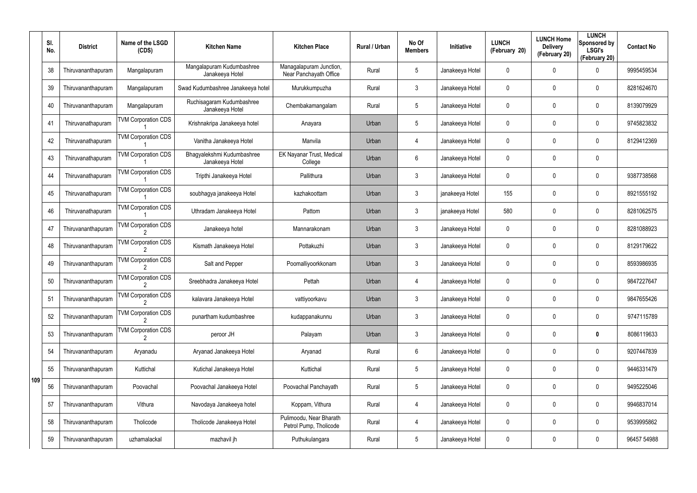|     | SI.<br>No. | <b>District</b>    | Name of the LSGD<br>(CDS)  | <b>Kitchen Name</b>                           | <b>Kitchen Place</b>                              | Rural / Urban | No Of<br><b>Members</b> | Initiative      | <b>LUNCH</b><br>(February 20) | <b>LUNCH Home</b><br><b>Delivery</b><br>(February 20) | <b>LUNCH</b><br>Sponsored by<br><b>LSGI's</b><br>(February 20) | <b>Contact No</b> |
|-----|------------|--------------------|----------------------------|-----------------------------------------------|---------------------------------------------------|---------------|-------------------------|-----------------|-------------------------------|-------------------------------------------------------|----------------------------------------------------------------|-------------------|
|     | 38         | Thiruvananthapuram | Mangalapuram               | Mangalapuram Kudumbashree<br>Janakeeya Hotel  | Managalapuram Junction,<br>Near Panchayath Office | Rural         | 5                       | Janakeeya Hotel | 0                             | 0                                                     | 0                                                              | 9995459534        |
|     | 39         | Thiruvananthapuram | Mangalapuram               | Swad Kudumbashree Janakeeya hotel             | Murukkumpuzha                                     | Rural         | 3                       | Janakeeya Hotel | 0                             | 0                                                     | 0                                                              | 8281624670        |
|     | 40         | Thiruvananthapuram | Mangalapuram               | Ruchisagaram Kudumbashree<br>Janakeeya Hotel  | Chembakamangalam                                  | Rural         | 5                       | Janakeeya Hotel | 0                             | 0                                                     | $\mathbf 0$                                                    | 8139079929        |
|     | 41         | Thiruvanathapuram  | <b>TVM Corporation CDS</b> | Krishnakripa Janakeeya hotel                  | Anayara                                           | Urban         | 5                       | Janakeeya Hotel | 0                             | 0                                                     | 0                                                              | 9745823832        |
|     | 42         | Thiruvanathapuram  | <b>TVM Corporation CDS</b> | Vanitha Janakeeya Hotel                       | Manvila                                           | Urban         | 4                       | Janakeeya Hotel | 0                             | 0                                                     | $\mathbf 0$                                                    | 8129412369        |
|     | 43         | Thiruvanathapuram  | <b>TVM Corporation CDS</b> | Bhagyalekshmi Kudumbashree<br>Janakeeya Hotel | EK Nayanar Trust, Medical<br>College              | Urban         | 6                       | Janakeeya Hotel | 0                             | 0                                                     | 0                                                              |                   |
|     | 44         | Thiruvanathapuram  | <b>TVM Corporation CDS</b> | Tripthi Janakeeya Hotel                       | Pallithura                                        | Urban         | 3                       | Janakeeya Hotel | 0                             | 0                                                     | 0                                                              | 9387738568        |
|     | 45         | Thiruvanathapuram  | <b>TVM Corporation CDS</b> | soubhagya janakeeya Hotel                     | kazhakoottam                                      | Urban         | 3                       | janakeeya Hotel | 155                           | 0                                                     | $\mathbf 0$                                                    | 8921555192        |
|     | 46         | Thiruvanathapuram  | <b>TVM Corporation CDS</b> | Uthradam Janakeeya Hotel                      | Pattom                                            | Urban         | 3                       | janakeeya Hotel | 580                           | 0                                                     | 0                                                              | 8281062575        |
|     | 47         | Thiruvananthapuram | <b>TVM Corporation CDS</b> | Janakeeya hotel                               | Mannarakonam                                      | Urban         | 3                       | Janakeeya Hotel | 0                             | 0                                                     | $\mathbf 0$                                                    | 8281088923        |
|     | 48         | Thiruvananthapuram | <b>TVM Corporation CDS</b> | Kismath Janakeeya Hotel                       | Pottakuzhi                                        | Urban         | 3                       | Janakeeya Hotel | 0                             | 0                                                     | 0                                                              | 8129179622        |
|     | 49         | Thiruvananthapuram | <b>TVM Corporation CDS</b> | Salt and Pepper                               | Poomalliyoorkkonam                                | Urban         | 3                       | Janakeeya Hotel | 0                             | 0                                                     | 0                                                              | 8593986935        |
|     | 50         | Thiruvananthapuram | <b>TVM Corporation CDS</b> | Sreebhadra Janakeeya Hotel                    | Pettah                                            | Urban         | 4                       | Janakeeya Hotel | 0                             | 0                                                     | 0                                                              | 9847227647        |
|     | 51         | Thiruvananthapuram | <b>TVM Corporation CDS</b> | kalavara Janakeeya Hotel                      | vattiyoorkavu                                     | Urban         | 3                       | Janakeeya Hotel | 0                             | $\mathbf 0$                                           | 0                                                              | 9847655426        |
|     | 52         | Thiruvananthapuram | <b>TVM Corporation CDS</b> | punartham kudumbashree                        | kudappanakunnu                                    | Urban         | $\mathfrak{Z}$          | Janakeeya Hotel | 0                             | 0                                                     | $\pmb{0}$                                                      | 9747115789        |
|     | 53         | Thiruvananthapuram | <b>TVM Corporation CDS</b> | peroor JH                                     | Palayam                                           | Urban         | $\mathfrak{Z}$          | Janakeeya Hotel | 0                             | 0                                                     | $\pmb{0}$                                                      | 8086119633        |
|     | 54         | Thiruvananthapuram | Aryanadu                   | Aryanad Janakeeya Hotel                       | Aryanad                                           | Rural         | 6                       | Janakeeya Hotel | 0                             | 0                                                     | 0                                                              | 9207447839        |
|     | 55         | Thiruvananthapuram | Kuttichal                  | Kutichal Janakeeya Hotel                      | Kuttichal                                         | Rural         | 5                       | Janakeeya Hotel | 0                             | 0                                                     | $\pmb{0}$                                                      | 9446331479        |
| 109 | 56         | Thiruvananthapuram | Poovachal                  | Poovachal Janakeeya Hotel                     | Poovachal Panchayath                              | Rural         | 5                       | Janakeeya Hotel | 0                             | 0                                                     | 0                                                              | 9495225046        |
|     | 57         | Thiruvananthapuram | Vithura                    | Navodaya Janakeeya hotel                      | Koppam, Vithura                                   | Rural         | 4                       | Janakeeya Hotel | 0                             | 0                                                     | $\pmb{0}$                                                      | 9946837014        |
|     | 58         | Thiruvananthapuram | Tholicode                  | Tholicode Janakeeya Hotel                     | Pulimoodu, Near Bharath<br>Petrol Pump, Tholicode | Rural         | 4                       | Janakeeya Hotel | 0                             | 0                                                     | $\pmb{0}$                                                      | 9539995862        |
|     | 59         | Thiruvananthapuram | uzhamalackal               | mazhavil jh                                   | Puthukulangara                                    | Rural         | $\sqrt{5}$              | Janakeeya Hotel | 0                             | 0                                                     | 0                                                              | 96457 54988       |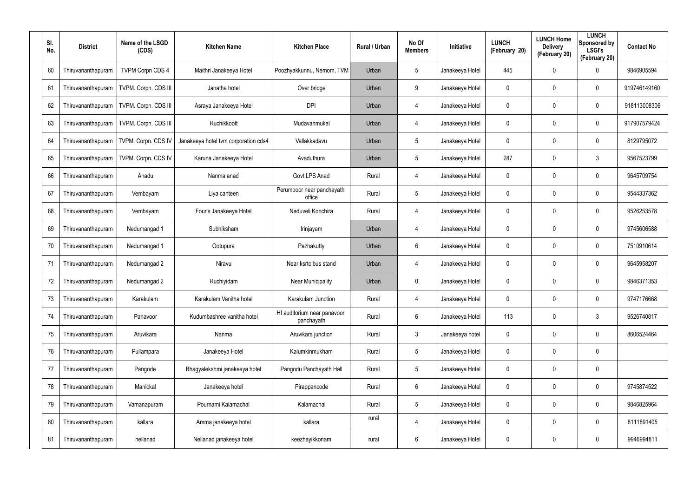| SI.<br>No. | <b>District</b>    | Name of the LSGD<br>(CDS) | <b>Kitchen Name</b>                  | <b>Kitchen Place</b>                      | Rural / Urban | No Of<br><b>Members</b> | Initiative      | <b>LUNCH</b><br>(February 20) | <b>LUNCH Home</b><br><b>Delivery</b><br>(February 20) | <b>LUNCH</b><br>Sponsored by<br><b>LSGI's</b><br>(February 20) | <b>Contact No</b> |
|------------|--------------------|---------------------------|--------------------------------------|-------------------------------------------|---------------|-------------------------|-----------------|-------------------------------|-------------------------------------------------------|----------------------------------------------------------------|-------------------|
| 60         | Thiruvananthapuram | <b>TVPM Corpn CDS 4</b>   | Maithri Janakeeya Hotel              | Poozhyakkunnu, Nemom, TVM                 | Urban         | 5                       | Janakeeya Hotel | 445                           | 0                                                     | $\mathbf 0$                                                    | 9846905594        |
| 61         | Thiruvananthapuram | TVPM. Corpn. CDS III      | Janatha hotel                        | Over bridge                               | Urban         | 9                       | Janakeeya Hotel | 0                             | 0                                                     | $\boldsymbol{0}$                                               | 919746149160      |
| 62         | Thiruvananthapuram | TVPM. Corpn. CDS III      | Asraya Janakeeya Hotel               | <b>DPI</b>                                | Urban         | $\overline{4}$          | Janakeeya Hotel | 0                             | $\mathbf 0$                                           | $\mathbf 0$                                                    | 918113008306      |
| 63         | Thiruvananthapuram | TVPM. Corpn. CDS III      | Ruchikkoott                          | Mudavanmukal                              | Urban         | 4                       | Janakeeya Hotel | 0                             | 0                                                     | $\mathbf 0$                                                    | 917907579424      |
| 64         | Thiruvananthapuram | TVPM. Corpn. CDS IV       | Janakeeya hotel tvm corporation cds4 | Vallakkadavu                              | Urban         | 5                       | Janakeeya Hotel | 0                             | 0                                                     | $\mathbf 0$                                                    | 8129795072        |
| 65         | Thiruvananthapuram | TVPM. Corpn. CDS IV       | Karuna Janakeeya Hotel               | Avaduthura                                | Urban         | 5                       | Janakeeya Hotel | 287                           | 0                                                     | 3                                                              | 9567523799        |
| 66         | Thiruvananthapuram | Anadu                     | Nanma anad                           | Govt LPS Anad                             | Rural         | 4                       | Janakeeya Hotel | 0                             | 0                                                     | $\boldsymbol{0}$                                               | 9645709754        |
| 67         | Thiruvananthapuram | Vembayam                  | Liya canteen                         | Perumboor near panchayath<br>office       | Rural         | 5                       | Janakeeya Hotel | 0                             | 0                                                     | $\mathbf 0$                                                    | 9544337362        |
| 68         | Thiruvananthapuram | Vembayam                  | Four's Janakeeya Hotel               | Naduveli Konchira                         | Rural         | 4                       | Janakeeya Hotel | 0                             | 0                                                     | $\boldsymbol{0}$                                               | 9526253578        |
| 69         | Thiruvananthapuram | Nedumangad 1              | Subhiksham                           | Irinjayam                                 | Urban         | 4                       | Janakeeya Hotel | 0                             | 0                                                     | $\mathbf 0$                                                    | 9745606588        |
| 70         | Thiruvananthapuram | Nedumangad 1              | Ootupura                             | Pazhakutty                                | Urban         | 6                       | Janakeeya Hotel | 0                             | 0                                                     | $\boldsymbol{0}$                                               | 7510910614        |
| 71         | Thiruvananthapuram | Nedumangad 2              | Niravu                               | Near ksrtc bus stand                      | Urban         | 4                       | Janakeeya Hotel | 0                             | 0                                                     | $\mathbf 0$                                                    | 9645958207        |
| 72         | Thiruvananthapuram | Nedumangad 2              | Ruchiyidam                           | <b>Near Municipality</b>                  | Urban         | $\mathbf 0$             | Janakeeya Hotel | 0                             | 0                                                     | $\boldsymbol{0}$                                               | 9846371353        |
| 73         | Thiruvananthapuram | Karakulam                 | Karakulam Vanitha hotel              | Karakulam Junction                        | Rural         | 4                       | Janakeeya Hotel | 0                             | 0                                                     | $\pmb{0}$                                                      | 9747176668        |
| 74         | Thiruvananthapuram | Panavoor                  | Kudumbashree vanitha hotel           | HI auditorium near panavoor<br>panchayath | Rural         | 6                       | Janakeeya Hotel | 113                           | 0                                                     | $\mathbf{3}$                                                   | 9526740817        |
| 75         | Thiruvananthapuram | Aruvikara                 | Nanma                                | Aruvikara junction                        | Rural         | $\mathbf{3}$            | Janakeeya hotel | 0                             | 0                                                     | $\pmb{0}$                                                      | 8606524464        |
| 76         | Thiruvananthapuram | Pullampara                | Janakeeya Hotel                      | Kalumkinmukham                            | Rural         | 5                       | Janakeeya Hotel | 0                             | 0                                                     | $\mathbf 0$                                                    |                   |
| 77         | Thiruvananthapuram | Pangode                   | Bhagyalekshmi janakeeya hotel        | Pangodu Panchayath Hall                   | Rural         | 5                       | Janakeeya Hotel | 0                             | 0                                                     | $\pmb{0}$                                                      |                   |
| 78         | Thiruvananthapuram | Manickal                  | Janakeeya hotel                      | Pirappancode                              | Rural         | 6                       | Janakeeya Hotel | 0                             | 0                                                     | $\pmb{0}$                                                      | 9745874522        |
| 79         | Thiruvananthapuram | Vamanapuram               | Pournami Kalamachal                  | Kalamachal                                | Rural         | 5                       | Janakeeya Hotel | 0                             | 0                                                     | $\pmb{0}$                                                      | 9846825964        |
| 80         | Thiruvananthapuram | kallara                   | Amma janakeeya hotel                 | kallara                                   | rural         | $\overline{4}$          | Janakeeya Hotel | 0                             | 0                                                     | $\pmb{0}$                                                      | 8111891405        |
| 81         | Thiruvananthapuram | nellanad                  | Nellanad janakeeya hotel             | keezhayikkonam                            | rural         | $6\phantom{.}6$         | Janakeeya Hotel | 0                             | 0                                                     | $\pmb{0}$                                                      | 9946994811        |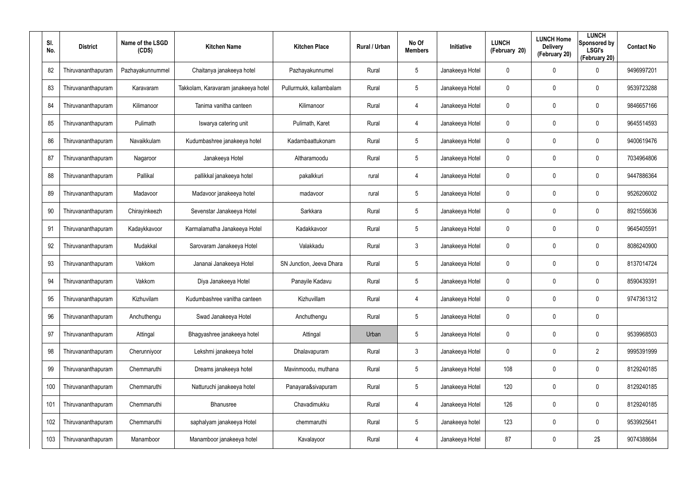| SI.<br>No. | <b>District</b>    | Name of the LSGD<br>(CDS) | <b>Kitchen Name</b>                 | <b>Kitchen Place</b>     | Rural / Urban | No Of<br><b>Members</b> | Initiative      | <b>LUNCH</b><br>(February 20) | <b>LUNCH Home</b><br><b>Delivery</b><br>(February 20) | <b>LUNCH</b><br>Sponsored by<br><b>LSGI's</b><br>(February 20) | <b>Contact No</b> |
|------------|--------------------|---------------------------|-------------------------------------|--------------------------|---------------|-------------------------|-----------------|-------------------------------|-------------------------------------------------------|----------------------------------------------------------------|-------------------|
| 82         | Thiruvananthapuram | Pazhayakunnummel          | Chaitanya janakeeya hotel           | Pazhayakunnumel          | Rural         | 5                       | Janakeeya Hotel | 0                             | 0                                                     | $\mathbf 0$                                                    | 9496997201        |
| 83         | Thiruvananthapuram | Karavaram                 | Takkolam, Karavaram janakeeya hotel | Pullurmukk, kallambalam  | Rural         | 5                       | Janakeeya Hotel | 0                             | 0                                                     | $\mathbf 0$                                                    | 9539723288        |
| 84         | Thiruvananthapuram | Kilimanoor                | Tanima vanitha canteen              | Kilimanoor               | Rural         | 4                       | Janakeeya Hotel | 0                             | 0                                                     | $\mathbf 0$                                                    | 9846657166        |
| 85         | Thiruvananthapuram | Pulimath                  | Iswarya catering unit               | Pulimath, Karet          | Rural         | 4                       | Janakeeya Hotel | 0                             | 0                                                     | $\mathbf 0$                                                    | 9645514593        |
| 86         | Thiruvananthapuram | Navaikkulam               | Kudumbashree janakeeya hotel        | Kadambaattukonam         | Rural         | $5\overline{)}$         | Janakeeya Hotel | 0                             | 0                                                     | $\mathbf 0$                                                    | 9400619476        |
| 87         | Thiruvananthapuram | Nagaroor                  | Janakeeya Hotel                     | Altharamoodu             | Rural         | $5\overline{)}$         | Janakeeya Hotel | 0                             | 0                                                     | $\mathbf 0$                                                    | 7034964806        |
| 88         | Thiruvananthapuram | Pallikal                  | pallikkal janakeeya hotel           | pakalkkuri               | rural         | 4                       | Janakeeya Hotel | 0                             | $\mathbf 0$                                           | $\mathbf 0$                                                    | 9447886364        |
| 89         | Thiruvananthapuram | Madavoor                  | Madavoor janakeeya hotel            | madavoor                 | rural         | 5                       | Janakeeya Hotel | 0                             | 0                                                     | $\mathbf 0$                                                    | 9526206002        |
| 90         | Thiruvananthapuram | Chirayinkeezh             | Sevenstar Janakeeya Hotel           | Sarkkara                 | Rural         | $5\overline{)}$         | Janakeeya Hotel | 0                             | $\mathbf 0$                                           | $\mathbf 0$                                                    | 8921556636        |
| 91         | Thiruvananthapuram | Kadaykkavoor              | Karmalamatha Janakeeya Hotel        | Kadakkavoor              | Rural         | $5\overline{)}$         | Janakeeya Hotel | 0                             | $\mathbf{0}$                                          | $\mathbf 0$                                                    | 9645405591        |
| 92         | Thiruvananthapuram | Mudakkal                  | Sarovaram Janakeeya Hotel           | Valakkadu                | Rural         | 3                       | Janakeeya Hotel | 0                             | $\mathbf 0$                                           | $\mathbf 0$                                                    | 8086240900        |
| 93         | Thiruvananthapuram | Vakkom                    | Jananai Janakeeya Hotel             | SN Junction, Jeeva Dhara | Rural         | 5                       | Janakeeya Hotel | 0                             | $\mathbf 0$                                           | $\mathbf 0$                                                    | 8137014724        |
| 94         | Thiruvananthapuram | Vakkom                    | Diya Janakeeya Hotel                | Panayile Kadavu          | Rural         | 5                       | Janakeeya Hotel | 0                             | $\mathbf 0$                                           | $\mathbf 0$                                                    | 8590439391        |
| 95         | Thiruvananthapuram | Kizhuvilam                | Kudumbashree vanitha canteen        | Kizhuvillam              | Rural         | 4                       | Janakeeya Hotel | 0                             | $\mathbf 0$                                           | $\mathbf 0$                                                    | 9747361312        |
| 96         | Thiruvananthapuram | Anchuthengu               | Swad Janakeeya Hotel                | Anchuthengu              | Rural         | $5\overline{)}$         | Janakeeya Hotel | 0                             | 0                                                     | $\pmb{0}$                                                      |                   |
| 97         | Thiruvananthapuram | Attingal                  | Bhagyashree janakeeya hotel         | Attingal                 | Urban         | 5                       | Janakeeya Hotel | 0                             | $\mathbf 0$                                           | $\pmb{0}$                                                      | 9539968503        |
| 98         | Thiruvananthapuram | Cherunniyoor              | Lekshmi janakeeya hotel             | Dhalavapuram             | Rural         | $\mathbf{3}$            | Janakeeya Hotel | 0                             | 0                                                     | $\overline{2}$                                                 | 9995391999        |
| 99         | Thiruvananthapuram | Chemmaruthi               | Dreams janakeeya hotel              | Mavinmoodu, muthana      | Rural         | 5                       | Janakeeya Hotel | 108                           | $\mathbf 0$                                           | $\mathbf 0$                                                    | 8129240185        |
| 100        | Thiruvananthapuram | Chemmaruthi               | Natturuchi janakeeya hotel          | Panayara&sivapuram       | Rural         | 5                       | Janakeeya Hotel | 120                           | 0                                                     | $\mathbf 0$                                                    | 8129240185        |
| 101        | Thiruvananthapuram | Chemmaruthi               | <b>Bhanusree</b>                    | Chavadimukku             | Rural         | 4                       | Janakeeya Hotel | 126                           | $\mathbf 0$                                           | $\mathbf 0$                                                    | 8129240185        |
| 102        | Thiruvananthapuram | Chemmaruthi               | saphalyam janakeeya Hotel           | chemmaruthi              | Rural         | 5                       | Janakeeya hotel | 123                           | 0                                                     | $\mathbf 0$                                                    | 9539925641        |
| 103        | Thiruvananthapuram | Manamboor                 | Manamboor janakeeya hotel           | Kavalayoor               | Rural         | 4                       | Janakeeya Hotel | 87                            | $\mathbf 0$                                           | 2\$                                                            | 9074388684        |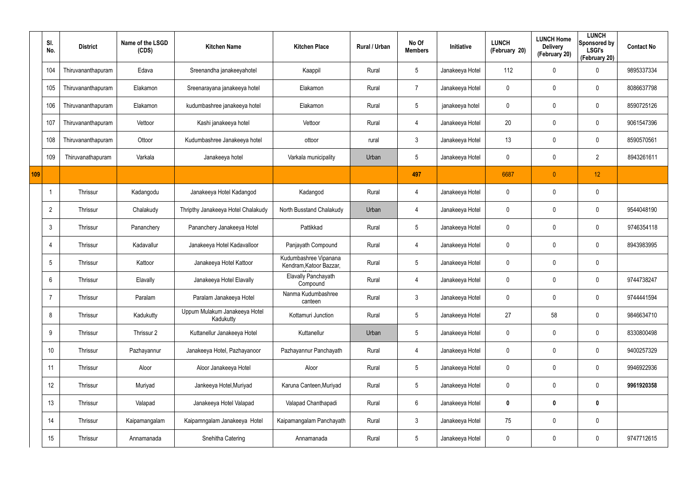|     | SI.<br>No.      | <b>District</b>    | Name of the LSGD<br>(CDS) | <b>Kitchen Name</b>                        | <b>Kitchen Place</b>                             | Rural / Urban | No Of<br><b>Members</b> | Initiative      | <b>LUNCH</b><br>(February 20) | <b>LUNCH Home</b><br><b>Delivery</b><br>(February 20) | <b>LUNCH</b><br><b>Sponsored by</b><br><b>LSGI's</b><br>(February 20) | <b>Contact No</b> |
|-----|-----------------|--------------------|---------------------------|--------------------------------------------|--------------------------------------------------|---------------|-------------------------|-----------------|-------------------------------|-------------------------------------------------------|-----------------------------------------------------------------------|-------------------|
|     | 104             | Thiruvananthapuram | Edava                     | Sreenandha janakeeyahotel                  | Kaappil                                          | Rural         | $5\phantom{.0}$         | Janakeeya Hotel | 112                           | 0                                                     | $\boldsymbol{0}$                                                      | 9895337334        |
|     | 105             | Thiruvananthapuram | Elakamon                  | Sreenarayana janakeeya hotel               | Elakamon                                         | Rural         | $\overline{7}$          | Janakeeya Hotel | 0                             | 0                                                     | $\pmb{0}$                                                             | 8086637798        |
|     | 106             | Thiruvananthapuram | Elakamon                  | kudumbashree janakeeya hotel               | Elakamon                                         | Rural         | $5\phantom{.0}$         | janakeeya hotel | 0                             | 0                                                     | $\pmb{0}$                                                             | 8590725126        |
|     | 107             | Thiruvananthapuram | Vettoor                   | Kashi janakeeya hotel                      | Vettoor                                          | Rural         | $\overline{4}$          | Janakeeya Hotel | 20 <sub>2</sub>               | 0                                                     | $\mathbf 0$                                                           | 9061547396        |
|     | 108             | Thiruvananthapuram | Ottoor                    | Kudumbashree Janakeeya hotel               | ottoor                                           | rural         | $\mathbf{3}$            | Janakeeya Hotel | 13                            | 0                                                     | $\mathbf 0$                                                           | 8590570561        |
|     | 109             | Thiruvanathapuram  | Varkala                   | Janakeeya hotel                            | Varkala municipality                             | Urban         | $5\phantom{.0}$         | Janakeeya Hotel | 0                             | 0                                                     | $\overline{2}$                                                        | 8943261611        |
| 109 |                 |                    |                           |                                            |                                                  |               | 497                     |                 | 6687                          | $\mathbf{0}$                                          | 12                                                                    |                   |
|     |                 | Thrissur           | Kadangodu                 | Janakeeya Hotel Kadangod                   | Kadangod                                         | Rural         | $\overline{4}$          | Janakeeya Hotel | 0                             | 0                                                     | $\pmb{0}$                                                             |                   |
|     | $\overline{2}$  | Thrissur           | Chalakudy                 | Thripthy Janakeeya Hotel Chalakudy         | North Busstand Chalakudy                         | Urban         | $\overline{4}$          | Janakeeya Hotel | 0                             | 0                                                     | $\mathbf 0$                                                           | 9544048190        |
|     | $\mathbf{3}$    | Thrissur           | Pananchery                | Pananchery Janakeeya Hotel                 | Pattikkad                                        | Rural         | $5\phantom{.0}$         | Janakeeya Hotel | 0                             | 0                                                     | $\boldsymbol{0}$                                                      | 9746354118        |
|     | 4               | Thrissur           | Kadavallur                | Janakeeya Hotel Kadavalloor                | Panjayath Compound                               | Rural         | $\overline{4}$          | Janakeeya Hotel | 0                             | 0                                                     | $\mathbf 0$                                                           | 8943983995        |
|     | $5\phantom{.0}$ | Thrissur           | Kattoor                   | Janakeeya Hotel Kattoor                    | Kudumbashree Vipanana<br>Kendram, Katoor Bazzar, | Rural         | $5\phantom{.0}$         | Janakeeya Hotel | 0                             | 0                                                     | $\pmb{0}$                                                             |                   |
|     | 6               | Thrissur           | Elavally                  | Janakeeya Hotel Elavally                   | <b>Elavally Panchayath</b><br>Compound           | Rural         | $\overline{4}$          | Janakeeya Hotel | 0                             | 0                                                     | $\boldsymbol{0}$                                                      | 9744738247        |
|     | $\overline{7}$  | Thrissur           | Paralam                   | Paralam Janakeeya Hotel                    | Nanma Kudumbashree<br>canteen                    | Rural         | $\mathbf{3}$            | Janakeeya Hotel | 0                             | $\mathbf 0$                                           | $\pmb{0}$                                                             | 9744441594        |
|     | 8               | Thrissur           | Kadukutty                 | Uppum Mulakum Janakeeya Hotel<br>Kadukutty | Kottamuri Junction                               | Rural         | $5\phantom{.0}$         | Janakeeya Hotel | 27                            | 58                                                    | $\pmb{0}$                                                             | 9846634710        |
|     | 9               | Thrissur           | Thrissur 2                | Kuttanellur Janakeeya Hotel                | Kuttanellur                                      | Urban         | $5\phantom{.0}$         | Janakeeya Hotel | 0                             | $\mathbf 0$                                           | $\mathbf 0$                                                           | 8330800498        |
|     | 10              | Thrissur           | Pazhayannur               | Janakeeya Hotel, Pazhayanoor               | Pazhayannur Panchayath                           | Rural         | $\overline{4}$          | Janakeeya Hotel | 0                             | $\mathbf 0$                                           | $\pmb{0}$                                                             | 9400257329        |
|     | 11              | Thrissur           | Aloor                     | Aloor Janakeeya Hotel                      | Aloor                                            | Rural         | $5\phantom{.0}$         | Janakeeya Hotel | 0                             | $\mathbf 0$                                           | $\pmb{0}$                                                             | 9946922936        |
|     | 12              | Thrissur           | Muriyad                   | Jankeeya Hotel, Muriyad                    | Karuna Canteen, Muriyad                          | Rural         | $\sqrt{5}$              | Janakeeya Hotel | 0                             | $\mathbf 0$                                           | $\pmb{0}$                                                             | 9961920358        |
|     | 13              | Thrissur           | Valapad                   | Janakeeya Hotel Valapad                    | Valapad Chanthapadi                              | Rural         | $6\,$                   | Janakeeya Hotel | 0                             | $\boldsymbol{0}$                                      | $\mathbf 0$                                                           |                   |
|     | 14              | Thrissur           | Kaipamangalam             | Kaipamngalam Janakeeya Hotel               | Kaipamangalam Panchayath                         | Rural         | $\mathfrak{Z}$          | Janakeeya Hotel | 75                            | $\mathbf 0$                                           | $\pmb{0}$                                                             |                   |
|     | 15              | Thrissur           | Annamanada                | Snehitha Catering                          | Annamanada                                       | Rural         | $5\phantom{.0}$         | Janakeeya Hotel | 0                             | $\pmb{0}$                                             | $\pmb{0}$                                                             | 9747712615        |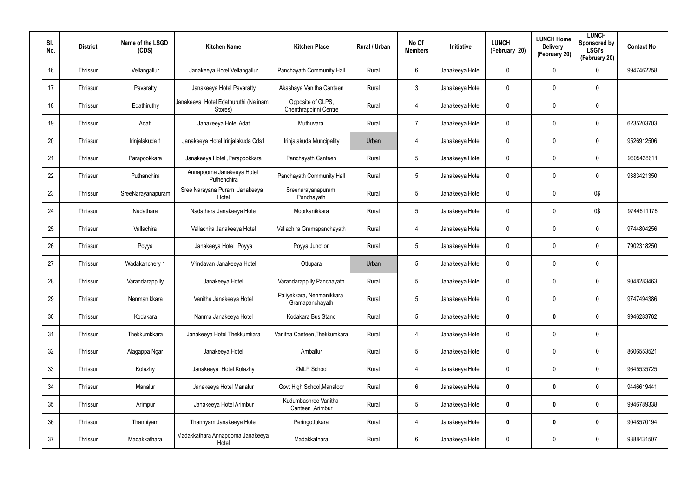| SI.<br>No. | <b>District</b> | Name of the LSGD<br>(CDS) | <b>Kitchen Name</b>                             | <b>Kitchen Place</b>                         | Rural / Urban | No Of<br><b>Members</b> | <b>Initiative</b> | <b>LUNCH</b><br>(February 20) | <b>LUNCH Home</b><br><b>Delivery</b><br>(February 20) | <b>LUNCH</b><br>Sponsored by<br><b>LSGI's</b><br>(February 20) | <b>Contact No</b> |
|------------|-----------------|---------------------------|-------------------------------------------------|----------------------------------------------|---------------|-------------------------|-------------------|-------------------------------|-------------------------------------------------------|----------------------------------------------------------------|-------------------|
| 16         | Thrissur        | Vellangallur              | Janakeeya Hotel Vellangallur                    | Panchayath Community Hall                    | Rural         | 6                       | Janakeeya Hotel   | 0                             | 0                                                     | 0                                                              | 9947462258        |
| 17         | Thrissur        | Pavaratty                 | Janakeeya Hotel Pavaratty                       | Akashaya Vanitha Canteen                     | Rural         | $\mathbf{3}$            | Janakeeya Hotel   | 0                             | 0                                                     | $\mathbf 0$                                                    |                   |
| 18         | Thrissur        | Edathiruthy               | Janakeeya Hotel Edathuruthi (Nalinam<br>Stores) | Opposite of GLPS,<br>Chenthrappinni Centre   | Rural         | $\overline{4}$          | Janakeeya Hotel   | 0                             | 0                                                     | $\mathbf 0$                                                    |                   |
| 19         | Thrissur        | Adatt                     | Janakeeya Hotel Adat                            | Muthuvara                                    | Rural         | $\overline{7}$          | Janakeeya Hotel   | 0                             | 0                                                     | $\mathbf 0$                                                    | 6235203703        |
| 20         | Thrissur        | Irinjalakuda 1            | Janakeeya Hotel Irinjalakuda Cds1               | Irinjalakuda Muncipality                     | Urban         | $\overline{4}$          | Janakeeya Hotel   | 0                             | 0                                                     | 0                                                              | 9526912506        |
| 21         | Thrissur        | Parapookkara              | Janakeeya Hotel , Parapookkara                  | Panchayath Canteen                           | Rural         | $5\phantom{.0}$         | Janakeeya Hotel   | 0                             | 0                                                     | $\mathbf 0$                                                    | 9605428611        |
| 22         | Thrissur        | Puthanchira               | Annapoorna Janakeeya Hotel<br>Puthenchira       | Panchayath Community Hall                    | Rural         | $5\phantom{.0}$         | Janakeeya Hotel   | 0                             | 0                                                     | $\mathbf 0$                                                    | 9383421350        |
| 23         | Thrissur        | SreeNarayanapuram         | Sree Narayana Puram Janakeeya<br>Hotel          | Sreenarayanapuram<br>Panchayath              | Rural         | $5\phantom{.0}$         | Janakeeya Hotel   | 0                             | 0                                                     | 0\$                                                            |                   |
| 24         | Thrissur        | Nadathara                 | Nadathara Janakeeya Hotel                       | Moorkanikkara                                | Rural         | $5\phantom{.0}$         | Janakeeya Hotel   | 0                             | 0                                                     | 0\$                                                            | 9744611176        |
| 25         | Thrissur        | Vallachira                | Vallachira Janakeeya Hotel                      | Vallachira Gramapanchayath                   | Rural         | 4                       | Janakeeya Hotel   | 0                             | 0                                                     | $\mathbf 0$                                                    | 9744804256        |
| 26         | Thrissur        | Poyya                     | Janakeeya Hotel , Poyya                         | Poyya Junction                               | Rural         | $5\phantom{.0}$         | Janakeeya Hotel   | 0                             | 0                                                     | $\mathbf 0$                                                    | 7902318250        |
| 27         | Thrissur        | Wadakanchery 1            | Vrindavan Janakeeya Hotel                       | Ottupara                                     | Urban         | $5\phantom{.0}$         | Janakeeya Hotel   | 0                             | 0                                                     | $\mathbf 0$                                                    |                   |
| 28         | Thrissur        | Varandarappilly           | Janakeeya Hotel                                 | Varandarappilly Panchayath                   | Rural         | $5\phantom{.0}$         | Janakeeya Hotel   | 0                             | 0                                                     | $\mathbf 0$                                                    | 9048283463        |
| 29         | Thrissur        | Nenmanikkara              | Vanitha Janakeeya Hotel                         | Paliyekkara, Nenmanikkara<br>Gramapanchayath | Rural         | $5\phantom{.0}$         | Janakeeya Hotel   | 0                             | $\mathbf 0$                                           | $\mathbf 0$                                                    | 9747494386        |
| 30         | Thrissur        | Kodakara                  | Nanma Janakeeya Hotel                           | Kodakara Bus Stand                           | Rural         | $5\phantom{.0}$         | Janakeeya Hotel   | 0                             | 0                                                     | $\mathbf 0$                                                    | 9946283762        |
| 31         | Thrissur        | Thekkumkkara              | Janakeeya Hotel Thekkumkara                     | Vanitha Canteen, Thekkumkara                 | Rural         | 4                       | Janakeeya Hotel   | 0                             | $\mathbf 0$                                           | $\pmb{0}$                                                      |                   |
| 32         | Thrissur        | Alagappa Ngar             | Janakeeya Hotel                                 | Amballur                                     | Rural         | $5\phantom{.0}$         | Janakeeya Hotel   | $\mathbf 0$                   | $\mathbf 0$                                           | $\mathbf 0$                                                    | 8606553521        |
| 33         | Thrissur        | Kolazhy                   | Janakeeya Hotel Kolazhy                         | <b>ZMLP School</b>                           | Rural         | 4                       | Janakeeya Hotel   | 0                             | 0                                                     | $\mathbf 0$                                                    | 9645535725        |
| 34         | Thrissur        | Manalur                   | Janakeeya Hotel Manalur                         | Govt High School, Manaloor                   | Rural         | 6                       | Janakeeya Hotel   | 0                             | 0                                                     | $\mathbf 0$                                                    | 9446619441        |
| 35         | Thrissur        | Arimpur                   | Janakeeya Hotel Arimbur                         | Kudumbashree Vanitha<br>Canteen, Arimbur     | Rural         | $5\phantom{.0}$         | Janakeeya Hotel   | 0                             | 0                                                     | $\mathbf 0$                                                    | 9946789338        |
| 36         | Thrissur        | Thanniyam                 | Thannyam Janakeeya Hotel                        | Peringottukara                               | Rural         | 4                       | Janakeeya Hotel   | 0                             | 0                                                     | $\mathbf 0$                                                    | 9048570194        |
| 37         | Thrissur        | Madakkathara              | Madakkathara Annapoorna Janakeeya<br>Hotel      | Madakkathara                                 | Rural         | 6                       | Janakeeya Hotel   | 0                             | 0                                                     | $\pmb{0}$                                                      | 9388431507        |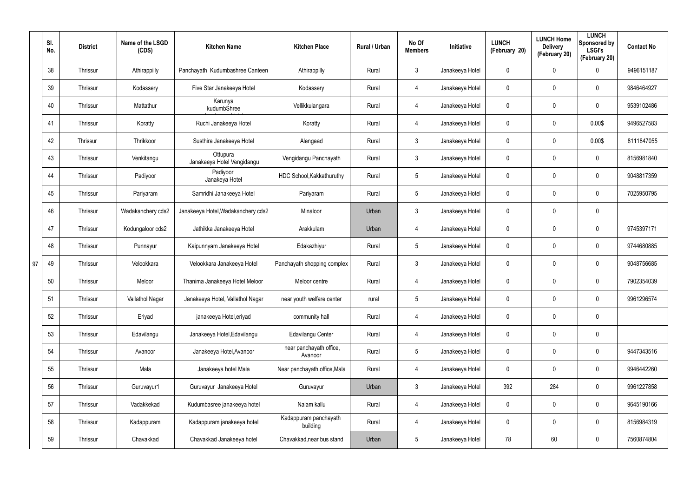|    | SI.<br>No. | <b>District</b> | Name of the LSGD<br>(CDS) | <b>Kitchen Name</b>                    | <b>Kitchen Place</b>               | Rural / Urban | No Of<br><b>Members</b> | <b>Initiative</b> | <b>LUNCH</b><br>(February 20) | <b>LUNCH Home</b><br><b>Delivery</b><br>(February 20) | <b>LUNCH</b><br>Sponsored by<br><b>LSGI's</b><br>(February 20) | <b>Contact No</b> |
|----|------------|-----------------|---------------------------|----------------------------------------|------------------------------------|---------------|-------------------------|-------------------|-------------------------------|-------------------------------------------------------|----------------------------------------------------------------|-------------------|
|    | 38         | Thrissur        | Athirappilly              | Panchayath Kudumbashree Canteen        | Athirappilly                       | Rural         | 3                       | Janakeeya Hotel   | 0                             | 0                                                     | $\mathbf 0$                                                    | 9496151187        |
|    | 39         | Thrissur        | Kodassery                 | Five Star Janakeeya Hotel              | Kodassery                          | Rural         | 4                       | Janakeeya Hotel   | 0                             | 0                                                     | $\mathbf 0$                                                    | 9846464927        |
|    | 40         | Thrissur        | Mattathur                 | Karunya<br>kudumbShree                 | Vellikkulangara                    | Rural         | 4                       | Janakeeya Hotel   | 0                             | 0                                                     | $\mathbf 0$                                                    | 9539102486        |
|    | 41         | Thrissur        | Koratty                   | Ruchi Janakeeya Hotel                  | Koratty                            | Rural         | 4                       | Janakeeya Hotel   | 0                             | 0                                                     | 0.00\$                                                         | 9496527583        |
|    | 42         | Thrissur        | Thrikkoor                 | Susthira Janakeeya Hotel               | Alengaad                           | Rural         | $\mathbf{3}$            | Janakeeya Hotel   | 0                             | 0                                                     | 0.00\$                                                         | 8111847055        |
|    | 43         | Thrissur        | Venkitangu                | Ottupura<br>Janakeeya Hotel Vengidangu | Vengidangu Panchayath              | Rural         | $\mathbf{3}$            | Janakeeya Hotel   | 0                             | 0                                                     | $\mathbf 0$                                                    | 8156981840        |
|    | 44         | Thrissur        | Padiyoor                  | Padiyoor<br>Janakeya Hotel             | HDC School, Kakkathuruthy          | Rural         | $5\phantom{.0}$         | Janakeeya Hotel   | 0                             | 0                                                     | $\mathbf 0$                                                    | 9048817359        |
|    | 45         | Thrissur        | Pariyaram                 | Samridhi Janakeeya Hotel               | Pariyaram                          | Rural         | $5\overline{)}$         | Janakeeya Hotel   | 0                             | 0                                                     | $\mathbf 0$                                                    | 7025950795        |
|    | 46         | Thrissur        | Wadakanchery cds2         | Janakeeya Hotel, Wadakanchery cds2     | Minaloor                           | Urban         | $\mathbf{3}$            | Janakeeya Hotel   | 0                             | 0                                                     | $\pmb{0}$                                                      |                   |
|    | 47         | Thrissur        | Kodungaloor cds2          | Jathikka Janakeeya Hotel               | Arakkulam                          | Urban         | 4                       | Janakeeya Hotel   | 0                             | 0                                                     | $\mathbf 0$                                                    | 9745397171        |
|    | 48         | Thrissur        | Punnayur                  | Kaipunnyam Janakeeya Hotel             | Edakazhiyur                        | Rural         | $5\phantom{.0}$         | Janakeeya Hotel   | 0                             | 0                                                     | $\mathbf 0$                                                    | 9744680885        |
| 97 | 49         | Thrissur        | Velookkara                | Velookkara Janakeeya Hotel             | Panchayath shopping complex        | Rural         | $\mathbf{3}$            | Janakeeya Hotel   | 0                             | 0                                                     | $\mathbf 0$                                                    | 9048756685        |
|    | 50         | Thrissur        | Meloor                    | Thanima Janakeeya Hotel Meloor         | Meloor centre                      | Rural         | 4                       | Janakeeya Hotel   | 0                             | 0                                                     | $\mathbf 0$                                                    | 7902354039        |
|    | 51         | Thrissur        | Vallathol Nagar           | Janakeeya Hotel, Vallathol Nagar       | near youth welfare center          | rural         | 5                       | Janakeeya Hotel   | 0                             | 0                                                     | $\mathbf 0$                                                    | 9961296574        |
|    | 52         | Thrissur        | Eriyad                    | janakeeya Hotel, eriyad                | community hall                     | Rural         | 4                       | Janakeeya Hotel   | 0                             | 0                                                     | $\pmb{0}$                                                      |                   |
|    | 53         | Thrissur        | Edavilangu                | Janakeeya Hotel, Edavilangu            | Edavilangu Center                  | Rural         | 4                       | Janakeeya Hotel   | $\pmb{0}$                     | 0                                                     | $\pmb{0}$                                                      |                   |
|    | 54         | Thrissur        | Avanoor                   | Janakeeya Hotel, Avanoor               | near panchayath office,<br>Avanoor | Rural         | $5\phantom{.0}$         | Janakeeya Hotel   | 0                             | 0                                                     | $\mathbf 0$                                                    | 9447343516        |
|    | 55         | Thrissur        | Mala                      | Janakeeya hotel Mala                   | Near panchayath office, Mala       | Rural         | 4                       | Janakeeya Hotel   | 0                             | 0                                                     | $\mathbf 0$                                                    | 9946442260        |
|    | 56         | Thrissur        | Guruvayur1                | Guruvayur Janakeeya Hotel              | Guruvayur                          | Urban         | $\mathbf{3}$            | Janakeeya Hotel   | 392                           | 284                                                   | $\mathbf 0$                                                    | 9961227858        |
|    | 57         | Thrissur        | Vadakkekad                | Kudumbasree janakeeya hotel            | Nalam kallu                        | Rural         | 4                       | Janakeeya Hotel   | $\boldsymbol{0}$              | 0                                                     | $\mathbf 0$                                                    | 9645190166        |
|    | 58         | Thrissur        | Kadappuram                | Kadappuram janakeeya hotel             | Kadappuram panchayath<br>building  | Rural         | 4                       | Janakeeya Hotel   | 0                             | 0                                                     | $\mathbf 0$                                                    | 8156984319        |
|    | 59         | Thrissur        | Chavakkad                 | Chavakkad Janakeeya hotel              | Chavakkad, near bus stand          | Urban         | $5\phantom{.0}$         | Janakeeya Hotel   | 78                            | 60                                                    | $\mathsf{0}$                                                   | 7560874804        |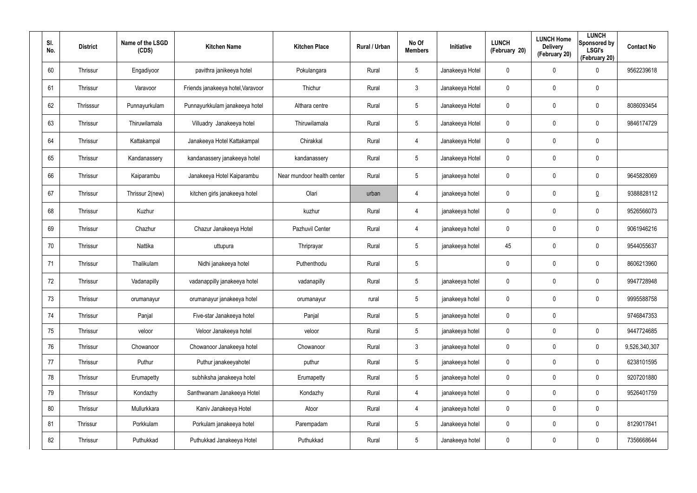| SI.<br>No. | <b>District</b> | Name of the LSGD<br>(CDS) | <b>Kitchen Name</b>               | <b>Kitchen Place</b>       | Rural / Urban | No Of<br><b>Members</b> | Initiative      | <b>LUNCH</b><br>(February 20) | <b>LUNCH Home</b><br><b>Delivery</b><br>(February 20) | <b>LUNCH</b><br>Sponsored by<br><b>LSGI's</b><br>(February 20) | <b>Contact No</b> |
|------------|-----------------|---------------------------|-----------------------------------|----------------------------|---------------|-------------------------|-----------------|-------------------------------|-------------------------------------------------------|----------------------------------------------------------------|-------------------|
| 60         | Thrissur        | Engadiyoor                | pavithra janikeeya hotel          | Pokulangara                | Rural         | $5\phantom{.0}$         | Janakeeya Hotel | $\mathbf 0$                   | 0                                                     | $\boldsymbol{0}$                                               | 9562239618        |
| 61         | Thrissur        | Varavoor                  | Friends janakeeya hotel, Varavoor | Thichur                    | Rural         | $\mathfrak{Z}$          | Janakeeya Hotel | 0                             | 0                                                     | $\pmb{0}$                                                      |                   |
| 62         | Thrisssur       | Punnayurkulam             | Punnayurkkulam janakeeya hotel    | Althara centre             | Rural         | $5\phantom{.0}$         | Janakeeya Hotel | $\mathbf 0$                   | $\mathbf 0$                                           | $\pmb{0}$                                                      | 8086093454        |
| 63         | Thrissur        | Thiruwilamala             | Villuadry Janakeeya hotel         | Thiruwilamala              | Rural         | $5\phantom{.0}$         | Janakeeya Hotel | 0                             | 0                                                     | $\pmb{0}$                                                      | 9846174729        |
| 64         | Thrissur        | Kattakampal               | Janakeeya Hotel Kattakampal       | Chirakkal                  | Rural         | 4                       | Janakeeya Hotel | $\mathbf 0$                   | $\mathbf 0$                                           | $\pmb{0}$                                                      |                   |
| 65         | Thrissur        | Kandanassery              | kandanassery janakeeya hotel      | kandanassery               | Rural         | $5\phantom{.0}$         | Janakeeya Hotel | 0                             | 0                                                     | $\mathbf 0$                                                    |                   |
| 66         | Thrissur        | Kaiparambu                | Janakeeya Hotel Kaiparambu        | Near mundoor health center | Rural         | $5\phantom{.0}$         | janakeeya hotel | 0                             | 0                                                     | $\pmb{0}$                                                      | 9645828069        |
| 67         | Thrissur        | Thrissur 2(new)           | kitchen girls janakeeya hotel     | Olari                      | urban         | 4                       | janakeeya hotel | 0                             | 0                                                     | $\underline{0}$                                                | 9388828112        |
| 68         | Thrissur        | Kuzhur                    |                                   | kuzhur                     | Rural         | 4                       | janakeeya hotel | 0                             | 0                                                     | $\pmb{0}$                                                      | 9526566073        |
| 69         | Thrissur        | Chazhur                   | Chazur Janakeeya Hotel            | Pazhuvil Center            | Rural         | 4                       | janakeeya hotel | 0                             | 0                                                     | $\mathbf 0$                                                    | 9061946216        |
| 70         | Thrissur        | Nattika                   | uttupura                          | Thriprayar                 | Rural         | $5\phantom{.0}$         | janakeeya hotel | 45                            | 0                                                     | $\pmb{0}$                                                      | 9544055637        |
| 71         | Thrissur        | Thalikulam                | Nidhi janakeeya hotel             | Puthenthodu                | Rural         | $5\phantom{.0}$         |                 | 0                             | 0                                                     | $\mathbf 0$                                                    | 8606213960        |
| 72         | Thrissur        | Vadanapilly               | vadanappilly janakeeya hotel      | vadanapilly                | Rural         | $5\phantom{.0}$         | janakeeya hotel | 0                             | 0                                                     | $\boldsymbol{0}$                                               | 9947728948        |
| 73         | Thrissur        | orumanayur                | orumanayur janakeeya hotel        | orumanayur                 | rural         | $5\phantom{.0}$         | janakeeya hotel | 0                             | $\mathbf 0$                                           | $\mathbf 0$                                                    | 9995588758        |
| 74         | Thrissur        | Panjal                    | Five-star Janakeeya hotel         | Panjal                     | Rural         | $5\phantom{.0}$         | janakeeya hotel | $\mathbf 0$                   | $\mathbf 0$                                           |                                                                | 9746847353        |
| 75         | Thrissur        | veloor                    | Veloor Janakeeya hotel            | veloor                     | Rural         | $\overline{5}$          | janakeeya hotel | 0                             | $\pmb{0}$                                             | $\pmb{0}$                                                      | 9447724685        |
| 76         | Thrissur        | Chowanoor                 | Chowanoor Janakeeya hotel         | Chowanoor                  | Rural         | $\mathfrak{Z}$          | janakeeya hotel | $\mathbf 0$                   | $\mathbf 0$                                           | $\mathbf 0$                                                    | 9,526,340,307     |
| 77         | Thrissur        | Puthur                    | Puthur janakeeyahotel             | puthur                     | Rural         | $5\phantom{.0}$         | janakeeya hotel | 0                             | $\mathbf 0$                                           | $\mathbf 0$                                                    | 6238101595        |
| 78         | Thrissur        | Erumapetty                | subhiksha janakeeya hotel         | Erumapetty                 | Rural         | $5\phantom{.0}$         | janakeeya hotel | 0                             | 0                                                     | $\mathbf 0$                                                    | 9207201880        |
| 79         | Thrissur        | Kondazhy                  | Santhwanam Janakeeya Hotel        | Kondazhy                   | Rural         | 4                       | janakeeya hotel | $\mathbf 0$                   | $\mathbf 0$                                           | $\mathbf 0$                                                    | 9526401759        |
| 80         | Thrissur        | Mullurkkara               | Kaniv Janakeeya Hotel             | Atoor                      | Rural         | 4                       | janakeeya hotel | 0                             | $\mathbf 0$                                           | $\pmb{0}$                                                      |                   |
| 81         | Thrissur        | Porkkulam                 | Porkulam janakeeya hotel          | Parempadam                 | Rural         | $5\phantom{.0}$         | Janakeeya hotel | $\mathbf 0$                   | $\mathbf 0$                                           | $\mathbf 0$                                                    | 8129017841        |
| 82         | Thrissur        | Puthukkad                 | Puthukkad Janakeeya Hotel         | Puthukkad                  | Rural         | $5\phantom{.0}$         | Janakeeya hotel | 0                             | $\pmb{0}$                                             | $\pmb{0}$                                                      | 7356668644        |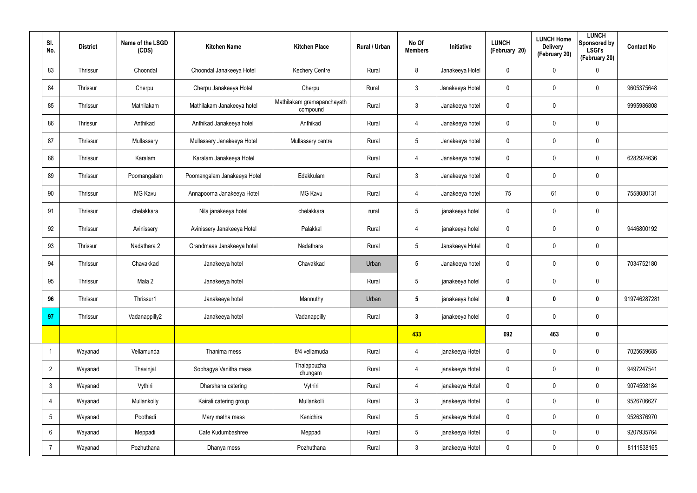| SI.<br>No.      | <b>District</b> | Name of the LSGD<br>(CDS) | <b>Kitchen Name</b>         | <b>Kitchen Place</b>                   | Rural / Urban | No Of<br><b>Members</b> | Initiative      | <b>LUNCH</b><br>(February 20) | <b>LUNCH Home</b><br><b>Delivery</b><br>(February 20) | <b>LUNCH</b><br>Sponsored by<br><b>LSGI's</b><br>(February 20) | <b>Contact No</b> |
|-----------------|-----------------|---------------------------|-----------------------------|----------------------------------------|---------------|-------------------------|-----------------|-------------------------------|-------------------------------------------------------|----------------------------------------------------------------|-------------------|
| 83              | Thrissur        | Choondal                  | Choondal Janakeeya Hotel    | <b>Kechery Centre</b>                  | Rural         | 8                       | Janakeeya Hotel | $\mathbf 0$                   | 0                                                     | $\pmb{0}$                                                      |                   |
| 84              | Thrissur        | Cherpu                    | Cherpu Janakeeya Hotel      | Cherpu                                 | Rural         | $\mathbf{3}$            | Janakeeya Hotel | $\mathbf 0$                   | $\boldsymbol{0}$                                      | $\mathbf 0$                                                    | 9605375648        |
| 85              | Thrissur        | Mathilakam                | Mathilakam Janakeeya hotel  | Mathilakam gramapanchayath<br>compound | Rural         | $\mathbf{3}$            | Janakeeya hotel | $\mathbf 0$                   | 0                                                     |                                                                | 9995986808        |
| 86              | Thrissur        | Anthikad                  | Anthikad Janakeeya hotel    | Anthikad                               | Rural         | $\overline{4}$          | Janakeeya hotel | $\mathbf 0$                   | 0                                                     | $\mathbf 0$                                                    |                   |
| 87              | Thrissur        | Mullassery                | Mullassery Janakeeya Hotel  | Mullassery centre                      | Rural         | $5\phantom{.0}$         | Janakeeya hotel | $\mathbf 0$                   | 0                                                     | $\mathbf 0$                                                    |                   |
| 88              | Thrissur        | Karalam                   | Karalam Janakeeya Hotel     |                                        | Rural         | 4                       | Janakeeya hotel | $\mathbf 0$                   | 0                                                     | $\mathbf 0$                                                    | 6282924636        |
| 89              | Thrissur        | Poomangalam               | Poomangalam Janakeeya Hotel | Edakkulam                              | Rural         | $\mathbf{3}$            | Janakeeya hotel | $\mathbf 0$                   | $\boldsymbol{0}$                                      | $\pmb{0}$                                                      |                   |
| 90              | Thrissur        | <b>MG Kavu</b>            | Annapoorna Janakeeya Hotel  | <b>MG Kavu</b>                         | Rural         | 4                       | Janakeeya hotel | 75                            | 61                                                    | $\mathbf 0$                                                    | 7558080131        |
| 91              | Thrissur        | chelakkara                | Nila janakeeya hotel        | chelakkara                             | rural         | $5\phantom{.0}$         | janakeeya hotel | $\mathbf 0$                   | $\boldsymbol{0}$                                      | $\pmb{0}$                                                      |                   |
| 92              | Thrissur        | Avinissery                | Avinissery Janakeeya Hotel  | Palakkal                               | Rural         | 4                       | janakeeya hotel | $\mathbf 0$                   | 0                                                     | $\mathbf 0$                                                    | 9446800192        |
| 93              | Thrissur        | Nadathara 2               | Grandmaas Janakeeya hotel   | Nadathara                              | Rural         | $5\phantom{.0}$         | Janakeeya Hotel | $\mathbf 0$                   | $\boldsymbol{0}$                                      | $\mathbf 0$                                                    |                   |
| 94              | Thrissur        | Chavakkad                 | Janakeeya hotel             | Chavakkad                              | Urban         | $5\phantom{.0}$         | Janakeeya hotel | $\mathbf 0$                   | 0                                                     | $\mathbf 0$                                                    | 7034752180        |
| 95              | Thrissur        | Mala 2                    | Janakeeya hotel             |                                        | Rural         | $5\phantom{.0}$         | janakeeya hotel | $\mathbf 0$                   | $\boldsymbol{0}$                                      | $\mathbf 0$                                                    |                   |
| 96              | Thrissur        | Thrissur1                 | Janakeeya hotel             | Mannuthy                               | Urban         | $5\phantom{.0}$         | janakeeya hotel | $\mathbf 0$                   | $\boldsymbol{0}$                                      | $\boldsymbol{0}$                                               | 919746287281      |
| 97              | Thrissur        | Vadanappilly2             | Janakeeya hotel             | Vadanappilly                           | Rural         | $3\phantom{a}$          | janakeeya hotel | $\mathbf 0$                   | 0                                                     | $\mathbf 0$                                                    |                   |
|                 |                 |                           |                             |                                        |               | 433                     |                 | 692                           | 463                                                   | $\mathbf 0$                                                    |                   |
| -1              | Wayanad         | Vellamunda                | Thanima mess                | 8/4 vellamuda                          | Rural         | $\overline{4}$          | janakeeya Hotel | $\mathbf 0$                   | 0                                                     | $\mathbf 0$                                                    | 7025659685        |
| $\overline{2}$  | Wayanad         | Thavinjal                 | Sobhagya Vanitha mess       | Thalappuzha<br>chungam                 | Rural         | $\overline{4}$          | janakeeya Hotel | $\mathbf 0$                   | 0                                                     | $\mathbf 0$                                                    | 9497247541        |
| $\mathbf{3}$    | Wayanad         | Vythiri                   | Dharshana catering          | Vythiri                                | Rural         | $\overline{4}$          | janakeeya Hotel | $\pmb{0}$                     | 0                                                     | $\mathbf 0$                                                    | 9074598184        |
| $\overline{4}$  | Wayanad         | Mullankolly               | Kairali catering group      | Mullankolli                            | Rural         | $\mathfrak{Z}$          | janakeeya Hotel | $\pmb{0}$                     | $\pmb{0}$                                             | $\mathbf 0$                                                    | 9526706627        |
| $5\overline{)}$ | Wayanad         | Poothadi                  | Mary matha mess             | Kenichira                              | Rural         | $5\overline{)}$         | janakeeya Hotel | $\pmb{0}$                     | 0                                                     | $\mathbf 0$                                                    | 9526376970        |
| $6\overline{6}$ | Wayanad         | Meppadi                   | Cafe Kudumbashree           | Meppadi                                | Rural         | $5\overline{)}$         | janakeeya Hotel | 0                             | 0                                                     | $\mathbf 0$                                                    | 9207935764        |
| $\overline{7}$  | Wayanad         | Pozhuthana                | Dhanya mess                 | Pozhuthana                             | Rural         | $\mathbf{3}$            | janakeeya Hotel | $\pmb{0}$                     | $\pmb{0}$                                             | $\mathbf 0$                                                    | 8111838165        |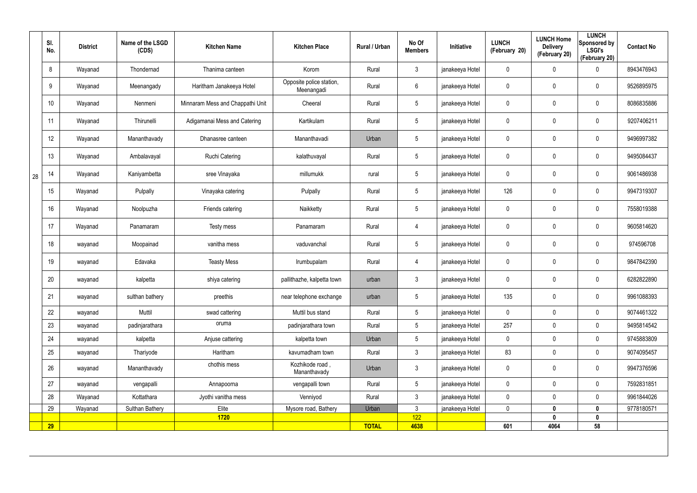|    | SI.<br>No. | <b>District</b> | Name of the LSGD<br>(CDS) | <b>Kitchen Name</b>              | <b>Kitchen Place</b>                   | Rural / Urban | No Of<br><b>Members</b> | Initiative      | <b>LUNCH</b><br>(February 20) | <b>LUNCH Home</b><br><b>Delivery</b><br>(February 20) | <b>LUNCH</b><br>Sponsored by<br><b>LSGI's</b><br>(February 20) | <b>Contact No</b> |
|----|------------|-----------------|---------------------------|----------------------------------|----------------------------------------|---------------|-------------------------|-----------------|-------------------------------|-------------------------------------------------------|----------------------------------------------------------------|-------------------|
|    | 8          | Wayanad         | Thondernad                | Thanima canteen                  | Korom                                  | Rural         | $\mathbf{3}$            | janakeeya Hotel | $\mathbf 0$                   | $\mathbf 0$                                           | $\mathbf 0$                                                    | 8943476943        |
|    | 9          | Wayanad         | Meenangady                | Haritham Janakeeya Hotel         | Opposite police station,<br>Meenangadi | Rural         | $6\overline{6}$         | janakeeya Hotel | 0                             | $\mathbf 0$                                           | $\pmb{0}$                                                      | 9526895975        |
|    | 10         | Wayanad         | Nenmeni                   | Minnaram Mess and Chappathi Unit | Cheeral                                | Rural         | $5\phantom{.0}$         | janakeeya Hotel | 0                             | 0                                                     | $\pmb{0}$                                                      | 8086835886        |
|    | 11         | Wayanad         | Thirunelli                | Adigamanai Mess and Catering     | Kartikulam                             | Rural         | $5\phantom{.0}$         | janakeeya Hotel | 0                             | $\mathbf 0$                                           | $\pmb{0}$                                                      | 9207406211        |
|    | 12         | Wayanad         | Mananthavady              | Dhanasree canteen                | Mananthavadi                           | Urban         | $5\phantom{.0}$         | janakeeya Hotel | 0                             | 0                                                     | $\pmb{0}$                                                      | 9496997382        |
|    | 13         | Wayanad         | Ambalavayal               | <b>Ruchi Catering</b>            | kalathuvayal                           | Rural         | $5\phantom{.0}$         | janakeeya Hotel | 0                             | $\mathbf 0$                                           | $\pmb{0}$                                                      | 9495084437        |
| 28 | 14         | Wayanad         | Kaniyambetta              | sree Vinayaka                    | millumukk                              | rural         | $5\phantom{.0}$         | janakeeya Hotel | 0                             | 0                                                     | $\pmb{0}$                                                      | 9061486938        |
|    | 15         | Wayanad         | Pulpally                  | Vinayaka catering                | Pulpally                               | Rural         | $5\phantom{.0}$         | janakeeya Hotel | 126                           | 0                                                     | $\pmb{0}$                                                      | 9947319307        |
|    | 16         | Wayanad         | Noolpuzha                 | Friends catering                 | Naikketty                              | Rural         | $5\phantom{.0}$         | janakeeya Hotel | 0                             | 0                                                     | $\pmb{0}$                                                      | 7558019388        |
|    | 17         | Wayanad         | Panamaram                 | Testy mess                       | Panamaram                              | Rural         | 4                       | janakeeya Hotel | 0                             | 0                                                     | $\pmb{0}$                                                      | 9605814620        |
|    | 18         | wayanad         | Moopainad                 | vanitha mess                     | vaduvanchal                            | Rural         | $5\phantom{.0}$         | janakeeya Hotel | 0                             | 0                                                     | $\pmb{0}$                                                      | 974596708         |
|    | 19         | wayanad         | Edavaka                   | <b>Teasty Mess</b>               | Irumbupalam                            | Rural         | 4                       | janakeeya Hotel | $\mathbf 0$                   | 0                                                     | $\pmb{0}$                                                      | 9847842390        |
|    | 20         | wayanad         | kalpetta                  | shiya catering                   | pallithazhe, kalpetta town             | urban         | $\mathbf{3}$            | janakeeya Hotel | 0                             | 0                                                     | $\pmb{0}$                                                      | 6282822890        |
|    | 21         | wayanad         | sulthan bathery           | preethis                         | near telephone exchange                | urban         | $5\phantom{.0}$         | janakeeya Hotel | 135                           | 0                                                     | $\pmb{0}$                                                      | 9961088393        |
|    | 22         | wayanad         | Muttil                    | swad cattering                   | Muttil bus stand                       | Rural         | $5\phantom{.0}$         | janakeeya Hotel | $\pmb{0}$                     | 0                                                     | $\mathbf 0$                                                    | 9074461322        |
|    | 23         | wayanad         | padinjarathara            | oruma                            | padinjarathara town                    | Rural         | 5 <sub>5</sub>          | janakeeya Hotel | 257                           | 0                                                     | $\mathbf 0$                                                    | 9495814542        |
|    | 24         | wayanad         | kalpetta                  | Anjuse cattering                 | kalpetta town                          | Urban         | $5\phantom{.0}$         | janakeeya Hotel | $\pmb{0}$                     | $\pmb{0}$                                             | $\pmb{0}$                                                      | 9745883809        |
|    | 25         | wayanad         | Thariyode                 | Haritham                         | kavumadham town                        | Rural         | $\mathbf{3}$            | janakeeya Hotel | 83                            | 0                                                     | $\mathsf{0}$                                                   | 9074095457        |
|    | 26         | wayanad         | Mananthavady              | chothis mess                     | Kozhikode road,<br>Mananthavady        | Urban         | $\mathbf{3}$            | janakeeya Hotel | 0                             | $\mathbf 0$                                           | $\pmb{0}$                                                      | 9947376596        |
|    | 27         | wayanad         | vengapalli                | Annapoorna                       | vengapalli town                        | Rural         | 5 <sub>5</sub>          | janakeeya Hotel | 0                             | 0                                                     | $\mathbf 0$                                                    | 7592831851        |
|    | 28         | Wayanad         | Kottathara                | Jyothi vanitha mess              | Venniyod                               | Rural         | $\mathbf{3}$            | janakeeya Hotel | 0                             | 0                                                     | $\mathbf 0$                                                    | 9961844026        |
|    | 29         | Wayanad         | Sulthan Bathery           | Elite                            | Mysore road, Bathery                   | Urban         | $\mathbf{3}$            | janakeeya Hotel | $\pmb{0}$                     | $\mathbf{0}$                                          | $\boldsymbol{0}$                                               | 9778180571        |
|    |            |                 |                           | <b>1720</b>                      |                                        | <b>TOTAL</b>  | 122                     |                 | 601                           | 4064                                                  | 0                                                              |                   |
|    | <b>29</b>  |                 |                           |                                  |                                        |               | 4638                    |                 |                               |                                                       | 58                                                             |                   |
|    |            |                 |                           |                                  |                                        |               |                         |                 |                               |                                                       |                                                                |                   |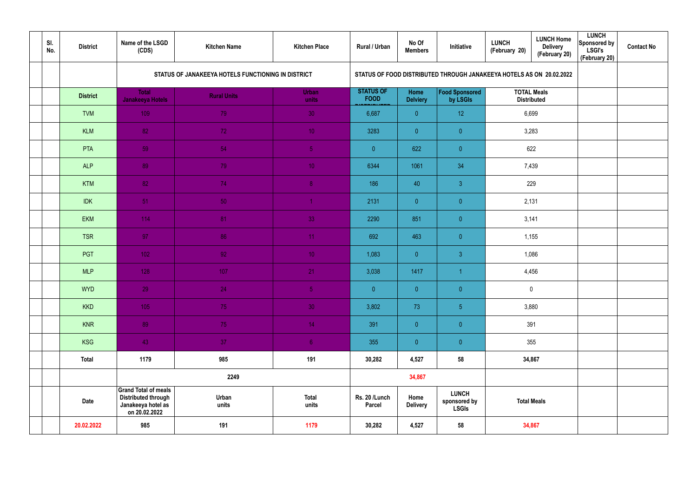| SI.<br>No. | <b>District</b> | Name of the LSGD<br>(CDS)                                                                        | <b>Kitchen Name</b>                                | <b>Kitchen Place</b>  | Rural / Urban                   | No Of<br><b>Members</b> | Initiative                                                           | <b>LUNCH</b><br>(February 20) | <b>LUNCH Home</b><br><b>Delivery</b><br>(February 20) | <b>LUNCH</b><br>Sponsored by<br><b>LSGI's</b><br>(February 20) | <b>Contact No</b> |
|------------|-----------------|--------------------------------------------------------------------------------------------------|----------------------------------------------------|-----------------------|---------------------------------|-------------------------|----------------------------------------------------------------------|-------------------------------|-------------------------------------------------------|----------------------------------------------------------------|-------------------|
|            |                 |                                                                                                  | STATUS OF JANAKEEYA HOTELS FUNCTIONING IN DISTRICT |                       |                                 |                         | STATUS OF FOOD DISTRIBUTED THROUGH JANAKEEYA HOTELS AS ON 20.02.2022 |                               |                                                       |                                                                |                   |
|            | <b>District</b> | <b>Total</b><br>Janakeeya Hotels                                                                 | <b>Rural Units</b>                                 | Urban<br>units        | <b>STATUS OF</b><br><b>FOOD</b> | Home<br><b>Delviery</b> | Food Sponsored<br>by LSGIs                                           |                               | <b>TOTAL Meals</b><br><b>Distributed</b>              |                                                                |                   |
|            | <b>TVM</b>      | 109                                                                                              | 79                                                 | 30                    | 6,687                           | $\overline{0}$          | 12                                                                   | 6,699                         |                                                       |                                                                |                   |
|            | <b>KLM</b>      | 82                                                                                               | 72                                                 | 10 <sup>°</sup>       | 3283                            | $\overline{0}$          | $\overline{0}$                                                       | 3,283                         |                                                       |                                                                |                   |
|            | PTA             | 59                                                                                               | 54                                                 | 5 <sub>1</sub>        | $\overline{0}$                  | 622                     | $\overline{0}$                                                       | 622                           |                                                       |                                                                |                   |
|            | <b>ALP</b>      | 89                                                                                               | 79                                                 | 10 <sup>°</sup>       | 6344                            | 1061                    | 34                                                                   | 7,439                         |                                                       |                                                                |                   |
|            | <b>KTM</b>      | 82                                                                                               | 74                                                 | 8 <sup>°</sup>        | 186                             | 40                      | 3 <sup>1</sup>                                                       | 229                           |                                                       |                                                                |                   |
|            | <b>IDK</b>      | 51                                                                                               | 50                                                 |                       | 2131                            | $\overline{0}$          | $\overline{0}$                                                       | 2,131                         |                                                       |                                                                |                   |
|            | EKM             | 114                                                                                              | 81                                                 | 33                    | 2290                            | 851                     | $\overline{0}$                                                       | 3,141                         |                                                       |                                                                |                   |
|            | <b>TSR</b>      | 97                                                                                               | 86                                                 | 11                    | 692                             | 463                     | $\overline{0}$                                                       | 1,155                         |                                                       |                                                                |                   |
|            | PGT             | 102                                                                                              | 92 <sub>1</sub>                                    | 10 <sup>°</sup>       | 1,083                           | $\overline{0}$          | $\mathbf{3}$                                                         | 1,086                         |                                                       |                                                                |                   |
|            | <b>MLP</b>      | 128                                                                                              | 107                                                | 21                    | 3,038                           | 1417                    | -1                                                                   | 4,456                         |                                                       |                                                                |                   |
|            | <b>WYD</b>      | 29                                                                                               | 24                                                 | 5 <sub>1</sub>        | $\pmb{0}$                       | $\overline{0}$          | $\overline{0}$                                                       |                               | $\mathbf 0$                                           |                                                                |                   |
|            | <b>KKD</b>      | 105                                                                                              | 75                                                 | 30                    | 3,802                           | 73                      | 5 <sub>5</sub>                                                       | 3,880                         |                                                       |                                                                |                   |
|            | <b>KNR</b>      | 89                                                                                               | 75                                                 | 14 <sub>1</sub>       | 391                             | $\overline{0}$          | $\pmb{0}$                                                            | 391                           |                                                       |                                                                |                   |
|            | <b>KSG</b>      | 43                                                                                               | 37 <sup>°</sup>                                    | 6 <sup>1</sup>        | 355                             | $\overline{0}$          | $\pmb{0}$                                                            |                               | 355                                                   |                                                                |                   |
|            | <b>Total</b>    | 1179                                                                                             | 985                                                | 191                   | 30,282                          | 4,527                   | 58                                                                   |                               | 34,867                                                |                                                                |                   |
|            |                 |                                                                                                  | 2249                                               |                       |                                 | 34,867                  |                                                                      |                               |                                                       |                                                                |                   |
|            | <b>Date</b>     | <b>Grand Total of meals</b><br><b>Distributed through</b><br>Janakeeya hotel as<br>on 20.02.2022 | Urban<br>units                                     | <b>Total</b><br>units | Rs. 20 /Lunch<br>Parcel         | Home<br><b>Delivery</b> | <b>LUNCH</b><br>sponsored by<br><b>LSGIs</b>                         | <b>Total Meals</b>            |                                                       |                                                                |                   |
|            | 20.02.2022      | 985                                                                                              | 191                                                | 1179                  | 30,282                          | 4,527                   | 58                                                                   |                               | 34,867                                                |                                                                |                   |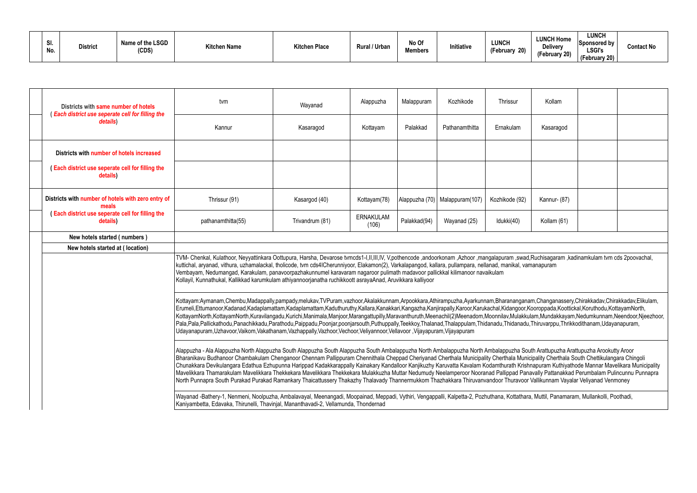| -<br>31.<br>No. | <b>District</b> | Name of the LSGD<br>(CDS) | <b>Kitchen Name</b> | <b>Kitchen Place</b> | ' / Urban<br>Rural, | No Of<br><b>Members</b> | Initiative | LUNCH<br>$\sim$<br>$\mathbf{a}$<br><b>repruary</b><br>ZU) | <b>LUNCH Home</b><br>Deliverv<br>$\sim$<br>February 20) | <b>LUNCH</b><br>Sponsored by<br><b>LSGI's</b><br>(February 20) | <b>Contact No</b> |
|-----------------|-----------------|---------------------------|---------------------|----------------------|---------------------|-------------------------|------------|-----------------------------------------------------------|---------------------------------------------------------|----------------------------------------------------------------|-------------------|
|-----------------|-----------------|---------------------------|---------------------|----------------------|---------------------|-------------------------|------------|-----------------------------------------------------------|---------------------------------------------------------|----------------------------------------------------------------|-------------------|

| Districts with same number of hotels                                                                                                                                                                                                                                                                                                                                                                                                                                                                                                                                                                                                                                                                                                                                                                                                                                                        | tvm                                                                                                                                                                                                                                                                                                                                                                                                                                                                                                                                                                                                                                                                                                                                                                                                                                                                                                                                                | Wayanad         | Alappuzha                 | Malappuram   | Kozhikode                        | Thrissur       | Kollam       |  |  |
|---------------------------------------------------------------------------------------------------------------------------------------------------------------------------------------------------------------------------------------------------------------------------------------------------------------------------------------------------------------------------------------------------------------------------------------------------------------------------------------------------------------------------------------------------------------------------------------------------------------------------------------------------------------------------------------------------------------------------------------------------------------------------------------------------------------------------------------------------------------------------------------------|----------------------------------------------------------------------------------------------------------------------------------------------------------------------------------------------------------------------------------------------------------------------------------------------------------------------------------------------------------------------------------------------------------------------------------------------------------------------------------------------------------------------------------------------------------------------------------------------------------------------------------------------------------------------------------------------------------------------------------------------------------------------------------------------------------------------------------------------------------------------------------------------------------------------------------------------------|-----------------|---------------------------|--------------|----------------------------------|----------------|--------------|--|--|
| (Each district use seperate cell for filling the<br>details)                                                                                                                                                                                                                                                                                                                                                                                                                                                                                                                                                                                                                                                                                                                                                                                                                                | Kannur                                                                                                                                                                                                                                                                                                                                                                                                                                                                                                                                                                                                                                                                                                                                                                                                                                                                                                                                             | Kasaragod       | Kottayam                  | Palakkad     | Pathanamthitta                   | Ernakulam      | Kasaragod    |  |  |
| Districts with number of hotels increased                                                                                                                                                                                                                                                                                                                                                                                                                                                                                                                                                                                                                                                                                                                                                                                                                                                   |                                                                                                                                                                                                                                                                                                                                                                                                                                                                                                                                                                                                                                                                                                                                                                                                                                                                                                                                                    |                 |                           |              |                                  |                |              |  |  |
| (Each district use seperate cell for filling the<br>details)                                                                                                                                                                                                                                                                                                                                                                                                                                                                                                                                                                                                                                                                                                                                                                                                                                |                                                                                                                                                                                                                                                                                                                                                                                                                                                                                                                                                                                                                                                                                                                                                                                                                                                                                                                                                    |                 |                           |              |                                  |                |              |  |  |
| Districts with number of hotels with zero entry of<br>meals                                                                                                                                                                                                                                                                                                                                                                                                                                                                                                                                                                                                                                                                                                                                                                                                                                 | Thrissur (91)                                                                                                                                                                                                                                                                                                                                                                                                                                                                                                                                                                                                                                                                                                                                                                                                                                                                                                                                      | Kasargod (40)   | Kottayam(78)              |              | Alappuzha (70)   Malappuram(107) | Kozhikode (92) | Kannur- (87) |  |  |
| (Each district use seperate cell for filling the<br>details)                                                                                                                                                                                                                                                                                                                                                                                                                                                                                                                                                                                                                                                                                                                                                                                                                                | pathanamthitta(55)                                                                                                                                                                                                                                                                                                                                                                                                                                                                                                                                                                                                                                                                                                                                                                                                                                                                                                                                 | Trivandrum (81) | <b>ERNAKULAM</b><br>(106) | Palakkad(94) | Wayanad (25)                     | Idukki(40)     | Kollam (61)  |  |  |
| New hotels started (numbers)                                                                                                                                                                                                                                                                                                                                                                                                                                                                                                                                                                                                                                                                                                                                                                                                                                                                |                                                                                                                                                                                                                                                                                                                                                                                                                                                                                                                                                                                                                                                                                                                                                                                                                                                                                                                                                    |                 |                           |              |                                  |                |              |  |  |
| New hotels started at (location)                                                                                                                                                                                                                                                                                                                                                                                                                                                                                                                                                                                                                                                                                                                                                                                                                                                            |                                                                                                                                                                                                                                                                                                                                                                                                                                                                                                                                                                                                                                                                                                                                                                                                                                                                                                                                                    |                 |                           |              |                                  |                |              |  |  |
|                                                                                                                                                                                                                                                                                                                                                                                                                                                                                                                                                                                                                                                                                                                                                                                                                                                                                             | TVM- Chenkal, Kulathoor, Neyyattinkara Oottupura, Harsha, Devarose tvmcds1-I,II,III,IV, V,pothencode ,andoorkonam ,Azhoor ,mangalapuram ,swad,Ruchisagaram ,kadinamkulam tvm cds 2poovachal,<br>kuttichal, aryanad, vithura, uzhamalackal, tholicode, tvm cds4ICherunniyoor, Elakamon(2), Varkalapangod, kallara, pullampara, nellanad, manikal, vamanapuram<br>Vembayam, Nedumangad, Karakulam, panavoorpazhakunnumel karavaram nagaroor pulimath madavoor pallickkal kilimanoor navaikulam<br>Kollayil, Kunnathukal, Kallikkad karumkulam athiyannoorjanatha ruchikkoott asrayaAnad, Aruvikkara kalliyoor                                                                                                                                                                                                                                                                                                                                        |                 |                           |              |                                  |                |              |  |  |
| Kottayam:Aymanam,Chembu,Madappally,pampady,melukav,TVPuram,vazhoor,Akalakkunnam,Arpookkara,Athirampuzha,Ayarkunnam,Bharananganam,Changanassery,Chirakkadav,Chirakkadav,Elikulam,<br>Erumeli,Ettumanoor,Kadanad,Kadaplamattam,Kadaplamattam,Kaduthuruthy,Kallara,Kanakkari,Kangazha,Kanjirapally,Karoor,Karukachal,Kidangoor,Kooroppada,Koottickal,Koruthodu,KottayamNorth,<br>KottayamNorth,KottayamNorth,Kuravilangadu,Kurichi,Manimala,Manjoor,Marangattupilly,Maravanthuruth,Meenachil(2)Meenadom,Moonnilav,Mulakkulam,Mundakkayam,Nedumkunnam,Neendoor,Njeezhoor,<br>Pala,Pala,Pallickathodu,Panachikkadu,Parathodu,Paippadu,Poonjar,poonjarsouth,Puthuppally,Teekkoy,Thalanad,Thalappulam,Thidanadu,Thidanadu,Thiruvarppu,Thrikkodithanam,Udayanapuram,<br>Udayanapuram, Uzhavoor, Vaikom, Vakathanam, Vazhappally, Vazhoor, Vechoor, Veliyannoor, Vellavoor, Vijayapuram, Vijayapuram |                                                                                                                                                                                                                                                                                                                                                                                                                                                                                                                                                                                                                                                                                                                                                                                                                                                                                                                                                    |                 |                           |              |                                  |                |              |  |  |
|                                                                                                                                                                                                                                                                                                                                                                                                                                                                                                                                                                                                                                                                                                                                                                                                                                                                                             | Alappuzha - Ala Alappuzha North Alappuzha South Alappuzha South Alappuzha South Ambalappuzha North Ambalappuzha North Ambalappuzha South Arattupuzha Arattupuzha Arookutty Aroor<br>Bharanikavu Budhanoor Chambakulam Chenganoor Chennam Pallippuram Chennithala Cheppad Cheriyanad Cherthala Municipality Cherthala Municipality Cherthala South Chettikulangara Chingoli<br>Chunakkara Devikulangara Edathua Ezhupunna Harippad Kadakkarappally Kainakary Kandalloor Kanjikuzhy Karuvatta Kavalam Kodamthurath Krishnapuram Kuthiyathode Mannar Mavelikara Municipality<br>Mavelikkara Thamarakulam Mavelikkara Thekkekara Mavelikkara Thekkekara Mulakkuzha Muttar Nedumudy Neelamperoor Nooranad Pallippad Panavally Pattanakkad Perumbalam Pulincunnu Punnapra<br>North Punnapra South Purakad Purakad Ramankary Thaicattussery Thakazhy Thalavady Thannermukkom Thazhakkara Thiruvanvandoor Thuravoor Vallikunnam Vayalar Veliyanad Venmoney |                 |                           |              |                                  |                |              |  |  |
|                                                                                                                                                                                                                                                                                                                                                                                                                                                                                                                                                                                                                                                                                                                                                                                                                                                                                             | Wayanad -Bathery-1, Nenmeni, Noolpuzha, Ambalavayal, Meenangadi, Moopainad, Meppadi, Vythiri, Vengappalli, Kalpetta-2, Pozhuthana, Kottathara, Muttil, Panamaram, Mullankolli, Poothadi,<br>Kaniyambetta, Edavaka, Thirunelli, Thavinjal, Mananthavadi-2, Vellamunda, Thondernad                                                                                                                                                                                                                                                                                                                                                                                                                                                                                                                                                                                                                                                                   |                 |                           |              |                                  |                |              |  |  |

| Kollam       |  |
|--------------|--|
| Kasaragod    |  |
|              |  |
|              |  |
| Kannur- (87) |  |
| Kollam (61)  |  |
|              |  |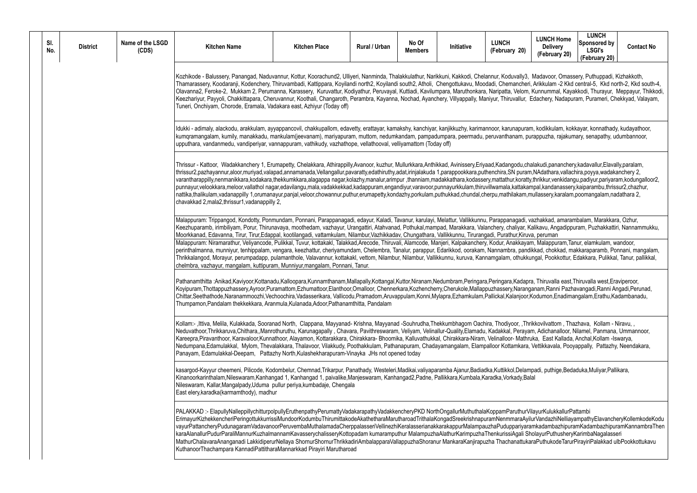Madavoor, Omassery, Puthuppadi, Kizhakkoth, ni, Arikkulam -2 Kkd central-5, Kkd north-2, Kkd south-4, Kowilandi south-4, Arikkulam -2 Kkd centraln, Kunnummal, Kayakkodi, Thurayur, Meppayur, Thikkodi, Edachery, Nadapuram, Purameri, Chekkyad, Valayam, am, kodikkulam, kokkayar, konnathady, kudayathoor, burappuzha, rajakumary, senapathy, udumbannoor, manadum halakudi, pananchery, kadavallur, Elavally, paralam, m,NAdathara,vallachira,poyya,wadakanchery 2, tty,thrikkur,venkidangu,padiyur,pariyaram,kodungalloor2, ampal,kandanassery,kaiparambu,thrissur2,chazhur, nattika,thalikulam,poomangalam,nadathara 2, vazhakkad, amarambalam, Marakkara, Ozhur, Kalikavu, Angadippuram, Puzhakkattiri, Nannammukku, am, Malappuram, Tanur, elamkulam, wandoor, *Rumali, Tanur, Malappuram*, Tanur, Anak ndikkad, chokkad, makkaraparamb, Ponnani, mangalam, kungal, Pookkottur, Edakkara, Pulikkal, Tanur, pallikkal, pra, Thiruvalla east,Thiruvalla west,Eraviperoor, nganam,Ranni Pazhavangadi,Ranni Angadi,Perunad, r,Kodumon,Enadimangalam,Erathu,Kadambanadu, hrikkovilvattom, Thazhava, Kollam - Niravu, , vam, Adichanalloor, Nilamel, Panmana, Ummannoor, hruka, East Kallada, Anchal, Kollam -Iswarya, Nedumpana,Edamulakkal, Mylom, Thevalakkara, Thalavoor, Vilakkudy, Poothakkulam, Pathanapuram, Chadayamangalam, Elampalloor Kottamkara, Vettikkavala, Pooyappally, Pattazhy, Neendakara, mpadi, puthige, Bedaduka, Muliyar, Pallikara,

VilayurKulukkallurPattambi vilurVandazhiNelliayampathyElavancheryKollemkodeKodu <sub>.</sub><br>PamkadambazhipuramKadambazhipuramKannambraThen SholayurPuthusheryKarimbaNagalasseri MathurChalavaraAnanganadi LakkidiperurNellaya ShornurShornurThrikkadiriAmbalapparaVallappuzhaShoranur MankaraKanjirapuzha ThachanattukaraPuthukodeTarurPirayiriPalakkad ulbPookkottukavu

| Kozhikode - Balussery, Panangad, Naduvannur, Kottur, Koorachund2, Ulliyeri, Nanminda, Thalakkulathur, Narikkuni, Kakkodi, Chelannur, Koduvally3, Madavoor,<br>Thamarassery, Koodaranji, Kodenchery, Thiruvambadi, Kattippara, Koyilandi north2, Koyilandi south2, Atholi, Chengottukavu, Moodadi, Chemancheri, Arikkulam ·<br>Olavanna2, Feroke-2, Mukkam 2, Perumanna, Karassery, Kuruvattur, Kodiyathur, Peruvayal, Kuttiadi, Kavilumpara, Maruthonkara, Naripatta, Velom, Kunnumma<br>Keezhariyur, Payyoli, Chakkittapara, Cheruvannur, Koothali, Changaroth, Perambra, Kayanna, Nochad, Ayanchery, Villyappally, Maniyur, Thiruvallur, Edachery, N<br>Tuneri, Onchiyam, Chorode, Eramala, Vadakara east, Azhiyur (Today off)<br>Idukki - adimaly, alackodu, arakkulam, ayyappancovil, chakkupallom, edavetty, erattayar, kamakshy, kanchiyar, kanjikkuzhy, karimannoor, karunapuram, kodikkula<br>kumqramangalam, kumily, manakkadu, mankulam(jeevanam), mariyapuram, muttom, nedumkandam, pampadumpara, peermadu, peruvanthanam, purappuzha, r<br>upputhara, vandanmedu, vandiperiyar, vannappuram, vathikudy, vazhathope, vellathooval, velliyamattom (Today off)<br>Thrissur - Kattoor, Wadakkanchery 1, Erumapetty, Chelakkara, Athirappilly,Avanoor, kuzhur, Mullurkkara,Anthikkad, Avinissery,Eriyaad,Kadangodu,chalakudi,pana<br>thrissur2,pazhayannur,aloor,muriyad,valapad,annamanada,Vellangallur,pavaratty,edathiruthy,adat,irinjalakuda 1,parappookkara,puthenchira,SN puram,NAdathara<br>varantharappilly,nenmanikkara,kodakara,thekkumkkara,alagappa nagar,kolazhy,manalur,arimpur,thanniam,madakkathara,kodassery,mattathur,koratty,thrikkur,ver<br>punnayur, velookkara, meloor, vallathol nagar, edavilangu, mala, vadakkekkad, kadappuram, engandiyur, varavoor, punnayurkkulam, thiruvillwamala, kattakampal, kandar<br>nattika,thalikulam,vadanappilly 1,orumanayur,panjal,veloor,chowannur,puthur,erumapetty,kondazhy,porkulam,puthukkad,chundal,cherpu,mathilakam,mullassery,ka<br>chavakkad 2, mala2, thrissur1, vadanappilly 2,<br>chelmbra, vazhayur, mangalam, kuttipuram, Munniyur, mangalam, Ponnani, Tanur.<br>Thumpamon,Pandalam thekkekkara, Aranmula,Kulanada,Adoor,Pathanamthitta, Pandalam<br>Kollam:-,Ittiva, Melila, Kulakkada, Sooranad North, Clappana, Mayyanad-Krishna, Mayyanad-Souhrudha,Thekkumbhagom Oachira, Thodiyoor, ,Thrikkovilvattor<br>Neduvathoor,Thrikkaruva,Chithara,,Manrothuruthu, Karunagapally, Chavara, Pavithreswaram, Veliyam, Velinallur-Quality,Elamadu, Kadakkal, Perayam, Adichana<br>Kareepra,Piravanthoor, Karavaloor,Kunnathoor, Alayamon, Kottarakkara, Chirakkara- Bhoomika, Kalluvathukkal, Chirakkara-Niram, Velinalloor- Mathruka, East K<br>Nedumpana,Edamulakkal, Mylom, Thevalakkara, Thalavoor, Vilakkudy, Poothakkulam, Pathanapuram, Chadayamangalam, Elampalloor Kottamkara, Vettikkavala<br>Panayam, Edamulakkal-Deepam, Pattazhy North, Kulashekharapuram-Vinayka JHs not opened today<br>kasargod-Kayyur cheemeni, Pilicode, Kodombelur, Chemnad,Trikarpur, Panathady, Westeleri,Madikai,valiyaparamba Ajanur,Badiadka,Kuttikkol,Delampadi, puthig<br>Kinanoorkarinthalam,Nileswaram,Kanhangad 1, Kanhangad 1, paivalike,Manjeswaram, Kanhangad2,Padne, Pallikkara,Kumbala,Karadka,Vorkady,Balal<br>Nileswaram, Kallar,Mangalpady,Uduma pullur periya,kumbadaje, Chengala<br>East elery, karadka (karmamthody), madhur<br>KuthanoorThachampara KannadiPattitharaMannarkkad Pirayiri Marutharoad |  | SI.<br>No. | <b>District</b> | Name of the LSGD<br>(CDS) | <b>Kitchen Name</b>                                                                                                                                                                                                                                                                                                                                                                                                                                                                                                                                                                                                                                                                                                                                                                                                                                                                                                                                                                 | <b>Kitchen Place</b> | Rural / Urban | No Of<br><b>Members</b> | Initiative | <b>LUNCH</b><br>(February 20) | <b>LUNCH H</b><br><b>Delive</b><br>(Februar |  |  |
|----------------------------------------------------------------------------------------------------------------------------------------------------------------------------------------------------------------------------------------------------------------------------------------------------------------------------------------------------------------------------------------------------------------------------------------------------------------------------------------------------------------------------------------------------------------------------------------------------------------------------------------------------------------------------------------------------------------------------------------------------------------------------------------------------------------------------------------------------------------------------------------------------------------------------------------------------------------------------------------------------------------------------------------------------------------------------------------------------------------------------------------------------------------------------------------------------------------------------------------------------------------------------------------------------------------------------------------------------------------------------------------------------------------------------------------------------------------------------------------------------------------------------------------------------------------------------------------------------------------------------------------------------------------------------------------------------------------------------------------------------------------------------------------------------------------------------------------------------------------------------------------------------------------------------------------------------------------------------------------------------------------------------------------------------------------------------------------------------------------------------------------------------------------------------------------------------------------------------------------------------------------------------------------------------------------------------------------------------------------------------------------------------------------------------------------------------------------------------------------------------------------------------------------------------------------------------------------------------------------------------------------------------------------------------------------------------------------------------------------------------------------------------------------------------------------------------------------------------------------------------------------------------------------------------------------------------------------------------------------------------------------------------------------------------------------------------------------------------------------------------------------------------------------------------------------------------------------------------------------------------------------------------------------------------------------------------------------------------------------------------------------------------------------------------------------------------------------------------------------|--|------------|-----------------|---------------------------|-------------------------------------------------------------------------------------------------------------------------------------------------------------------------------------------------------------------------------------------------------------------------------------------------------------------------------------------------------------------------------------------------------------------------------------------------------------------------------------------------------------------------------------------------------------------------------------------------------------------------------------------------------------------------------------------------------------------------------------------------------------------------------------------------------------------------------------------------------------------------------------------------------------------------------------------------------------------------------------|----------------------|---------------|-------------------------|------------|-------------------------------|---------------------------------------------|--|--|
|                                                                                                                                                                                                                                                                                                                                                                                                                                                                                                                                                                                                                                                                                                                                                                                                                                                                                                                                                                                                                                                                                                                                                                                                                                                                                                                                                                                                                                                                                                                                                                                                                                                                                                                                                                                                                                                                                                                                                                                                                                                                                                                                                                                                                                                                                                                                                                                                                                                                                                                                                                                                                                                                                                                                                                                                                                                                                                                                                                                                                                                                                                                                                                                                                                                                                                                                                                                                                                                                                        |  |            |                 |                           |                                                                                                                                                                                                                                                                                                                                                                                                                                                                                                                                                                                                                                                                                                                                                                                                                                                                                                                                                                                     |                      |               |                         |            |                               |                                             |  |  |
|                                                                                                                                                                                                                                                                                                                                                                                                                                                                                                                                                                                                                                                                                                                                                                                                                                                                                                                                                                                                                                                                                                                                                                                                                                                                                                                                                                                                                                                                                                                                                                                                                                                                                                                                                                                                                                                                                                                                                                                                                                                                                                                                                                                                                                                                                                                                                                                                                                                                                                                                                                                                                                                                                                                                                                                                                                                                                                                                                                                                                                                                                                                                                                                                                                                                                                                                                                                                                                                                                        |  |            |                 |                           |                                                                                                                                                                                                                                                                                                                                                                                                                                                                                                                                                                                                                                                                                                                                                                                                                                                                                                                                                                                     |                      |               |                         |            |                               |                                             |  |  |
|                                                                                                                                                                                                                                                                                                                                                                                                                                                                                                                                                                                                                                                                                                                                                                                                                                                                                                                                                                                                                                                                                                                                                                                                                                                                                                                                                                                                                                                                                                                                                                                                                                                                                                                                                                                                                                                                                                                                                                                                                                                                                                                                                                                                                                                                                                                                                                                                                                                                                                                                                                                                                                                                                                                                                                                                                                                                                                                                                                                                                                                                                                                                                                                                                                                                                                                                                                                                                                                                                        |  |            |                 |                           |                                                                                                                                                                                                                                                                                                                                                                                                                                                                                                                                                                                                                                                                                                                                                                                                                                                                                                                                                                                     |                      |               |                         |            |                               |                                             |  |  |
|                                                                                                                                                                                                                                                                                                                                                                                                                                                                                                                                                                                                                                                                                                                                                                                                                                                                                                                                                                                                                                                                                                                                                                                                                                                                                                                                                                                                                                                                                                                                                                                                                                                                                                                                                                                                                                                                                                                                                                                                                                                                                                                                                                                                                                                                                                                                                                                                                                                                                                                                                                                                                                                                                                                                                                                                                                                                                                                                                                                                                                                                                                                                                                                                                                                                                                                                                                                                                                                                                        |  |            |                 |                           | Malappuram: Trippangod, Kondotty, Ponmundam, Ponnani, Parappanagadi, edayur, Kaladi, Tavanur, karulayi, Melattur, Vallikkunnu, Parappanagadi, vazhakkad, a<br>Keezhuparamb, irimbiliyam, Porur, Thirunavaya, moothedam, vazhayur, Urangattiri, Atahvanad, Pothukal,mampad, Marakkara, Valanchery, chaliyar, Kalikavu, Ang<br>Moorkkanad, Edavanna, Tirur, Tirur,Edappal, kootilangadi, vattamkulam, Nilambur,Vazhikkadav, Chungathara, Vallikkunnu, Tirurangadi, Purathur,Kiruva, peruman<br>Malappuram: Niramarathur, Veliyancode, Pulikkal, Tuvur, kottakakl, Talakkad,Arecode, Thiruvali, Alamcode, Manjeri, Kalpakanchery, Kodur, Anakkayam, Malappur<br>perinthalmanna, munniyur, tenhippalam, vengara, keezhattur, cheriyamundam, Chelembra, Tanalur, parappur, Edarikkod, oorakam, Nannambra, pandikkad, chokk<br>Thrikkalangod, Morayur, perumpadapp, pulamanthole, Valavannur, kottakakl, vettom, Nilambur, Nilambur, Vallikkunnu, kuruva, Kannamgalam, othukkungal, Pookk |                      |               |                         |            |                               |                                             |  |  |
|                                                                                                                                                                                                                                                                                                                                                                                                                                                                                                                                                                                                                                                                                                                                                                                                                                                                                                                                                                                                                                                                                                                                                                                                                                                                                                                                                                                                                                                                                                                                                                                                                                                                                                                                                                                                                                                                                                                                                                                                                                                                                                                                                                                                                                                                                                                                                                                                                                                                                                                                                                                                                                                                                                                                                                                                                                                                                                                                                                                                                                                                                                                                                                                                                                                                                                                                                                                                                                                                                        |  |            |                 |                           | Pathanamthitta :Anikad,Kaviyoor,Kottanadu,Kalloopara,Kunnamthanam,Mallapally,Kottangal,Kuttor,Niranam,Nedumbram,Peringara,Peringara,Kadapra,Thiruvalla<br>Koyipuram,Thottappuzhassery,Ayroor,Puramattom,Ezhumattoor,Elanthoor,Omalloor, Chennerkara,Kozhencherry,Cherukole,Mallappuzhassery,Naranganam,Rann<br>Chittar,Seethathode,Naranammoozhi,Vechoochira,Vadasserikara, Vallicodu,Pramadom,Aruvappulam,Konni,Mylapra,Ezhamkulam,Pallickal,Kalanjoor,Kodumon,Er                                                                                                                                                                                                                                                                                                                                                                                                                                                                                                                  |                      |               |                         |            |                               |                                             |  |  |
|                                                                                                                                                                                                                                                                                                                                                                                                                                                                                                                                                                                                                                                                                                                                                                                                                                                                                                                                                                                                                                                                                                                                                                                                                                                                                                                                                                                                                                                                                                                                                                                                                                                                                                                                                                                                                                                                                                                                                                                                                                                                                                                                                                                                                                                                                                                                                                                                                                                                                                                                                                                                                                                                                                                                                                                                                                                                                                                                                                                                                                                                                                                                                                                                                                                                                                                                                                                                                                                                                        |  |            |                 |                           |                                                                                                                                                                                                                                                                                                                                                                                                                                                                                                                                                                                                                                                                                                                                                                                                                                                                                                                                                                                     |                      |               |                         |            |                               |                                             |  |  |
|                                                                                                                                                                                                                                                                                                                                                                                                                                                                                                                                                                                                                                                                                                                                                                                                                                                                                                                                                                                                                                                                                                                                                                                                                                                                                                                                                                                                                                                                                                                                                                                                                                                                                                                                                                                                                                                                                                                                                                                                                                                                                                                                                                                                                                                                                                                                                                                                                                                                                                                                                                                                                                                                                                                                                                                                                                                                                                                                                                                                                                                                                                                                                                                                                                                                                                                                                                                                                                                                                        |  |            |                 |                           |                                                                                                                                                                                                                                                                                                                                                                                                                                                                                                                                                                                                                                                                                                                                                                                                                                                                                                                                                                                     |                      |               |                         |            |                               |                                             |  |  |
|                                                                                                                                                                                                                                                                                                                                                                                                                                                                                                                                                                                                                                                                                                                                                                                                                                                                                                                                                                                                                                                                                                                                                                                                                                                                                                                                                                                                                                                                                                                                                                                                                                                                                                                                                                                                                                                                                                                                                                                                                                                                                                                                                                                                                                                                                                                                                                                                                                                                                                                                                                                                                                                                                                                                                                                                                                                                                                                                                                                                                                                                                                                                                                                                                                                                                                                                                                                                                                                                                        |  |            |                 |                           | PALAKKAD:- ElapullyNalleppillychitturpolpullyEruthenpathyPerumattyVadakarapathyVadakkencheryPKD NorthOngallurMuthuthalaKoppamParuthurVilayurKulukk<br>ErimayurKizhekkencheriPeringottukkurrissiMundoorKodumbuThirumittakodeAkathetharaMarutharoadTrithalaKongadSreekrishnapuramNenmmaraAyilurVandazhil<br>vayurPattancheryPudunagaramVadavanoorPeruvembaMuthalamadaCherppalasseriVellinezhiKeralasserianakkarakappurMalampauzhaPuduppariyaramkadamba:<br>karaAlanallurPudurParaliMannurKuzhalmannamKavasserychalisseryKottopadam kumaramputhur MalampuzhaAlathurKarimpuzhaThenkurissiAgali SholayurPuthu<br>MathurChalavaraAnanganadi LakkidiperurNellaya ShornurShornurThrikkadiriAmbalapparaVallappuzhaShoranur MankaraKanjirapuzha ThachanattukaraPuthukod                                                                                                                                                                                                                       |                      |               |                         |            |                               |                                             |  |  |